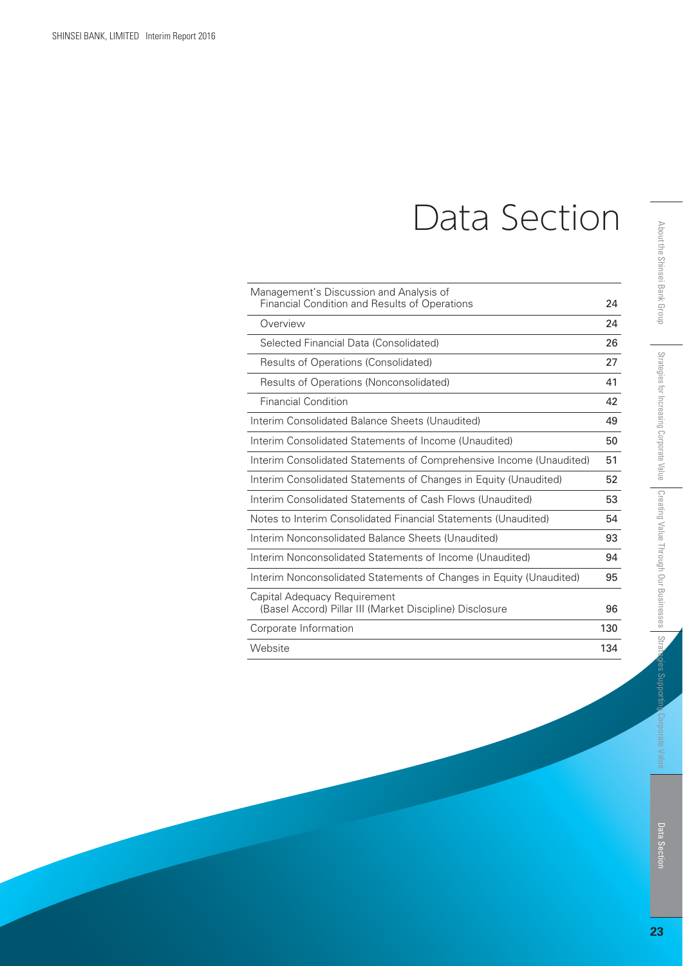# Data Section

| Management's Discussion and Analysis of<br>Financial Condition and Results of Operations | 24  |
|------------------------------------------------------------------------------------------|-----|
| Overview                                                                                 | 24  |
| Selected Financial Data (Consolidated)                                                   | 26  |
| Results of Operations (Consolidated)                                                     | 27  |
| Results of Operations (Nonconsolidated)                                                  | 41  |
| <b>Financial Condition</b>                                                               | 42  |
| Interim Consolidated Balance Sheets (Unaudited)                                          | 49  |
| Interim Consolidated Statements of Income (Unaudited)                                    | 50  |
| Interim Consolidated Statements of Comprehensive Income (Unaudited)                      | 51  |
| Interim Consolidated Statements of Changes in Equity (Unaudited)                         | 52  |
| Interim Consolidated Statements of Cash Flows (Unaudited)                                | 53  |
| Notes to Interim Consolidated Financial Statements (Unaudited)                           | 54  |
| Interim Nonconsolidated Balance Sheets (Unaudited)                                       | 93  |
| Interim Nonconsolidated Statements of Income (Unaudited)                                 | 94  |
| Interim Nonconsolidated Statements of Changes in Equity (Unaudited)                      | 95  |
| Capital Adequacy Requirement<br>(Basel Accord) Pillar III (Market Discipline) Disclosure | 96  |
| Corporate Information                                                                    | 130 |
| Website                                                                                  | 134 |

ies Support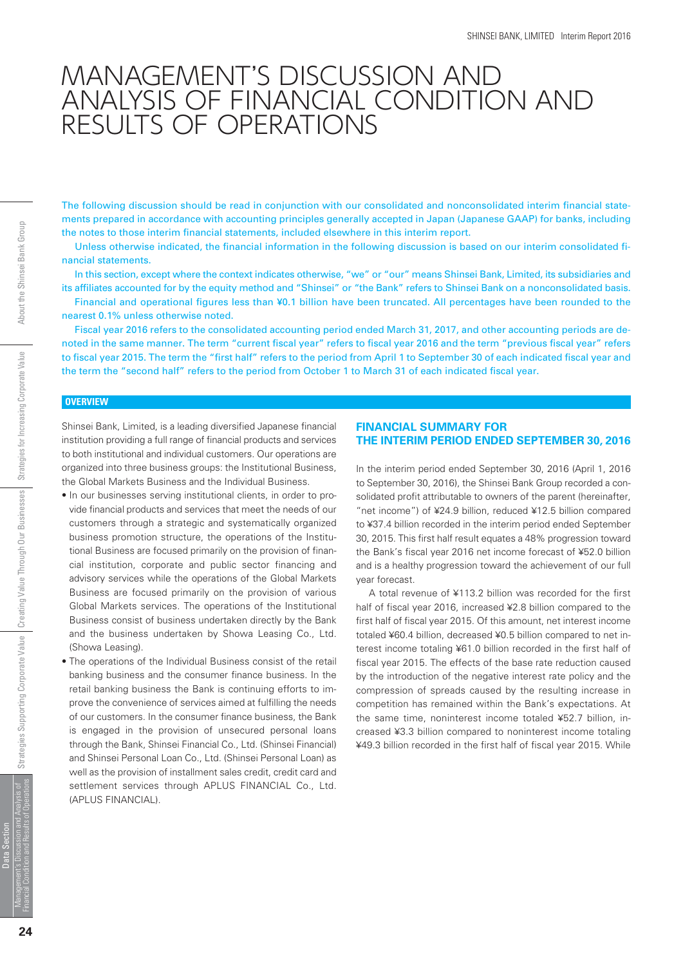# MANAGEMENT'S DISCUSSION AND ANALYSIS OF FINANCIAL CONDITION AND RESULTS OF OPERATIONS

The following discussion should be read in conjunction with our consolidated and nonconsolidated interim financial statements prepared in accordance with accounting principles generally accepted in Japan (Japanese GAAP) for banks, including the notes to those interim financial statements, included elsewhere in this interim report.

 Unless otherwise indicated, the financial information in the following discussion is based on our interim consolidated financial statements.

 In this section, except where the context indicates otherwise, "we" or "our" means Shinsei Bank, Limited, its subsidiaries and its affiliates accounted for by the equity method and "Shinsei" or "the Bank" refers to Shinsei Bank on a nonconsolidated basis.

 Financial and operational figures less than ¥0.1 billion have been truncated. All percentages have been rounded to the nearest 0.1% unless otherwise noted.

 Fiscal year 2016 refers to the consolidated accounting period ended March 31, 2017, and other accounting periods are denoted in the same manner. The term "current fiscal year" refers to fiscal year 2016 and the term "previous fiscal year" refers to fiscal year 2015. The term the "first half" refers to the period from April 1 to September 30 of each indicated fiscal year and the term the "second half" refers to the period from October 1 to March 31 of each indicated fiscal year.

#### **OVERVIEW**

*Shinsei Bank, Limited, is a leading diversified Japanese financial institution providing a full range of financial products and services to both institutional and individual customers. Our operations are organized into three business groups: the Institutional Business, the Global Markets Business and the Individual Business.*

- *In our businesses serving institutional clients, in order to provide financial products and services that meet the needs of our customers through a strategic and systematically organized business promotion structure, the operations of the Institutional Business are focused primarily on the provision of financial institution, corporate and public sector financing and advisory services while the operations of the Global Markets Business are focused primarily on the provision of various Global Markets services. The operations of the Institutional Business consist of business undertaken directly by the Bank and the business undertaken by Showa Leasing Co., Ltd. (Showa Leasing).*
- *The operations of the Individual Business consist of the retail banking business and the consumer finance business. In the retail banking business the Bank is continuing efforts to improve the convenience of services aimed at fulfilling the needs of our customers. In the consumer finance business, the Bank is engaged in the provision of unsecured personal loans through the Bank, Shinsei Financial Co., Ltd. (Shinsei Financial) and Shinsei Personal Loan Co., Ltd. (Shinsei Personal Loan) as well as the provision of installment sales credit, credit card and settlement services through APLUS FINANCIAL Co., Ltd. (APLUS FINANCIAL).*

#### **FINANCIAL SUMMARY FOR THE INTERIM PERIOD ENDED SEPTEMBER 30, 2016**

*In the interim period ended September 30, 2016 (April 1, 2016 to September 30, 2016), the Shinsei Bank Group recorded a consolidated profit attributable to owners of the parent (hereinafter, "net income") of ¥24.9 billion, reduced ¥12.5 billion compared to ¥37.4 billion recorded in the interim period ended September 30, 2015. This first half result equates a 48% progression toward the Bank's fiscal year 2016 net income forecast of ¥52.0 billion and is a healthy progression toward the achievement of our full year forecast.*

 *A total revenue of ¥113.2 billion was recorded for the first half of fiscal year 2016, increased ¥2.8 billion compared to the first half of fiscal year 2015. Of this amount, net interest income totaled ¥60.4 billion, decreased ¥0.5 billion compared to net interest income totaling ¥61.0 billion recorded in the first half of fiscal year 2015. The effects of the base rate reduction caused by the introduction of the negative interest rate policy and the compression of spreads caused by the resulting increase in competition has remained within the Bank's expectations. At the same time, noninterest income totaled ¥52.7 billion, increased ¥3.3 billion compared to noninterest income totaling ¥49.3 billion recorded in the first half of fiscal year 2015. While*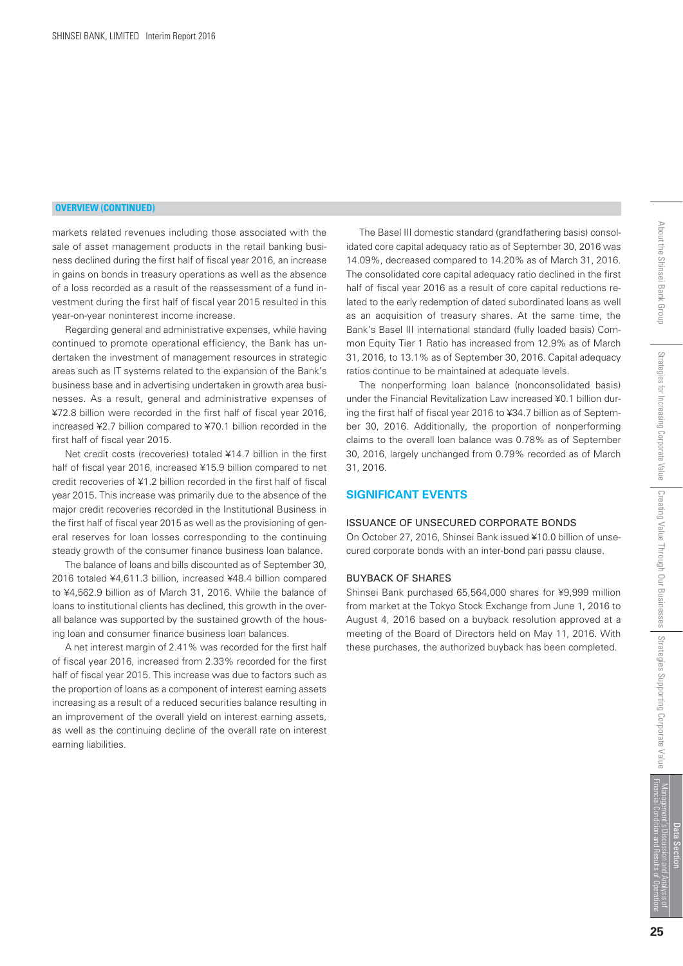#### **OVERVIEW (CONTINUED)**

*markets related revenues including those associated with the sale of asset management products in the retail banking business declined during the first half of fiscal year 2016, an increase in gains on bonds in treasury operations as well as the absence of a loss recorded as a result of the reassessment of a fund investment during the first half of fiscal year 2015 resulted in this year-on-year noninterest income increase.*

 *Regarding general and administrative expenses, while having continued to promote operational efficiency, the Bank has undertaken the investment of management resources in strategic areas such as IT systems related to the expansion of the Bank's business base and in advertising undertaken in growth area businesses. As a result, general and administrative expenses of ¥72.8 billion were recorded in the first half of fiscal year 2016, increased ¥2.7 billion compared to ¥70.1 billion recorded in the first half of fiscal year 2015.*

 *Net credit costs (recoveries) totaled ¥14.7 billion in the first half of fiscal year 2016, increased ¥15.9 billion compared to net credit recoveries of ¥1.2 billion recorded in the first half of fiscal year 2015. This increase was primarily due to the absence of the major credit recoveries recorded in the Institutional Business in the first half of fiscal year 2015 as well as the provisioning of general reserves for loan losses corresponding to the continuing steady growth of the consumer finance business loan balance.*

 *The balance of loans and bills discounted as of September 30, 2016 totaled ¥4,611.3 billion, increased ¥48.4 billion compared to ¥4,562.9 billion as of March 31, 2016. While the balance of loans to institutional clients has declined, this growth in the overall balance was supported by the sustained growth of the housing loan and consumer finance business loan balances.*

 *A net interest margin of 2.41% was recorded for the first half of fiscal year 2016, increased from 2.33% recorded for the first half of fiscal year 2015. This increase was due to factors such as the proportion of loans as a component of interest earning assets increasing as a result of a reduced securities balance resulting in an improvement of the overall yield on interest earning assets, as well as the continuing decline of the overall rate on interest earning liabilities.*

 *The Basel III domestic standard (grandfathering basis) consolidated core capital adequacy ratio as of September 30, 2016 was 14.09%, decreased compared to 14.20% as of March 31, 2016. The consolidated core capital adequacy ratio declined in the first half of fiscal year 2016 as a result of core capital reductions related to the early redemption of dated subordinated loans as well as an acquisition of treasury shares. At the same time, the Bank's Basel III international standard (fully loaded basis) Common Equity Tier 1 Ratio has increased from 12.9% as of March 31, 2016, to 13.1% as of September 30, 2016. Capital adequacy ratios continue to be maintained at adequate levels.*

 *The nonperforming loan balance (nonconsolidated basis) under the Financial Revitalization Law increased ¥0.1 billion during the first half of fiscal year 2016 to ¥34.7 billion as of September 30, 2016. Additionally, the proportion of nonperforming claims to the overall loan balance was 0.78% as of September 30, 2016, largely unchanged from 0.79% recorded as of March 31, 2016.*

#### **SIGNIFICANT EVENTS**

#### ISSUANCE OF UNSECURED CORPORATE BONDS

*On October 27, 2016, Shinsei Bank issued ¥10.0 billion of unsecured corporate bonds with an inter-bond pari passu clause.* 

#### BUYBACK OF SHARES

*Shinsei Bank purchased 65,564,000 shares for ¥9,999 million from market at the Tokyo Stock Exchange from June 1, 2016 to August 4, 2016 based on a buyback resolution approved at a meeting of the Board of Directors held on May 11, 2016. With these purchases, the authorized buyback has been completed.*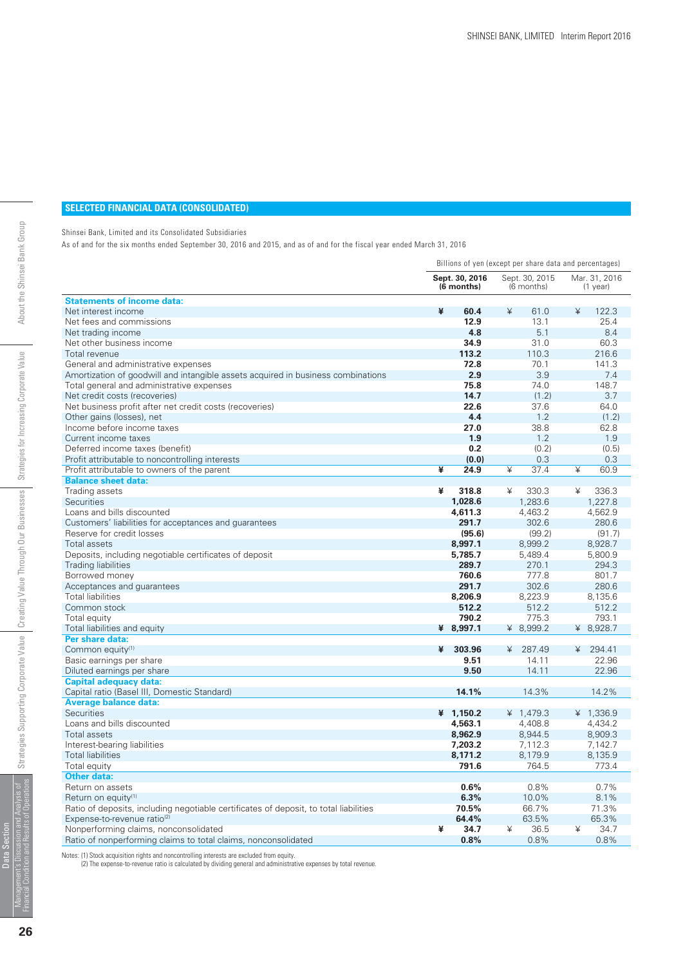#### **SELECTED FINANCIAL DATA (CONSOLIDATED)**

Shinsei Bank, Limited and its Consolidated Subsidiaries

As of and for the six months ended September 30, 2016 and 2015, and as of and for the fiscal year ended March 31, 2016

|                                                                                       | Billions of yen (except per share data and percentages) |                              |                                 |  |  |
|---------------------------------------------------------------------------------------|---------------------------------------------------------|------------------------------|---------------------------------|--|--|
|                                                                                       | Sept. 30, 2016<br>$(6$ months)                          | Sept. 30, 2015<br>(6 months) | Mar. 31, 2016<br>$(1$ year)     |  |  |
| <b>Statements of income data:</b>                                                     |                                                         |                              |                                 |  |  |
| Net interest income                                                                   | ¥<br>60.4                                               | ¥<br>61.0                    | ¥<br>122.3                      |  |  |
| Net fees and commissions                                                              | 12.9                                                    | 13.1                         | 25.4                            |  |  |
| Net trading income                                                                    | 4.8                                                     | 5.1                          | 8.4                             |  |  |
| Net other business income                                                             | 34.9                                                    | 31.0                         | 60.3                            |  |  |
| Total revenue                                                                         | 113.2                                                   | 110.3                        | 216.6                           |  |  |
| General and administrative expenses                                                   | 72.8                                                    | 70.1                         | 141.3                           |  |  |
| Amortization of goodwill and intangible assets acquired in business combinations      | 2.9                                                     | 3.9                          | 7.4                             |  |  |
| Total general and administrative expenses                                             | 75.8                                                    | 74.0                         | 148.7                           |  |  |
| Net credit costs (recoveries)                                                         | 14.7                                                    | (1.2)                        | 3.7                             |  |  |
| Net business profit after net credit costs (recoveries)                               | 22.6                                                    | 37.6                         | 64.0                            |  |  |
| Other gains (losses), net                                                             | 4.4                                                     | 1.2                          | (1.2)                           |  |  |
| Income before income taxes                                                            | 27.0                                                    | 38.8                         | 62.8                            |  |  |
| Current income taxes                                                                  | 1.9                                                     | 1.2                          | 1.9                             |  |  |
| Deferred income taxes (benefit)                                                       | 0.2                                                     | (0.2)                        | (0.5)                           |  |  |
| Profit attributable to noncontrolling interests                                       | (0,0)                                                   | 0.3                          | 0.3                             |  |  |
| Profit attributable to owners of the parent                                           | ¥<br>24.9                                               | ¥<br>37.4                    | $\overline{\mathbf{r}}$<br>60.9 |  |  |
| <b>Balance sheet data:</b>                                                            |                                                         |                              |                                 |  |  |
| Trading assets                                                                        | ¥<br>318.8                                              | ¥<br>330.3                   | ¥<br>336.3                      |  |  |
| Securities                                                                            | 1,028.6                                                 | 1,283.6                      | 1,227.8                         |  |  |
| Loans and bills discounted                                                            | 4,611.3                                                 | 4,463.2                      | 4.562.9                         |  |  |
| Customers' liabilities for acceptances and guarantees                                 | 291.7                                                   | 302.6                        | 280.6                           |  |  |
| Reserve for credit losses                                                             | (95.6)                                                  | (99.2)                       | (91.7)                          |  |  |
| Total assets                                                                          | 8,997.1                                                 | 8,999.2                      | 8,928.7                         |  |  |
| Deposits, including negotiable certificates of deposit                                | 5,785.7                                                 | 5,489.4                      | 5,800.9                         |  |  |
| <b>Trading liabilities</b>                                                            | 289.7                                                   | 270.1                        | 294.3                           |  |  |
| Borrowed money                                                                        | 760.6                                                   | 777.8                        | 801.7                           |  |  |
| Acceptances and guarantees                                                            | 291.7                                                   | 302.6                        | 280.6                           |  |  |
| <b>Total liabilities</b>                                                              | 8,206.9                                                 | 8,223.9                      | 8,135.6                         |  |  |
| Common stock                                                                          | 512.2                                                   | 512.2                        | 512.2                           |  |  |
| Total equity                                                                          | 790.2                                                   | 775.3                        | 793.1                           |  |  |
| Total liabilities and equity                                                          | ¥ 8,997.1                                               | ¥ 8,999.2                    | ¥ 8,928.7                       |  |  |
| Per share data:                                                                       |                                                         |                              |                                 |  |  |
| Common equity <sup>(1)</sup>                                                          | 303.96<br>¥                                             | 287.49<br>¥                  | 294.41<br>$\angle$              |  |  |
| Basic earnings per share                                                              | 9.51                                                    | 14.11                        | 22.96                           |  |  |
| Diluted earnings per share                                                            | 9.50                                                    | 14.11                        | 22.96                           |  |  |
| <b>Capital adequacy data:</b>                                                         |                                                         |                              |                                 |  |  |
| Capital ratio (Basel III, Domestic Standard)                                          | 14.1%                                                   | 14.3%                        | 14.2%                           |  |  |
| <b>Average balance data:</b>                                                          |                                                         |                              |                                 |  |  |
| Securities                                                                            | 4 1,150.2                                               | ¥ $1,479.3$                  | ¥ $1,336.9$                     |  |  |
| Loans and bills discounted                                                            | 4,563.1                                                 | 4,408.8                      | 4,434.2                         |  |  |
| <b>Total assets</b>                                                                   | 8,962.9                                                 | 8,944.5                      | 8,909.3                         |  |  |
| Interest-bearing liabilities                                                          | 7,203.2                                                 | 7,112.3                      | 7,142.7                         |  |  |
| <b>Total liabilities</b>                                                              | 8,171.2                                                 | 8,179.9                      | 8,135.9                         |  |  |
| Total equity                                                                          | 791.6                                                   | 764.5                        | 773.4                           |  |  |
| <b>Other data:</b>                                                                    |                                                         |                              |                                 |  |  |
| Return on assets                                                                      | 0.6%                                                    | 0.8%                         | 0.7%                            |  |  |
| Return on equity <sup>(1)</sup>                                                       | 6.3%                                                    | 10.0%                        | 8.1%                            |  |  |
| Ratio of deposits, including negotiable certificates of deposit, to total liabilities | 70.5%                                                   | 66.7%                        | 71.3%                           |  |  |
| Expense-to-revenue ratio <sup>(2)</sup>                                               | 64.4%                                                   | 63.5%                        | 65.3%                           |  |  |
| Nonperforming claims, nonconsolidated                                                 | ¥<br>34.7                                               | 36.5<br>¥                    | ¥<br>34.7                       |  |  |
| Ratio of nonperforming claims to total claims, nonconsolidated                        | 0.8%                                                    | 0.8%                         | 0.8%                            |  |  |

Notes: (1) Stock acquisition rights and noncontrolling interests are excluded from equity. (2) The expense-to-revenue ratio is calculated by dividing general and administrative expenses by total revenue.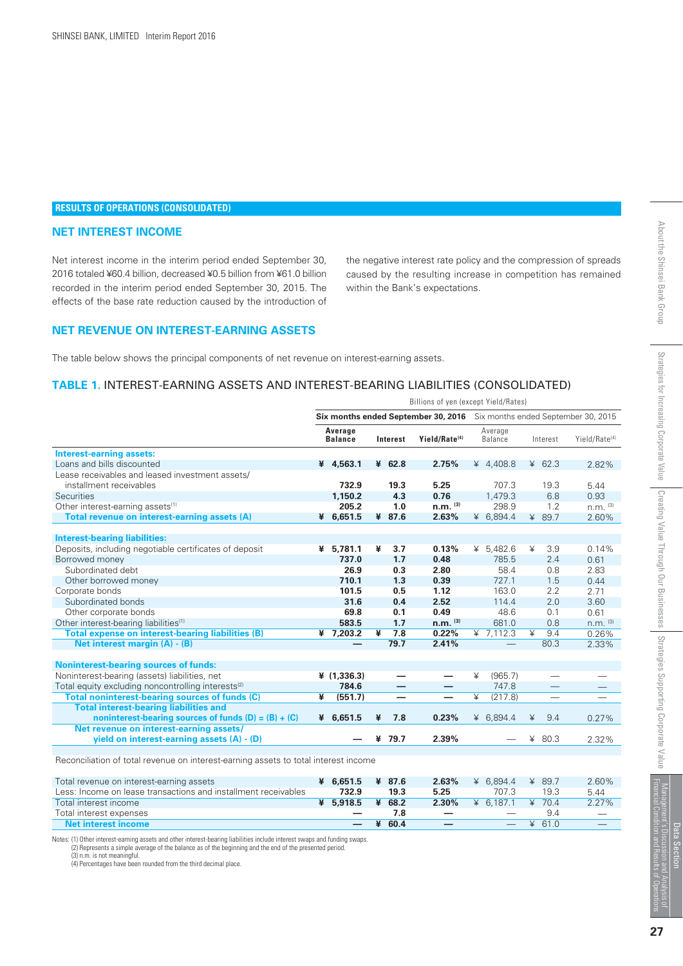#### **RESULTS OF OPERATIONS (CONSOLIDATED)**

#### **NET INTEREST INCOME**

*Net interest income in the interim period ended September 30, 2016 totaled ¥60.4 billion, decreased ¥0.5 billion from ¥61.0 billion recorded in the interim period ended September 30, 2015. The effects of the base rate reduction caused by the introduction of*

*the negative interest rate policy and the compression of spreads caused by the resulting increase in competition has remained within the Bank's expectations.*

#### **NET REVENUE ON INTEREST-EARNING ASSETS**

*The table below shows the principal components of net revenue on interest-earning assets.*

#### **TABLE 1.** INTEREST-EARNING ASSETS AND INTEREST-BEARING LIABILITIES (CONSOLIDATED)

|                                                                                     | Billions of yen (except Yield/Rates)                                    |                           |                         |                          |                           |   |                          |                         |          |                           |
|-------------------------------------------------------------------------------------|-------------------------------------------------------------------------|---------------------------|-------------------------|--------------------------|---------------------------|---|--------------------------|-------------------------|----------|---------------------------|
|                                                                                     | Six months ended September 30, 2016 Six months ended September 30, 2015 |                           |                         |                          |                           |   |                          |                         |          |                           |
|                                                                                     |                                                                         | Average<br><b>Balance</b> |                         | Interest                 | Yield/Rate <sup>(4)</sup> |   | Average<br>Balance       |                         | Interest | Yield/Rate <sup>(4)</sup> |
| <b>Interest-earning assets:</b>                                                     |                                                                         |                           |                         |                          |                           |   |                          |                         |          |                           |
| Loans and bills discounted                                                          |                                                                         | ¥ 4,563.1                 |                         | ¥ 62.8                   | 2.75%                     |   | ¥ 4,408.8                |                         | ¥ 62.3   | 2.82%                     |
| Lease receivables and leased investment assets/                                     |                                                                         |                           |                         |                          |                           |   |                          |                         |          |                           |
| installment receivables                                                             |                                                                         | 732.9                     |                         | 19.3                     | 5.25                      |   | 707.3                    |                         | 19.3     | 5.44                      |
| Securities                                                                          |                                                                         | 1.150.2                   |                         | 4.3                      | 0.76                      |   | 1.479.3                  |                         | 6.8      | 0.93                      |
| Other interest-earning assets <sup>(1)</sup>                                        |                                                                         | 205.2                     |                         | 1.0                      | $n.m.$ (3)                |   | 298.9                    |                         | 1.2      | $n.m.$ (3)                |
| Total revenue on interest-earning assets (A)                                        |                                                                         | ¥ 6,651.5                 |                         | ¥ 87.6                   | 2.63%                     |   | ¥ $6,894.4$              |                         | ¥ 89.7   | 2.60%                     |
|                                                                                     |                                                                         |                           |                         |                          |                           |   |                          |                         |          |                           |
| <b>Interest-bearing liabilities:</b>                                                |                                                                         |                           |                         |                          |                           |   |                          |                         |          |                           |
| Deposits, including negotiable certificates of deposit                              |                                                                         | ¥ 5,781.1                 | ¥                       | 3.7                      | 0.13%                     |   | ¥ $5,482.6$              | ¥                       | 3.9      | 0.14%                     |
| Borrowed money                                                                      |                                                                         | 737.0                     |                         | 1.7                      | 0.48                      |   | 785.5                    |                         | 2.4      | 0.61                      |
| Subordinated debt                                                                   |                                                                         | 26.9                      |                         | 0.3                      | 2.80                      |   | 58.4                     |                         | 0.8      | 2.83                      |
| Other borrowed money                                                                |                                                                         | 710.1                     |                         | 1.3                      | 0.39                      |   | 727.1                    |                         | 1.5      | 0.44                      |
| Corporate bonds                                                                     |                                                                         | 101.5                     |                         | 0.5                      | 1.12                      |   | 163.0                    |                         | 2.2      | 2.71                      |
| Subordinated bonds                                                                  |                                                                         | 31.6                      |                         | 0.4                      | 2.52                      |   | 114.4                    |                         | 2.0      | 3.60                      |
| Other corporate bonds                                                               |                                                                         | 69.8                      |                         | 0.1                      | 0.49                      |   | 48.6                     |                         | 0.1      | 0.61                      |
| Other interest-bearing liabilities <sup>(1)</sup>                                   |                                                                         | 583.5                     |                         | 1.7                      | $n.m.$ (3)                |   | 681.0                    |                         | 0.8      | $n.m.$ (3)                |
| <b>Total expense on interest-bearing liabilities (B)</b>                            |                                                                         | 47,203.2                  | $\overline{\mathbf{r}}$ | 7.8                      | 0.22%                     |   | $\frac{4}{7,112.3}$      | $\overline{\mathbf{Y}}$ | 9.4      | 0.26%                     |
| Net interest margin (A) - (B)                                                       |                                                                         | —                         |                         | 79.7                     | 2.41%                     |   | $\overline{\phantom{0}}$ |                         | 80.3     | 2.33%                     |
|                                                                                     |                                                                         |                           |                         |                          |                           |   |                          |                         |          |                           |
| <b>Noninterest-bearing sources of funds:</b>                                        |                                                                         |                           |                         |                          |                           |   |                          |                         |          |                           |
| Noninterest-bearing (assets) liabilities, net                                       |                                                                         | 4(1,336.3)                |                         |                          |                           | ¥ | (965.7)                  |                         |          |                           |
| Total equity excluding noncontrolling interests <sup>(2)</sup>                      |                                                                         | 784.6                     |                         | —                        |                           |   | 747.8                    |                         |          |                           |
| Total noninterest-bearing sources of funds (C)                                      | ¥                                                                       | (551.7)                   |                         | $\overline{\phantom{0}}$ |                           | ¥ | (217.8)                  |                         |          |                           |
| <b>Total interest-bearing liabilities and</b>                                       |                                                                         |                           |                         |                          |                           |   |                          |                         |          |                           |
| noninterest-bearing sources of funds $(D) = (B) + (C)$                              | ¥                                                                       | 6,651.5                   | ¥                       | 7.8                      | 0.23%                     | ¥ | 6,894.4                  | ¥                       | 9.4      | 0.27%                     |
| Net revenue on interest-earning assets/                                             |                                                                         |                           |                         |                          |                           |   |                          |                         |          |                           |
| yield on interest-earning assets (A) - (D)                                          |                                                                         |                           | ¥                       | 79.7                     | 2.39%                     |   |                          | ¥                       | 80.3     | 2.32%                     |
| Reconciliation of total revenue on interest-earning assets to total interest income |                                                                         |                           |                         |                          |                           |   |                          |                         |          |                           |
| Total revenue on interest-earning assets                                            |                                                                         | ¥ 6.651.5                 |                         | ¥ 87.6                   | 2.63%                     |   | ¥ $6,894.4$              |                         | ¥ 89.7   | 2.60%                     |
| Less: Income on lease transactions and installment receivables                      |                                                                         | 732.9                     |                         | 19.3                     | 5.25                      |   | 707.3                    |                         | 19.3     | 5.44                      |
| Total interest income                                                               |                                                                         | 45,918.5                  |                         | ¥ 68.2                   | 2.30%                     |   | 46,187.1                 |                         | 470.4    | 2.27%                     |
| Total interest expenses                                                             |                                                                         |                           |                         | 7.8                      |                           |   |                          |                         | 9.4      |                           |
| Net interest income                                                                 |                                                                         |                           | ¥                       | 60.4                     |                           |   |                          | ¥                       | 610      |                           |

 **—**

 $60.4$ 

 **—**

.<br>Notes: (1) Other interest-earning assets and other interest-bearing liabilities include interest swaps and funding swaps.<br>. (2) Represents a simple average of the balance as of the beginning and the end of the presented

 **Net interest income**

(3) n.m. is not meaningful. (4) Percentages have been rounded from the third decimal place.

 *—*

 $61.0$ 

 *—*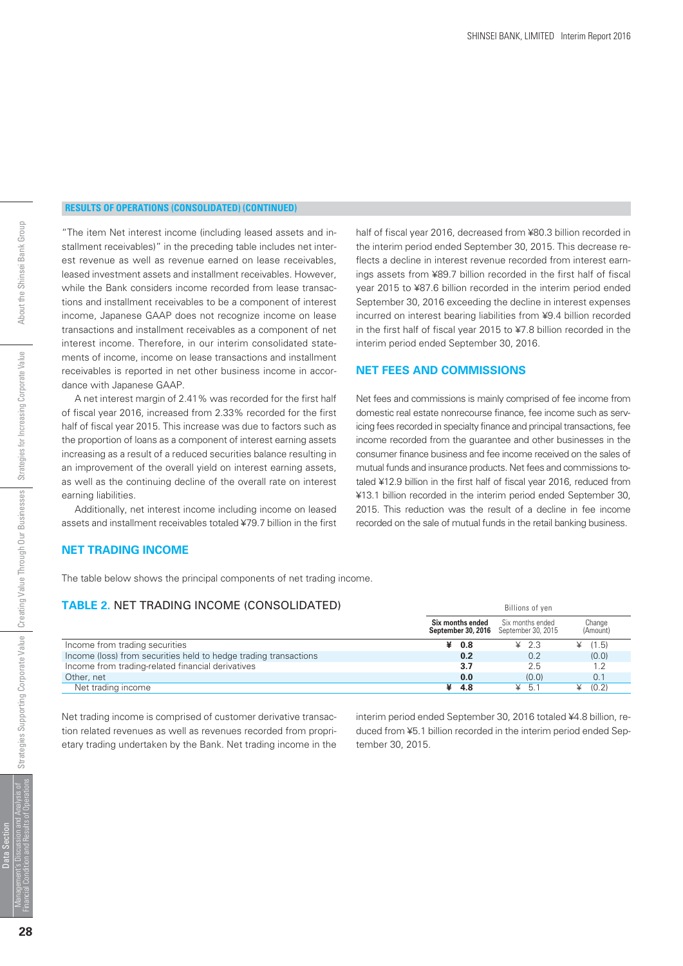*half of fiscal year 2016, decreased from ¥80.3 billion recorded in the interim period ended September 30, 2015. This decrease reflects a decline in interest revenue recorded from interest earnings assets from ¥89.7 billion recorded in the first half of fiscal year 2015 to ¥87.6 billion recorded in the interim period ended September 30, 2016 exceeding the decline in interest expenses incurred on interest bearing liabilities from ¥9.4 billion recorded in the first half of fiscal year 2015 to ¥7.8 billion recorded in the*

*Net fees and commissions is mainly comprised of fee income from domestic real estate nonrecourse finance, fee income such as servicing fees recorded in specialty finance and principal transactions, fee income recorded from the guarantee and other businesses in the consumer finance business and fee income received on the sales of mutual funds and insurance products. Net fees and commissions totaled ¥12.9 billion in the first half of fiscal year 2016, reduced from ¥13.1 billion recorded in the interim period ended September 30, 2015. This reduction was the result of a decline in fee income recorded on the sale of mutual funds in the retail banking business.*

*interim period ended September 30, 2016.*

**NET FEES AND COMMISSIONS**

#### **RESULTS OF OPERATIONS (CONSOLIDATED) (CONTINUED)**

*"The item Net interest income (including leased assets and installment receivables)" in the preceding table includes net interest revenue as well as revenue earned on lease receivables, leased investment assets and installment receivables. However, while the Bank considers income recorded from lease transactions and installment receivables to be a component of interest income, Japanese GAAP does not recognize income on lease transactions and installment receivables as a component of net interest income. Therefore, in our interim consolidated statements of income, income on lease transactions and installment receivables is reported in net other business income in accordance with Japanese GAAP.*

 *A net interest margin of 2.41% was recorded for the first half of fiscal year 2016, increased from 2.33% recorded for the first half of fiscal year 2015. This increase was due to factors such as the proportion of loans as a component of interest earning assets increasing as a result of a reduced securities balance resulting in an improvement of the overall yield on interest earning assets, as well as the continuing decline of the overall rate on interest earning liabilities.*

 *Additionally, net interest income including income on leased assets and installment receivables totaled ¥79.7 billion in the first*

#### **NET TRADING INCOME**

*The table below shows the principal components of net trading income.*

#### **TABLE 2.** NET TRADING INCOME (CONSOLIDATED)

|                                                                  | Six months ended | Six months ended<br><b>September 30, 2016</b> September 30, 2015 | Change<br>(Amount) |
|------------------------------------------------------------------|------------------|------------------------------------------------------------------|--------------------|
| Income from trading securities                                   | $\angle 0.8$     | $\angle 2.3$                                                     | (1.5)              |
| Income (loss) from securities held to hedge trading transactions | 0.2              | 0.2                                                              | (0,0)              |
| Income from trading-related financial derivatives                | 3.7              | 2.5                                                              |                    |
| Other, net                                                       | 0.0              | (0.0)                                                            | 0.1                |
| Net trading income                                               | -4.8             | $\geq$ 5.1                                                       | (0.2)              |

*Net trading income is comprised of customer derivative transaction related revenues as well as revenues recorded from proprietary trading undertaken by the Bank. Net trading income in the* *interim period ended September 30, 2016 totaled ¥4.8 billion, reduced from ¥5.1 billion recorded in the interim period ended September 30, 2015.*

Billions of yen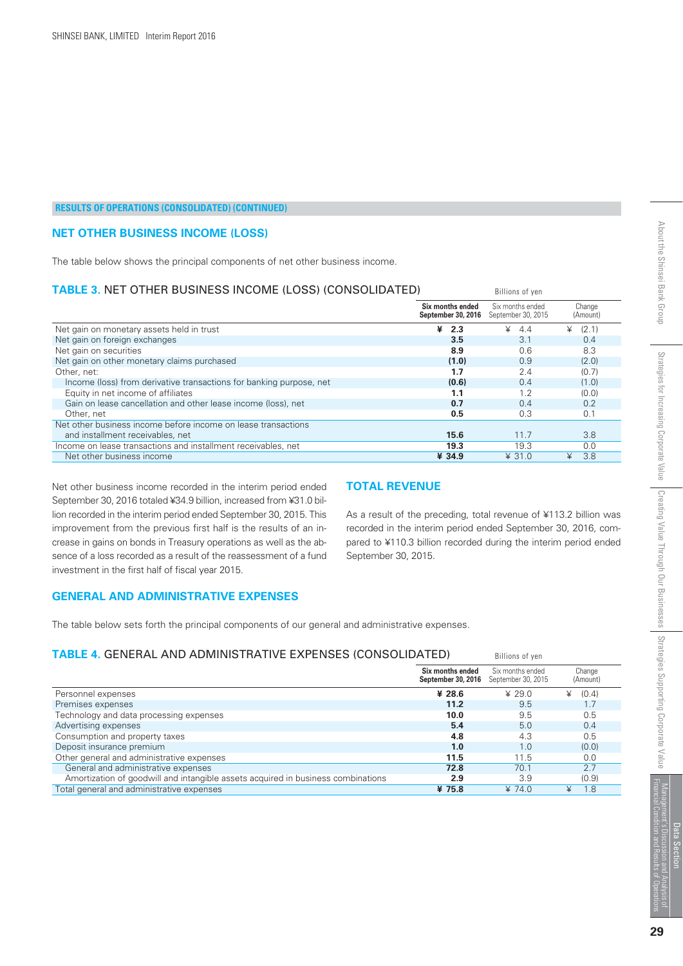#### **NET OTHER BUSINESS INCOME (LOSS)**

*The table below shows the principal components of net other business income.*

#### **TABLE 3.** NET OTHER BUSINESS INCOME (LOSS) (CONSOLIDATED)

| <b>TABLE 3. NET OTHER BUSINESS INCOME (LOSS) (CONSOLIDATED)</b>     | Billions of yen                        |                                        |                    |
|---------------------------------------------------------------------|----------------------------------------|----------------------------------------|--------------------|
|                                                                     | Six months ended<br>September 30, 2016 | Six months ended<br>September 30, 2015 | Change<br>(Amount) |
| Net gain on monetary assets held in trust                           | ¥<br>2.3                               | $\angle 4.4$                           | (2.1)              |
| Net gain on foreign exchanges                                       | 3.5                                    | 3.1                                    | 0.4                |
| Net gain on securities                                              | 8.9                                    | 0.6                                    | 8.3                |
| Net gain on other monetary claims purchased                         | (1.0)                                  | 0.9                                    | (2.0)              |
| Other, net:                                                         | 1.7                                    | 2.4                                    | (0.7)              |
| Income (loss) from derivative transactions for banking purpose, net | (0.6)                                  | 0.4                                    | (1.0)              |
| Equity in net income of affiliates                                  | 1.1                                    | 1.2                                    | (0.0)              |
| Gain on lease cancellation and other lease income (loss), net       | 0.7                                    | 0.4                                    | 0.2                |
| Other, net                                                          | 0.5                                    | 0.3                                    | 0.1                |
| Net other business income before income on lease transactions       |                                        |                                        |                    |
| and installment receivables, net                                    | 15.6                                   | 11.7                                   | 3.8                |
| Income on lease transactions and installment receivables, net       | 19.3                                   | 19.3                                   | 0.0                |
| Net other business income                                           | ¥ 34.9                                 | $\angle$ 31.0                          | ¥<br>3.8           |

*Net other business income recorded in the interim period ended September 30, 2016 totaled ¥34.9 billion, increased from ¥31.0 billion recorded in the interim period ended September 30, 2015. This improvement from the previous first half is the results of an increase in gains on bonds in Treasury operations as well as the absence of a loss recorded as a result of the reassessment of a fund investment in the first half of fiscal year 2015.*

#### **TOTAL REVENUE**

*As a result of the preceding, total revenue of ¥113.2 billion was recorded in the interim period ended September 30, 2016, compared to ¥110.3 billion recorded during the interim period ended September 30, 2015.*

#### **GENERAL AND ADMINISTRATIVE EXPENSES**

*The table below sets forth the principal components of our general and administrative expenses.*

#### **TABLE 4.** GENERAL AND ADMINISTRATIVE EXPENSES (CONSOLIDATED)

| TABLE 4. GENERAL AND ADMINISTRATIVE EXPENSES (CONSOLIDATED).                     | Billions of yen                        |                                        |                    |
|----------------------------------------------------------------------------------|----------------------------------------|----------------------------------------|--------------------|
|                                                                                  | Six months ended<br>September 30, 2016 | Six months ended<br>September 30, 2015 | Change<br>(Amount) |
| Personnel expenses                                                               | ¥ 28.6                                 | $* 29.0$                               | (0.4)<br>¥         |
| Premises expenses                                                                | 11.2                                   | 9.5                                    | 1.7                |
| Technology and data processing expenses                                          | 10.0                                   | 9.5                                    | 0.5                |
| Advertising expenses                                                             | 5.4                                    | 5.0                                    | 0.4                |
| Consumption and property taxes                                                   | 4.8                                    | 4.3                                    | 0.5                |
| Deposit insurance premium                                                        | 1.0                                    | 1.0                                    | (0,0)              |
| Other general and administrative expenses                                        | 11.5                                   | 11.5                                   | 0.0                |
| General and administrative expenses                                              | 72.8                                   | 70.1                                   | 2.7                |
| Amortization of goodwill and intangible assets acquired in business combinations | 2.9                                    | 3.9                                    | (0.9)              |
| Total general and administrative expenses                                        | ¥ 75.8                                 | ¥ 74.0                                 | 1.8<br>¥           |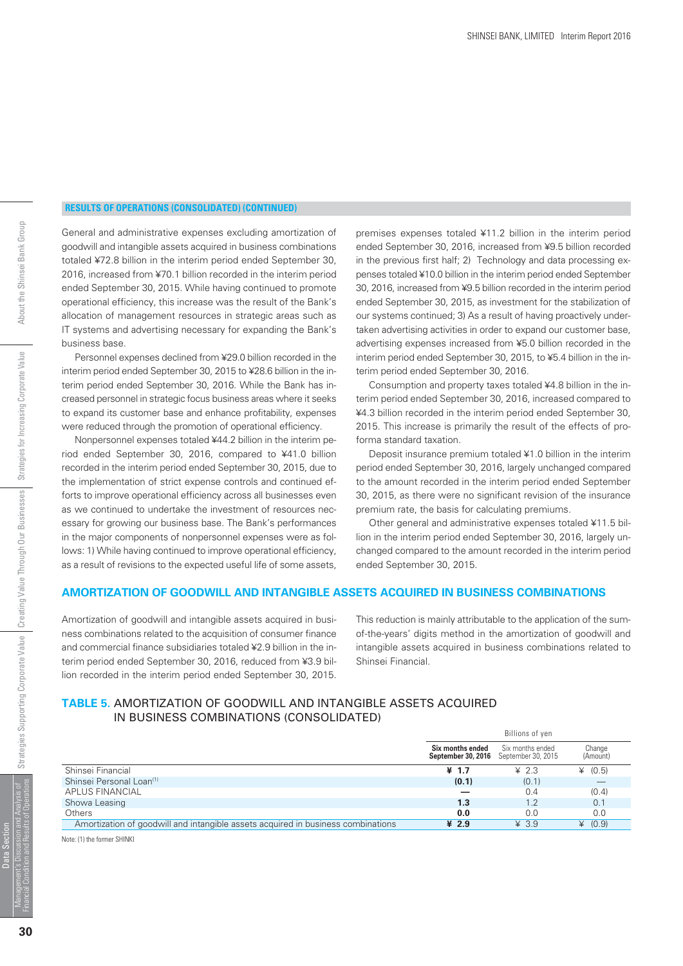*General and administrative expenses excluding amortization of goodwill and intangible assets acquired in business combinations totaled ¥72.8 billion in the interim period ended September 30, 2016, increased from ¥70.1 billion recorded in the interim period ended September 30, 2015. While having continued to promote operational efficiency, this increase was the result of the Bank's allocation of management resources in strategic areas such as IT systems and advertising necessary for expanding the Bank's business base.*

 *Personnel expenses declined from ¥29.0 billion recorded in the interim period ended September 30, 2015 to ¥28.6 billion in the interim period ended September 30, 2016. While the Bank has increased personnel in strategic focus business areas where it seeks to expand its customer base and enhance profitability, expenses were reduced through the promotion of operational efficiency.*

 *Nonpersonnel expenses totaled ¥44.2 billion in the interim period ended September 30, 2016, compared to ¥41.0 billion recorded in the interim period ended September 30, 2015, due to the implementation of strict expense controls and continued efforts to improve operational efficiency across all businesses even as we continued to undertake the investment of resources necessary for growing our business base. The Bank's performances in the major components of nonpersonnel expenses were as follows: 1) While having continued to improve operational efficiency, as a result of revisions to the expected useful life of some assets,* *premises expenses totaled ¥11.2 billion in the interim period ended September 30, 2016, increased from ¥9.5 billion recorded in the previous first half; 2) Technology and data processing expenses totaled ¥10.0 billion in the interim period ended September 30, 2016, increased from ¥9.5 billion recorded in the interim period ended September 30, 2015, as investment for the stabilization of our systems continued; 3) As a result of having proactively undertaken advertising activities in order to expand our customer base, advertising expenses increased from ¥5.0 billion recorded in the interim period ended September 30, 2015, to ¥5.4 billion in the interim period ended September 30, 2016.*

 *Consumption and property taxes totaled ¥4.8 billion in the interim period ended September 30, 2016, increased compared to ¥4.3 billion recorded in the interim period ended September 30, 2015. This increase is primarily the result of the effects of proforma standard taxation.*

 *Deposit insurance premium totaled ¥1.0 billion in the interim period ended September 30, 2016, largely unchanged compared to the amount recorded in the interim period ended September 30, 2015, as there were no significant revision of the insurance premium rate, the basis for calculating premiums.*

 *Other general and administrative expenses totaled ¥11.5 billion in the interim period ended September 30, 2016, largely unchanged compared to the amount recorded in the interim period ended September 30, 2015.*

#### **AMORTIZATION OF GOODWILL AND INTANGIBLE ASSETS ACQUIRED IN BUSINESS COMBINATIONS**

*Amortization of goodwill and intangible assets acquired in business combinations related to the acquisition of consumer finance and commercial finance subsidiaries totaled ¥2.9 billion in the interim period ended September 30, 2016, reduced from ¥3.9 billion recorded in the interim period ended September 30, 2015.*

*This reduction is mainly attributable to the application of the sumof-the-years' digits method in the amortization of goodwill and intangible assets acquired in business combinations related to Shinsei Financial.*

#### **TABLE 5.** AMORTIZATION OF GOODWILL AND INTANGIBLE ASSETS ACQUIRED IN BUSINESS COMBINATIONS (CONSOLIDATED)

|                                                                                  | Billions of yen                                                  |                  |                    |  |
|----------------------------------------------------------------------------------|------------------------------------------------------------------|------------------|--------------------|--|
|                                                                                  | Six months ended<br><b>September 30, 2016</b> September 30, 2015 | Six months ended | Change<br>(Amount) |  |
| Shinsei Financial                                                                | ¥ 1.7                                                            | $\angle 2.3$     | (0.5)              |  |
| Shinsei Personal Loan <sup>(1)</sup>                                             | (0.1)                                                            | (0.1)            |                    |  |
| <b>APLUS FINANCIAL</b>                                                           |                                                                  | 0.4              | (0.4)              |  |
| Showa Leasing                                                                    | 1.3                                                              | 1.2              | 0.1                |  |
| Others                                                                           | 0.0                                                              | 0.0              | 0.0                |  |
| Amortization of goodwill and intangible assets acquired in business combinations | ¥ $2.9$                                                          | $¥$ 3.9          | (0.9)              |  |

Note: (1) the former SHINKI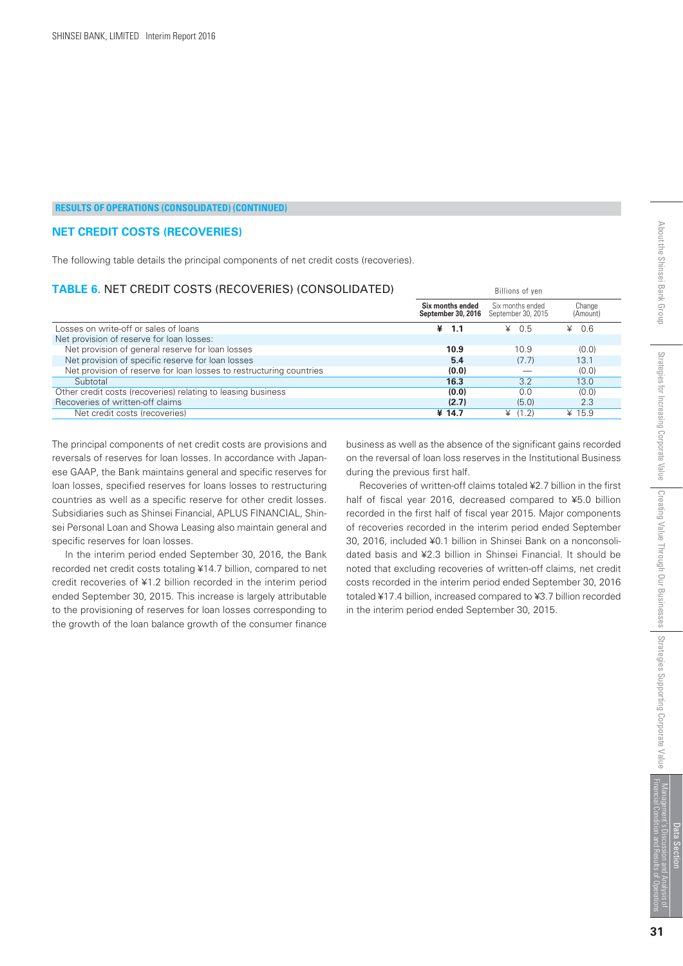#### **NET CREDIT COSTS (RECOVERIES)**

*The following table details the principal components of net credit costs (recoveries).*

#### **TABLE 6.** NET CREDIT COSTS (RECOVERIES) (CONSOLIDATED)

|                                                                     | Six months ended<br>September 30, 2016 | Six months ended<br>September 30, 2015 | Change<br>(Amount) |  |  |
|---------------------------------------------------------------------|----------------------------------------|----------------------------------------|--------------------|--|--|
| Losses on write-off or sales of loans                               | ¥<br>1.1                               | $\angle 0.5$                           | 0.6<br>¥           |  |  |
| Net provision of reserve for loan losses:                           |                                        |                                        |                    |  |  |
| Net provision of general reserve for loan losses                    | 10.9                                   | 10.9                                   | (0.0)              |  |  |
| Net provision of specific reserve for loan losses                   | 5.4                                    | (7.7)                                  | 13.1               |  |  |
| Net provision of reserve for loan losses to restructuring countries | (0.0)                                  |                                        | (0.0)              |  |  |
| Subtotal                                                            | 16.3                                   | 3.2                                    | 13.0               |  |  |
| Other credit costs (recoveries) relating to leasing business        | (0,0)                                  | 0.0                                    | (0.0)              |  |  |
| Recoveries of written-off claims                                    | (2.7)                                  | (5.0)                                  | 2.3                |  |  |
| Net credit costs (recoveries)                                       | ¥ 14.7                                 | (1.2)<br>¥                             | ¥ 15.9             |  |  |
|                                                                     |                                        |                                        |                    |  |  |

*The principal components of net credit costs are provisions and reversals of reserves for loan losses. In accordance with Japanese GAAP, the Bank maintains general and specific reserves for loan losses, specified reserves for loans losses to restructuring countries as well as a specific reserve for other credit losses. Subsidiaries such as Shinsei Financial, APLUS FINANCIAL, Shinsei Personal Loan and Showa Leasing also maintain general and specific reserves for loan losses.*

 *In the interim period ended September 30, 2016, the Bank recorded net credit costs totaling ¥14.7 billion, compared to net credit recoveries of ¥1.2 billion recorded in the interim period ended September 30, 2015. This increase is largely attributable to the provisioning of reserves for loan losses corresponding to the growth of the loan balance growth of the consumer finance*

*business as well as the absence of the significant gains recorded on the reversal of loan loss reserves in the Institutional Business during the previous first half.*

Billions of yen

 *Recoveries of written-off claims totaled ¥2.7 billion in the first half of fiscal year 2016, decreased compared to ¥5.0 billion recorded in the first half of fiscal year 2015. Major components of recoveries recorded in the interim period ended September 30, 2016, included ¥0.1 billion in Shinsei Bank on a nonconsolidated basis and ¥2.3 billion in Shinsei Financial. It should be noted that excluding recoveries of written-off claims, net credit costs recorded in the interim period ended September 30, 2016 totaled ¥17.4 billion, increased compared to ¥3.7 billion recorded in the interim period ended September 30, 2015.*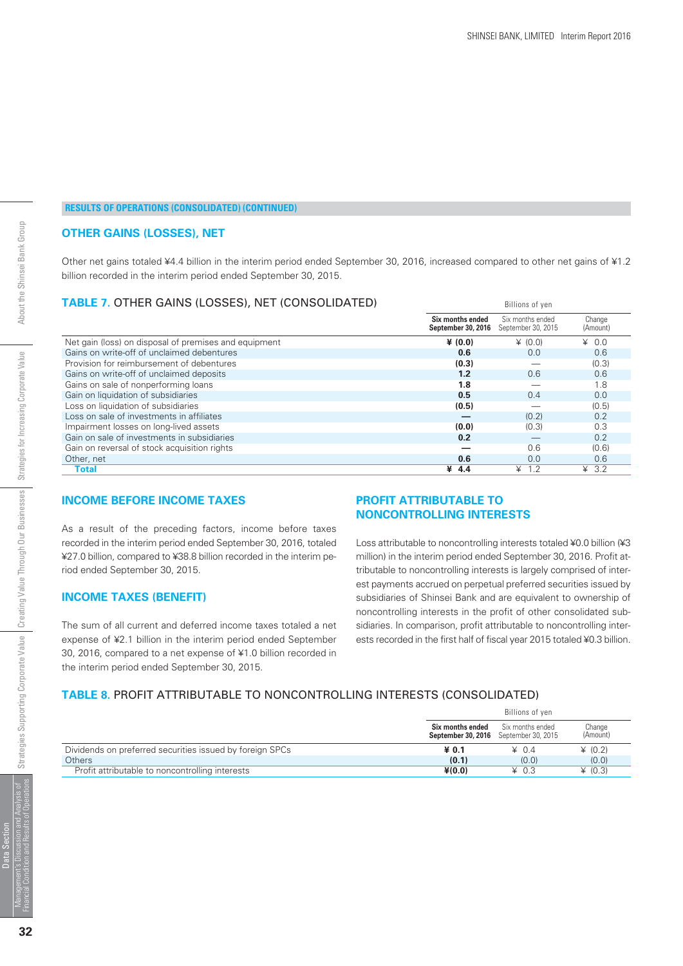Billions of yen

#### **RESULTS OF OPERATIONS (CONSOLIDATED) (CONTINUED)**

#### **OTHER GAINS (LOSSES), NET**

*Other net gains totaled ¥4.4 billion in the interim period ended September 30, 2016, increased compared to other net gains of ¥1.2 billion recorded in the interim period ended September 30, 2015.*

#### **TABLE 7.** OTHER GAINS (LOSSES), NET (CONSOLIDATED)

|                                                       | Six months ended<br>September 30, 2016 | Six months ended<br>September 30, 2015 | Change<br>(Amount) |  |
|-------------------------------------------------------|----------------------------------------|----------------------------------------|--------------------|--|
| Net gain (loss) on disposal of premises and equipment | ¥ $(0,0)$                              | (0.0)                                  | $\angle 0.0$       |  |
| Gains on write-off of unclaimed debentures            | 0.6                                    | 0.0                                    | 0.6                |  |
| Provision for reimbursement of debentures             | (0.3)                                  |                                        | (0.3)              |  |
| Gains on write-off of unclaimed deposits              | 1.2                                    | 0.6                                    | 0.6                |  |
| Gains on sale of nonperforming loans                  | 1.8                                    |                                        | 1.8                |  |
| Gain on liquidation of subsidiaries                   | 0.5                                    | 0.4                                    | 0.0                |  |
| Loss on liquidation of subsidiaries                   | (0.5)                                  |                                        | (0.5)              |  |
| Loss on sale of investments in affiliates             |                                        | (0.2)                                  | 0.2                |  |
| Impairment losses on long-lived assets                | (0.0)                                  | (0.3)                                  | 0.3                |  |
| Gain on sale of investments in subsidiaries           | 0.2                                    |                                        | 0.2                |  |
| Gain on reversal of stock acquisition rights          |                                        | 0.6                                    | (0.6)              |  |
| Other, net                                            | 0.6                                    | 0.0                                    | 0.6                |  |
| Total                                                 | ¥<br>4.4                               | $\angle 1.2$                           | 43.2               |  |

#### **INCOME BEFORE INCOME TAXES**

*As a result of the preceding factors, income before taxes recorded in the interim period ended September 30, 2016, totaled ¥27.0 billion, compared to ¥38.8 billion recorded in the interim period ended September 30, 2015.*

#### **INCOME TAXES (BENEFIT)**

*The sum of all current and deferred income taxes totaled a net expense of ¥2.1 billion in the interim period ended September 30, 2016, compared to a net expense of ¥1.0 billion recorded in the interim period ended September 30, 2015.*

#### **PROFIT ATTRIBUTABLE TO NONCONTROLLING INTERESTS**

*Loss attributable to noncontrolling interests totaled ¥0.0 billion (¥3 million) in the interim period ended September 30, 2016. Profit attributable to noncontrolling interests is largely comprised of interest payments accrued on perpetual preferred securities issued by subsidiaries of Shinsei Bank and are equivalent to ownership of noncontrolling interests in the profit of other consolidated subsidiaries. In comparison, profit attributable to noncontrolling interests recorded in the first half of fiscal year 2015 totaled ¥0.3 billion.*

#### **TABLE 8.** PROFIT ATTRIBUTABLE TO NONCONTROLLING INTERESTS (CONSOLIDATED)

|                                                          |                                                                  | Billions of ven  |                    |  |  |
|----------------------------------------------------------|------------------------------------------------------------------|------------------|--------------------|--|--|
|                                                          | Six months ended<br><b>September 30, 2016</b> September 30, 2015 | Six months ended | Change<br>(Amount) |  |  |
| Dividends on preferred securities issued by foreign SPCs | ¥ 0.1                                                            | $\angle 0.4$     | (0.2)              |  |  |
| Others                                                   | (0,1)                                                            | (0.0)            | (0.0)              |  |  |
| Profit attributable to noncontrolling interests          | $*(0.0)$                                                         | $* 0.3$          | (0.3)              |  |  |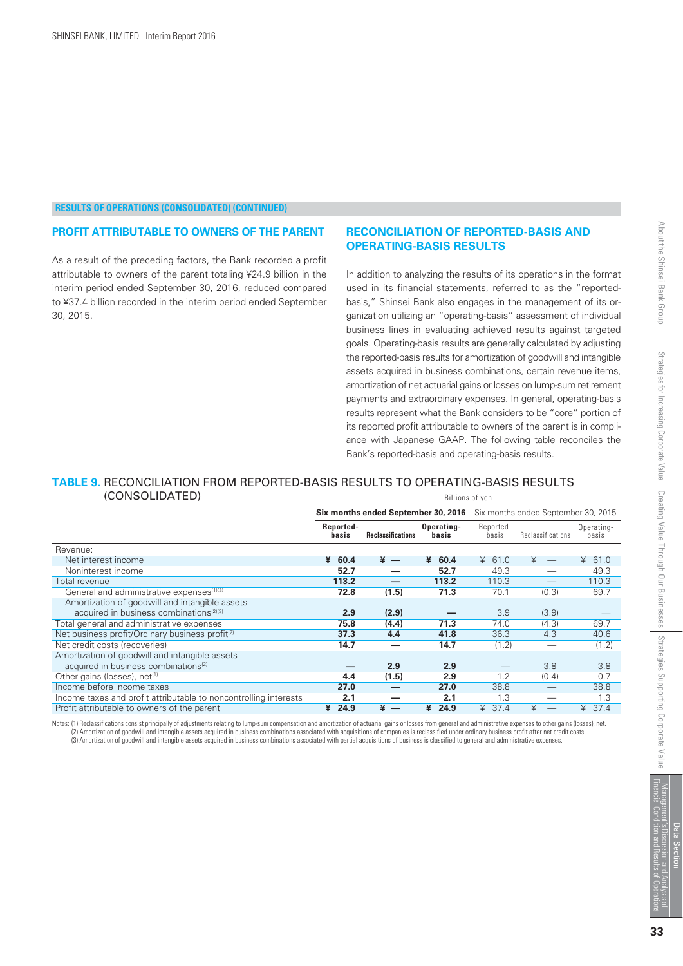#### **PROFIT ATTRIBUTABLE TO OWNERS OF THE PARENT**

*As a result of the preceding factors, the Bank recorded a profit attributable to owners of the parent totaling ¥24.9 billion in the interim period ended September 30, 2016, reduced compared to ¥37.4 billion recorded in the interim period ended September 30, 2015.*

#### **RECONCILIATION OF REPORTED-BASIS AND OPERATING-BASIS RESULTS**

*In addition to analyzing the results of its operations in the format used in its financial statements, referred to as the "reportedbasis," Shinsei Bank also engages in the management of its organization utilizing an "operating-basis" assessment of individual business lines in evaluating achieved results against targeted goals. Operating-basis results are generally calculated by adjusting the reported-basis results for amortization of goodwill and intangible assets acquired in business combinations, certain revenue items, amortization of net actuarial gains or losses on lump-sum retirement payments and extraordinary expenses. In general, operating-basis results represent what the Bank considers to be "core" portion of its reported profit attributable to owners of the parent is in compliance with Japanese GAAP. The following table reconciles the Bank's reported-basis and operating-basis results.*

#### **TABLE 9.** RECONCILIATION FROM REPORTED-BASIS RESULTS TO OPERATING-BASIS RESULTS (CONSOLIDATED) Billions of yen

|                                                                  | <b>Six months ended September 30, 2016</b> Six months ended September 30, 2015 |                          |                     |                    |                   |                     |
|------------------------------------------------------------------|--------------------------------------------------------------------------------|--------------------------|---------------------|--------------------|-------------------|---------------------|
|                                                                  | Reported-<br>basis                                                             | <b>Reclassifications</b> | Operating-<br>basis | Reported-<br>basis | Reclassifications | Operating-<br>basis |
| Revenue:                                                         |                                                                                |                          |                     |                    |                   |                     |
| Net interest income                                              | 60.4<br>¥                                                                      | $* -$                    | 60.4<br>¥           | ¥ 61.0             |                   | ¥ 61.0              |
| Noninterest income                                               | 52.7                                                                           |                          | 52.7                | 49.3               |                   | 49.3                |
| Total revenue                                                    | 113.2                                                                          |                          | 113.2               | 110.3              |                   | 110.3               |
| General and administrative expenses <sup>(1)(3)</sup>            | 72.8                                                                           | (1.5)                    | 71.3                | 70.1               | (0.3)             | 69.7                |
| Amortization of goodwill and intangible assets                   |                                                                                |                          |                     |                    |                   |                     |
| acquired in business combinations <sup>(2)(3)</sup>              | 2.9                                                                            | (2.9)                    |                     | 3.9                | (3.9)             |                     |
| Total general and administrative expenses                        | 75.8                                                                           | (4.4)                    | 71.3                | 74.0               | (4.3)             | 69.7                |
| Net business profit/Ordinary business profit <sup>(2)</sup>      | 37.3                                                                           | 4.4                      | 41.8                | 36.3               | 4.3               | 40.6                |
| Net credit costs (recoveries)                                    | 14.7                                                                           |                          | 14.7                | (1.2)              |                   | (1.2)               |
| Amortization of goodwill and intangible assets                   |                                                                                |                          |                     |                    |                   |                     |
| acquired in business combinations <sup>(2)</sup>                 |                                                                                | 2.9                      | 2.9                 |                    | 3.8               | 3.8                 |
| Other gains (losses), net <sup>(1)</sup>                         | 4.4                                                                            | (1.5)                    | 2.9                 | 1.2                | (0.4)             | 0.7                 |
| Income before income taxes                                       | 27.0                                                                           |                          | 27.0                | 38.8               |                   | 38.8                |
| Income taxes and profit attributable to noncontrolling interests | 2.1                                                                            |                          | 2.1                 | 1.3                |                   | 1.3                 |
| Profit attributable to owners of the parent                      | 24.9<br>¥                                                                      | $* -$                    | 24.9<br>¥           | 37.4<br>¥          |                   | 37.4<br>¥           |

Notes: (1) Reclassifications consist principally of adjustments relating to lump-sum compensation and amortization of actuarial gains or losses from general and administrative expenses to other gains (losses), net. (2) Amortization of goodwill and intangible assets acquired in business combinations associated with acquisitions of companies is reclassified under ordinary business profit after net credit costs. (3) Amortization of goodwill and intangible assets acquired in business combinations associated with partial acquisitions of business is classified to general and administrative expenses.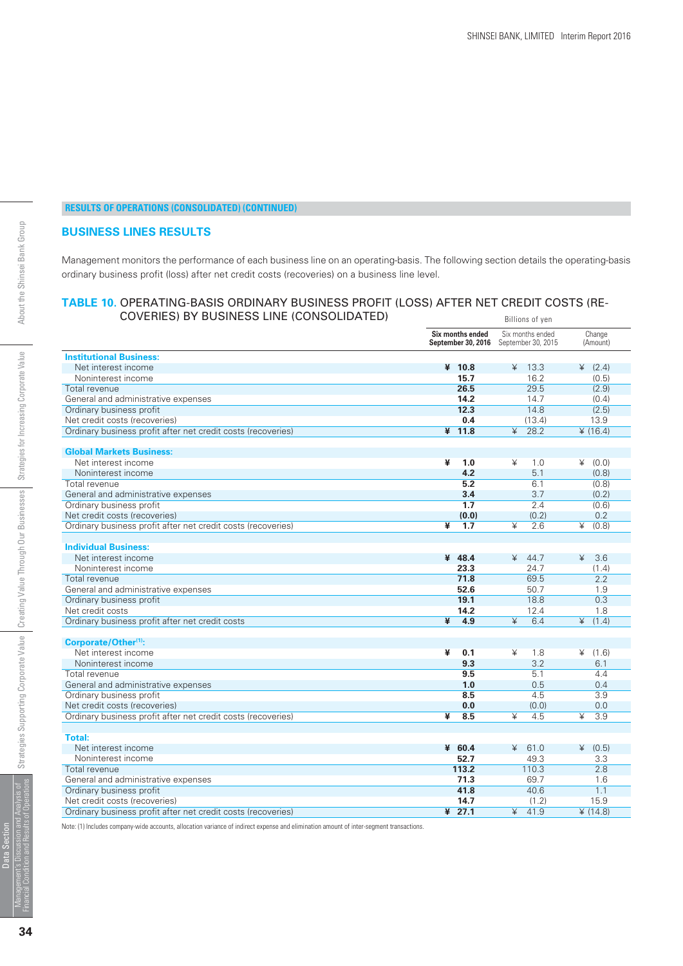#### **BUSINESS LINES RESULTS**

*Management monitors the performance of each business line on an operating-basis. The following section details the operating-basis ordinary business profit (loss) after net credit costs (recoveries) on a business line level.*

#### **TABLE 10.** OPERATING-BASIS ORDINARY BUSINESS PROFIT (LOSS) AFTER NET CREDIT COSTS (RE-COVERIES) BY BUSINESS LINE (CONSOLIDATED) Billions of yen

|                                                                                               | Six months ended<br>September 30, 2016 | Six months ended<br>September 30, 2015   | Change<br>(Amount)             |
|-----------------------------------------------------------------------------------------------|----------------------------------------|------------------------------------------|--------------------------------|
| <b>Institutional Business:</b>                                                                |                                        |                                          |                                |
| Net interest income                                                                           | ¥ 10.8                                 | ¥<br>13.3                                | (2.4)                          |
| Noninterest income                                                                            | 15.7                                   | 16.2                                     | (0.5)                          |
| Total revenue                                                                                 | 26.5                                   | 29.5                                     | (2.9)                          |
| General and administrative expenses                                                           | 14.2                                   | 14.7                                     | (0.4)                          |
| Ordinary business profit                                                                      | 12.3                                   | 14.8                                     | (2.5)                          |
| Net credit costs (recoveries)                                                                 | 0.4                                    | (13.4)                                   | 13.9                           |
| Ordinary business profit after net credit costs (recoveries)                                  | $¥$ 11.8                               | $\overline{\mathbf{r}}$<br>28.2          | ¥ (16.4)                       |
|                                                                                               |                                        |                                          |                                |
| <b>Global Markets Business:</b>                                                               |                                        |                                          |                                |
| Net interest income                                                                           | ¥<br>1.0                               | ¥<br>1.0                                 | (0.0)                          |
| Noninterest income                                                                            | 4.2                                    | 5.1                                      | (0.8)                          |
| Total revenue                                                                                 | 5.2                                    | 6.1                                      | (0.8)                          |
| General and administrative expenses                                                           | 3.4                                    | 3.7                                      | (0.2)                          |
| Ordinary business profit                                                                      | 1.7                                    | 2.4                                      | (0.6)                          |
| Net credit costs (recoveries)                                                                 | (0.0)                                  | (0.2)                                    | 0.2                            |
| Ordinary business profit after net credit costs (recoveries)                                  | ¥<br>1.7                               | ¥<br>2.6                                 | ¥<br>(0.8)                     |
|                                                                                               |                                        |                                          |                                |
| <b>Individual Business:</b>                                                                   |                                        |                                          |                                |
| Net interest income                                                                           | ¥ 48.4                                 | ¥<br>44.7                                | ¥<br>3.6                       |
| Noninterest income                                                                            | 23.3                                   | 24.7                                     | (1.4)                          |
| Total revenue                                                                                 | 71.8                                   | 69.5                                     | 2.2                            |
| General and administrative expenses                                                           | 52.6                                   | 50.7                                     | 1.9                            |
| Ordinary business profit                                                                      | 19.1                                   | 18.8                                     | 0.3                            |
| Net credit costs                                                                              | 14.2                                   | 12.4                                     | 1.8                            |
| Ordinary business profit after net credit costs                                               | ¥<br>4.9                               | $\angle$<br>6.4                          | $\angle$<br>(1.4)              |
|                                                                                               |                                        |                                          |                                |
| Corporate/Other <sup>(1)</sup> :                                                              |                                        |                                          |                                |
| Net interest income                                                                           | ¥<br>0.1                               | ¥<br>1.8                                 | ¥<br>(1.6)                     |
| Noninterest income                                                                            | 9.3                                    | 3.2                                      | 6.1                            |
| Total revenue                                                                                 | 9.5                                    | 5.1                                      | 4.4                            |
| General and administrative expenses                                                           | 1.0                                    | 0.5                                      | 0.4                            |
| Ordinary business profit                                                                      | 8.5                                    | 4.5                                      | 3.9                            |
| Net credit costs (recoveries)                                                                 | 0.0                                    | (0.0)                                    | 0.0                            |
| Ordinary business profit after net credit costs (recoveries)                                  | ¥<br>8.5                               | $\overline{\mathbf{r}}$<br>4.5           | $\overline{\mathbf{r}}$<br>3.9 |
|                                                                                               |                                        |                                          |                                |
| Total:                                                                                        |                                        |                                          |                                |
| Net interest income                                                                           | 460.4                                  | ¥<br>61.0                                | (0.5)                          |
| Noninterest income                                                                            | 52.7                                   | 49.3                                     | 3.3                            |
| Total revenue                                                                                 | 113.2                                  | 110.3                                    | 2.8                            |
| General and administrative expenses                                                           | 71.3                                   | 69.7                                     | 1.6<br>1.1                     |
| Ordinary business profit                                                                      | 41.8                                   | 40.6                                     |                                |
| Net credit costs (recoveries)<br>Ordinary business profit after net credit costs (recoveries) | 14.7<br>$¥$ 27.1                       | (1.2)<br>$\overline{\mathbf{r}}$<br>41.9 | 15.9<br>(14.8)                 |
|                                                                                               |                                        |                                          |                                |

Note: (1) Includes company-wide accounts, allocation variance of indirect expense and elimination amount of inter-segment transactions.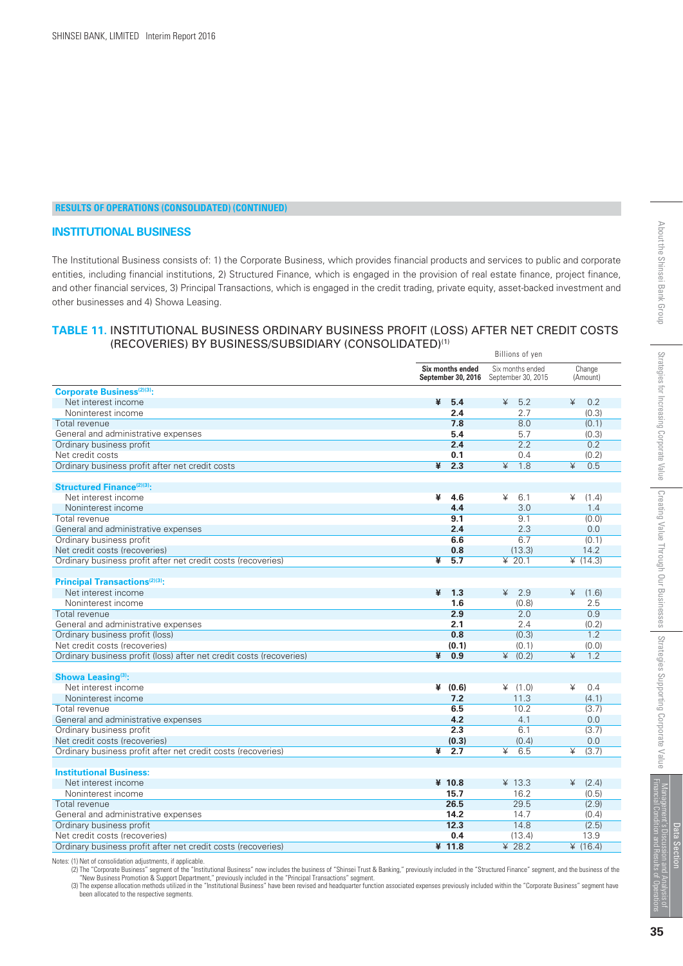#### **INSTITUTIONAL BUSINESS**

*The Institutional Business consists of: 1) the Corporate Business, which provides financial products and services to public and corporate entities, including financial institutions, 2) Structured Finance, which is engaged in the provision of real estate finance, project finance, and other financial services, 3) Principal Transactions, which is engaged in the credit trading, private equity, asset-backed investment and other businesses and 4) Showa Leasing.*

#### **TABLE 11.** INSTITUTIONAL BUSINESS ORDINARY BUSINESS PROFIT (LOSS) AFTER NET CREDIT COSTS (RECOVERIES) BY BUSINESS/SUBSIDIARY (CONSOLIDATED)(1)

|                                                                     | Billions of yen |                                        |                                        |                    |
|---------------------------------------------------------------------|-----------------|----------------------------------------|----------------------------------------|--------------------|
|                                                                     |                 | Six months ended<br>September 30, 2016 | Six months ended<br>September 30, 2015 | Change<br>(Amount) |
| <b>Corporate Business(2)(3):</b>                                    |                 |                                        |                                        |                    |
| Net interest income                                                 | ¥               | 5.4                                    | 45.2                                   | ¥<br>0.2           |
| Noninterest income                                                  |                 | 2.4                                    | 2.7                                    | (0.3)              |
| Total revenue                                                       |                 | 7.8                                    | 8.0                                    | (0.1)              |
| General and administrative expenses                                 |                 | 5.4                                    | 5.7                                    | (0.3)              |
| Ordinary business profit                                            |                 | 2.4                                    | 2.2                                    | 0.2                |
| Net credit costs                                                    |                 | 0.1                                    | 0.4                                    | (0.2)              |
| Ordinary business profit after net credit costs                     | ¥               | 2.3                                    | ¥<br>1.8                               | ¥<br>0.5           |
|                                                                     |                 |                                        |                                        |                    |
| <b>Structured Finance</b> <sup>(2)(3)</sup> :                       |                 |                                        |                                        |                    |
| Net interest income                                                 | ¥               | 4.6                                    | 6.1<br>¥                               | ¥<br>(1.4)         |
| Noninterest income                                                  |                 | 4.4                                    | 3.0                                    | 1.4                |
| Total revenue                                                       |                 | 9.1                                    | 9.1                                    | (0.0)              |
| General and administrative expenses                                 |                 | 2.4                                    | 2.3                                    | 0.0                |
| Ordinary business profit                                            |                 | 6.6                                    | 6.7                                    | (0.1)              |
| Net credit costs (recoveries)                                       |                 | 0.8                                    | (13.3)                                 | 14.2               |
| Ordinary business profit after net credit costs (recoveries)        | ¥               | 5.7                                    | ¥ 20.1                                 | ¥ $(14.3)$         |
|                                                                     |                 |                                        |                                        |                    |
| <b>Principal Transactions</b> <sup>(2)(3)</sup> :                   |                 |                                        |                                        |                    |
| Net interest income                                                 | ¥               | 1.3                                    | 42.9                                   | (1.6)<br>¥         |
| Noninterest income                                                  |                 | 1.6                                    | (0.8)                                  | 2.5                |
| Total revenue                                                       |                 | 2.9                                    | 2.0                                    | 0.9                |
| General and administrative expenses                                 |                 | 2.1                                    | 2.4                                    | (0.2)              |
| Ordinary business profit (loss)                                     |                 | 0.8                                    | (0.3)                                  | 1.2                |
| Net credit costs (recoveries)                                       |                 | (0.1)                                  | (0.1)                                  | (0.0)              |
| Ordinary business profit (loss) after net credit costs (recoveries) | ¥               | 0.9                                    | $\angle$<br>(0.2)                      | ¥<br>1.2           |
|                                                                     |                 |                                        |                                        |                    |
| Showa Leasing <sup>(3)</sup> :                                      |                 |                                        |                                        |                    |
| Net interest income                                                 |                 | ¥ $(0.6)$                              | (1.0)                                  | 0.4<br>¥           |
| Noninterest income                                                  |                 | 7.2                                    | 11.3                                   | (4.1)              |
| Total revenue                                                       |                 | 6.5                                    | 10.2                                   | (3.7)              |
| General and administrative expenses                                 |                 | 4.2                                    | 4.1                                    | 0.0                |
| Ordinary business profit                                            |                 | 2.3                                    | 6.1                                    | (3.7)              |
| Net credit costs (recoveries)                                       |                 | (0.3)                                  | (0.4)                                  | 0.0                |
| Ordinary business profit after net credit costs (recoveries)        | ¥               | 2.7                                    | 6.5<br>¥                               | ¥<br>(3.7)         |
|                                                                     |                 |                                        |                                        |                    |
| <b>Institutional Business:</b>                                      |                 |                                        |                                        |                    |
| Net interest income                                                 |                 | ¥ 10.8                                 | ¥ 13.3                                 | ¥<br>(2.4)         |
| Noninterest income                                                  |                 | 15.7                                   | 16.2                                   | (0.5)              |
| Total revenue                                                       |                 | 26.5                                   | 29.5                                   | (2.9)              |
| General and administrative expenses                                 |                 | 14.2                                   | 14.7                                   | (0.4)              |
| Ordinary business profit                                            |                 | 12.3                                   | 14.8                                   | (2.5)              |
| Net credit costs (recoveries)                                       |                 | 0.4                                    | (13.4)                                 | 13.9               |
| Ordinary business profit after net credit costs (recoveries)        |                 | ¥ 11.8                                 | ¥ 28.2                                 | ¥ $(16.4)$         |

Notes: (1) Net of consolidation adjustments, if applicable.<br>(2) The "Corporate Business" segment of the "Institutional Business" now includes the business of "Shinsei Trust & Banking," previously included in the "Structure

been allocated to the respective segments.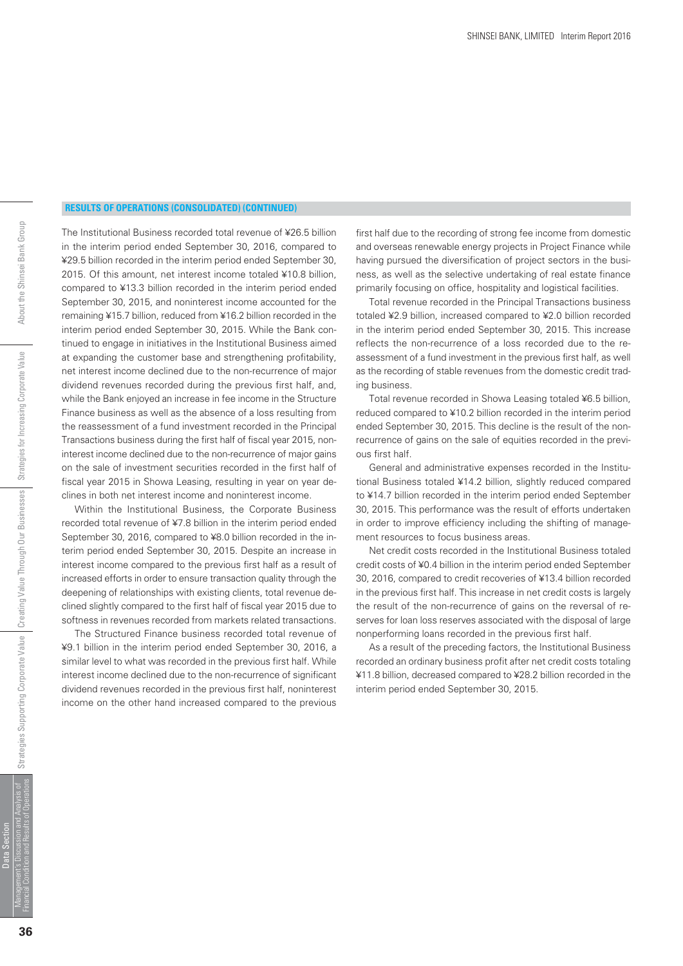*The Institutional Business recorded total revenue of ¥26.5 billion in the interim period ended September 30, 2016, compared to ¥29.5 billion recorded in the interim period ended September 30, 2015. Of this amount, net interest income totaled ¥10.8 billion, compared to ¥13.3 billion recorded in the interim period ended September 30, 2015, and noninterest income accounted for the remaining ¥15.7 billion, reduced from ¥16.2 billion recorded in the interim period ended September 30, 2015. While the Bank continued to engage in initiatives in the Institutional Business aimed at expanding the customer base and strengthening profitability, net interest income declined due to the non-recurrence of major dividend revenues recorded during the previous first half, and, while the Bank enjoyed an increase in fee income in the Structure Finance business as well as the absence of a loss resulting from the reassessment of a fund investment recorded in the Principal Transactions business during the first half of fiscal year 2015, noninterest income declined due to the non-recurrence of major gains on the sale of investment securities recorded in the first half of fiscal year 2015 in Showa Leasing, resulting in year on year declines in both net interest income and noninterest income.*

 *Within the Institutional Business, the Corporate Business recorded total revenue of ¥7.8 billion in the interim period ended September 30, 2016, compared to ¥8.0 billion recorded in the interim period ended September 30, 2015. Despite an increase in interest income compared to the previous first half as a result of increased efforts in order to ensure transaction quality through the deepening of relationships with existing clients, total revenue declined slightly compared to the first half of fiscal year 2015 due to softness in revenues recorded from markets related transactions.*

 *The Structured Finance business recorded total revenue of ¥9.1 billion in the interim period ended September 30, 2016, a similar level to what was recorded in the previous first half. While interest income declined due to the non-recurrence of significant dividend revenues recorded in the previous first half, noninterest income on the other hand increased compared to the previous* *first half due to the recording of strong fee income from domestic and overseas renewable energy projects in Project Finance while having pursued the diversification of project sectors in the business, as well as the selective undertaking of real estate finance primarily focusing on office, hospitality and logistical facilities.*

 *Total revenue recorded in the Principal Transactions business totaled ¥2.9 billion, increased compared to ¥2.0 billion recorded in the interim period ended September 30, 2015. This increase reflects the non-recurrence of a loss recorded due to the reassessment of a fund investment in the previous first half, as well as the recording of stable revenues from the domestic credit trading business.*

 *Total revenue recorded in Showa Leasing totaled ¥6.5 billion, reduced compared to ¥10.2 billion recorded in the interim period ended September 30, 2015. This decline is the result of the nonrecurrence of gains on the sale of equities recorded in the previous first half.*

 *General and administrative expenses recorded in the Institutional Business totaled ¥14.2 billion, slightly reduced compared to ¥14.7 billion recorded in the interim period ended September 30, 2015. This performance was the result of efforts undertaken in order to improve efficiency including the shifting of management resources to focus business areas.*

 *Net credit costs recorded in the Institutional Business totaled credit costs of ¥0.4 billion in the interim period ended September 30, 2016, compared to credit recoveries of ¥13.4 billion recorded in the previous first half. This increase in net credit costs is largely the result of the non-recurrence of gains on the reversal of reserves for loan loss reserves associated with the disposal of large nonperforming loans recorded in the previous first half.*

 *As a result of the preceding factors, the Institutional Business recorded an ordinary business profit after net credit costs totaling ¥11.8 billion, decreased compared to ¥28.2 billion recorded in the interim period ended September 30, 2015.*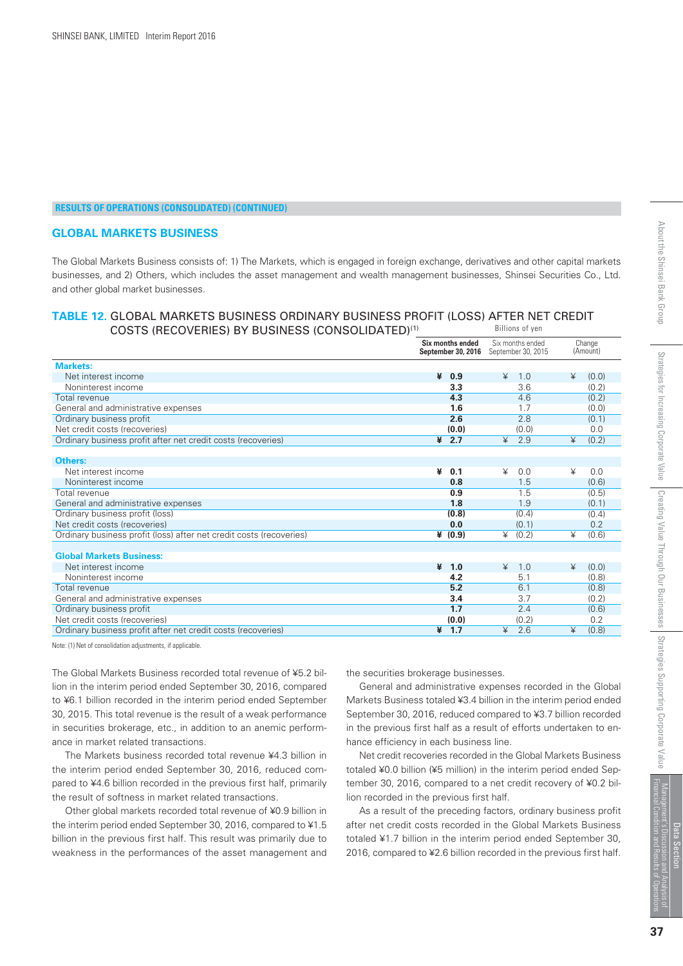#### **GLOBAL MARKETS BUSINESS**

*The Global Markets Business consists of: 1) The Markets, which is engaged in foreign exchange, derivatives and other capital markets businesses, and 2) Others, which includes the asset management and wealth management businesses, Shinsei Securities Co., Ltd. and other global market businesses.*

#### **TABLE 12.** GLOBAL MARKETS BUSINESS ORDINARY BUSINESS PROFIT (LOSS) AFTER NET CREDIT COSTS (RECOVERIES) BY BUSINESS (CONSOLIDATED)(1) Billions of yen

| <u>COOTO (INLCOVENILO) DT DOOINLOO (CONOOLIDATED)</u>               |                                        |                                        |                    |
|---------------------------------------------------------------------|----------------------------------------|----------------------------------------|--------------------|
|                                                                     | Six months ended<br>September 30, 2016 | Six months ended<br>September 30, 2015 | Change<br>(Amount) |
| <b>Markets:</b>                                                     |                                        |                                        |                    |
| Net interest income                                                 | ¥<br>0.9                               | 1.0<br>¥                               | ¥<br>(0.0)         |
| Noninterest income                                                  | 3.3                                    | 3.6                                    | (0.2)              |
| Total revenue                                                       | 4.3                                    | 4.6                                    | (0.2)              |
| General and administrative expenses                                 | 1.6                                    | 1.7                                    | (0.0)              |
| Ordinary business profit                                            | 2.6                                    | 2.8                                    | (0.1)              |
| Net credit costs (recoveries)                                       | (0.0)                                  | (0.0)                                  | 0.0                |
| Ordinary business profit after net credit costs (recoveries)        | $* 2.7$                                | $\overline{\mathbf{r}}$<br>2.9         | ¥<br>(0.2)         |
|                                                                     |                                        |                                        |                    |
| Others:                                                             |                                        |                                        |                    |
| Net interest income                                                 | ¥<br>0.1                               | ¥<br>0.0                               | ¥<br>0.0           |
| Noninterest income                                                  | 0.8                                    | 1.5                                    | (0.6)              |
| Total revenue                                                       | 0.9                                    | 1.5                                    | (0.5)              |
| General and administrative expenses                                 | 1.8                                    | 1.9                                    | (0.1)              |
| Ordinary business profit (loss)                                     | (0.8)                                  | (0.4)                                  | (0.4)              |
| Net credit costs (recoveries)                                       | 0.0                                    | (0.1)                                  | 0.2                |
| Ordinary business profit (loss) after net credit costs (recoveries) | ¥ (0.9)                                | ¥<br>(0.2)                             | ¥<br>(0.6)         |
|                                                                     |                                        |                                        |                    |
| <b>Global Markets Business:</b>                                     |                                        |                                        |                    |
| Net interest income                                                 | ¥<br>1.0                               | $\angle$<br>1.0                        | ¥<br>(0.0)         |
| Noninterest income                                                  | 4.2                                    | 5.1                                    | (0.8)              |
| Total revenue                                                       | 5.2                                    | 6.1                                    | (0.8)              |
| General and administrative expenses                                 | 3.4                                    | 3.7                                    | (0.2)              |
| Ordinary business profit                                            | 1.7                                    | 2.4                                    | (0.6)              |
| Net credit costs (recoveries)                                       | (0.0)                                  | (0.2)                                  | 0.2                |
| Ordinary business profit after net credit costs (recoveries)        | 1.7<br>¥                               | ¥<br>2.6                               | ¥<br>(0.8)         |

Note: (1) Net of consolidation adjustments, if applicable.

*The Global Markets Business recorded total revenue of ¥5.2 billion in the interim period ended September 30, 2016, compared to ¥6.1 billion recorded in the interim period ended September 30, 2015. This total revenue is the result of a weak performance in securities brokerage, etc., in addition to an anemic performance in market related transactions.*

 *The Markets business recorded total revenue ¥4.3 billion in the interim period ended September 30, 2016, reduced compared to ¥4.6 billion recorded in the previous first half, primarily the result of softness in market related transactions.*

 *Other global markets recorded total revenue of ¥0.9 billion in the interim period ended September 30, 2016, compared to ¥1.5 billion in the previous first half. This result was primarily due to weakness in the performances of the asset management and*

*the securities brokerage businesses.*

 *General and administrative expenses recorded in the Global Markets Business totaled ¥3.4 billion in the interim period ended September 30, 2016, reduced compared to ¥3.7 billion recorded in the previous first half as a result of efforts undertaken to enhance efficiency in each business line.*

 *Net credit recoveries recorded in the Global Markets Business totaled ¥0.0 billion (¥5 million) in the interim period ended September 30, 2016, compared to a net credit recovery of ¥0.2 billion recorded in the previous first half.*

 *As a result of the preceding factors, ordinary business profit after net credit costs recorded in the Global Markets Business totaled ¥1.7 billion in the interim period ended September 30, 2016, compared to ¥2.6 billion recorded in the previous first half.*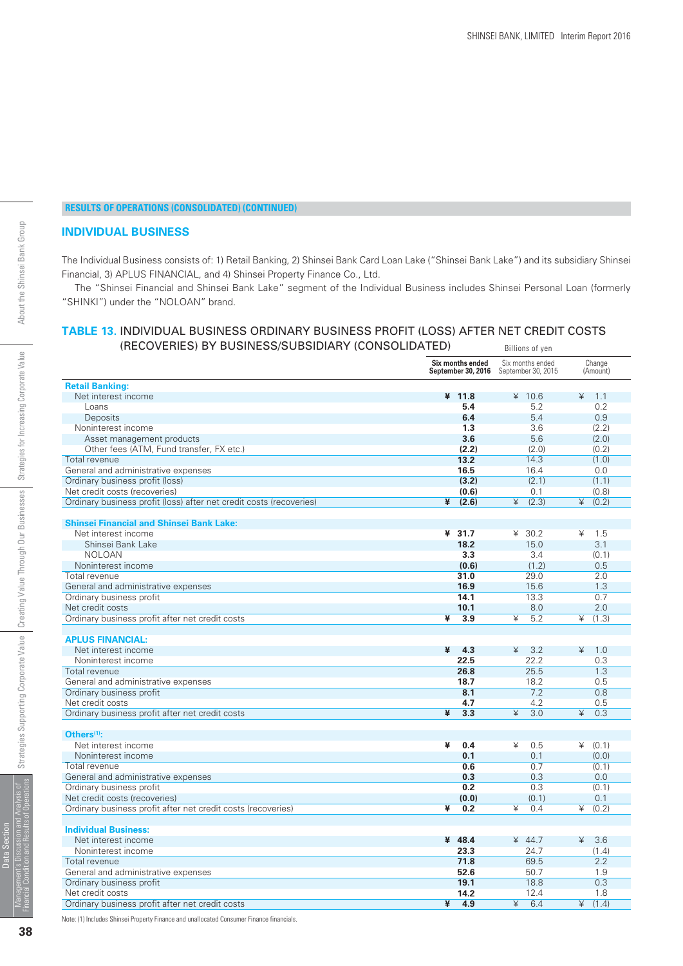#### **INDIVIDUAL BUSINESS**

*The Individual Business consists of: 1) Retail Banking, 2) Shinsei Bank Card Loan Lake ("Shinsei Bank Lake") and its subsidiary Shinsei Financial, 3) APLUS FINANCIAL, and 4) Shinsei Property Finance Co., Ltd.*

 *The "Shinsei Financial and Shinsei Bank Lake" segment of the Individual Business includes Shinsei Personal Loan (formerly "SHINKI") under the "NOLOAN" brand.* 

#### **TABLE 13.** INDIVIDUAL BUSINESS ORDINARY BUSINESS PROFIT (LOSS) AFTER NET CREDIT COSTS (RECOVERIES) BY BUSINESS/SUBSIDIARY (CONSOLIDATED) Billions of yen

|                                                                     | Six months ended<br>September 30, 2016 | Six months ended<br>September 30, 2015 | Change<br>(Amount) |
|---------------------------------------------------------------------|----------------------------------------|----------------------------------------|--------------------|
| <b>Retail Banking:</b>                                              |                                        |                                        |                    |
| Net interest income                                                 | ¥ 11.8                                 | ¥ $10.6$                               | ¥<br>1.1           |
| L <sub>o</sub> ans                                                  | 5.4                                    | 5.2                                    | 0.2                |
| Deposits                                                            | 6.4                                    | 5.4                                    | 0.9                |
| Noninterest income                                                  | 1.3                                    | 3.6                                    | (2.2)              |
| Asset management products                                           | 3.6                                    | 5.6                                    | (2.0)              |
| Other fees (ATM, Fund transfer, FX etc.)                            | (2.2)                                  | (2.0)                                  | (0.2)              |
| Total revenue                                                       | 13.2                                   | 14.3                                   | (1.0)              |
| General and administrative expenses                                 | 16.5                                   | 16.4                                   | 0.0                |
| Ordinary business profit (loss)                                     | (3.2)                                  | (2.1)                                  | (1.1)              |
| Net credit costs (recoveries)                                       | (0.6)                                  | 0.1                                    | (0.8)              |
| Ordinary business profit (loss) after net credit costs (recoveries) | (2.6)<br>¥                             | (2.3)<br>¥                             | (0.2)<br>¥         |
|                                                                     |                                        |                                        |                    |
| <b>Shinsei Financial and Shinsei Bank Lake:</b>                     |                                        |                                        |                    |
| Net interest income                                                 | ¥ 31.7                                 | 430.2                                  | ¥<br>1.5           |
| Shinsei Bank Lake                                                   | 18.2                                   | 15.0                                   | 3.1                |
| <b>NOLOAN</b>                                                       | 3.3                                    | 3.4                                    | (0.1)              |
| Noninterest income                                                  | (0.6)                                  | (1.2)                                  | 0.5                |
| Total revenue                                                       | 31.0                                   | 29.0                                   | 2.0                |
| General and administrative expenses                                 | 16.9                                   | 15.6                                   | 1.3                |
| Ordinary business profit                                            | 14.1                                   | 13.3                                   | 0.7                |
| Net credit costs                                                    | 10.1                                   | 8.0                                    | 2.0                |
| Ordinary business profit after net credit costs                     | ¥<br>3.9                               | ¥<br>5.2                               | ¥<br>(1.3)         |
|                                                                     |                                        |                                        |                    |
| <b>APLUS FINANCIAL:</b>                                             |                                        |                                        |                    |
| Net interest income                                                 | ¥<br>4.3                               | ¥<br>3.2                               | ¥<br>1.0           |
| Noninterest income                                                  | 22.5                                   | 22.2                                   | 0.3                |
| Total revenue                                                       | 26.8                                   | 25.5                                   | 1.3                |
| General and administrative expenses                                 | 18.7                                   | 18.2                                   | 0.5                |
| Ordinary business profit                                            | 8.1                                    | 7.2                                    | 0.8                |
| Net credit costs                                                    | 4.7                                    | 4.2                                    | 0.5                |
| Ordinary business profit after net credit costs                     | ¥<br>3.3                               | 3.0<br>¥                               | ¥<br>0.3           |
|                                                                     |                                        |                                        |                    |
| Others $(1)$ :                                                      |                                        |                                        |                    |
| Net interest income                                                 | ¥<br>0.4                               | ¥<br>0.5                               | ¥<br>(0.1)         |
| Noninterest income                                                  | 0.1                                    | 0.1                                    | (0.0)              |
| Total revenue                                                       | 0.6                                    | 0.7                                    | (0.1)              |
| General and administrative expenses                                 | 0.3                                    | 0.3                                    | 0.0                |
| Ordinary business profit                                            | 0.2                                    | 0.3                                    | (0.1)              |
| Net credit costs (recoveries)                                       | (0, 0)                                 | (0.1)                                  | 0.1                |
| Ordinary business profit after net credit costs (recoveries)        | ¥<br>0.2                               | ¥<br>0.4                               | ¥<br>(0.2)         |
|                                                                     |                                        |                                        |                    |
| <b>Individual Business:</b>                                         |                                        |                                        |                    |
| Net interest income                                                 | 48.4                                   | 44.7                                   | ¥<br>3.6           |
| Noninterest income                                                  | 23.3                                   | 24.7                                   | (1.4)              |
| Total revenue                                                       | 71.8                                   | 69.5                                   | 2.2                |
| General and administrative expenses                                 | 52.6                                   | 50.7                                   | 1.9                |
| Ordinary business profit                                            | 19.1                                   | 18.8                                   | 0.3                |
| Net credit costs                                                    | 14.2                                   | 12.4                                   | 1.8                |
| Ordinary business profit after net credit costs                     | ¥<br>4.9                               | $\angle$<br>6.4                        | (1.4)<br>¥         |
|                                                                     |                                        |                                        |                    |

Note: (1) Includes Shinsei Property Finance and unallocated Consumer Finance financials.

Data Section

**38**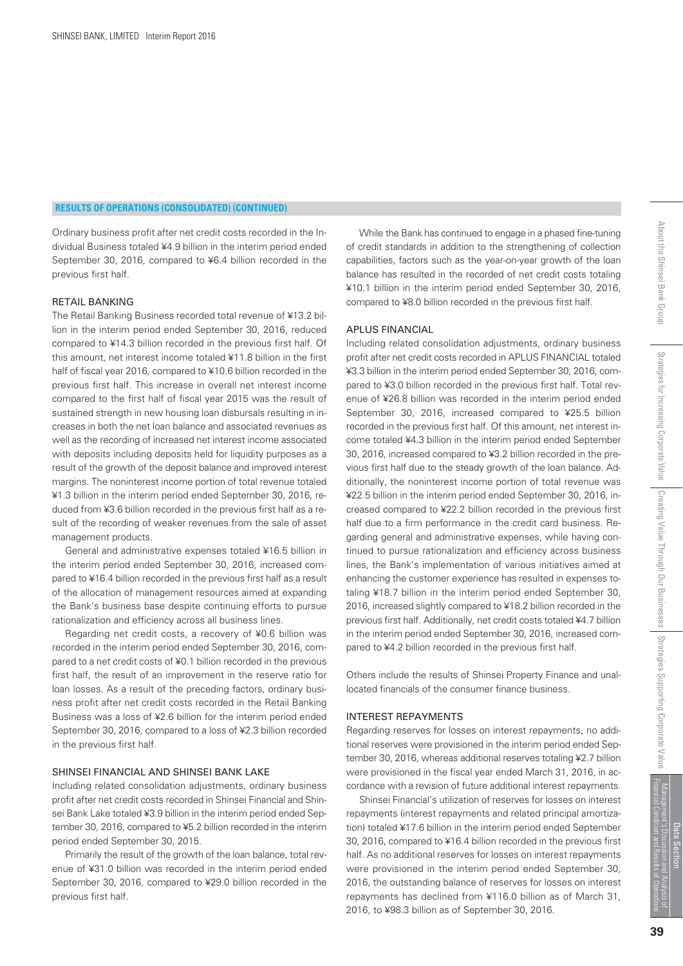*Ordinary business profit after net credit costs recorded in the Individual Business totaled ¥4.9 billion in the interim period ended September 30, 2016, compared to ¥6.4 billion recorded in the previous first half.*

#### RETAIL BANKING

*The Retail Banking Business recorded total revenue of ¥13.2 billion in the interim period ended September 30, 2016, reduced compared to ¥14.3 billion recorded in the previous first half. Of this amount, net interest income totaled ¥11.8 billion in the first half of fiscal year 2016, compared to ¥10.6 billion recorded in the previous first half. This increase in overall net interest income compared to the first half of fiscal year 2015 was the result of sustained strength in new housing loan disbursals resulting in increases in both the net loan balance and associated revenues as well as the recording of increased net interest income associated with deposits including deposits held for liquidity purposes as a result of the growth of the deposit balance and improved interest margins. The noninterest income portion of total revenue totaled ¥1.3 billion in the interim period ended September 30, 2016, reduced from ¥3.6 billion recorded in the previous first half as a result of the recording of weaker revenues from the sale of asset management products.*

 *General and administrative expenses totaled ¥16.5 billion in the interim period ended September 30, 2016, increased compared to ¥16.4 billion recorded in the previous first half as a result of the allocation of management resources aimed at expanding the Bank's business base despite continuing efforts to pursue rationalization and efficiency across all business lines.*

 *Regarding net credit costs, a recovery of ¥0.6 billion was recorded in the interim period ended September 30, 2016, compared to a net credit costs of ¥0.1 billion recorded in the previous first half, the result of an improvement in the reserve ratio for loan losses. As a result of the preceding factors, ordinary business profit after net credit costs recorded in the Retail Banking Business was a loss of ¥2.6 billion for the interim period ended September 30, 2016, compared to a loss of ¥2.3 billion recorded in the previous first half.*

#### SHINSEI FINANCIAL AND SHINSEI BANK LAKE

*Including related consolidation adjustments, ordinary business profit after net credit costs recorded in Shinsei Financial and Shinsei Bank Lake totaled ¥3.9 billion in the interim period ended September 30, 2016, compared to ¥5.2 billion recorded in the interim period ended September 30, 2015.* 

 *Primarily the result of the growth of the loan balance, total revenue of ¥31.0 billion was recorded in the interim period ended September 30, 2016, compared to ¥29.0 billion recorded in the previous first half.*

 *While the Bank has continued to engage in a phased fine-tuning of credit standards in addition to the strengthening of collection capabilities, factors such as the year-on-year growth of the loan balance has resulted in the recorded of net credit costs totaling ¥10.1 billion in the interim period ended September 30, 2016, compared to ¥8.0 billion recorded in the previous first half.*

#### APLUS FINANCIAL

*Including related consolidation adjustments, ordinary business profit after net credit costs recorded in APLUS FINANCIAL totaled ¥3.3 billion in the interim period ended September 30, 2016, compared to ¥3.0 billion recorded in the previous first half. Total revenue of ¥26.8 billion was recorded in the interim period ended September 30, 2016, increased compared to ¥25.5 billion recorded in the previous first half. Of this amount, net interest income totaled ¥4.3 billion in the interim period ended September 30, 2016, increased compared to ¥3.2 billion recorded in the previous first half due to the steady growth of the loan balance. Additionally, the noninterest income portion of total revenue was ¥22.5 billion in the interim period ended September 30, 2016, increased compared to ¥22.2 billion recorded in the previous first half due to a firm performance in the credit card business. Regarding general and administrative expenses, while having continued to pursue rationalization and efficiency across business lines, the Bank's implementation of various initiatives aimed at enhancing the customer experience has resulted in expenses totaling ¥18.7 billion in the interim period ended September 30, 2016, increased slightly compared to ¥18.2 billion recorded in the previous first half. Additionally, net credit costs totaled ¥4.7 billion in the interim period ended September 30, 2016, increased compared to ¥4.2 billion recorded in the previous first half.*

*Others include the results of Shinsei Property Finance and unallocated financials of the consumer finance business.*

#### INTEREST REPAYMENTS

*Regarding reserves for losses on interest repayments, no additional reserves were provisioned in the interim period ended September 30, 2016, whereas additional reserves totaling ¥2.7 billion were provisioned in the fiscal year ended March 31, 2016, in accordance with a revision of future additional interest repayments.*

 *Shinsei Financial's utilization of reserves for losses on interest repayments (interest repayments and related principal amortization) totaled ¥17.6 billion in the interim period ended September 30, 2016, compared to ¥16.4 billion recorded in the previous first half. As no additional reserves for losses on interest repayments were provisioned in the interim period ended September 30, 2016, the outstanding balance of reserves for losses on interest repayments has declined from ¥116.0 billion as of March 31, 2016, to ¥98.3 billion as of September 30, 2016.*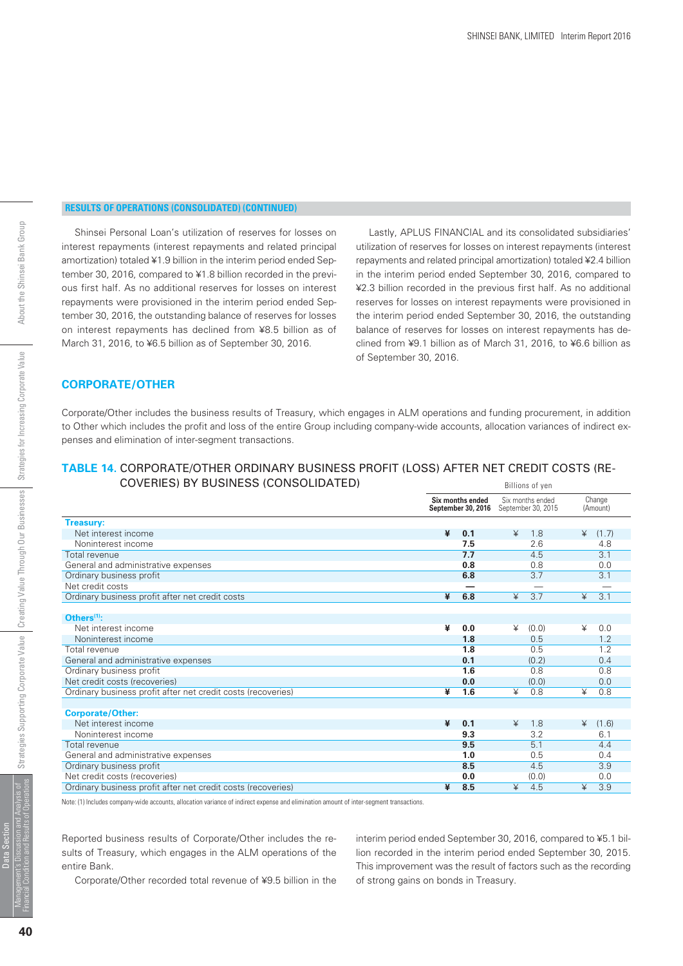# About the Shinsei Bank Group

#### **RESULTS OF OPERATIONS (CONSOLIDATED) (CONTINUED)**

 *Shinsei Personal Loan's utilization of reserves for losses on interest repayments (interest repayments and related principal amortization) totaled ¥1.9 billion in the interim period ended September 30, 2016, compared to ¥1.8 billion recorded in the previous first half. As no additional reserves for losses on interest repayments were provisioned in the interim period ended September 30, 2016, the outstanding balance of reserves for losses on interest repayments has declined from ¥8.5 billion as of March 31, 2016, to ¥6.5 billion as of September 30, 2016.* 

 *Lastly, APLUS FINANCIAL and its consolidated subsidiaries' utilization of reserves for losses on interest repayments (interest repayments and related principal amortization) totaled ¥2.4 billion in the interim period ended September 30, 2016, compared to ¥2.3 billion recorded in the previous first half. As no additional reserves for losses on interest repayments were provisioned in the interim period ended September 30, 2016, the outstanding balance of reserves for losses on interest repayments has declined from ¥9.1 billion as of March 31, 2016, to ¥6.6 billion as of September 30, 2016.* 

#### **CORPORATE/OTHER**

*Corporate/Other includes the business results of Treasury, which engages in ALM operations and funding procurement, in addition to Other which includes the profit and loss of the entire Group including company-wide accounts, allocation variances of indirect expenses and elimination of inter-segment transactions.*

#### **TABLE 14.** CORPORATE/OTHER ORDINARY BUSINESS PROFIT (LOSS) AFTER NET CREDIT COSTS (RE-COVERIES) BY BUSINESS (CONSOLIDATED) Billions of yen

|                                                              | Six months ended<br>September 30, 2016 | Six months ended<br>September 30, 2015 | Change<br>(Amount) |  |
|--------------------------------------------------------------|----------------------------------------|----------------------------------------|--------------------|--|
| <b>Treasury:</b>                                             |                                        |                                        |                    |  |
| Net interest income                                          | ¥<br>0.1                               | ¥<br>1.8                               | (1.7)<br>¥         |  |
| Noninterest income                                           | 7.5                                    | 2.6                                    | 4.8                |  |
| Total revenue                                                | 7.7                                    | 4.5                                    | 3.1                |  |
| General and administrative expenses                          | 0.8                                    | 0.8                                    | 0.0                |  |
| Ordinary business profit                                     | 6.8                                    | 3.7                                    | 3.1                |  |
| Net credit costs                                             |                                        |                                        |                    |  |
| Ordinary business profit after net credit costs              | ¥<br>6.8                               | ¥<br>3.7                               | 3.1<br>¥           |  |
|                                                              |                                        |                                        |                    |  |
| Others $(1)$ :                                               |                                        |                                        |                    |  |
| Net interest income                                          | ¥<br>0.0                               | ¥<br>(0.0)                             | ¥<br>0.0           |  |
| Noninterest income                                           | 1.8                                    | 0.5                                    | 1.2                |  |
| Total revenue                                                | 1.8                                    | 0.5                                    | 1.2                |  |
| General and administrative expenses                          | 0.1                                    | (0.2)                                  | 0.4                |  |
| Ordinary business profit                                     | 1.6                                    | 0.8                                    | 0.8                |  |
| Net credit costs (recoveries)                                | 0.0                                    | (0.0)                                  | 0.0                |  |
| Ordinary business profit after net credit costs (recoveries) | ¥<br>1.6                               | ¥<br>0.8                               | ¥<br>0.8           |  |
|                                                              |                                        |                                        |                    |  |
| <b>Corporate/Other:</b>                                      |                                        |                                        |                    |  |
| Net interest income                                          | ¥<br>0.1                               | 1.8<br>¥                               | (1.6)<br>¥         |  |
| Noninterest income                                           | 9.3                                    | 3.2                                    | 6.1                |  |
| Total revenue                                                | 9.5                                    | 5.1                                    | 4.4                |  |
| General and administrative expenses                          | 1.0                                    | 0.5                                    | 0.4                |  |
| Ordinary business profit                                     | 8.5                                    | 4.5                                    | 3.9                |  |
| Net credit costs (recoveries)                                | 0.0                                    | (0.0)                                  | 0.0                |  |
| Ordinary business profit after net credit costs (recoveries) | ¥<br>8.5                               | ¥<br>4.5                               | 3.9<br>¥           |  |

Note: (1) Includes company-wide accounts, allocation variance of indirect expense and elimination amount of inter-segment transactions.

*Reported business results of Corporate/Other includes the results of Treasury, which engages in the ALM operations of the entire Bank.*

 *Corporate/Other recorded total revenue of ¥9.5 billion in the*

*interim period ended September 30, 2016, compared to ¥5.1 billion recorded in the interim period ended September 30, 2015. This improvement was the result of factors such as the recording of strong gains on bonds in Treasury.*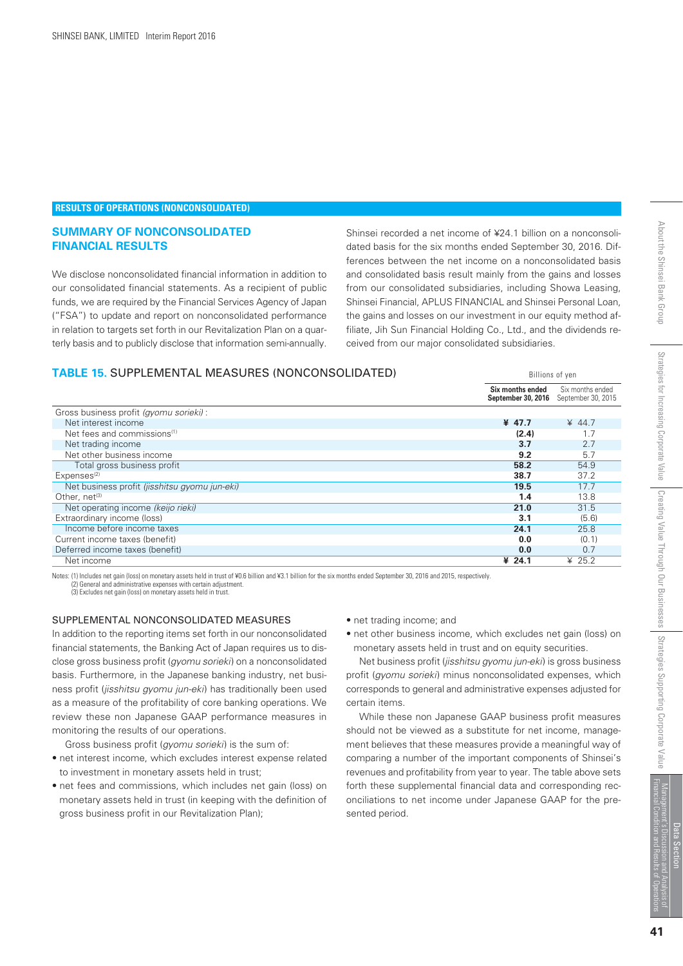#### **RESULTS OF OPERATIONS (NONCONSOLIDATED)**

#### **SUMMARY OF NONCONSOLIDATED FINANCIAL RESULTS**

*We disclose nonconsolidated financial information in addition to our consolidated financial statements. As a recipient of public funds, we are required by the Financial Services Agency of Japan ("FSA") to update and report on nonconsolidated performance in relation to targets set forth in our Revitalization Plan on a quarterly basis and to publicly disclose that information semi-annually.* *Shinsei recorded a net income of ¥24.1 billion on a nonconsolidated basis for the six months ended September 30, 2016. Differences between the net income on a nonconsolidated basis and consolidated basis result mainly from the gains and losses from our consolidated subsidiaries, including Showa Leasing, Shinsei Financial, APLUS FINANCIAL and Shinsei Personal Loan, the gains and losses on our investment in our equity method affiliate, Jih Sun Financial Holding Co., Ltd., and the dividends received from our major consolidated subsidiaries.*

Billions of yen

#### **TABLE 15.** SUPPLEMENTAL MEASURES (NONCONSOLIDATED)

|                                               | Six months ended<br>September 30, 2016 | Six months ended<br>September 30, 2015 |
|-----------------------------------------------|----------------------------------------|----------------------------------------|
| Gross business profit (gyomu sorieki) :       |                                        |                                        |
| Net interest income                           | ¥ 47.7                                 | $* 44.7$                               |
| Net fees and commissions <sup>(1)</sup>       | (2.4)                                  |                                        |
| Net trading income                            | 3.7                                    | 2.7                                    |
| Net other business income                     | 9.2                                    | 5.7                                    |
| Total gross business profit                   | 58.2                                   | 54.9                                   |
| Expenses <sup>(2)</sup>                       | 38.7                                   | 37.2                                   |
| Net business profit (jisshitsu gyomu jun-eki) | 19.5                                   | 17.7                                   |
| Other, $net^{(3)}$                            | 1.4                                    | 13.8                                   |
| Net operating income (keijo rieki)            | 21.0                                   | 31.5                                   |
| Extraordinary income (loss)                   | 3.1                                    | (5.6)                                  |
| Income before income taxes                    | 24.1                                   | 25.8                                   |
| Current income taxes (benefit)                | 0.0                                    | (0.1)                                  |
| Deferred income taxes (benefit)               | 0.0                                    | 0.7                                    |
| Net income                                    | ¥ 24.1                                 | ¥ $25.2$                               |

Notes: (1) Includes net gain (loss) on monetary assets held in trust of ¥0.6 billion and ¥3.1 billion for the six months ended September 30, 2016 and 2015, respectively. (2) General and administrative expenses with certain adjustment.

(3) Excludes net gain (loss) on monetary assets held in trust.

#### SUPPLEMENTAL NONCONSOLIDATED MEASURES

*In addition to the reporting items set forth in our nonconsolidated financial statements, the Banking Act of Japan requires us to disclose gross business profit (gyomu sorieki) on a nonconsolidated basis. Furthermore, in the Japanese banking industry, net business profit (jisshitsu gyomu jun-eki) has traditionally been used as a measure of the profitability of core banking operations. We review these non Japanese GAAP performance measures in monitoring the results of our operations.*

 *Gross business profit (gyomu sorieki) is the sum of:*

- *net interest income, which excludes interest expense related to investment in monetary assets held in trust;*
- *net fees and commissions, which includes net gain (loss) on monetary assets held in trust (in keeping with the definition of gross business profit in our Revitalization Plan);*
- *net trading income; and*
- *net other business income, which excludes net gain (loss) on monetary assets held in trust and on equity securities.*

 *Net business profit (jisshitsu gyomu jun-eki) is gross business profit (gyomu sorieki) minus nonconsolidated expenses, which corresponds to general and administrative expenses adjusted for certain items.*

 *While these non Japanese GAAP business profit measures should not be viewed as a substitute for net income, management believes that these measures provide a meaningful way of comparing a number of the important components of Shinsei's revenues and profitability from year to year. The table above sets forth these supplemental financial data and corresponding reconciliations to net income under Japanese GAAP for the presented period.*

Strategies Supporting Corporate Value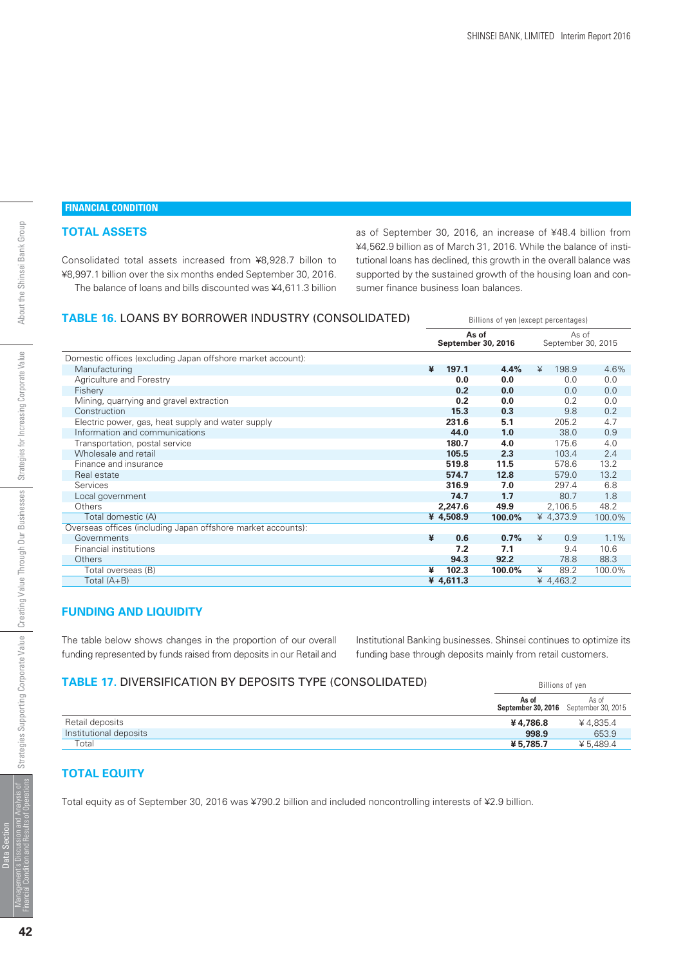## **FINANCIAL CONDITION**

#### **TOTAL ASSETS**

*Consolidated total assets increased from ¥8,928.7 billon to ¥8,997.1 billion over the six months ended September 30, 2016. The balance of loans and bills discounted was ¥4,611.3 billion* *as of September 30, 2016, an increase of ¥48.4 billion from ¥4,562.9 billion as of March 31, 2016. While the balance of institutional loans has declined, this growth in the overall balance was supported by the sustained growth of the housing loan and consumer finance business loan balances.*

Billions of yen (except percentages)

#### **TABLE 16.** LOANS BY BORROWER INDUSTRY (CONSOLIDATED)

|                                                              | As of<br>September 30, 2016 |        | As of<br>September 30, 2015 |         |
|--------------------------------------------------------------|-----------------------------|--------|-----------------------------|---------|
| Domestic offices (excluding Japan offshore market account):  |                             |        |                             |         |
| Manufacturing                                                | 197.1<br>¥                  | 4.4%   | 198.9<br>¥                  | 4.6%    |
| Agriculture and Forestry                                     | 0.0                         | 0.0    | 0.0                         | 0.0     |
| Fishery                                                      | 0.2                         | 0.0    | 0.0                         | 0.0     |
| Mining, quarrying and gravel extraction                      | 0.2                         | 0.0    | 0.2                         | 0.0     |
| Construction                                                 | 15.3                        | 0.3    | 9.8                         | 0.2     |
| Electric power, gas, heat supply and water supply            | 231.6                       | 5.1    | 205.2                       | 4.7     |
| Information and communications                               | 44.0                        | 1.0    | 38.0                        | 0.9     |
| Transportation, postal service                               | 180.7                       | 4.0    | 175.6                       | 4.0     |
| Wholesale and retail                                         | 105.5                       | 2.3    | 103.4                       | 2.4     |
| Finance and insurance                                        | 519.8                       | 11.5   | 578.6                       | 13.2    |
| Real estate                                                  | 574.7                       | 12.8   | 579.0                       | 13.2    |
| Services                                                     | 316.9                       | 7.0    | 297.4                       | 6.8     |
| Local government                                             | 74.7                        | 1.7    | 80.7                        | 1.8     |
| <b>Others</b>                                                | 2,247.6                     | 49.9   | 2,106.5                     | 48.2    |
| Total domestic (A)                                           | ¥ 4,508.9                   | 100.0% | ¥ 4,373.9                   | 100.0%  |
| Overseas offices (including Japan offshore market accounts): |                             |        |                             |         |
| Governments                                                  | ¥<br>0.6                    | 0.7%   | ¥<br>0.9                    | $1.1\%$ |
| Financial institutions                                       | 7.2                         | 7.1    | 9.4                         | 10.6    |
| <b>Others</b>                                                | 94.3                        | 92.2   | 78.8                        | 88.3    |
| Total overseas (B)                                           | 102.3<br>¥                  | 100.0% | ¥<br>89.2                   | 100.0%  |
| Total $(A+B)$                                                | ¥ 4,611.3                   |        | ¥ 4,463.2                   |         |

#### **FUNDING AND LIQUIDITY**

*The table below shows changes in the proportion of our overall funding represented by funds raised from deposits in our Retail and* *Institutional Banking businesses. Shinsei continues to optimize its funding base through deposits mainly from retail customers.*

#### **TABLE 17.** DIVERSIFICATION BY DEPOSITS TYPE (CONSOLIDATED) Billions of yen

|                        | As of    | As of<br><b>September 30, 2016</b> September 30, 2015 |
|------------------------|----------|-------------------------------------------------------|
| Retail deposits        | ¥4.786.8 | ¥4.835.4                                              |
| Institutional deposits | 998.9    | 653.9                                                 |
| Total                  | ¥5.785.7 | ¥ 5.489.4                                             |

#### **TOTAL EQUITY**

*Total equity as of September 30, 2016 was ¥790.2 billion and included noncontrolling interests of ¥2.9 billion.*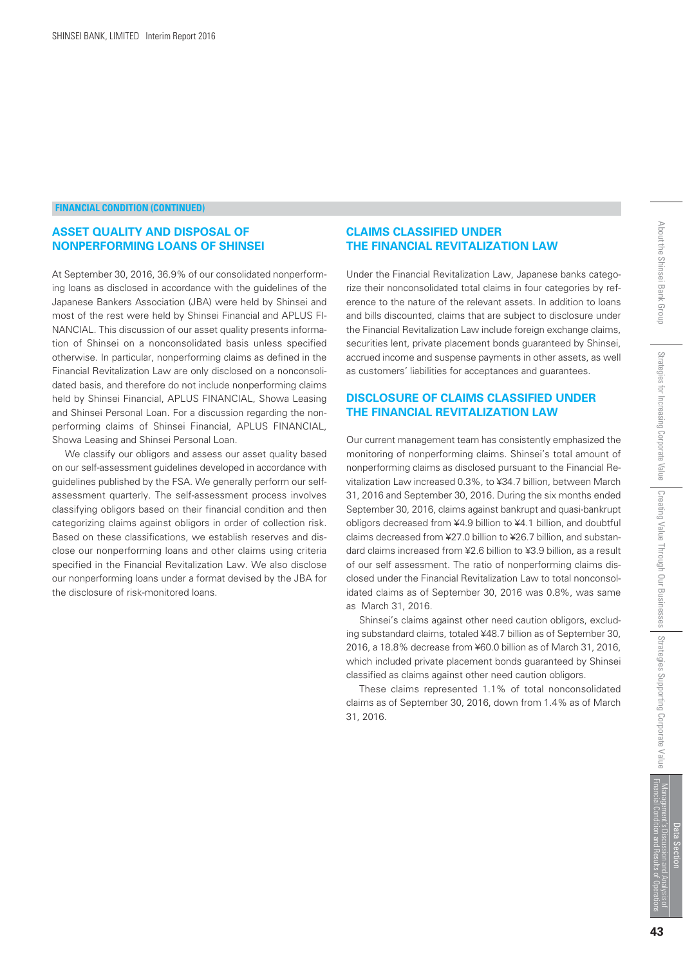#### **ASSET QUALITY AND DISPOSAL OF NONPERFORMING LOANS OF SHINSEI**

*At September 30, 2016, 36.9% of our consolidated nonperforming loans as disclosed in accordance with the guidelines of the Japanese Bankers Association (JBA) were held by Shinsei and most of the rest were held by Shinsei Financial and APLUS FI-NANCIAL. This discussion of our asset quality presents information of Shinsei on a nonconsolidated basis unless specified otherwise. In particular, nonperforming claims as defined in the Financial Revitalization Law are only disclosed on a nonconsolidated basis, and therefore do not include nonperforming claims held by Shinsei Financial, APLUS FINANCIAL, Showa Leasing and Shinsei Personal Loan. For a discussion regarding the nonperforming claims of Shinsei Financial, APLUS FINANCIAL, Showa Leasing and Shinsei Personal Loan.* 

 *We classify our obligors and assess our asset quality based on our self-assessment guidelines developed in accordance with guidelines published by the FSA. We generally perform our selfassessment quarterly. The self-assessment process involves classifying obligors based on their financial condition and then categorizing claims against obligors in order of collection risk. Based on these classifications, we establish reserves and disclose our nonperforming loans and other claims using criteria specified in the Financial Revitalization Law. We also disclose our nonperforming loans under a format devised by the JBA for the disclosure of risk-monitored loans.*

#### **CLAIMS CLASSIFIED UNDER THE FINANCIAL REVITALIZATION LAW**

*Under the Financial Revitalization Law, Japanese banks categorize their nonconsolidated total claims in four categories by reference to the nature of the relevant assets. In addition to loans and bills discounted, claims that are subject to disclosure under the Financial Revitalization Law include foreign exchange claims, securities lent, private placement bonds guaranteed by Shinsei, accrued income and suspense payments in other assets, as well as customers' liabilities for acceptances and guarantees.*

#### **DISCLOSURE OF CLAIMS CLASSIFIED UNDER THE FINANCIAL REVITALIZATION LAW**

*Our current management team has consistently emphasized the monitoring of nonperforming claims. Shinsei's total amount of nonperforming claims as disclosed pursuant to the Financial Revitalization Law increased 0.3%, to ¥34.7 billion, between March 31, 2016 and September 30, 2016. During the six months ended September 30, 2016, claims against bankrupt and quasi-bankrupt obligors decreased from ¥4.9 billion to ¥4.1 billion, and doubtful claims decreased from ¥27.0 billion to ¥26.7 billion, and substandard claims increased from ¥2.6 billion to ¥3.9 billion, as a result of our self assessment. The ratio of nonperforming claims disclosed under the Financial Revitalization Law to total nonconsolidated claims as of September 30, 2016 was 0.8%, was same as March 31, 2016.*

 *Shinsei's claims against other need caution obligors, excluding substandard claims, totaled ¥48.7 billion as of September 30, 2016, a 18.8% decrease from ¥60.0 billion as of March 31, 2016, which included private placement bonds guaranteed by Shinsei classified as claims against other need caution obligors.*

 *These claims represented 1.1% of total nonconsolidated claims as of September 30, 2016, down from 1.4% as of March 31, 2016.*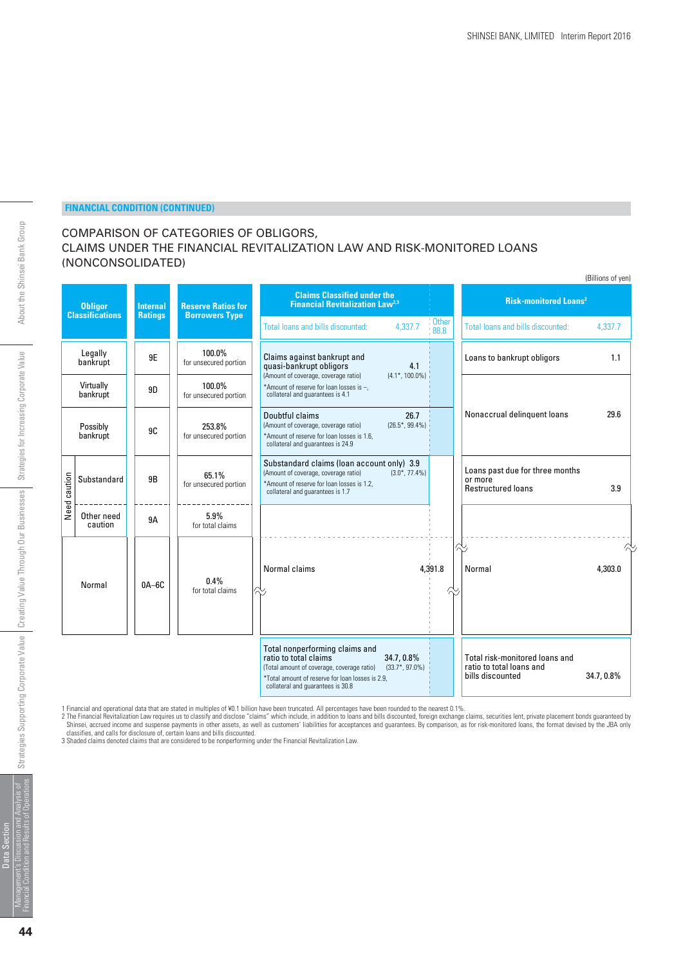#### COMPARISON OF CATEGORIES OF OBLIGORS, CLAIMS UNDER THE FINANCIAL REVITALIZATION LAW AND RISK-MONITORED LOANS (NONCONSOLIDATED)

|         |                                          |                 |                                 |                                                                                                                                                                                                |                                  |               |                                                                                | (Billions of yen) |
|---------|------------------------------------------|-----------------|---------------------------------|------------------------------------------------------------------------------------------------------------------------------------------------------------------------------------------------|----------------------------------|---------------|--------------------------------------------------------------------------------|-------------------|
|         | <b>Obligor</b><br><b>Classifications</b> | <b>Internal</b> | <b>Reserve Ratios for</b>       | <b>Claims Classified under the</b><br><b>Financial Revitalization Law<sup>2,3</sup></b>                                                                                                        |                                  |               | <b>Risk-monitored Loans<sup>2</sup></b>                                        |                   |
|         |                                          | <b>Ratings</b>  | <b>Borrowers Type</b>           | Total loans and bills discounted:                                                                                                                                                              | 4.337.7                          | Other<br>88.8 | Total loans and bills discounted:                                              | 4.337.7           |
|         | Legally<br>bankrupt                      | 9E              | 100.0%<br>for unsecured portion | Claims against bankrupt and<br>quasi-bankrupt obligors                                                                                                                                         | 4.1                              |               | Loans to bankrupt obligors                                                     | 1.1               |
|         | Virtually<br>bankrupt                    | 9D              | 100.0%<br>for unsecured portion | (Amount of coverage, coverage ratio)<br>*Amount of reserve for loan losses is -,<br>collateral and guarantees is 4.1                                                                           | $(4.1^*, 100.0\%)$               |               |                                                                                |                   |
|         | Possibly<br>bankrupt                     | 9C              | 253.8%<br>for unsecured portion | Doubtful claims<br>(Amount of coverage, coverage ratio)<br>*Amount of reserve for loan losses is 1.6,<br>collateral and quarantees is 24.9                                                     | 26.7<br>$(26.5^*, 99.4\%)$       |               | Nonaccrual delinquent loans                                                    | 29.6              |
| caution | Substandard                              | 9B              | 65.1%<br>for unsecured portion  | Substandard claims (loan account only) 3.9<br>(Amount of coverage, coverage ratio)<br>*Amount of reserve for loan losses is 1.2,<br>collateral and quarantees is 1.7                           | $(3.0^*, 77.4\%)$                |               | Loans past due for three months<br>or more<br><b>Restructured loans</b>        | 3.9               |
| Need    | Other need<br>caution                    | 9A              | 5.9%<br>for total claims        |                                                                                                                                                                                                |                                  |               |                                                                                |                   |
|         | Normal                                   | $0A-6C$         | 0.4%<br>for total claims        | Normal claims                                                                                                                                                                                  |                                  | 4,391.8       | Normal                                                                         | 4.303.0           |
|         |                                          |                 |                                 | Total nonperforming claims and<br>ratio to total claims<br>(Total amount of coverage, coverage ratio)<br>*Total amount of reserve for loan losses is 2.9,<br>collateral and guarantees is 30.8 | 34.7, 0.8%<br>$(33.7^*, 97.0\%)$ |               | Total risk-monitored loans and<br>ratio to total loans and<br>bills discounted | 34.7, 0.8%        |

1 Financial and operational data that are stated in multiples of ¥0.1 billion have been truncated. All percentages have been rounded to the nearest 0.1%.<br>2 The Financial Revitalization Law requires us to classify and discl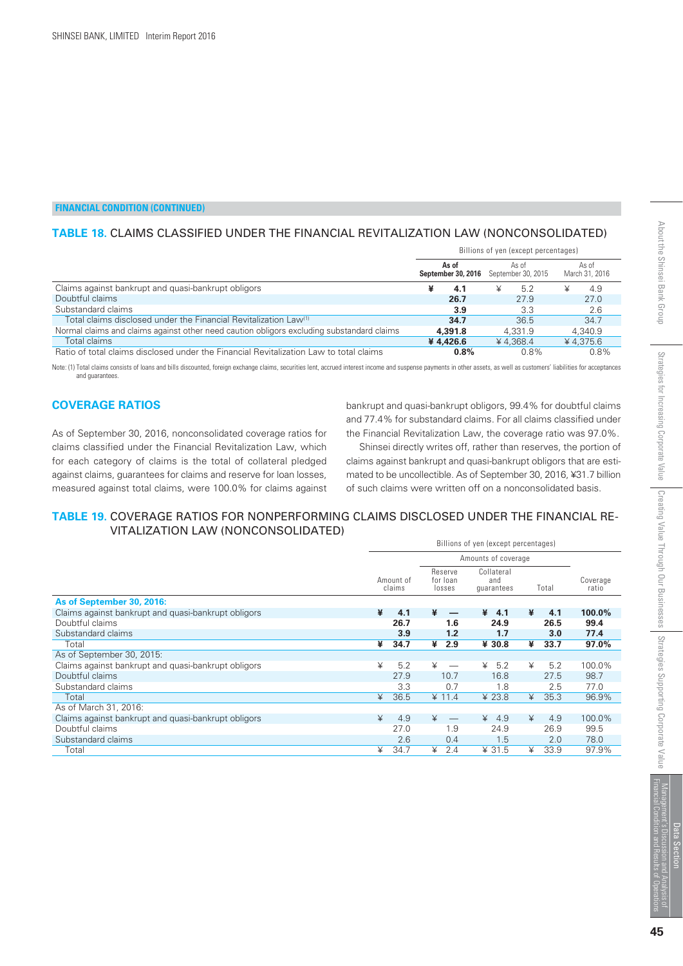## **TABLE 18.** CLAIMS CLASSIFIED UNDER THE FINANCIAL REVITALIZATION LAW (NONCONSOLIDATED)

|                                                                                           | Billions of yen (except percentages) |                                                       |                         |  |  |  |
|-------------------------------------------------------------------------------------------|--------------------------------------|-------------------------------------------------------|-------------------------|--|--|--|
|                                                                                           | As of                                | As of<br><b>September 30, 2016</b> September 30, 2015 | As of<br>March 31, 2016 |  |  |  |
| Claims against bankrupt and quasi-bankrupt obligors                                       | 4.1                                  | 5.2<br>¥                                              | 4.9<br>¥                |  |  |  |
| Doubtful claims                                                                           | 26.7                                 | 27.9                                                  | 27.0                    |  |  |  |
| Substandard claims                                                                        | 3.9                                  | 3.3                                                   | 2.6                     |  |  |  |
| Total claims disclosed under the Financial Revitalization Law <sup>(1)</sup>              | 34.7                                 | 36.5                                                  | 34.7                    |  |  |  |
| Normal claims and claims against other need caution obligors excluding substandard claims | 4,391.8                              | 4.331.9                                               | 4.340.9                 |  |  |  |
| Total claims                                                                              | ¥4.426.6                             | ¥4.368.4                                              | $¥$ 4.375.6             |  |  |  |
| Ratio of total claims disclosed under the Financial Revitalization Law to total claims    | 0.8%                                 | 0.8%                                                  | 0.8%                    |  |  |  |

Note: (1) Total claims consists of loans and bills discounted, foreign exchange claims, securities lent, accrued interest income and suspense payments in other assets, as well as customers' liabilities for acceptances and guarantees.

#### **COVERAGE RATIOS**

*As of September 30, 2016, nonconsolidated coverage ratios for claims classified under the Financial Revitalization Law, which for each category of claims is the total of collateral pledged against claims, guarantees for claims and reserve for loan losses, measured against total claims, were 100.0% for claims against*

*bankrupt and quasi-bankrupt obligors, 99.4% for doubtful claims and 77.4% for substandard claims. For all claims classified under the Financial Revitalization Law, the coverage ratio was 97.0%.*

 *Shinsei directly writes off, rather than reserves, the portion of claims against bankrupt and quasi-bankrupt obligors that are estimated to be uncollectible. As of September 30, 2016, ¥31.7 billion of such claims were written off on a nonconsolidated basis.*

#### **TABLE 19.** COVERAGE RATIOS FOR NONPERFORMING CLAIMS DISCLOSED UNDER THE FINANCIAL RE-VITALIZATION LAW (NONCONSOLIDATED)

| Amounts of coverage<br>Collateral<br>Reserve<br>Amount of<br>for loan<br>Coverage<br>and<br>claims<br>Total<br>ratio<br>losses<br>quarantees<br>As of September 30, 2016:<br>$100.0\%$<br>Claims against bankrupt and quasi-bankrupt obligors<br>¥<br>4.1<br>¥<br>¥<br>¥<br>4.1<br>4.1<br>Doubtful claims<br>99.4<br>26.7<br>26.5<br>1.6<br>24.9<br>Substandard claims<br>77.4<br>3.9<br>1.2<br>1.7<br>3.0<br>34.7<br>97.0%<br>¥<br>¥<br>2.9<br>¥ 30.8<br>33.7<br>¥<br>Total<br>As of September 30, 2015:<br>Claims against bankrupt and quasi-bankrupt obligors<br>¥<br>5.2<br>5.2<br>5.2<br>100.0%<br>¥<br>¥<br>¥<br>Doubtful claims<br>27.9<br>16.8<br>27.5<br>98.7<br>10.7<br>3.3<br>77.0<br>Substandard claims<br>0.7<br>2.5<br>1.8<br>36.5<br>¥ 11.4<br>¥ 23.8<br>35.3<br>96.9%<br>¥<br>¥<br>Total<br>As of March 31, 2016:<br>4.9<br>4.9<br>100.0%<br>Claims against bankrupt and quasi-bankrupt obligors<br>¥<br>¥<br>¥<br>4.9<br>¥<br>Doubtful claims<br>27.0<br>1.9<br>24.9<br>26.9<br>99.5<br>78.0<br>Substandard claims<br>2.6<br>1.5<br>2.0<br>0.4<br>¥ 31.5<br>97.9%<br>34.7<br>2.4<br>33.9<br>Total<br>¥<br>¥<br>¥ | Billions of yen (except percentages) |  |  |  |  |  |  |  |
|-----------------------------------------------------------------------------------------------------------------------------------------------------------------------------------------------------------------------------------------------------------------------------------------------------------------------------------------------------------------------------------------------------------------------------------------------------------------------------------------------------------------------------------------------------------------------------------------------------------------------------------------------------------------------------------------------------------------------------------------------------------------------------------------------------------------------------------------------------------------------------------------------------------------------------------------------------------------------------------------------------------------------------------------------------------------------------------------------------------------------------------|--------------------------------------|--|--|--|--|--|--|--|
|                                                                                                                                                                                                                                                                                                                                                                                                                                                                                                                                                                                                                                                                                                                                                                                                                                                                                                                                                                                                                                                                                                                                   |                                      |  |  |  |  |  |  |  |
|                                                                                                                                                                                                                                                                                                                                                                                                                                                                                                                                                                                                                                                                                                                                                                                                                                                                                                                                                                                                                                                                                                                                   |                                      |  |  |  |  |  |  |  |
|                                                                                                                                                                                                                                                                                                                                                                                                                                                                                                                                                                                                                                                                                                                                                                                                                                                                                                                                                                                                                                                                                                                                   |                                      |  |  |  |  |  |  |  |
|                                                                                                                                                                                                                                                                                                                                                                                                                                                                                                                                                                                                                                                                                                                                                                                                                                                                                                                                                                                                                                                                                                                                   |                                      |  |  |  |  |  |  |  |
|                                                                                                                                                                                                                                                                                                                                                                                                                                                                                                                                                                                                                                                                                                                                                                                                                                                                                                                                                                                                                                                                                                                                   |                                      |  |  |  |  |  |  |  |
|                                                                                                                                                                                                                                                                                                                                                                                                                                                                                                                                                                                                                                                                                                                                                                                                                                                                                                                                                                                                                                                                                                                                   |                                      |  |  |  |  |  |  |  |
|                                                                                                                                                                                                                                                                                                                                                                                                                                                                                                                                                                                                                                                                                                                                                                                                                                                                                                                                                                                                                                                                                                                                   |                                      |  |  |  |  |  |  |  |
|                                                                                                                                                                                                                                                                                                                                                                                                                                                                                                                                                                                                                                                                                                                                                                                                                                                                                                                                                                                                                                                                                                                                   |                                      |  |  |  |  |  |  |  |
|                                                                                                                                                                                                                                                                                                                                                                                                                                                                                                                                                                                                                                                                                                                                                                                                                                                                                                                                                                                                                                                                                                                                   |                                      |  |  |  |  |  |  |  |
|                                                                                                                                                                                                                                                                                                                                                                                                                                                                                                                                                                                                                                                                                                                                                                                                                                                                                                                                                                                                                                                                                                                                   |                                      |  |  |  |  |  |  |  |
|                                                                                                                                                                                                                                                                                                                                                                                                                                                                                                                                                                                                                                                                                                                                                                                                                                                                                                                                                                                                                                                                                                                                   |                                      |  |  |  |  |  |  |  |
|                                                                                                                                                                                                                                                                                                                                                                                                                                                                                                                                                                                                                                                                                                                                                                                                                                                                                                                                                                                                                                                                                                                                   |                                      |  |  |  |  |  |  |  |
|                                                                                                                                                                                                                                                                                                                                                                                                                                                                                                                                                                                                                                                                                                                                                                                                                                                                                                                                                                                                                                                                                                                                   |                                      |  |  |  |  |  |  |  |
|                                                                                                                                                                                                                                                                                                                                                                                                                                                                                                                                                                                                                                                                                                                                                                                                                                                                                                                                                                                                                                                                                                                                   |                                      |  |  |  |  |  |  |  |
|                                                                                                                                                                                                                                                                                                                                                                                                                                                                                                                                                                                                                                                                                                                                                                                                                                                                                                                                                                                                                                                                                                                                   |                                      |  |  |  |  |  |  |  |
|                                                                                                                                                                                                                                                                                                                                                                                                                                                                                                                                                                                                                                                                                                                                                                                                                                                                                                                                                                                                                                                                                                                                   |                                      |  |  |  |  |  |  |  |
|                                                                                                                                                                                                                                                                                                                                                                                                                                                                                                                                                                                                                                                                                                                                                                                                                                                                                                                                                                                                                                                                                                                                   |                                      |  |  |  |  |  |  |  |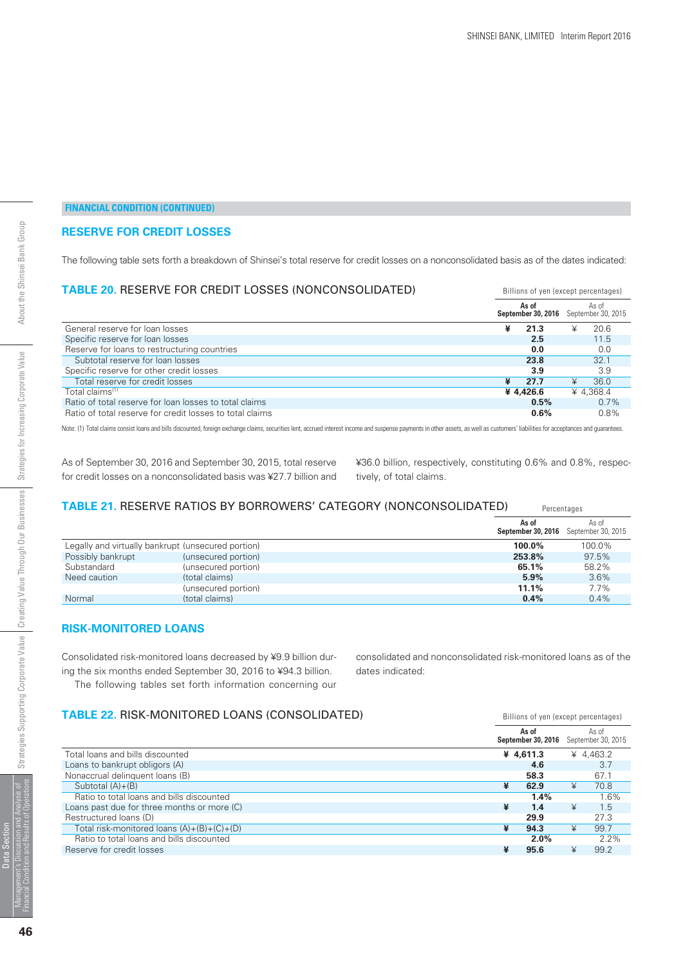#### **RESERVE FOR CREDIT LOSSES**

*The following table sets forth a breakdown of Shinsei's total reserve for credit losses on a nonconsolidated basis as of the dates indicated:*

| <b>TABLE 20. RESERVE FOR CREDIT LOSSES (NONCONSOLIDATED)</b> | Billions of yen (except percentages) |                             |   |                             |  |
|--------------------------------------------------------------|--------------------------------------|-----------------------------|---|-----------------------------|--|
|                                                              |                                      | As of<br>September 30, 2016 |   | As of<br>September 30, 2015 |  |
| General reserve for loan losses                              | ¥                                    | 21.3                        |   | 20.6                        |  |
| Specific reserve for loan losses                             |                                      | 2.5                         |   | 11.5                        |  |
| Reserve for loans to restructuring countries                 |                                      | 0.0                         |   | 0.0                         |  |
| Subtotal reserve for loan losses                             |                                      | 23.8                        |   | 32.1                        |  |
| Specific reserve for other credit losses                     |                                      | 3.9                         |   | 3.9                         |  |
| Total reserve for credit losses                              | ¥                                    | 27.7                        | ¥ | 36.0                        |  |
| Total claims <sup>(1)</sup>                                  |                                      | ¥4.426.6                    |   | ¥ 4.368.4                   |  |
| Ratio of total reserve for loan losses to total claims       |                                      | 0.5%                        |   | $0.7\%$                     |  |
| Ratio of total reserve for credit losses to total claims     |                                      | $0.6\%$                     |   | 0.8%                        |  |

Note: (1) Total claims consist loans and bills discounted, foreign exchange claims, securities lent, accrued interest income and suspense payments in other assets, as well as customers' liabilities for acceptances and guar

*As of September 30, 2016 and September 30, 2015, total reserve for credit losses on a nonconsolidated basis was ¥27.7 billion and*

*¥36.0 billion, respectively, constituting 0.6% and 0.8%, respectively, of total claims.*

#### Percentages **TABLE 21.** RESERVE RATIOS BY BORROWERS' CATEGORY (NONCONSOLIDATED)

|                                                    |                     | As of     | As of<br><b>September 30, 2016</b> September 30, 2015 |
|----------------------------------------------------|---------------------|-----------|-------------------------------------------------------|
| Legally and virtually bankrupt (unsecured portion) |                     | $100.0\%$ | 100.0%                                                |
| Possibly bankrupt                                  | (unsecured portion) | 253.8%    | 97.5%                                                 |
| Substandard                                        | (unsecured portion) | 65.1%     | 58.2%                                                 |
| Need caution                                       | (total claims)      | 5.9%      | 3.6%                                                  |
|                                                    | (unsecured portion) | 11.1%     | 7.7%                                                  |
| Normal                                             | (total claims)      | $0.4\%$   | $0.4\%$                                               |

#### **RISK-MONITORED LOANS**

*Consolidated risk-monitored loans decreased by ¥9.9 billion during the six months ended September 30, 2016 to ¥94.3 billion. The following tables set forth information concerning our*

*consolidated and nonconsolidated risk-monitored loans as of the dates indicated:*

Billions of yen (except percentages)

## **TABLE 22.** RISK-MONITORED LOANS (CONSOLIDATED)

|                                              |   | As of<br>September 30, 2016 |   | As of<br>September 30, 2015 |
|----------------------------------------------|---|-----------------------------|---|-----------------------------|
| Total loans and bills discounted             |   | ¥ 4,611.3                   |   | ¥ 4,463.2                   |
| Loans to bankrupt obligors (A)               |   | 4.6                         |   | 3.7                         |
| Nonaccrual delinquent loans (B)              |   | 58.3                        |   | 67.1                        |
| Subtotal $(A)+(B)$                           | ¥ | 62.9                        | ¥ | 70.8                        |
| Ratio to total loans and bills discounted    |   | 1.4%                        |   | 1.6%                        |
| Loans past due for three months or more (C)  | ¥ | 1.4                         | ¥ | 1.5                         |
| Restructured loans (D)                       |   | 29.9                        |   | 27.3                        |
| Total risk-monitored loans $(A)+(B)+(C)+(D)$ | ¥ | 94.3                        | ¥ | 99.7                        |
| Ratio to total loans and bills discounted    |   | 2.0%                        |   | $2.2\%$                     |
| Reserve for credit losses                    |   | 95.6                        | ¥ | 99.2                        |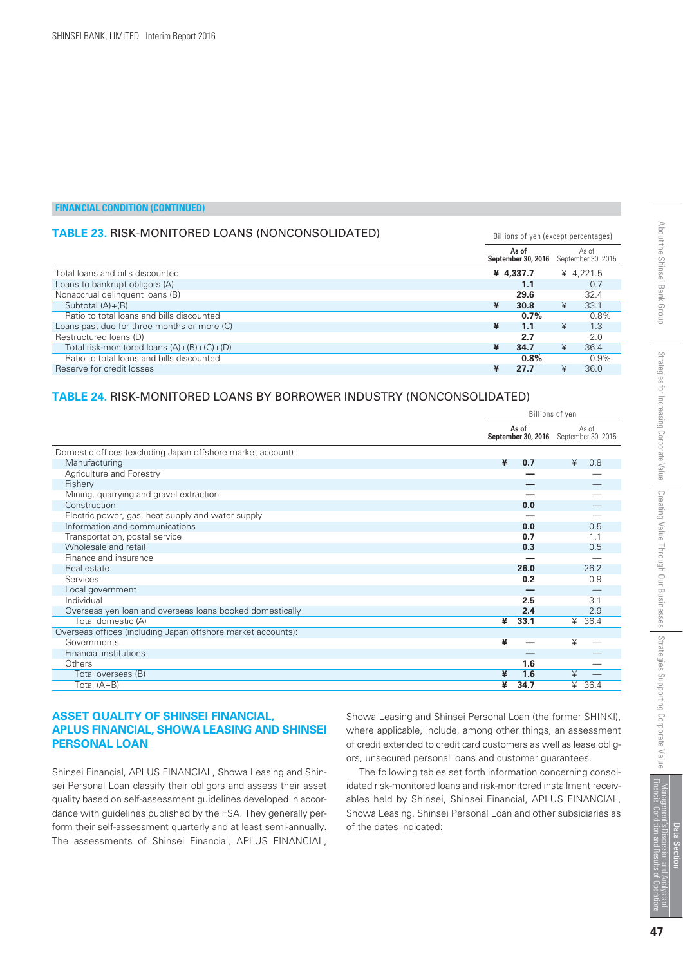## **TABLE 23.** RISK-MONITORED LOANS (NONCONSOLIDATED)

|                                              |   | As of<br>September 30, 2016 |   | As of<br>September 30, 2015 |
|----------------------------------------------|---|-----------------------------|---|-----------------------------|
| Total loans and bills discounted             |   | ¥ 4.337.7                   |   | ¥ 4.221.5                   |
| Loans to bankrupt obligors (A)               |   | 1.1                         |   | 0.7                         |
| Nonaccrual delinquent loans (B)              |   | 29.6                        |   | 32.4                        |
| Subtotal $(A)+(B)$                           | ¥ | 30.8                        | ¥ | 33.1                        |
| Ratio to total loans and bills discounted    |   | $0.7\%$                     |   | 0.8%                        |
| Loans past due for three months or more (C)  | ¥ | 1.1                         | ¥ | 1.3                         |
| Restructured loans (D)                       |   | 2.7                         |   | 2.0                         |
| Total risk-monitored loans $(A)+(B)+(C)+(D)$ | ¥ | 34.7                        |   | 36.4                        |
| Ratio to total loans and bills discounted    |   | $0.8\%$                     |   | 0.9%                        |
| Reserve for credit losses                    | ¥ | 27.7                        |   | 36.0                        |

#### **TABLE 24.** RISK-MONITORED LOANS BY BORROWER INDUSTRY (NONCONSOLIDATED)

|                                                              | Billions of yen |                                                |   |        |  |
|--------------------------------------------------------------|-----------------|------------------------------------------------|---|--------|--|
|                                                              |                 | As of<br>September 30, 2016 September 30, 2015 |   | As of  |  |
| Domestic offices (excluding Japan offshore market account):  |                 |                                                |   |        |  |
| Manufacturing                                                | ¥               | 0.7                                            | ¥ | 0.8    |  |
| Agriculture and Forestry                                     |                 |                                                |   |        |  |
| Fishery                                                      |                 |                                                |   |        |  |
| Mining, quarrying and gravel extraction                      |                 |                                                |   |        |  |
| Construction                                                 |                 | 0.0                                            |   |        |  |
| Electric power, gas, heat supply and water supply            |                 |                                                |   |        |  |
| Information and communications                               |                 | 0.0                                            |   | 0.5    |  |
| Transportation, postal service                               |                 | 0.7                                            |   | 1.1    |  |
| Wholesale and retail                                         |                 | 0.3                                            |   | 0.5    |  |
| Finance and insurance                                        |                 |                                                |   |        |  |
| Real estate                                                  |                 | 26.0                                           |   | 26.2   |  |
| Services                                                     |                 | 0.2                                            |   | 0.9    |  |
| Local government                                             |                 |                                                |   |        |  |
| Individual                                                   |                 | 2.5                                            |   | 3.1    |  |
| Overseas yen loan and overseas loans booked domestically     |                 | 2.4                                            |   | 2.9    |  |
| Total domestic (A)                                           | ¥               | 33.1                                           |   | ¥ 36.4 |  |
| Overseas offices (including Japan offshore market accounts): |                 |                                                |   |        |  |
| Governments                                                  | ¥               |                                                | ¥ |        |  |
| Financial institutions                                       |                 |                                                |   |        |  |
| Others                                                       |                 | 1.6                                            |   |        |  |
| Total overseas (B)                                           | ¥               | 1.6                                            | ¥ |        |  |
| Total $(A+B)$                                                | ¥               | 34.7                                           | ¥ | 36.4   |  |

#### **ASSET QUALITY OF SHINSEI FINANCIAL, APLUS FINANCIAL, SHOWA LEASING AND SHINSEI PERSONAL LOAN**

*Shinsei Financial, APLUS FINANCIAL, Showa Leasing and Shinsei Personal Loan classify their obligors and assess their asset quality based on self-assessment guidelines developed in accordance with guidelines published by the FSA. They generally perform their self-assessment quarterly and at least semi-annually. The assessments of Shinsei Financial, APLUS FINANCIAL,*

*Showa Leasing and Shinsei Personal Loan (the former SHINKI), where applicable, include, among other things, an assessment of credit extended to credit card customers as well as lease obligors, unsecured personal loans and customer guarantees.*

 *The following tables set forth information concerning consolidated risk-monitored loans and risk-monitored installment receivables held by Shinsei, Shinsei Financial, APLUS FINANCIAL, Showa Leasing, Shinsei Personal Loan and other subsidiaries as of the dates indicated:*

Billions of yen (except percentages)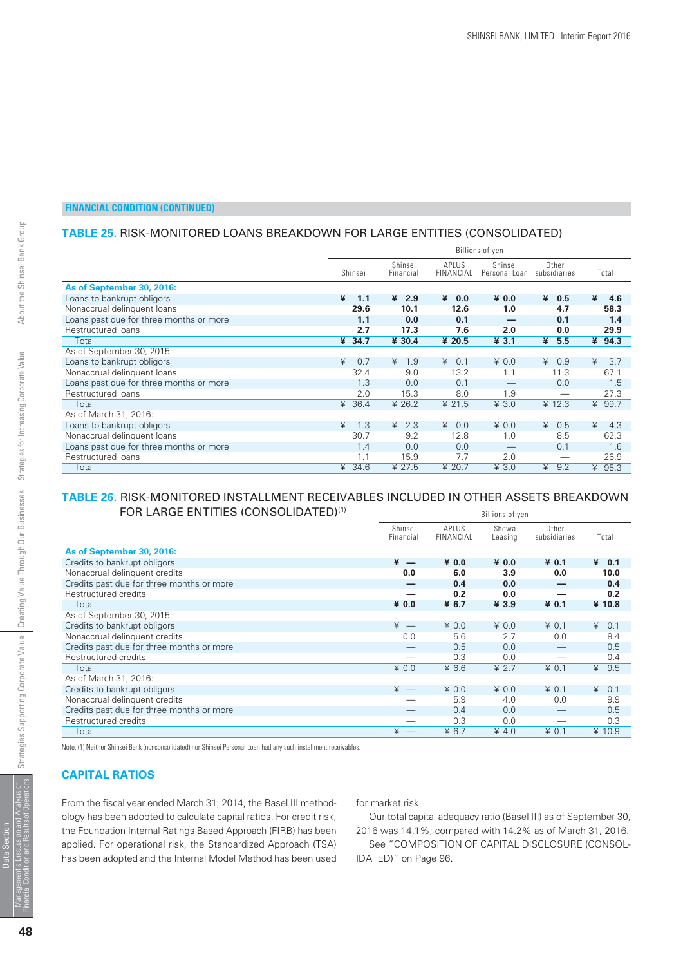## **TABLE 25.** RISK-MONITORED LOANS BREAKDOWN FOR LARGE ENTITIES (CONSOLIDATED)

|                                         |   |         |                      |                            | Billions of yen          |                       |          |       |
|-----------------------------------------|---|---------|----------------------|----------------------------|--------------------------|-----------------------|----------|-------|
|                                         |   | Shinsei | Shinsei<br>Financial | API US<br><b>FINANCIAL</b> | Shinsei<br>Personal Loan | Other<br>subsidiaries |          | Total |
| As of September 30, 2016:               |   |         |                      |                            |                          |                       |          |       |
| Loans to bankrupt obligors              | ¥ | 1.1     | ¥<br>2.9             | ¥<br>0.0                   | $*0.0$                   | ¥<br>0.5              | ¥        | 4.6   |
| Nonaccrual delinguent loans             |   | 29.6    | 10.1                 | 12.6                       | 1.0                      | 4.7                   |          | 58.3  |
| Loans past due for three months or more |   | 1.1     | 0.0                  | 0.1                        |                          | 0.1                   |          | 1.4   |
| Restructured loans                      |   | 2.7     | 17.3                 | 7.6                        | 2.0                      | 0.0                   |          | 29.9  |
| Total                                   |   | 434.7   | ¥ 30.4               | ¥ 20.5                     | 43.1                     | ¥<br>5.5              |          | 494.3 |
| As of September 30, 2015:               |   |         |                      |                            |                          |                       |          |       |
| Loans to bankrupt obligors              | ¥ | 0.7     | 1.9<br>¥             | 0.1<br>¥                   | $*0.0$                   | 0.9<br>¥              | ¥        | 3.7   |
| Nonaccrual delinguent loans             |   | 32.4    | 9.0                  | 13.2                       | 1.1                      | 11.3                  |          | 67.1  |
| Loans past due for three months or more |   | 1.3     | 0.0                  | 0.1                        |                          | 0.0                   |          | 1.5   |
| Restructured loans                      |   | 2.0     | 15.3                 | 8.0                        | 1.9                      |                       |          | 27.3  |
| Total                                   | ¥ | 36.4    | ¥ 26.2               | ¥ 21.5                     | 43.0                     | $* 12.3$              | $\angle$ | 99.7  |
| As of March 31, 2016:                   |   |         |                      |                            |                          |                       |          |       |
| Loans to bankrupt obligors              | ¥ | 1.3     | 2.3<br>¥             | 40.0                       | $*0.0$                   | ¥<br>0.5              | ¥        | 4.3   |
| Nonaccrual delinquent loans             |   | 30.7    | 9.2                  | 12.8                       | 1.0                      | 8.5                   |          | 62.3  |
| Loans past due for three months or more |   | 1.4     | 0.0                  | 0.0                        |                          | 0.1                   |          | 1.6   |
| Restructured loans                      |   | 1.1     | 15.9                 | 7.7                        | 2.0                      |                       |          | 26.9  |
| Total                                   | ¥ | 34.6    | ¥ 27.5               | ¥ 20.7                     | $¥$ 3.0                  | ¥<br>9.2              | ¥        | 95.3  |

#### **TABLE 26.** RISK-MONITORED INSTALLMENT RECEIVABLES INCLUDED IN OTHER ASSETS BREAKDOWN FOR LARGE ENTITIES (CONSOLIDATED)<sup>(1)</sup> Billions of yen

|                                           | DIIIIUIIS UI VEII    |                    |                  |                       |                |  |  |  |  |  |
|-------------------------------------------|----------------------|--------------------|------------------|-----------------------|----------------|--|--|--|--|--|
|                                           | Shinsei<br>Financial | APLUS<br>FINANCIAL | Showa<br>Leasing | Other<br>subsidiaries | Total          |  |  |  |  |  |
| As of September 30, 2016:                 |                      |                    |                  |                       |                |  |  |  |  |  |
| Credits to bankrupt obligors              | $* -$                | ¥ 0.0              | ¥ 0.0            | $* 0.1$               | $\angle 4$ 0.1 |  |  |  |  |  |
| Nonaccrual delinquent credits             | 0.0                  | 6.0                | 3.9              | 0.0                   | 10.0           |  |  |  |  |  |
| Credits past due for three months or more |                      | 0.4                | 0.0              |                       | 0.4            |  |  |  |  |  |
| Restructured credits                      |                      | 0.2                | 0.0              |                       | 0.2            |  |  |  |  |  |
| Total                                     | ¥ 0.0                | ¥ 6.7              | ¥ 3.9            | $* 0.1$               | ¥ 10.8         |  |  |  |  |  |
| As of September 30, 2015:                 |                      |                    |                  |                       |                |  |  |  |  |  |
| Credits to bankrupt obligors              | $* -$                | $*0.0$             | $*0.0$           | $\n  4 0.1\n$         | 0.1<br>¥       |  |  |  |  |  |
| Nonaccrual delinquent credits             | 0.0                  | 5.6                | 2.7              | 0.0                   | 8.4            |  |  |  |  |  |
| Credits past due for three months or more |                      | 0.5                | 0.0              |                       | 0.5            |  |  |  |  |  |
| Restructured credits                      |                      | 0.3                | 0.0              |                       | 0.4            |  |  |  |  |  |
| Total                                     | $*0.0$               | ¥ 6.6              | ¥ 2.7            | $\n  4 0.1\n$         | 9.5<br>¥       |  |  |  |  |  |
| As of March 31, 2016:                     |                      |                    |                  |                       |                |  |  |  |  |  |
| Credits to bankrupt obligors              | $* -$                | $*0.0$             | $*0.0$           | $\n  4 0.1\n$         | 0.1<br>¥       |  |  |  |  |  |
| Nonaccrual delinquent credits             |                      | 5.9                | 4.0              | 0.0                   | 9.9            |  |  |  |  |  |
| Credits past due for three months or more |                      | 0.4                | 0.0              |                       | 0.5            |  |  |  |  |  |
| Restructured credits                      |                      | 0.3                | 0.0              |                       | 0.3            |  |  |  |  |  |
| Total                                     | ¥                    | ¥ 6.7              | 4.0              | $*0.1$                | ¥ 10.9         |  |  |  |  |  |

Note: (1) Neither Shinsei Bank (nonconsolidated) nor Shinsei Personal Loan had any such installment receivables.

#### **CAPITAL RATIOS**

*From the fiscal year ended March 31, 2014, the Basel III methodology has been adopted to calculate capital ratios. For credit risk, the Foundation Internal Ratings Based Approach (FIRB) has been applied. For operational risk, the Standardized Approach (TSA) has been adopted and the Internal Model Method has been used*

*for market risk.*

 *Our total capital adequacy ratio (Basel III) as of September 30, 2016 was 14.1%, compared with 14.2% as of March 31, 2016.*

 *See "COMPOSITION OF CAPITAL DISCLOSURE (CONSOL-IDATED)" on Page 96.*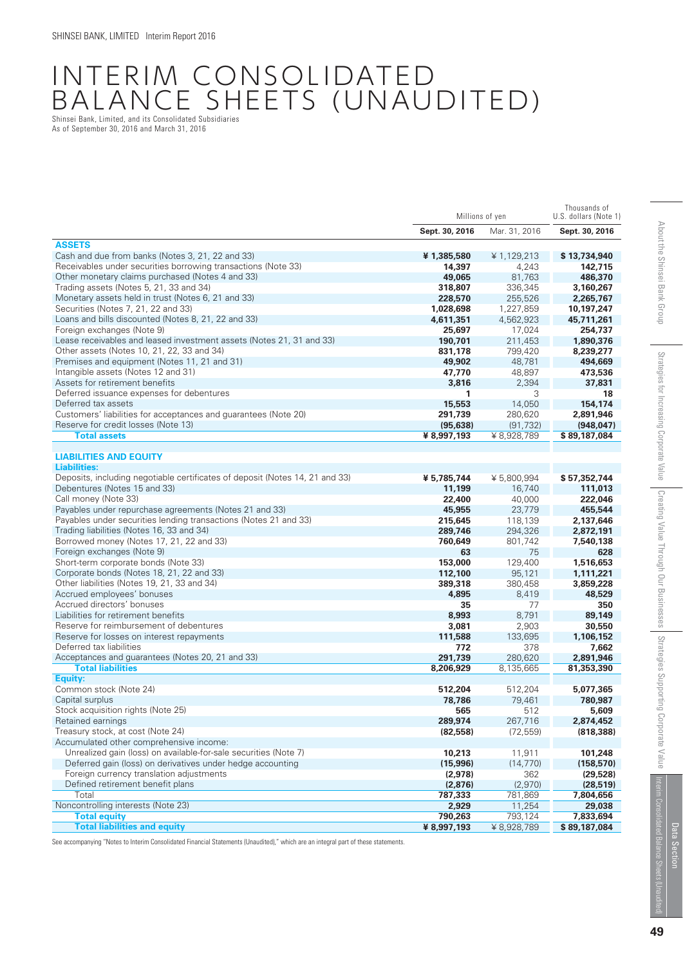## INTERIM CONSOLIDATED BALANCE SHEETS (UNAUDITED) Shinsei Bank, Limited, and its Consolidated Subsidiaries

As of September 30, 2016 and March 31, 2016

|                                                                              | Millions of yen |               | Thousands of<br>U.S. dollars (Note 1) |
|------------------------------------------------------------------------------|-----------------|---------------|---------------------------------------|
|                                                                              | Sept. 30, 2016  | Mar. 31, 2016 | Sept. 30, 2016                        |
| <b>ASSETS</b>                                                                |                 |               |                                       |
| Cash and due from banks (Notes 3, 21, 22 and 33)                             | ¥1,385,580      | ¥ 1,129,213   | \$13,734,940                          |
| Receivables under securities borrowing transactions (Note 33)                | 14,397          | 4,243         | 142,715                               |
| Other monetary claims purchased (Notes 4 and 33)                             | 49,065          | 81,763        | 486,370                               |
| Trading assets (Notes 5, 21, 33 and 34)                                      | 318,807         | 336.345       | 3,160,267                             |
| Monetary assets held in trust (Notes 6, 21 and 33)                           | 228,570         | 255,526       | 2,265,767                             |
| Securities (Notes 7, 21, 22 and 33)                                          | 1,028,698       | 1,227,859     | 10,197,247                            |
| Loans and bills discounted (Notes 8, 21, 22 and 33)                          | 4,611,351       | 4,562,923     | 45,711,261                            |
| Foreign exchanges (Note 9)                                                   | 25,697          | 17,024        | 254,737                               |
| Lease receivables and leased investment assets (Notes 21, 31 and 33)         | 190.701         | 211,453       | 1,890,376                             |
| Other assets (Notes 10, 21, 22, 33 and 34)                                   | 831,178         | 799,420       | 8,239,277                             |
| Premises and equipment (Notes 11, 21 and 31)                                 | 49,902          | 48,781        | 494,669                               |
| Intangible assets (Notes 12 and 31)                                          | 47,770          | 48,897        | 473,536                               |
| Assets for retirement benefits                                               | 3,816           | 2,394         | 37,831                                |
| Deferred issuance expenses for debentures                                    | 1               | 3             | 18                                    |
| Deferred tax assets                                                          | 15,553          | 14,050        | 154,174                               |
| Customers' liabilities for acceptances and guarantees (Note 20)              | 291,739         | 280,620       | 2,891,946                             |
| Reserve for credit losses (Note 13)                                          | (95, 638)       | (91, 732)     | (948, 047)                            |
| <b>Total assets</b>                                                          | ¥ 8,997,193     | ¥ 8,928,789   | \$89,187,084                          |
| <b>LIABILITIES AND EQUITY</b>                                                |                 |               |                                       |
| <b>Liabilities:</b>                                                          |                 |               |                                       |
| Deposits, including negotiable certificates of deposit (Notes 14, 21 and 33) | ¥ 5,785,744     | ¥ 5,800,994   | \$57,352,744                          |
| Debentures (Notes 15 and 33)                                                 | 11,199          | 16,740        | 111,013                               |
| Call money (Note 33)                                                         | 22,400          | 40,000        | 222,046                               |
| Payables under repurchase agreements (Notes 21 and 33)                       | 45,955          | 23,779        | 455,544                               |
| Payables under securities lending transactions (Notes 21 and 33)             | 215,645         | 118,139       | 2,137,646                             |
| Trading liabilities (Notes 16, 33 and 34)                                    | 289,746         | 294,326       | 2,872,191                             |
| Borrowed money (Notes 17, 21, 22 and 33)                                     | 760,649         | 801,742       | 7,540,138                             |
| Foreign exchanges (Note 9)                                                   | 63              | 75            | 628                                   |
| Short-term corporate bonds (Note 33)                                         | 153,000         | 129,400       | 1,516,653                             |
| Corporate bonds (Notes 18, 21, 22 and 33)                                    | 112,100         | 95,121        | 1,111,221                             |
| Other liabilities (Notes 19, 21, 33 and 34)                                  | 389,318         | 380,458       | 3,859,228                             |
| Accrued employees' bonuses                                                   | 4,895           | 8,419         | 48,529                                |
| Accrued directors' bonuses                                                   | 35              | 77            | 350                                   |
| Liabilities for retirement benefits                                          | 8,993           | 8,791         | 89,149                                |
| Reserve for reimbursement of debentures                                      | 3,081           | 2,903         | 30,550                                |
| Reserve for losses on interest repayments                                    | 111,588         | 133,695       | 1,106,152                             |
| Deferred tax liabilities                                                     | 772             | 378           | 7,662                                 |
| Acceptances and guarantees (Notes 20, 21 and 33)                             | 291.739         | 280,620       | 2,891,946                             |
| <b>Total liabilities</b>                                                     | 8,206,929       | 8,135,665     | 81,353,390                            |
| Equity:                                                                      |                 |               |                                       |
| Common stock (Note 24)                                                       | 512,204         | 512,204       | 5,077,365                             |
| Capital surplus                                                              | 78,786          | 79,461        | 780,987                               |
| Stock acquisition rights (Note 25)                                           | 565             | 512           | 5,609                                 |
| Retained earnings                                                            | 289,974         | 267,716       | 2,874,452                             |
| Treasury stock, at cost (Note 24)                                            | (82, 558)       | (72, 559)     | (818, 388)                            |
| Accumulated other comprehensive income:                                      |                 |               |                                       |
| Unrealized gain (loss) on available-for-sale securities (Note 7)             | 10,213          | 11,911        | 101,248                               |
| Deferred gain (loss) on derivatives under hedge accounting                   | (15, 996)       | (14, 770)     | (158, 570)                            |
| Foreign currency translation adjustments                                     | (2,978)         | 362           | (29, 528)                             |
| Defined retirement benefit plans                                             | (2,876)         | (2,970)       | (28, 519)                             |
| Total                                                                        | 787,333         | 781,869       | 7,804,656                             |
| Noncontrolling interests (Note 23)                                           | 2,929           | 11,254        | 29,038                                |
| <b>Total equity</b>                                                          | 790,263         | 793,124       | 7,833,694                             |
| <b>Total liabilities and equity</b>                                          | ¥ 8,997,193     | ¥ 8,928,789   | \$89,187,084                          |

See accompanying "Notes to Interim Consolidated Financial Statements (Unaudited)," which are an integral part of these statements.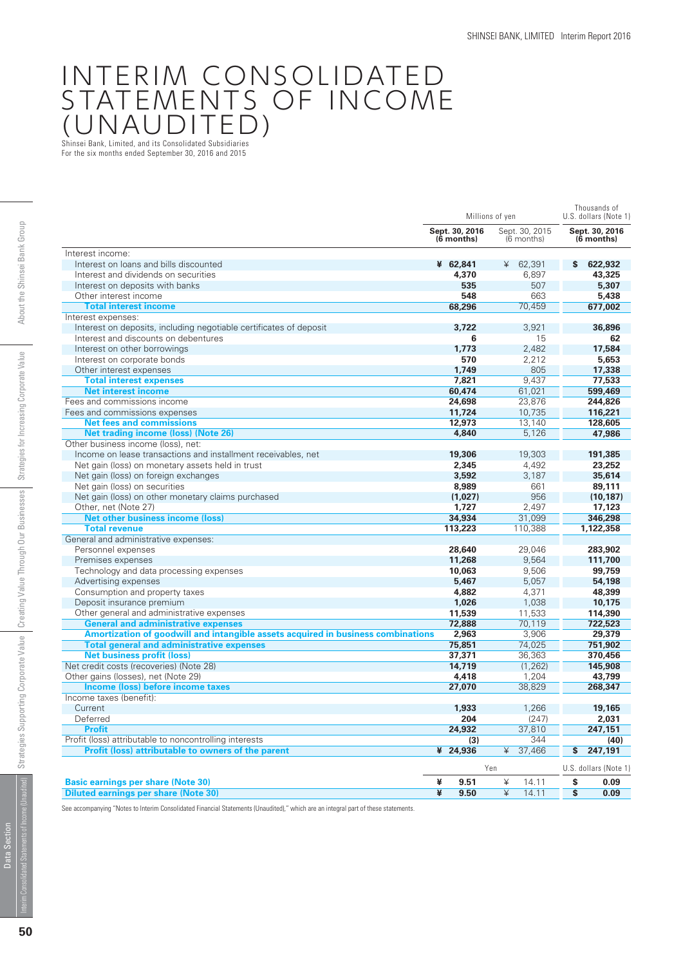# INTERIM CONSOLIDATED STATEMENTS OF INCOME (UNAUDITED)

Shinsei Bank, Limited, and its Consolidated Subsidiaries For the six months ended September 30, 2016 and 2015

|                                                                                  |                                | Millions of yen              | Thousands of<br>U.S. dollars (Note 1 |  |  |
|----------------------------------------------------------------------------------|--------------------------------|------------------------------|--------------------------------------|--|--|
|                                                                                  | Sept. 30, 2016<br>$(6$ months) | Sept. 30, 2015<br>(6 months) | Sept. 30, 2016<br>(6 months)         |  |  |
| Interest income:                                                                 |                                |                              |                                      |  |  |
| Interest on loans and bills discounted                                           | ¥ 62,841                       | ¥<br>62,391                  | 622,932<br>S                         |  |  |
| Interest and dividends on securities                                             | 4,370                          | 6,897                        | 43,325                               |  |  |
| Interest on deposits with banks                                                  | 535                            | 507                          | 5,307                                |  |  |
| Other interest income                                                            | 548                            | 663                          | 5,438                                |  |  |
| <b>Total interest income</b>                                                     | 68,296                         | 70,459                       | 677,002                              |  |  |
| Interest expenses:                                                               |                                |                              |                                      |  |  |
| Interest on deposits, including negotiable certificates of deposit               | 3.722                          | 3.921                        | 36,896                               |  |  |
| Interest and discounts on debentures                                             | 6                              | 15                           | 62                                   |  |  |
| Interest on other borrowings                                                     | 1,773                          | 2,482                        | 17,584                               |  |  |
| Interest on corporate bonds                                                      | 570                            | 2,212                        | 5,653                                |  |  |
| Other interest expenses                                                          | 1.749                          | 805                          | 17,338                               |  |  |
| <b>Total interest expenses</b>                                                   | 7,821                          | 9,437                        | 77,533                               |  |  |
| <b>Net interest income</b>                                                       | 60,474                         | 61,021                       | 599,469                              |  |  |
| Fees and commissions income                                                      | 24,698                         | 23,876                       | 244,826                              |  |  |
| Fees and commissions expenses                                                    | 11.724                         | 10.735                       | 116,221                              |  |  |
| <b>Net fees and commissions</b>                                                  | 12,973                         | 13,140                       | 128,605                              |  |  |
| <b>Net trading income (loss) (Note 26)</b>                                       | 4,840                          | 5,126                        | 47,986                               |  |  |
| Other business income (loss), net:                                               |                                |                              |                                      |  |  |
| Income on lease transactions and installment receivables, net                    | 19,306                         | 19,303                       | 191,385                              |  |  |
| Net gain (loss) on monetary assets held in trust                                 | 2,345                          | 4,492                        | 23,252                               |  |  |
| Net gain (loss) on foreign exchanges                                             | 3,592                          | 3,187                        | 35,614                               |  |  |
| Net gain (loss) on securities                                                    | 8,989                          | 661                          | 89,111                               |  |  |
| Net gain (loss) on other monetary claims purchased                               | (1,027)                        | 956                          | (10, 187)                            |  |  |
| Other, net (Note 27)                                                             | 1,727                          | 2,497                        | 17,123                               |  |  |
| <b>Net other business income (loss)</b>                                          | 34,934                         | 31.099                       | 346,298                              |  |  |
| <b>Total revenue</b>                                                             | 113,223                        | 110,388                      | 1,122,358                            |  |  |
| General and administrative expenses:                                             |                                |                              |                                      |  |  |
| Personnel expenses                                                               | 28,640                         | 29,046                       | 283,902                              |  |  |
| Premises expenses                                                                | 11,268                         | 9,564                        | 111,700                              |  |  |
| Technology and data processing expenses                                          | 10.063                         | 9,506                        | 99,759                               |  |  |
| Advertising expenses                                                             | 5,467                          | 5,057                        | 54,198                               |  |  |
| Consumption and property taxes                                                   | 4,882                          | 4,371                        | 48,399                               |  |  |
| Deposit insurance premium                                                        | 1,026                          | 1,038                        | 10,175                               |  |  |
| Other general and administrative expenses                                        | 11,539                         | 11,533                       | 114,390                              |  |  |
| <b>General and administrative expenses</b>                                       | 72,888                         | 70,119                       | 722,523                              |  |  |
| Amortization of goodwill and intangible assets acquired in business combinations | 2,963                          | 3,906                        | 29,379                               |  |  |
| <b>Total general and administrative expenses</b>                                 | 75.851                         | 74.025                       | 751,902                              |  |  |
| <b>Net business profit (loss)</b>                                                | 37,371                         | 36,363                       | 370,456                              |  |  |
| Net credit costs (recoveries) (Note 28)                                          | 14,719                         | (1, 262)                     | 145,908                              |  |  |
| Other gains (losses), net (Note 29)                                              | 4,418                          | 1,204                        | 43.799                               |  |  |
| Income (loss) before income taxes                                                | 27,070                         | 38,829                       | 268,347                              |  |  |
| Income taxes (benefit):                                                          |                                |                              |                                      |  |  |
| Current                                                                          | 1,933                          | 1,266                        | 19,165                               |  |  |
| Deferred                                                                         | 204                            | (247)                        | 2,031                                |  |  |
| <b>Profit</b>                                                                    | 24,932                         | 37,810                       | 247,151                              |  |  |
| Profit (loss) attributable to noncontrolling interests                           | (3)                            | 344                          | (40)                                 |  |  |
| <b>Profit (loss) attributable to owners of the parent</b>                        | ¥ 24,936                       | ¥<br>37,466                  | \$<br>247,191                        |  |  |
|                                                                                  |                                | Yen                          | U.S. dollars (Note 1                 |  |  |
| <b>Basic earnings per share (Note 30)</b>                                        | ¥<br>9.51                      | ¥<br>14.11                   | \$<br>0.09                           |  |  |
| <b>Diluted earnings per share (Note 30)</b>                                      | ¥<br>9.50                      | ¥<br>14.11                   | \$<br>0.09                           |  |  |

See accompanying "Notes to Interim Consolidated Financial Statements (Unaudited)," which are an integral part of these statements.

Data Section

Data Section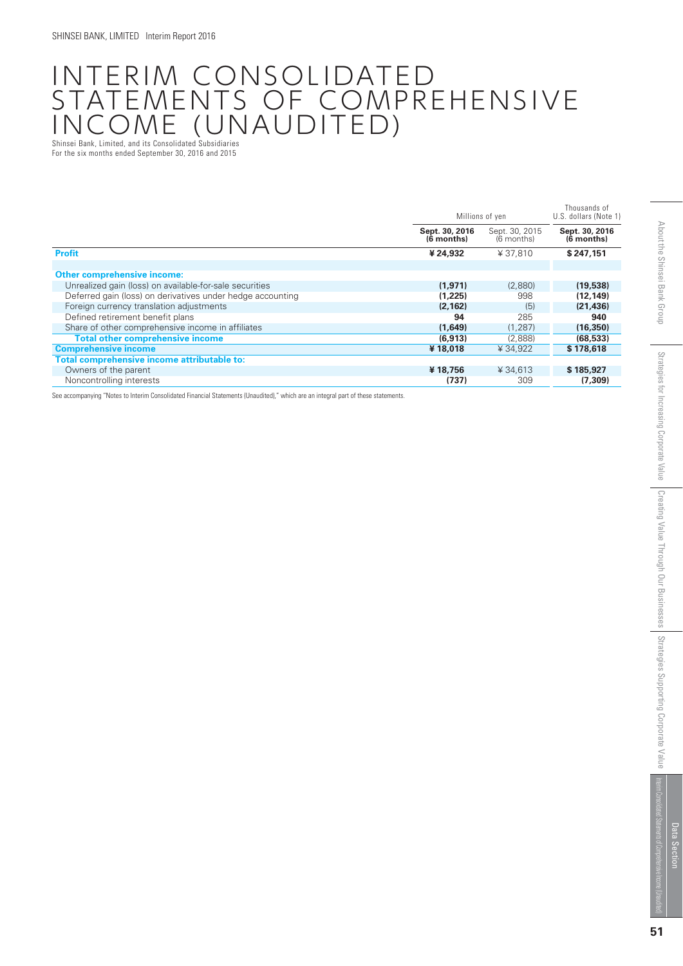## INTERIM CONSOLIDATED STATEMENTS OF COMPREHENSIVE INCOME (UNAUDITED) Shinsei Bank, Limited, and its Consolidated Subsidiaries

For the six months ended September 30, 2016 and 2015

|                                                            |                              | Millions of yen              | Thousands of<br>U.S. dollars (Note 1) |
|------------------------------------------------------------|------------------------------|------------------------------|---------------------------------------|
|                                                            | Sept. 30, 2016<br>(6 months) | Sept. 30, 2015<br>(6 months) | Sept. 30, 2016<br>(6 months)          |
| <b>Profit</b>                                              | ¥ 24,932                     | ¥37.810                      | \$247.151                             |
| <b>Other comprehensive income:</b>                         |                              |                              |                                       |
| Unrealized gain (loss) on available-for-sale securities    | (1,971)                      | (2,880)                      | (19,538)                              |
| Deferred gain (loss) on derivatives under hedge accounting | (1,225)                      | 998                          | (12, 149)                             |
| Foreign currency translation adjustments                   | (2, 162)                     | (5)                          | (21, 436)                             |
| Defined retirement benefit plans                           | 94                           | 285                          | 940                                   |
| Share of other comprehensive income in affiliates          | (1,649)                      | (1, 287)                     | (16, 350)                             |
| <b>Total other comprehensive income</b>                    | (6,913)                      | (2,888)                      | (68, 533)                             |
| <b>Comprehensive income</b>                                | ¥18,018                      | ¥34.922                      | \$178,618                             |
| Total comprehensive income attributable to:                |                              |                              |                                       |
| Owners of the parent                                       | ¥18.756                      | ¥ 34.613                     | \$185,927                             |
| Noncontrolling interests                                   | (737)                        | 309                          | (7.309)                               |

See accompanying "Notes to Interim Consolidated Financial Statements (Unaudited)," which are an integral part of these statements.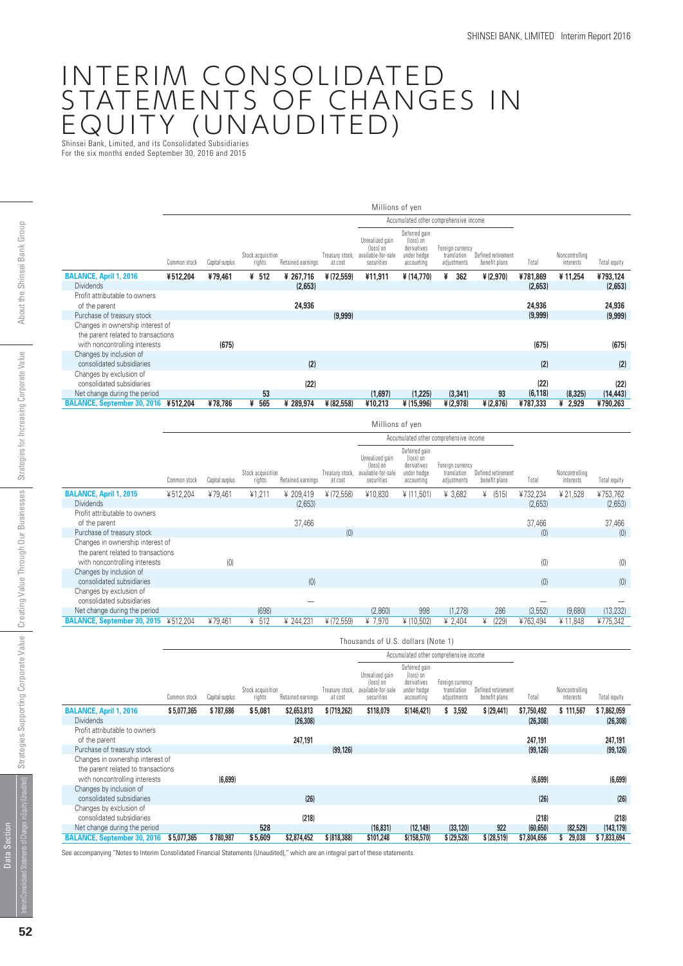## INTERIM CONSOLIDATED STATEMENTS OF CHANGES IN EQUITY (UNAUDITED) Shinsei Bank, Limited, and its Consolidated Subsidiaries

For the six months ended September 30, 2016 and 2015

|  |                                      |              |                 |                             |                   |                            | Millions of yen                                                  |                                                                        |                                                |                                     |          |                             |              |
|--|--------------------------------------|--------------|-----------------|-----------------------------|-------------------|----------------------------|------------------------------------------------------------------|------------------------------------------------------------------------|------------------------------------------------|-------------------------------------|----------|-----------------------------|--------------|
|  |                                      |              |                 |                             |                   |                            |                                                                  |                                                                        | Accumulated other comprehensive income         |                                     |          |                             |              |
|  |                                      | Common stock | Capital surplus | Stock acquisition<br>rights | Retained earnings | Treasury stock,<br>at cost | Unrealized gain<br>(loss) on<br>available-for-sale<br>securities | Deferred gain<br>(loss) on<br>derivatives<br>under hedge<br>accounting | Foreign currency<br>translation<br>adjustments | Defined retirement<br>benefit plans | Total    | Noncontrolling<br>interests | Total equity |
|  | <b>BALANCE, April 1, 2016</b>        | ¥512,204     | ¥79,461         | ¥ 512                       | ¥ 267,716         | ¥(72,559)                  | ¥11,911                                                          | ¥ (14,770)                                                             | ¥<br>362                                       | ¥ (2,970)                           | ¥781,869 | ¥11,254                     | ¥793,124     |
|  | <b>Dividends</b>                     |              |                 |                             | (2,653)           |                            |                                                                  |                                                                        |                                                |                                     | (2,653)  |                             | (2,653)      |
|  | Profit attributable to owners        |              |                 |                             |                   |                            |                                                                  |                                                                        |                                                |                                     |          |                             |              |
|  | of the parent                        |              |                 |                             | 24,936            |                            |                                                                  |                                                                        |                                                |                                     | 24,936   |                             | 24,936       |
|  | Purchase of treasury stock           |              |                 |                             |                   | (9,999)                    |                                                                  |                                                                        |                                                |                                     | (9,999)  |                             | (9,999)      |
|  | Changes in ownership interest of     |              |                 |                             |                   |                            |                                                                  |                                                                        |                                                |                                     |          |                             |              |
|  | the parent related to transactions   |              |                 |                             |                   |                            |                                                                  |                                                                        |                                                |                                     |          |                             |              |
|  | with noncontrolling interests        |              | (675)           |                             |                   |                            |                                                                  |                                                                        |                                                |                                     | (675)    |                             | (675)        |
|  | Changes by inclusion of              |              |                 |                             |                   |                            |                                                                  |                                                                        |                                                |                                     |          |                             |              |
|  | consolidated subsidiaries            |              |                 |                             | (2)               |                            |                                                                  |                                                                        |                                                |                                     | (2)      |                             | (2)          |
|  | Changes by exclusion of              |              |                 |                             |                   |                            |                                                                  |                                                                        |                                                |                                     |          |                             |              |
|  | consolidated subsidiaries            |              |                 |                             | (22)              |                            |                                                                  |                                                                        |                                                |                                     | (22)     |                             | (22)         |
|  | Net change during the period         |              |                 | 53                          |                   |                            | (1,697)                                                          | (1,225)                                                                | (3, 341)                                       | 93                                  | (6, 118) | (8, 325)                    | (14, 443)    |
|  | BALANCE, September 30, 2016 ¥512,204 |              | ¥78,786         | 565<br>¥                    | ¥ 289,974         | ¥ (82,558)                 | ¥10,213                                                          | ¥ (15,996)                                                             | ¥ (2,978)                                      | ¥ (2,876)                           | ¥787,333 | ¥<br>2,929                  | ¥790,263     |

|                                                                        |              |                 |                             |                   |                            | Millions of yen                                                  |                                                                        |                                                |                                     |          |                             |              |
|------------------------------------------------------------------------|--------------|-----------------|-----------------------------|-------------------|----------------------------|------------------------------------------------------------------|------------------------------------------------------------------------|------------------------------------------------|-------------------------------------|----------|-----------------------------|--------------|
|                                                                        |              |                 |                             |                   |                            |                                                                  |                                                                        | Accumulated other comprehensive income         |                                     |          |                             |              |
|                                                                        | Common stock | Capital surplus | Stock acquisition<br>rights | Retained earnings | Treasury stock,<br>at cost | Unrealized gain<br>(loss) on<br>available-for-sale<br>securities | Deferred gain<br>(loss) on<br>derivatives<br>under hedge<br>accounting | Foreign currency<br>translation<br>adjustments | Defined retirement<br>benefit plans | Total    | Noncontrolling<br>interests | Total equity |
| <b>BALANCE, April 1, 2015</b>                                          | ¥512,204     | ¥79,461         | ¥1,211                      | ¥ 209,419         | ¥ (72,558)                 | ¥10,830                                                          | ¥ (11,501)                                                             | ¥ 3,682                                        | (515)<br>¥                          | ¥732,234 | ¥ 21,528                    | ¥753,762     |
| <b>Dividends</b>                                                       |              |                 |                             | (2,653)           |                            |                                                                  |                                                                        |                                                |                                     | (2,653)  |                             | (2,653)      |
| Profit attributable to owners<br>of the parent                         |              |                 |                             | 37,466            |                            |                                                                  |                                                                        |                                                |                                     | 37,466   |                             | 37,466       |
| Purchase of treasury stock                                             |              |                 |                             |                   | (0)                        |                                                                  |                                                                        |                                                |                                     | (0)      |                             | (0)          |
| Changes in ownership interest of<br>the parent related to transactions |              |                 |                             |                   |                            |                                                                  |                                                                        |                                                |                                     |          |                             |              |
| with noncontrolling interests                                          |              | (0)             |                             |                   |                            |                                                                  |                                                                        |                                                |                                     | (0)      |                             | (0)          |
| Changes by inclusion of<br>consolidated subsidiaries                   |              |                 |                             | (0)               |                            |                                                                  |                                                                        |                                                |                                     | (0)      |                             | (0)          |
| Changes by exclusion of<br>consolidated subsidiaries                   |              |                 |                             |                   |                            |                                                                  |                                                                        |                                                |                                     |          |                             |              |
| Net change during the period                                           |              |                 | (698)                       |                   |                            | (2,860)                                                          | 998                                                                    | (1, 278)                                       | 286                                 | (3, 552) | (9,680)                     | (13, 232)    |
| <b>BALANCE, September 30, 2015</b>                                     | ¥512,204     | ¥79,461         | 512<br>¥                    | ¥ 244,231         | ¥ (72,559)                 | ¥ 7,970                                                          | ¥ (10,502)                                                             | ¥ 2,404                                        | ¥<br>(229)                          | ¥763,494 | ¥ 11,848                    | ¥775,342     |

|                                                                        |              |                 |                             |                   |                            | Thousands of U.S. dollars (Note 1)                               |                                                                        |                                                |                                     |             |                             |              |
|------------------------------------------------------------------------|--------------|-----------------|-----------------------------|-------------------|----------------------------|------------------------------------------------------------------|------------------------------------------------------------------------|------------------------------------------------|-------------------------------------|-------------|-----------------------------|--------------|
|                                                                        |              |                 |                             |                   |                            |                                                                  |                                                                        | Accumulated other comprehensive income         |                                     |             |                             |              |
|                                                                        | Common stock | Capital surplus | Stock acquisition<br>rights | Retained earnings | Treasury stock,<br>at cost | Unrealized gain<br>(loss) on<br>available-for-sale<br>securities | Deferred gain<br>(loss) on<br>derivatives<br>under hedge<br>accounting | Foreign currency<br>translation<br>adjustments | Defined retirement<br>benefit plans | Total       | Noncontrolling<br>interests | Total equity |
| <b>BALANCE, April 1, 2016</b>                                          | \$5,077,365  | \$787,686       | \$5,081                     | \$2,653,813       | \$(719,262)                | \$118,079                                                        | \$(146, 421)                                                           | \$3,592                                        | \$ (29, 441)                        | \$7,750,492 | \$111,567                   | \$7,862,059  |
| <b>Dividends</b>                                                       |              |                 |                             | (26, 308)         |                            |                                                                  |                                                                        |                                                |                                     | (26, 308)   |                             | (26, 308)    |
| Profit attributable to owners                                          |              |                 |                             |                   |                            |                                                                  |                                                                        |                                                |                                     |             |                             |              |
| of the parent                                                          |              |                 |                             | 247,191           |                            |                                                                  |                                                                        |                                                |                                     | 247,191     |                             | 247,191      |
| Purchase of treasury stock                                             |              |                 |                             |                   | (99, 126)                  |                                                                  |                                                                        |                                                |                                     | (99, 126)   |                             | (99, 126)    |
| Changes in ownership interest of<br>the parent related to transactions |              |                 |                             |                   |                            |                                                                  |                                                                        |                                                |                                     |             |                             |              |
| with noncontrolling interests                                          |              | (6,699)         |                             |                   |                            |                                                                  |                                                                        |                                                |                                     | (6,699)     |                             | (6,699)      |
| Changes by inclusion of<br>consolidated subsidiaries                   |              |                 |                             | (26)              |                            |                                                                  |                                                                        |                                                |                                     | (26)        |                             | (26)         |
| Changes by exclusion of                                                |              |                 |                             |                   |                            |                                                                  |                                                                        |                                                |                                     |             |                             |              |
| consolidated subsidiaries                                              |              |                 |                             | (218)             |                            |                                                                  |                                                                        |                                                |                                     | (218)       |                             | (218)        |
| Net change during the period                                           |              |                 | 528                         |                   |                            | (16, 831)                                                        | (12, 149)                                                              | (33, 120)                                      | 922                                 | (60, 650)   | (82, 529)                   | (143, 179)   |
| <b>BALANCE, September 30, 2016</b>                                     | \$5,077,365  | \$780,987       | \$5,609                     | \$2,874,452       | \$ (818,388)               | \$101,248                                                        | \$(158, 570)                                                           | \$ (29,528)                                    | \$ (28,519)                         | \$7,804,656 | 29,038<br>Ŝ                 | \$7,833,694  |

See accompanying "Notes to Interim Consolidated Financial Statements (Unaudited)," which are an integral part of these statements.

Data Section

Data Section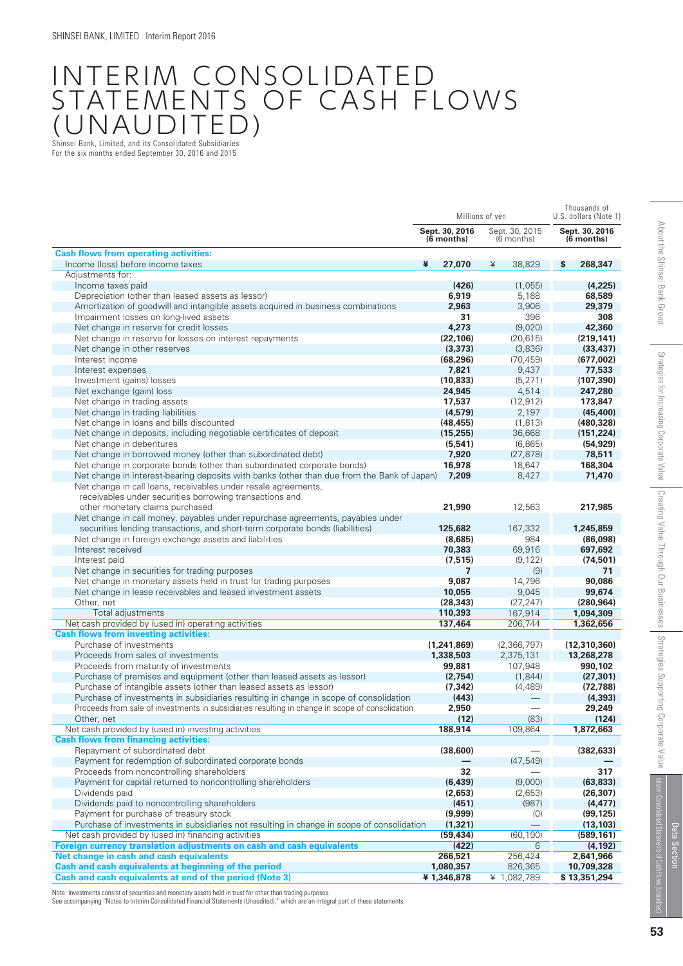## INTERIM CONSOLIDATED STATEMENTS OF CASH FLOWS (UNAUDITED) Shinsei Bank, Limited, and its Consolidated Subsidiaries

For the six months ended September 30, 2016 and 2015

|                                                                                                                                               |   | Millions of yen              |   | Thousands of<br>U.S. dollars (Note 1) |                              |
|-----------------------------------------------------------------------------------------------------------------------------------------------|---|------------------------------|---|---------------------------------------|------------------------------|
|                                                                                                                                               |   | Sept. 30, 2016<br>(6 months) |   | Sept. 30, 2015<br>(6 months)          | Sept. 30, 2016<br>(6 months) |
| <b>Cash flows from operating activities:</b>                                                                                                  |   |                              |   |                                       |                              |
| Income (loss) before income taxes                                                                                                             | ¥ | 27,070                       | ¥ | 38,829                                | \$<br>268,347                |
| Adjustments for:                                                                                                                              |   |                              |   |                                       |                              |
| Income taxes paid                                                                                                                             |   | (426)                        |   | (1,055)                               | (4,225)                      |
| Depreciation (other than leased assets as lessor)                                                                                             |   | 6,919                        |   | 5,188                                 | 68,589                       |
| Amortization of goodwill and intangible assets acquired in business combinations                                                              |   | 2,963                        |   | 3,906                                 | 29,379                       |
| Impairment losses on long-lived assets                                                                                                        |   | 31                           |   | 396                                   | 308                          |
| Net change in reserve for credit losses                                                                                                       |   | 4,273                        |   | (9,020)                               | 42,360                       |
| Net change in reserve for losses on interest repayments                                                                                       |   | (22.106)                     |   | (20, 615)                             | (219, 141)                   |
| Net change in other reserves                                                                                                                  |   | (3, 373)                     |   | (3,836)                               | (33, 437)                    |
| Interest income                                                                                                                               |   | (68, 296)                    |   | (70, 459)                             | (677,002)                    |
| Interest expenses                                                                                                                             |   | 7,821                        |   | 9,437                                 | 77,533                       |
| Investment (gains) losses                                                                                                                     |   | (10, 833)                    |   | (5, 271)                              | (107, 390)                   |
| Net exchange (gain) loss                                                                                                                      |   | 24,945                       |   | 4,514                                 | 247,280                      |
| Net change in trading assets                                                                                                                  |   | 17,537                       |   | (12, 912)                             | 173,847                      |
| Net change in trading liabilities                                                                                                             |   | (4, 579)                     |   | 2,197                                 | (45, 400)                    |
| Net change in loans and bills discounted<br>Net change in deposits, including negotiable certificates of deposit                              |   | (48, 455)<br>(15, 255)       |   | (1, 813)<br>36,668                    | (480, 328)<br>(151, 224)     |
| Net change in debentures                                                                                                                      |   | (5, 541)                     |   | (6, 865)                              | (54, 929)                    |
| Net change in borrowed money (other than subordinated debt)                                                                                   |   | 7,920                        |   | (27, 878)                             | 78,511                       |
| Net change in corporate bonds (other than subordinated corporate bonds)                                                                       |   | 16,978                       |   | 18,647                                | 168,304                      |
| Net change in interest-bearing deposits with banks (other than due from the Bank of Japan)                                                    |   | 7,209                        |   | 8,427                                 | 71,470                       |
| Net change in call loans, receivables under resale agreements,<br>receivables under securities borrowing transactions and                     |   |                              |   |                                       |                              |
| other monetary claims purchased                                                                                                               |   | 21,990                       |   | 12,563                                | 217,985                      |
| Net change in call money, payables under repurchase agreements, payables under                                                                |   |                              |   |                                       |                              |
| securities lending transactions, and short-term corporate bonds (liabilities)                                                                 |   | 125,682                      |   | 167,332                               | 1,245,859                    |
| Net change in foreign exchange assets and liabilities                                                                                         |   | (8,685)                      |   | 984                                   | (86,098)                     |
| Interest received                                                                                                                             |   | 70,383                       |   | 69,916                                | 697,692                      |
| Interest paid                                                                                                                                 |   | (7, 515)                     |   | (9, 122)                              | (74, 501)                    |
| Net change in securities for trading purposes                                                                                                 |   | 7                            |   | (9)                                   | 71                           |
| Net change in monetary assets held in trust for trading purposes                                                                              |   | 9,087                        |   | 14,796                                | 90,086                       |
| Net change in lease receivables and leased investment assets                                                                                  |   | 10,055                       |   | 9,045                                 | 99,674                       |
| Other, net                                                                                                                                    |   | (28, 343)                    |   | (27, 247)                             | (280, 964)                   |
| Total adjustments                                                                                                                             |   | 110,393                      |   | 167,914                               | 1,094,309                    |
| Net cash provided by (used in) operating activities                                                                                           |   | 137,464                      |   | 206,744                               | 1,362,656                    |
| <b>Cash flows from investing activities:</b>                                                                                                  |   |                              |   |                                       |                              |
| Purchase of investments                                                                                                                       |   | (1,241,869)                  |   | (2,366,797)                           | (12, 310, 360)               |
| Proceeds from sales of investments                                                                                                            |   | 1,338,503                    |   | 2,375,131                             | 13,268,278                   |
| Proceeds from maturity of investments                                                                                                         |   | 99,881                       |   | 107,948<br>(1, 844)                   | 990,102                      |
| Purchase of premises and equipment (other than leased assets as lessor)<br>Purchase of intangible assets (other than leased assets as lessor) |   | (2,754)                      |   |                                       | (27, 301)                    |
| Purchase of investments in subsidiaries resulting in change in scope of consolidation                                                         |   | (7, 342)<br>(443)            |   | (4,489)                               | (72, 788)<br>(4, 393)        |
| Proceeds from sale of investments in subsidiaries resulting in change in scope of consolidation                                               |   | 2,950                        |   |                                       | 29,249                       |
| Other, net                                                                                                                                    |   | (12)                         |   | (83)                                  | (124)                        |
| Net cash provided by (used in) investing activities                                                                                           |   | 188,914                      |   | 109,864                               | 1,872,663                    |
| <b>Cash flows from financing activities:</b>                                                                                                  |   |                              |   |                                       |                              |
| Repayment of subordinated debt                                                                                                                |   | (38,600)                     |   |                                       | (382, 633)                   |
| Payment for redemption of subordinated corporate bonds                                                                                        |   |                              |   | (47, 549)                             |                              |
| Proceeds from noncontrolling shareholders                                                                                                     |   | 32                           |   |                                       | 317                          |
| Payment for capital returned to noncontrolling shareholders                                                                                   |   | (6, 439)                     |   | (9,000)                               | (63, 833)                    |
| Dividends paid                                                                                                                                |   | (2,653)                      |   | (2,653)                               | (26, 307)                    |
| Dividends paid to noncontrolling shareholders                                                                                                 |   | (451)                        |   | (987)                                 | (4, 477)                     |
| Payment for purchase of treasury stock                                                                                                        |   | (9,999)                      |   | (0)                                   | (99, 125)                    |
| Purchase of investments in subsidiaries not resulting in change in scope of consolidation                                                     |   | (1, 321)                     |   |                                       | (13, 103)                    |
| Net cash provided by (used in) financing activities                                                                                           |   | (59, 434)                    |   | (60, 190)                             | (589, 161)                   |
| Foreign currency translation adjustments on cash and cash equivalents                                                                         |   | (422)                        |   | 6                                     | (4, 192)                     |
| Net change in cash and cash equivalents                                                                                                       |   | 266,521                      |   | 256,424                               | 2,641,966                    |
| Cash and cash equivalents at beginning of the period                                                                                          |   | 1,080,357                    |   | 826,365                               | 10,709,328                   |
| Cash and cash equivalents at end of the period (Note 3)                                                                                       |   | ¥1,346,878                   |   | ¥ 1,082,789                           | \$13,351,294                 |
|                                                                                                                                               |   |                              |   |                                       |                              |

Note: Investments consist of securities and monetary assets held in trust for other than trading purposes.

See accompanying "Notes to Interim Consolidated Financial Statements (Unaudited)," which are an integral part of these statements.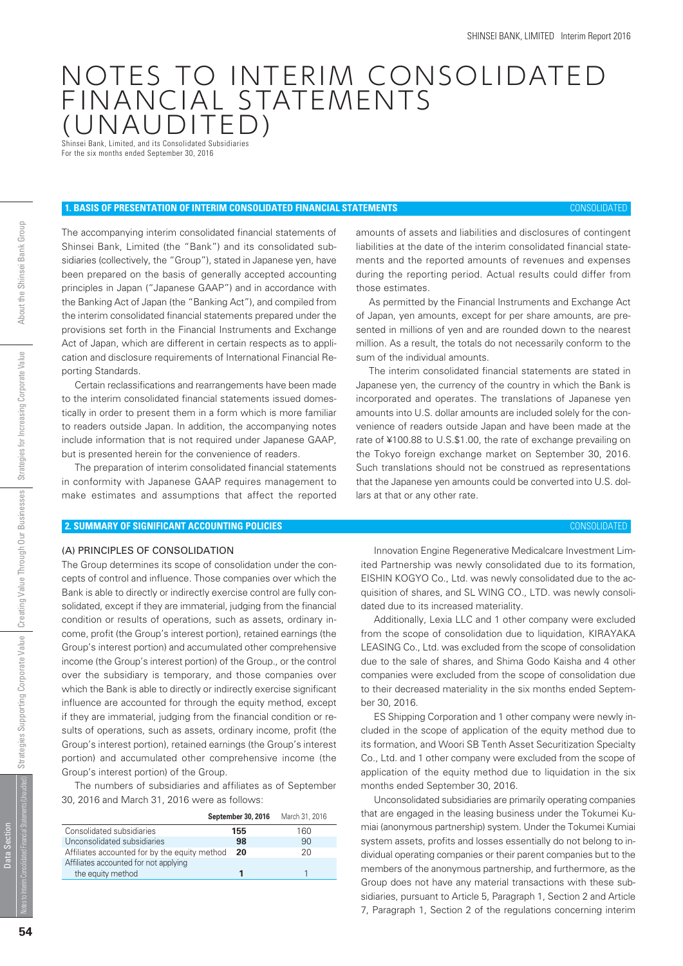## NOTES TO INTERIM CONSOLIDATED FINANCIAL STATEMENTS (UNAUDITED)

Shinsei Bank, Limited, and its Consolidated Subsidiaries For the six months ended September 30, 2016

#### **1. BASIS OF PRESENTATION OF INTERIM CONSOLIDATED FINANCIAL STATEMENTS** CONSOLIDATED

The accompanying interim consolidated financial statements of Shinsei Bank, Limited (the "Bank") and its consolidated subsidiaries (collectively, the "Group"), stated in Japanese yen, have been prepared on the basis of generally accepted accounting principles in Japan ("Japanese GAAP") and in accordance with the Banking Act of Japan (the "Banking Act"), and compiled from the interim consolidated financial statements prepared under the provisions set forth in the Financial Instruments and Exchange Act of Japan, which are different in certain respects as to application and disclosure requirements of International Financial Reporting Standards.

 Certain reclassifications and rearrangements have been made to the interim consolidated financial statements issued domestically in order to present them in a form which is more familiar to readers outside Japan. In addition, the accompanying notes include information that is not required under Japanese GAAP, but is presented herein for the convenience of readers.

 The preparation of interim consolidated financial statements in conformity with Japanese GAAP requires management to make estimates and assumptions that affect the reported

#### **2. SUMMARY OF SIGNIFICANT ACCOUNTING POLICIES** CONSOLIDATED

#### (A) PRINCIPLES OF CONSOLIDATION

The Group determines its scope of consolidation under the concepts of control and influence. Those companies over which the Bank is able to directly or indirectly exercise control are fully consolidated, except if they are immaterial, judging from the financial condition or results of operations, such as assets, ordinary income, profit (the Group's interest portion), retained earnings (the Group's interest portion) and accumulated other comprehensive income (the Group's interest portion) of the Group., or the control over the subsidiary is temporary, and those companies over which the Bank is able to directly or indirectly exercise significant influence are accounted for through the equity method, except if they are immaterial, judging from the financial condition or results of operations, such as assets, ordinary income, profit (the Group's interest portion), retained earnings (the Group's interest portion) and accumulated other comprehensive income (the Group's interest portion) of the Group.

 The numbers of subsidiaries and affiliates as of September 30, 2016 and March 31, 2016 were as follows:

|                                               | September 30, 2016 | March 31, 2016 |
|-----------------------------------------------|--------------------|----------------|
| Consolidated subsidiaries                     | 155                | 160            |
| Unconsolidated subsidiaries                   | 98                 | 90             |
| Affiliates accounted for by the equity method | 20                 | 20             |
| Affiliates accounted for not applying         |                    |                |
| the equity method                             |                    |                |

amounts of assets and liabilities and disclosures of contingent liabilities at the date of the interim consolidated financial statements and the reported amounts of revenues and expenses during the reporting period. Actual results could differ from those estimates.

 As permitted by the Financial Instruments and Exchange Act of Japan, yen amounts, except for per share amounts, are presented in millions of yen and are rounded down to the nearest million. As a result, the totals do not necessarily conform to the sum of the individual amounts.

 The interim consolidated financial statements are stated in Japanese yen, the currency of the country in which the Bank is incorporated and operates. The translations of Japanese yen amounts into U.S. dollar amounts are included solely for the convenience of readers outside Japan and have been made at the rate of ¥100.88 to U.S.\$1.00, the rate of exchange prevailing on the Tokyo foreign exchange market on September 30, 2016. Such translations should not be construed as representations that the Japanese yen amounts could be converted into U.S. dollars at that or any other rate.

 Innovation Engine Regenerative Medicalcare Investment Limited Partnership was newly consolidated due to its formation, EISHIN KOGYO Co., Ltd. was newly consolidated due to the acquisition of shares, and SL WING CO., LTD. was newly consolidated due to its increased materiality.

 Additionally, Lexia LLC and 1 other company were excluded from the scope of consolidation due to liquidation, KIRAYAKA LEASING Co., Ltd. was excluded from the scope of consolidation due to the sale of shares, and Shima Godo Kaisha and 4 other companies were excluded from the scope of consolidation due to their decreased materiality in the six months ended September 30, 2016.

 ES Shipping Corporation and 1 other company were newly included in the scope of application of the equity method due to its formation, and Woori SB Tenth Asset Securitization Specialty Co., Ltd. and 1 other company were excluded from the scope of application of the equity method due to liquidation in the six months ended September 30, 2016.

 Unconsolidated subsidiaries are primarily operating companies that are engaged in the leasing business under the Tokumei Kumiai (anonymous partnership) system. Under the Tokumei Kumiai system assets, profits and losses essentially do not belong to individual operating companies or their parent companies but to the members of the anonymous partnership, and furthermore, as the Group does not have any material transactions with these subsidiaries, pursuant to Article 5, Paragraph 1, Section 2 and Article 7, Paragraph 1, Section 2 of the regulations concerning interim

Data Section

Data Section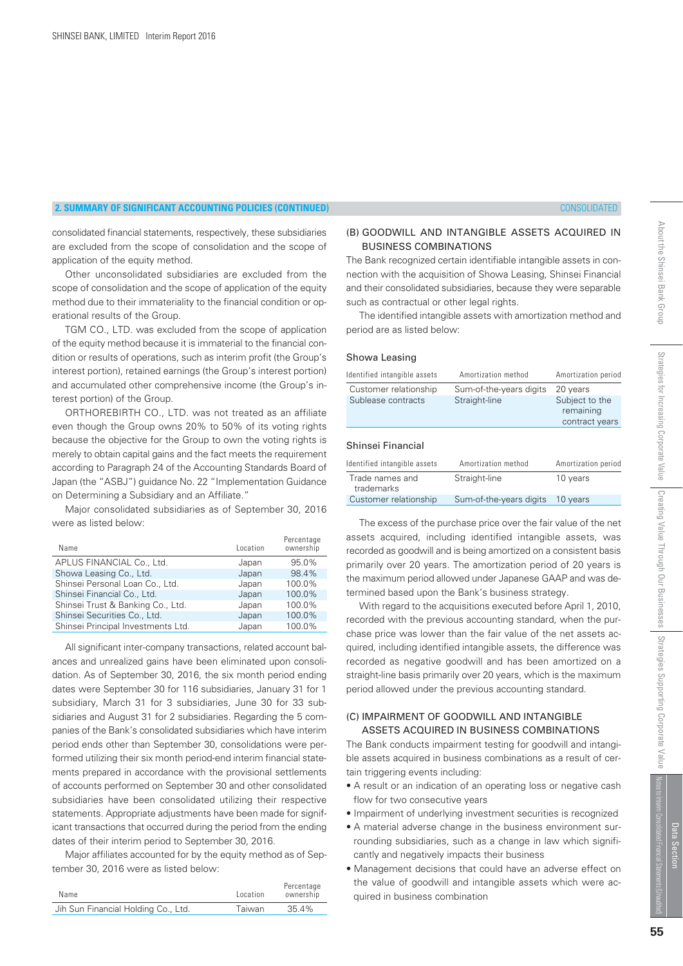consolidated financial statements, respectively, these subsidiaries are excluded from the scope of consolidation and the scope of application of the equity method.

 Other unconsolidated subsidiaries are excluded from the scope of consolidation and the scope of application of the equity method due to their immateriality to the financial condition or operational results of the Group.

 TGM CO., LTD. was excluded from the scope of application of the equity method because it is immaterial to the financial condition or results of operations, such as interim profit (the Group's interest portion), retained earnings (the Group's interest portion) and accumulated other comprehensive income (the Group's interest portion) of the Group.

 ORTHOREBIRTH CO., LTD. was not treated as an affiliate even though the Group owns 20% to 50% of its voting rights because the objective for the Group to own the voting rights is merely to obtain capital gains and the fact meets the requirement according to Paragraph 24 of the Accounting Standards Board of Japan (the "ASBJ") guidance No. 22 "Implementation Guidance on Determining a Subsidiary and an Affiliate."

 Major consolidated subsidiaries as of September 30, 2016 were as listed below:

| Location | Percentage<br>ownership |
|----------|-------------------------|
| Japan    | 95.0%                   |
| Japan    | 98.4%                   |
| Japan    | 100.0%                  |
| Japan    | 100.0%                  |
| Japan    | 100.0%                  |
| Japan    | 100.0%                  |
| Japan    | 100.0%                  |
|          |                         |

 All significant inter-company transactions, related account balances and unrealized gains have been eliminated upon consolidation. As of September 30, 2016, the six month period ending dates were September 30 for 116 subsidiaries, January 31 for 1 subsidiary, March 31 for 3 subsidiaries, June 30 for 33 subsidiaries and August 31 for 2 subsidiaries. Regarding the 5 companies of the Bank's consolidated subsidiaries which have interim period ends other than September 30, consolidations were performed utilizing their six month period-end interim financial statements prepared in accordance with the provisional settlements of accounts performed on September 30 and other consolidated subsidiaries have been consolidated utilizing their respective statements. Appropriate adjustments have been made for significant transactions that occurred during the period from the ending dates of their interim period to September 30, 2016.

 Major affiliates accounted for by the equity method as of September 30, 2016 were as listed below:

| Name                                | Location | Percentage<br>ownership |
|-------------------------------------|----------|-------------------------|
| Jih Sun Financial Holding Co., Ltd. | Taiwan   | 35.4%                   |

#### (B) GOODWILL AND INTANGIBLE ASSETS ACQUIRED IN BUSINESS COMBINATIONS

The Bank recognized certain identifiable intangible assets in connection with the acquisition of Showa Leasing, Shinsei Financial and their consolidated subsidiaries, because they were separable such as contractual or other legal rights.

 The identified intangible assets with amortization method and period are as listed below:

#### Showa Leasing

| Identified intangible assets  | Amortization method     | Amortization period                           |
|-------------------------------|-------------------------|-----------------------------------------------|
| Customer relationship         | Sum-of-the-years digits | 20 years                                      |
| Sublease contracts            | Straight-line           | Subject to the<br>remaining<br>contract years |
| Shinsei Financial             |                         |                                               |
| Identified intangible assets  | Amortization method     | Amortization period                           |
| Trade names and<br>trademarks | Straight-line           | 10 years                                      |
| Customer relationship         | Sum-of-the-years digits | 10 vears                                      |

 The excess of the purchase price over the fair value of the net assets acquired, including identified intangible assets, was recorded as goodwill and is being amortized on a consistent basis primarily over 20 years. The amortization period of 20 years is the maximum period allowed under Japanese GAAP and was determined based upon the Bank's business strategy.

 With regard to the acquisitions executed before April 1, 2010, recorded with the previous accounting standard, when the purchase price was lower than the fair value of the net assets acquired, including identified intangible assets, the difference was recorded as negative goodwill and has been amortized on a straight-line basis primarily over 20 years, which is the maximum period allowed under the previous accounting standard.

#### (C) IMPAIRMENT OF GOODWILL AND INTANGIBLE ASSETS ACQUIRED IN BUSINESS COMBINATIONS

The Bank conducts impairment testing for goodwill and intangible assets acquired in business combinations as a result of certain triggering events including:

- A result or an indication of an operating loss or negative cash flow for two consecutive years
- Impairment of underlying investment securities is recognized
- A material adverse change in the business environment surrounding subsidiaries, such as a change in law which significantly and negatively impacts their business
- Management decisions that could have an adverse effect on the value of goodwill and intangible assets which were acquired in business combination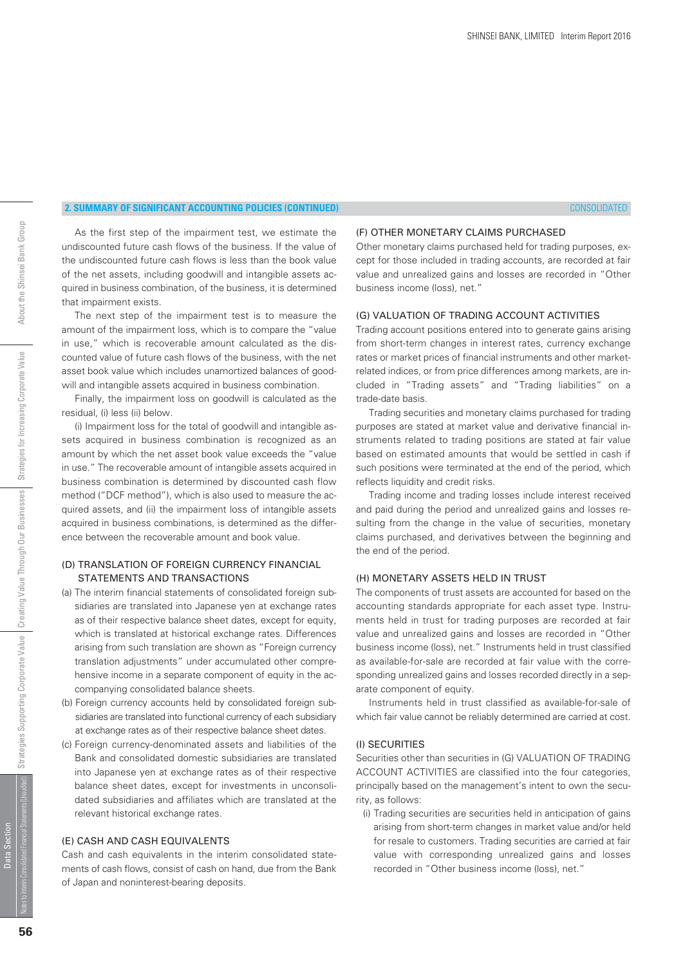#### (F) OTHER MONETARY CLAIMS PURCHASED

 As the first step of the impairment test, we estimate the undiscounted future cash flows of the business. If the value of the undiscounted future cash flows is less than the book value of the net assets, including goodwill and intangible assets acquired in business combination, of the business, it is determined that impairment exists.

 The next step of the impairment test is to measure the amount of the impairment loss, which is to compare the "value in use," which is recoverable amount calculated as the discounted value of future cash flows of the business, with the net asset book value which includes unamortized balances of goodwill and intangible assets acquired in business combination.

 Finally, the impairment loss on goodwill is calculated as the residual, (i) less (ii) below.

 (i) Impairment loss for the total of goodwill and intangible assets acquired in business combination is recognized as an amount by which the net asset book value exceeds the "value in use." The recoverable amount of intangible assets acquired in business combination is determined by discounted cash flow method ("DCF method"), which is also used to measure the acquired assets, and (ii) the impairment loss of intangible assets acquired in business combinations, is determined as the difference between the recoverable amount and book value.

#### (D) TRANSLATION OF FOREIGN CURRENCY FINANCIAL STATEMENTS AND TRANSACTIONS

- (a) The interim financial statements of consolidated foreign subsidiaries are translated into Japanese yen at exchange rates as of their respective balance sheet dates, except for equity, which is translated at historical exchange rates. Differences arising from such translation are shown as "Foreign currency translation adjustments" under accumulated other comprehensive income in a separate component of equity in the accompanying consolidated balance sheets.
- (b) Foreign currency accounts held by consolidated foreign subsidiaries are translated into functional currency of each subsidiary at exchange rates as of their respective balance sheet dates.
- (c) Foreign currency-denominated assets and liabilities of the Bank and consolidated domestic subsidiaries are translated into Japanese yen at exchange rates as of their respective balance sheet dates, except for investments in unconsolidated subsidiaries and affiliates which are translated at the relevant historical exchange rates.

#### (E) CASH AND CASH EQUIVALENTS

Cash and cash equivalents in the interim consolidated statements of cash flows, consist of cash on hand, due from the Bank of Japan and noninterest-bearing deposits.

Other monetary claims purchased held for trading purposes, except for those included in trading accounts, are recorded at fair value and unrealized gains and losses are recorded in "Other business income (loss), net."

#### (G) VALUATION OF TRADING ACCOUNT ACTIVITIES

Trading account positions entered into to generate gains arising from short-term changes in interest rates, currency exchange rates or market prices of financial instruments and other marketrelated indices, or from price differences among markets, are included in "Trading assets" and "Trading liabilities" on a trade-date basis.

 Trading securities and monetary claims purchased for trading purposes are stated at market value and derivative financial instruments related to trading positions are stated at fair value based on estimated amounts that would be settled in cash if such positions were terminated at the end of the period, which reflects liquidity and credit risks.

 Trading income and trading losses include interest received and paid during the period and unrealized gains and losses resulting from the change in the value of securities, monetary claims purchased, and derivatives between the beginning and the end of the period.

#### (H) MONETARY ASSETS HELD IN TRUST

The components of trust assets are accounted for based on the accounting standards appropriate for each asset type. Instruments held in trust for trading purposes are recorded at fair value and unrealized gains and losses are recorded in "Other business income (loss), net." Instruments held in trust classified as available-for-sale are recorded at fair value with the corresponding unrealized gains and losses recorded directly in a separate component of equity.

 Instruments held in trust classified as available-for-sale of which fair value cannot be reliably determined are carried at cost.

#### (I) SECURITIES

Securities other than securities in (G) VALUATION OF TRADING ACCOUNT ACTIVITIES are classified into the four categories, principally based on the management's intent to own the security, as follows:

 (i) Trading securities are securities held in anticipation of gains arising from short-term changes in market value and/or held for resale to customers. Trading securities are carried at fair value with corresponding unrealized gains and losses recorded in "Other business income (loss), net."

Data Section

Data Section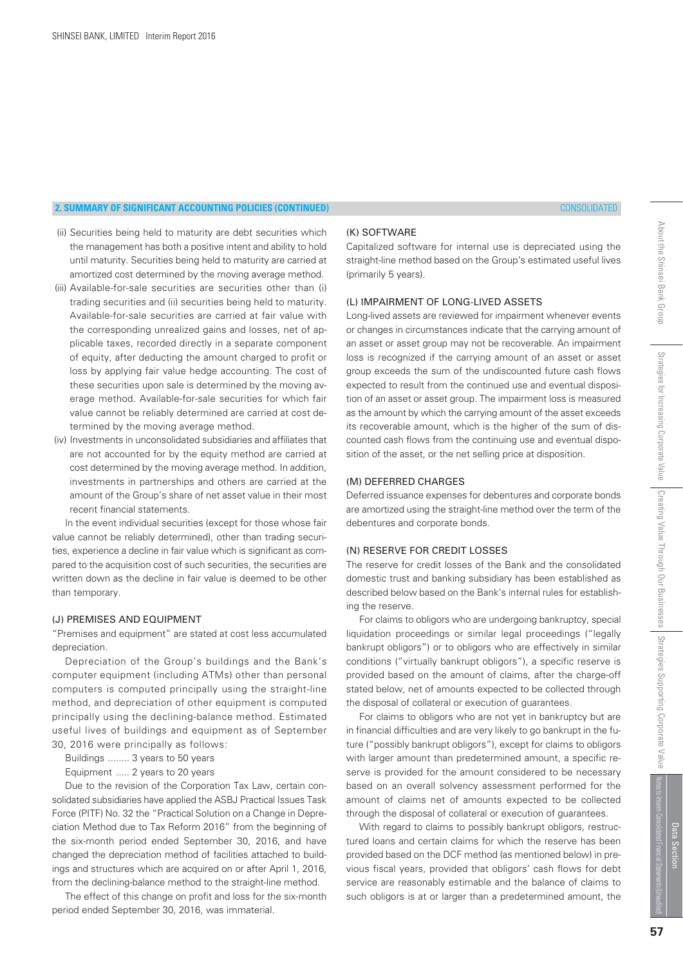- (ii) Securities being held to maturity are debt securities which the management has both a positive intent and ability to hold until maturity. Securities being held to maturity are carried at amortized cost determined by the moving average method.
- (iii) Available-for-sale securities are securities other than (i) trading securities and (ii) securities being held to maturity. Available-for-sale securities are carried at fair value with the corresponding unrealized gains and losses, net of applicable taxes, recorded directly in a separate component of equity, after deducting the amount charged to profit or loss by applying fair value hedge accounting. The cost of these securities upon sale is determined by the moving average method. Available-for-sale securities for which fair value cannot be reliably determined are carried at cost determined by the moving average method.
- (iv) Investments in unconsolidated subsidiaries and affiliates that are not accounted for by the equity method are carried at cost determined by the moving average method. In addition, investments in partnerships and others are carried at the amount of the Group's share of net asset value in their most recent financial statements.

 In the event individual securities (except for those whose fair value cannot be reliably determined), other than trading securities, experience a decline in fair value which is significant as compared to the acquisition cost of such securities, the securities are written down as the decline in fair value is deemed to be other than temporary.

#### (J) PREMISES AND EQUIPMENT

"Premises and equipment" are stated at cost less accumulated depreciation.

 Depreciation of the Group's buildings and the Bank's computer equipment (including ATMs) other than personal computers is computed principally using the straight-line method, and depreciation of other equipment is computed principally using the declining-balance method. Estimated useful lives of buildings and equipment as of September 30, 2016 were principally as follows:

- Buildings ........ 3 years to 50 years
- Equipment ..... 2 years to 20 years

 Due to the revision of the Corporation Tax Law, certain consolidated subsidiaries have applied the ASBJ Practical Issues Task Force (PITF) No. 32 the "Practical Solution on a Change in Depreciation Method due to Tax Reform 2016" from the beginning of the six-month period ended September 30, 2016, and have changed the depreciation method of facilities attached to buildings and structures which are acquired on or after April 1, 2016, from the declining-balance method to the straight-line method.

 The effect of this change on profit and loss for the six-month period ended September 30, 2016, was immaterial.

#### (K) SOFTWARE

Capitalized software for internal use is depreciated using the straight-line method based on the Group's estimated useful lives (primarily 5 years).

#### (L) IMPAIRMENT OF LONG-LIVED ASSETS

Long-lived assets are reviewed for impairment whenever events or changes in circumstances indicate that the carrying amount of an asset or asset group may not be recoverable. An impairment loss is recognized if the carrying amount of an asset or asset group exceeds the sum of the undiscounted future cash flows expected to result from the continued use and eventual disposition of an asset or asset group. The impairment loss is measured as the amount by which the carrying amount of the asset exceeds its recoverable amount, which is the higher of the sum of discounted cash flows from the continuing use and eventual disposition of the asset, or the net selling price at disposition.

#### (M) DEFERRED CHARGES

Deferred issuance expenses for debentures and corporate bonds are amortized using the straight-line method over the term of the debentures and corporate bonds.

#### (N) RESERVE FOR CREDIT LOSSES

The reserve for credit losses of the Bank and the consolidated domestic trust and banking subsidiary has been established as described below based on the Bank's internal rules for establishing the reserve.

 For claims to obligors who are undergoing bankruptcy, special liquidation proceedings or similar legal proceedings ("legally bankrupt obligors") or to obligors who are effectively in similar conditions ("virtually bankrupt obligors"), a specific reserve is provided based on the amount of claims, after the charge-off stated below, net of amounts expected to be collected through the disposal of collateral or execution of guarantees.

 For claims to obligors who are not yet in bankruptcy but are in financial difficulties and are very likely to go bankrupt in the future ("possibly bankrupt obligors"), except for claims to obligors with larger amount than predetermined amount, a specific reserve is provided for the amount considered to be necessary based on an overall solvency assessment performed for the amount of claims net of amounts expected to be collected through the disposal of collateral or execution of guarantees.

With regard to claims to possibly bankrupt obligors, restructured loans and certain claims for which the reserve has been provided based on the DCF method (as mentioned below) in previous fiscal years, provided that obligors' cash flows for debt service are reasonably estimable and the balance of claims to such obligors is at or larger than a predetermined amount, the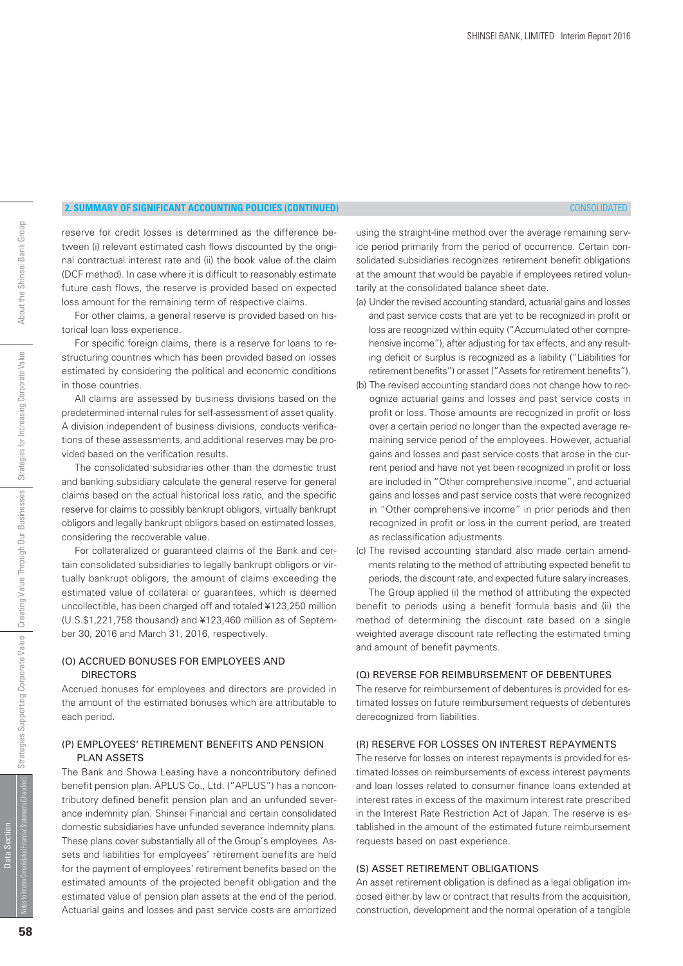reserve for credit losses is determined as the difference between (i) relevant estimated cash flows discounted by the original contractual interest rate and (ii) the book value of the claim (DCF method). In case where it is difficult to reasonably estimate future cash flows, the reserve is provided based on expected loss amount for the remaining term of respective claims.

 For other claims, a general reserve is provided based on historical loan loss experience.

 For specific foreign claims, there is a reserve for loans to restructuring countries which has been provided based on losses estimated by considering the political and economic conditions in those countries.

 All claims are assessed by business divisions based on the predetermined internal rules for self-assessment of asset quality. A division independent of business divisions, conducts verifications of these assessments, and additional reserves may be provided based on the verification results.

 The consolidated subsidiaries other than the domestic trust and banking subsidiary calculate the general reserve for general claims based on the actual historical loss ratio, and the specific reserve for claims to possibly bankrupt obligors, virtually bankrupt obligors and legally bankrupt obligors based on estimated losses, considering the recoverable value.

 For collateralized or guaranteed claims of the Bank and certain consolidated subsidiaries to legally bankrupt obligors or virtually bankrupt obligors, the amount of claims exceeding the estimated value of collateral or guarantees, which is deemed uncollectible, has been charged off and totaled ¥123,250 million (U.S.\$1,221,758 thousand) and ¥123,460 million as of September 30, 2016 and March 31, 2016, respectively.

#### (O) ACCRUED BONUSES FOR EMPLOYEES AND DIRECTORS

Accrued bonuses for employees and directors are provided in the amount of the estimated bonuses which are attributable to each period.

#### (P) EMPLOYEES' RETIREMENT BENEFITS AND PENSION PLAN ASSETS

The Bank and Showa Leasing have a noncontributory defined benefit pension plan. APLUS Co., Ltd. ("APLUS") has a noncontributory defined benefit pension plan and an unfunded severance indemnity plan. Shinsei Financial and certain consolidated domestic subsidiaries have unfunded severance indemnity plans. These plans cover substantially all of the Group's employees. Assets and liabilities for employees' retirement benefits are held for the payment of employees' retirement benefits based on the estimated amounts of the projected benefit obligation and the estimated value of pension plan assets at the end of the period. Actuarial gains and losses and past service costs are amortized using the straight-line method over the average remaining service period primarily from the period of occurrence. Certain consolidated subsidiaries recognizes retirement benefit obligations at the amount that would be payable if employees retired voluntarily at the consolidated balance sheet date.

- (a) Under the revised accounting standard, actuarial gains and losses and past service costs that are yet to be recognized in profit or loss are recognized within equity ("Accumulated other comprehensive income"), after adjusting for tax effects, and any resulting deficit or surplus is recognized as a liability ("Liabilities for retirement benefits") or asset ("Assets for retirement benefits").
- (b) The revised accounting standard does not change how to recognize actuarial gains and losses and past service costs in profit or loss. Those amounts are recognized in profit or loss over a certain period no longer than the expected average remaining service period of the employees. However, actuarial gains and losses and past service costs that arose in the current period and have not yet been recognized in profit or loss are included in "Other comprehensive income", and actuarial gains and losses and past service costs that were recognized in "Other comprehensive income" in prior periods and then recognized in profit or loss in the current period, are treated as reclassification adjustments.
- (c) The revised accounting standard also made certain amendments relating to the method of attributing expected benefit to periods, the discount rate, and expected future salary increases.

 The Group applied (i) the method of attributing the expected benefit to periods using a benefit formula basis and (ii) the method of determining the discount rate based on a single weighted average discount rate reflecting the estimated timing and amount of benefit payments.

#### (Q) REVERSE FOR REIMBURSEMENT OF DEBENTURES

The reserve for reimbursement of debentures is provided for estimated losses on future reimbursement requests of debentures derecognized from liabilities.

#### (R) RESERVE FOR LOSSES ON INTEREST REPAYMENTS

The reserve for losses on interest repayments is provided for estimated losses on reimbursements of excess interest payments and loan losses related to consumer finance loans extended at interest rates in excess of the maximum interest rate prescribed in the Interest Rate Restriction Act of Japan. The reserve is established in the amount of the estimated future reimbursement requests based on past experience.

#### (S) ASSET RETIREMENT OBLIGATIONS

An asset retirement obligation is defined as a legal obligation imposed either by law or contract that results from the acquisition, construction, development and the normal operation of a tangible

Data Section

Data Section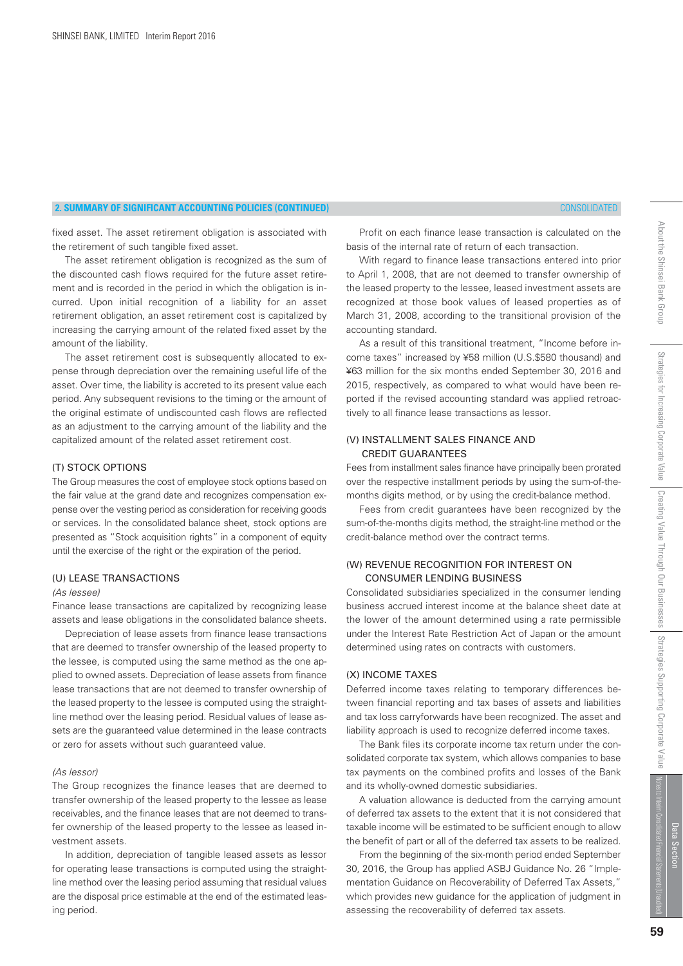# **2. SUMMARY OF SIGNIFICANT ACCOUNTING POLICIES (CONTINUED)** CONSOLIDATED

fixed asset. The asset retirement obligation is associated with the retirement of such tangible fixed asset.

 The asset retirement obligation is recognized as the sum of the discounted cash flows required for the future asset retirement and is recorded in the period in which the obligation is incurred. Upon initial recognition of a liability for an asset retirement obligation, an asset retirement cost is capitalized by increasing the carrying amount of the related fixed asset by the amount of the liability.

 The asset retirement cost is subsequently allocated to expense through depreciation over the remaining useful life of the asset. Over time, the liability is accreted to its present value each period. Any subsequent revisions to the timing or the amount of the original estimate of undiscounted cash flows are reflected as an adjustment to the carrying amount of the liability and the capitalized amount of the related asset retirement cost.

## (T) STOCK OPTIONS

The Group measures the cost of employee stock options based on the fair value at the grand date and recognizes compensation expense over the vesting period as consideration for receiving goods or services. In the consolidated balance sheet, stock options are presented as "Stock acquisition rights" in a component of equity until the exercise of the right or the expiration of the period.

## (U) LEASE TRANSACTIONS

#### (As lessee)

Finance lease transactions are capitalized by recognizing lease assets and lease obligations in the consolidated balance sheets.

 Depreciation of lease assets from finance lease transactions that are deemed to transfer ownership of the leased property to the lessee, is computed using the same method as the one applied to owned assets. Depreciation of lease assets from finance lease transactions that are not deemed to transfer ownership of the leased property to the lessee is computed using the straightline method over the leasing period. Residual values of lease assets are the guaranteed value determined in the lease contracts or zero for assets without such guaranteed value.

#### (As lessor)

The Group recognizes the finance leases that are deemed to transfer ownership of the leased property to the lessee as lease receivables, and the finance leases that are not deemed to transfer ownership of the leased property to the lessee as leased investment assets.

 In addition, depreciation of tangible leased assets as lessor for operating lease transactions is computed using the straightline method over the leasing period assuming that residual values are the disposal price estimable at the end of the estimated leasing period.

 Profit on each finance lease transaction is calculated on the basis of the internal rate of return of each transaction.

 With regard to finance lease transactions entered into prior to April 1, 2008, that are not deemed to transfer ownership of the leased property to the lessee, leased investment assets are recognized at those book values of leased properties as of March 31, 2008, according to the transitional provision of the accounting standard.

 As a result of this transitional treatment, "Income before income taxes" increased by ¥58 million (U.S.\$580 thousand) and ¥63 million for the six months ended September 30, 2016 and 2015, respectively, as compared to what would have been reported if the revised accounting standard was applied retroactively to all finance lease transactions as lessor.

#### (V) INSTALLMENT SALES FINANCE AND CREDIT GUARANTEES

Fees from installment sales finance have principally been prorated over the respective installment periods by using the sum-of-themonths digits method, or by using the credit-balance method.

 Fees from credit guarantees have been recognized by the sum-of-the-months digits method, the straight-line method or the credit-balance method over the contract terms.

# (W) REVENUE RECOGNITION FOR INTEREST ON CONSUMER LENDING BUSINESS

Consolidated subsidiaries specialized in the consumer lending business accrued interest income at the balance sheet date at the lower of the amount determined using a rate permissible under the Interest Rate Restriction Act of Japan or the amount determined using rates on contracts with customers.

# (X) INCOME TAXES

Deferred income taxes relating to temporary differences between financial reporting and tax bases of assets and liabilities and tax loss carryforwards have been recognized. The asset and liability approach is used to recognize deferred income taxes.

 The Bank files its corporate income tax return under the consolidated corporate tax system, which allows companies to base tax payments on the combined profits and losses of the Bank and its wholly-owned domestic subsidiaries.

 A valuation allowance is deducted from the carrying amount of deferred tax assets to the extent that it is not considered that taxable income will be estimated to be sufficient enough to allow the benefit of part or all of the deferred tax assets to be realized.

 From the beginning of the six-month period ended September 30, 2016, the Group has applied ASBJ Guidance No. 26 "Implementation Guidance on Recoverability of Deferred Tax Assets," which provides new guidance for the application of judgment in assessing the recoverability of deferred tax assets.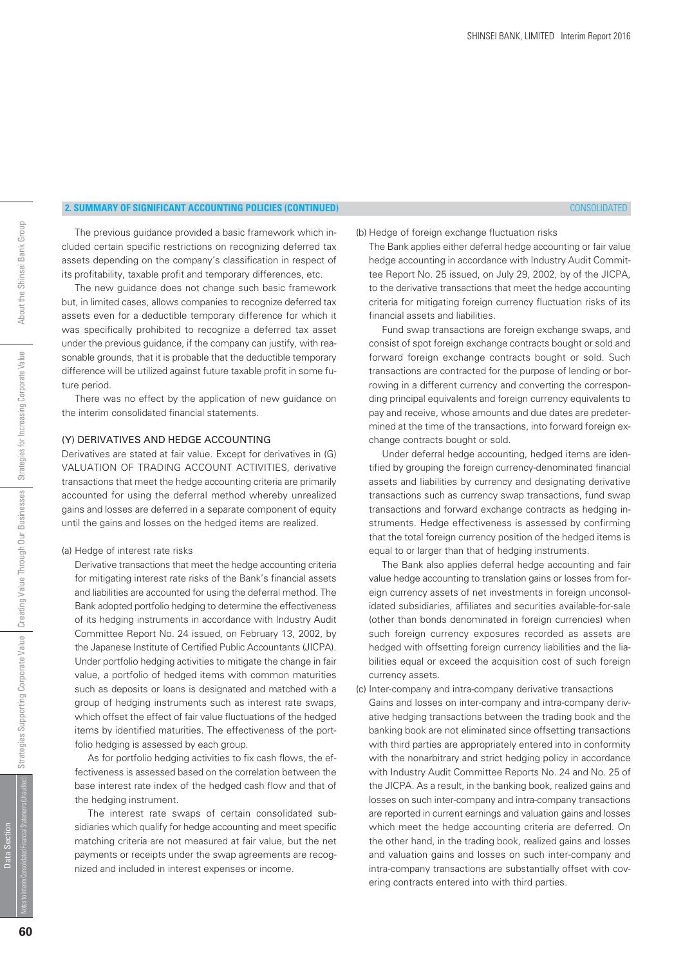# About the Shinsei Bank Group

# **2. SUMMARY OF SIGNIFICANT ACCOUNTING POLICIES (CONTINUED)** CONSOLIDATED

#### (b) Hedge of foreign exchange fluctuation risks

 The previous guidance provided a basic framework which included certain specific restrictions on recognizing deferred tax assets depending on the company's classification in respect of its profitability, taxable profit and temporary differences, etc.

 The new guidance does not change such basic framework but, in limited cases, allows companies to recognize deferred tax assets even for a deductible temporary difference for which it was specifically prohibited to recognize a deferred tax asset under the previous guidance, if the company can justify, with reasonable grounds, that it is probable that the deductible temporary difference will be utilized against future taxable profit in some future period.

 There was no effect by the application of new guidance on the interim consolidated financial statements.

#### (Y) DERIVATIVES AND HEDGE ACCOUNTING

Derivatives are stated at fair value. Except for derivatives in (G) VALUATION OF TRADING ACCOUNT ACTIVITIES, derivative transactions that meet the hedge accounting criteria are primarily accounted for using the deferral method whereby unrealized gains and losses are deferred in a separate component of equity until the gains and losses on the hedged items are realized.

#### (a) Hedge of interest rate risks

 Derivative transactions that meet the hedge accounting criteria for mitigating interest rate risks of the Bank's financial assets and liabilities are accounted for using the deferral method. The Bank adopted portfolio hedging to determine the effectiveness of its hedging instruments in accordance with Industry Audit Committee Report No. 24 issued, on February 13, 2002, by the Japanese Institute of Certified Public Accountants (JICPA). Under portfolio hedging activities to mitigate the change in fair value, a portfolio of hedged items with common maturities such as deposits or loans is designated and matched with a group of hedging instruments such as interest rate swaps, which offset the effect of fair value fluctuations of the hedged items by identified maturities. The effectiveness of the portfolio hedging is assessed by each group.

 As for portfolio hedging activities to fix cash flows, the effectiveness is assessed based on the correlation between the base interest rate index of the hedged cash flow and that of the hedging instrument.

 The interest rate swaps of certain consolidated subsidiaries which qualify for hedge accounting and meet specific matching criteria are not measured at fair value, but the net payments or receipts under the swap agreements are recognized and included in interest expenses or income.

 The Bank applies either deferral hedge accounting or fair value hedge accounting in accordance with Industry Audit Committee Report No. 25 issued, on July 29, 2002, by of the JICPA, to the derivative transactions that meet the hedge accounting criteria for mitigating foreign currency fluctuation risks of its financial assets and liabilities.

 Fund swap transactions are foreign exchange swaps, and consist of spot foreign exchange contracts bought or sold and forward foreign exchange contracts bought or sold. Such transactions are contracted for the purpose of lending or borrowing in a different currency and converting the corresponding principal equivalents and foreign currency equivalents to pay and receive, whose amounts and due dates are predetermined at the time of the transactions, into forward foreign exchange contracts bought or sold.

 Under deferral hedge accounting, hedged items are identified by grouping the foreign currency-denominated financial assets and liabilities by currency and designating derivative transactions such as currency swap transactions, fund swap transactions and forward exchange contracts as hedging instruments. Hedge effectiveness is assessed by confirming that the total foreign currency position of the hedged items is equal to or larger than that of hedging instruments.

 The Bank also applies deferral hedge accounting and fair value hedge accounting to translation gains or losses from foreign currency assets of net investments in foreign unconsolidated subsidiaries, affiliates and securities available-for-sale (other than bonds denominated in foreign currencies) when such foreign currency exposures recorded as assets are hedged with offsetting foreign currency liabilities and the liabilities equal or exceed the acquisition cost of such foreign currency assets.

(c) Inter-company and intra-company derivative transactions Gains and losses on inter-company and intra-company derivative hedging transactions between the trading book and the banking book are not eliminated since offsetting transactions with third parties are appropriately entered into in conformity with the nonarbitrary and strict hedging policy in accordance with Industry Audit Committee Reports No. 24 and No. 25 of the JICPA. As a result, in the banking book, realized gains and losses on such inter-company and intra-company transactions are reported in current earnings and valuation gains and losses which meet the hedge accounting criteria are deferred. On the other hand, in the trading book, realized gains and losses and valuation gains and losses on such inter-company and intra-company transactions are substantially offset with covering contracts entered into with third parties.

Data Section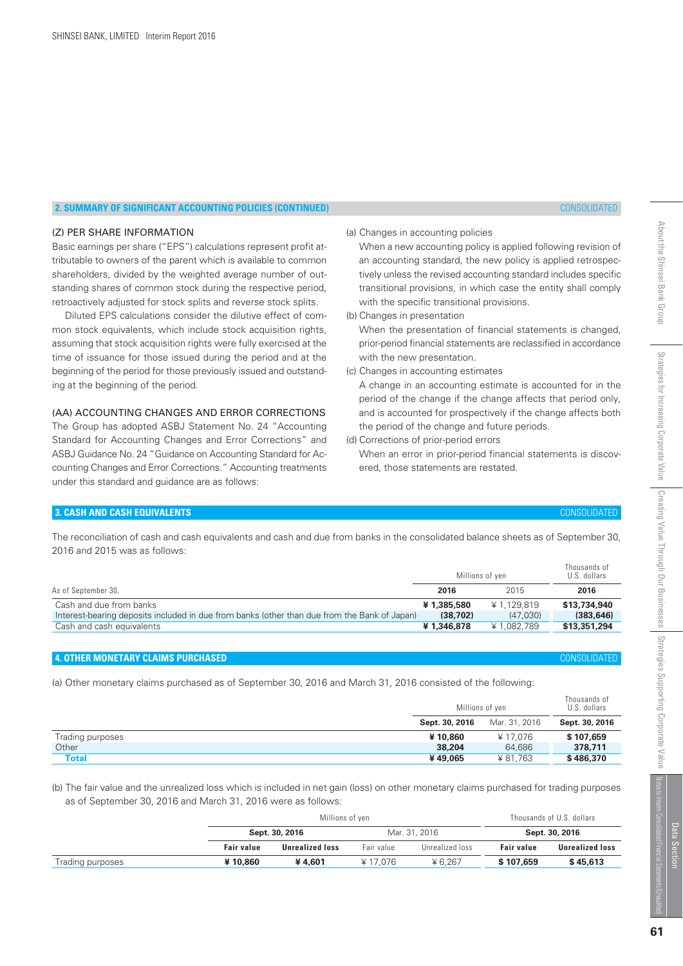# **2. SUMMARY OF SIGNIFICANT ACCOUNTING POLICIES (CONTINUED)** CONSOLIDATED

# (Z) PER SHARE INFORMATION

Basic earnings per share ("EPS") calculations represent profit attributable to owners of the parent which is available to common shareholders, divided by the weighted average number of outstanding shares of common stock during the respective period, retroactively adjusted for stock splits and reverse stock splits.

 Diluted EPS calculations consider the dilutive effect of common stock equivalents, which include stock acquisition rights, assuming that stock acquisition rights were fully exercised at the time of issuance for those issued during the period and at the beginning of the period for those previously issued and outstanding at the beginning of the period.

# (AA) ACCOUNTING CHANGES AND ERROR CORRECTIONS

The Group has adopted ASBJ Statement No. 24 "Accounting Standard for Accounting Changes and Error Corrections" and ASBJ Guidance No. 24 "Guidance on Accounting Standard for Accounting Changes and Error Corrections." Accounting treatments under this standard and guidance are as follows:

(a) Changes in accounting policies

 When a new accounting policy is applied following revision of an accounting standard, the new policy is applied retrospectively unless the revised accounting standard includes specific transitional provisions, in which case the entity shall comply with the specific transitional provisions.

(b) Changes in presentation

 When the presentation of financial statements is changed, prior-period financial statements are reclassified in accordance with the new presentation.

(c) Changes in accounting estimates

 A change in an accounting estimate is accounted for in the period of the change if the change affects that period only, and is accounted for prospectively if the change affects both the period of the change and future periods.

(d) Corrections of prior-period errors

 When an error in prior-period financial statements is discovered, those statements are restated.

# **3. CASH AND CASH EQUIVALENTS** CONSOLIDATED

The reconciliation of cash and cash equivalents and cash and due from banks in the consolidated balance sheets as of September 30, 2016 and 2015 was as follows:

|                                                                                              |            | Millions of yen | Thousands of<br>U.S. dollars |
|----------------------------------------------------------------------------------------------|------------|-----------------|------------------------------|
| As of September 30,                                                                          | 2016       | 2015            | 2016                         |
| Cash and due from banks                                                                      | ¥1,385,580 | ¥ 1.129.819     | \$13,734,940                 |
| Interest-bearing deposits included in due from banks (other than due from the Bank of Japan) | (38.702)   | (47,030)        | (383.646)                    |
| Cash and cash equivalents                                                                    | ¥1,346,878 | ¥1,082,789      | \$13,351,294                 |

# **4. OTHER MONETARY CLAIMS PURCHASED** CONSOLIDATED

(a) Other monetary claims purchased as of September 30, 2016 and March 31, 2016 consisted of the following:

|                  | Millions of yen |               | Thousands of<br>U.S. dollars |
|------------------|-----------------|---------------|------------------------------|
|                  | Sept. 30, 2016  | Mar. 31, 2016 | Sept. 30, 2016               |
| Trading purposes | ¥10.860         | ¥ 17.076      | \$107,659                    |
| Other            | 38,204          | 64.686        | 378,711                      |
| <b>Total</b>     | ¥49.065         | ¥81.763       | \$486,370                    |

(b) The fair value and the unrealized loss which is included in net gain (loss) on other monetary claims purchased for trading purposes as of September 30, 2016 and March 31, 2016 were as follows:

|                  |                   | Millions of yen        | Thousands of U.S. dollars |                 |                   |                        |  |
|------------------|-------------------|------------------------|---------------------------|-----------------|-------------------|------------------------|--|
|                  |                   | Sept. 30, 2016         |                           | Mar. 31, 2016   |                   | Sept. 30, 2016         |  |
|                  | <b>Fair value</b> | <b>Unrealized loss</b> | Fair value                | Unrealized loss | <b>Fair value</b> | <b>Unrealized loss</b> |  |
| Trading purposes | ¥10.860           | ¥4.601                 | ¥17.076                   | ¥ 6.267         | \$107,659         | \$45.613               |  |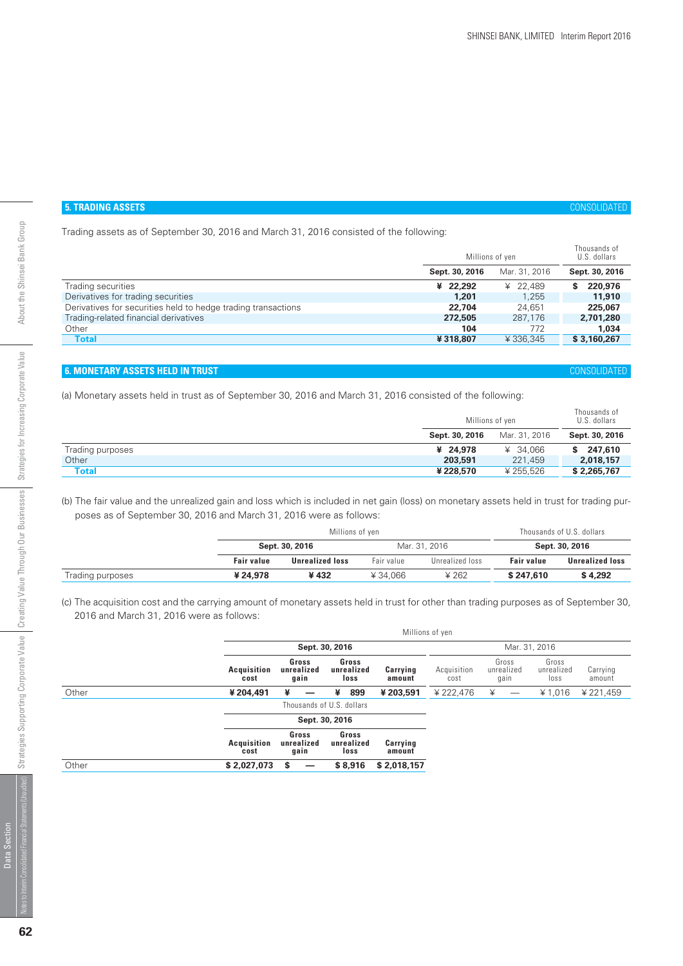# **5. TRADING ASSETS** CONSOLIDATED

Trading assets as of September 30, 2016 and March 31, 2016 consisted of the following:

|                |               | Thousands of<br>U.S. dollars |
|----------------|---------------|------------------------------|
| Sept. 30, 2016 | Mar. 31, 2016 | Sept. 30, 2016               |
| ¥ 22,292       | ¥ 22.489      | 220,976<br>s                 |
| 1.201          | 1.255         | 11,910                       |
| 22,704         | 24.651        | 225,067                      |
| 272,505        | 287.176       | 2,701,280                    |
| 104            | 772           | 1.034                        |
| ¥318,807       | ¥336.345      | \$3,160,267                  |
|                |               | Millions of yen              |

# **6. MONETARY ASSETS HELD IN TRUST** CONSOLIDATED

(a) Monetary assets held in trust as of September 30, 2016 and March 31, 2016 consisted of the following:

|                  |                | Millions of yen |                |  |
|------------------|----------------|-----------------|----------------|--|
|                  | Sept. 30, 2016 | Mar. 31, 2016   | Sept. 30, 2016 |  |
| Trading purposes | ¥ 24.978       | ¥ 34.066        | 247.610<br>S.  |  |
| Other            | 203,591        | 221,459         | 2,018,157      |  |
| <b>Total</b>     | ¥228,570       | ¥ 255.526       | \$2,265,767    |  |

(b) The fair value and the unrealized gain and loss which is included in net gain (loss) on monetary assets held in trust for trading purposes as of September 30, 2016 and March 31, 2016 were as follows:

|                  |                   | Millions of yen        | Thousands of U.S. dollars |                 |                   |                        |  |
|------------------|-------------------|------------------------|---------------------------|-----------------|-------------------|------------------------|--|
|                  |                   | Sept. 30, 2016         |                           | Mar. 31, 2016   |                   | Sept. 30, 2016         |  |
|                  | <b>Fair value</b> | <b>Unrealized loss</b> | Fair value                | Unrealized loss | <b>Fair value</b> | <b>Unrealized loss</b> |  |
| Trading purposes | ¥ 24,978          | ¥432                   | ¥34.066                   | ¥ 262           | \$247,610         | \$4.292                |  |

(c) The acquisition cost and the carrying amount of monetary assets held in trust for other than trading purposes as of September 30, 2016 and March 31, 2016 were as follows:

|       |                            |                             |                             | Millions of yen    |                     |                             |                             |                    |
|-------|----------------------------|-----------------------------|-----------------------------|--------------------|---------------------|-----------------------------|-----------------------------|--------------------|
|       |                            |                             | Sept. 30, 2016              |                    |                     |                             | Mar. 31, 2016               |                    |
|       | <b>Acquisition</b><br>cost | Gross<br>unrealized<br>gain | Gross<br>unrealized<br>loss | Carrying<br>amount | Acquisition<br>cost | Gross<br>unrealized<br>qain | Gross<br>unrealized<br>loss | Carrying<br>amount |
| Other | ¥ 204,491                  | ¥                           | 899<br>¥                    | ¥203,591           | ¥ 222,476           | ¥                           | ¥ 1,016                     | ¥ 221,459          |
|       |                            |                             | Thousands of U.S. dollars   |                    |                     |                             |                             |                    |
|       |                            |                             | Sept. 30, 2016              |                    |                     |                             |                             |                    |
|       | <b>Acquisition</b><br>cost | Gross<br>unrealized<br>gain | Gross<br>unrealized<br>loss | Carrying<br>amount |                     |                             |                             |                    |
| Other | \$2,027,073                | s                           | \$8,916                     | \$2,018,157        |                     |                             |                             |                    |
|       |                            |                             |                             |                    |                     |                             |                             |                    |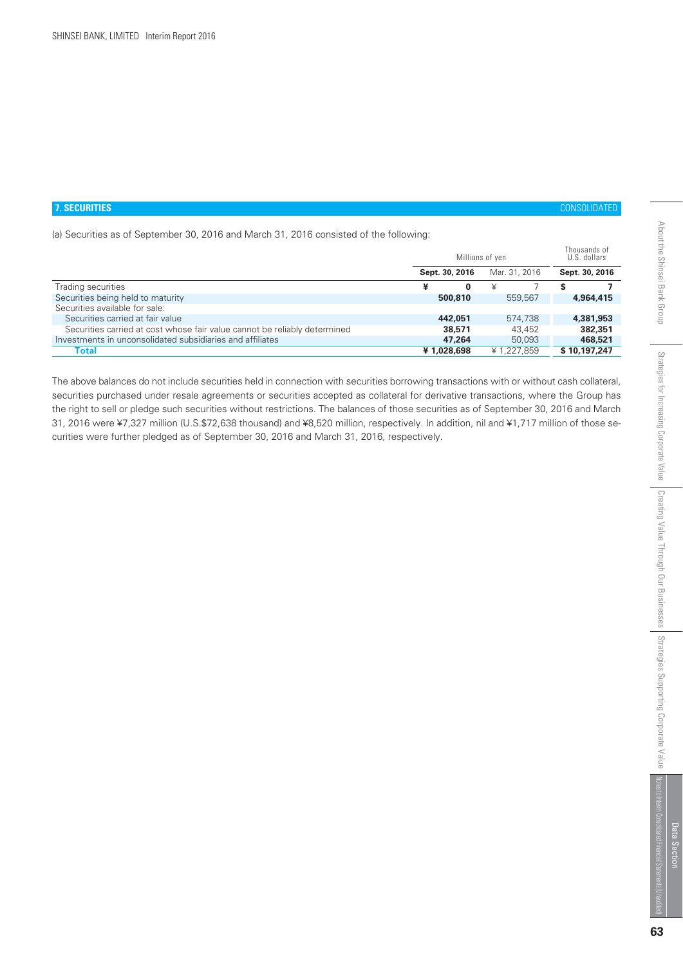#### **7. SECURITIES** CONSOLIDATED

(a) Securities as of September 30, 2016 and March 31, 2016 consisted of the following:

|                                                                           |                | Millions of yen | Thousands of<br>U.S. dollars |
|---------------------------------------------------------------------------|----------------|-----------------|------------------------------|
|                                                                           | Sept. 30, 2016 | Mar. 31, 2016   | Sept. 30, 2016               |
| Trading securities                                                        | ¥<br>0         | ¥               |                              |
| Securities being held to maturity                                         | 500,810        | 559.567         | 4.964.415                    |
| Securities available for sale:                                            |                |                 |                              |
| Securities carried at fair value                                          | 442,051        | 574,738         | 4,381,953                    |
| Securities carried at cost whose fair value cannot be reliably determined | 38,571         | 43.452          | 382,351                      |
| Investments in unconsolidated subsidiaries and affiliates                 | 47.264         | 50,093          | 468,521                      |
| Total                                                                     | ¥1,028,698     | ¥1.227.859      | \$10,197,247                 |

The above balances do not include securities held in connection with securities borrowing transactions with or without cash collateral, securities purchased under resale agreements or securities accepted as collateral for derivative transactions, where the Group has the right to sell or pledge such securities without restrictions. The balances of those securities as of September 30, 2016 and March 31, 2016 were ¥7,327 million (U.S.\$72,638 thousand) and ¥8,520 million, respectively. In addition, nil and ¥1,717 million of those securities were further pledged as of September 30, 2016 and March 31, 2016, respectively.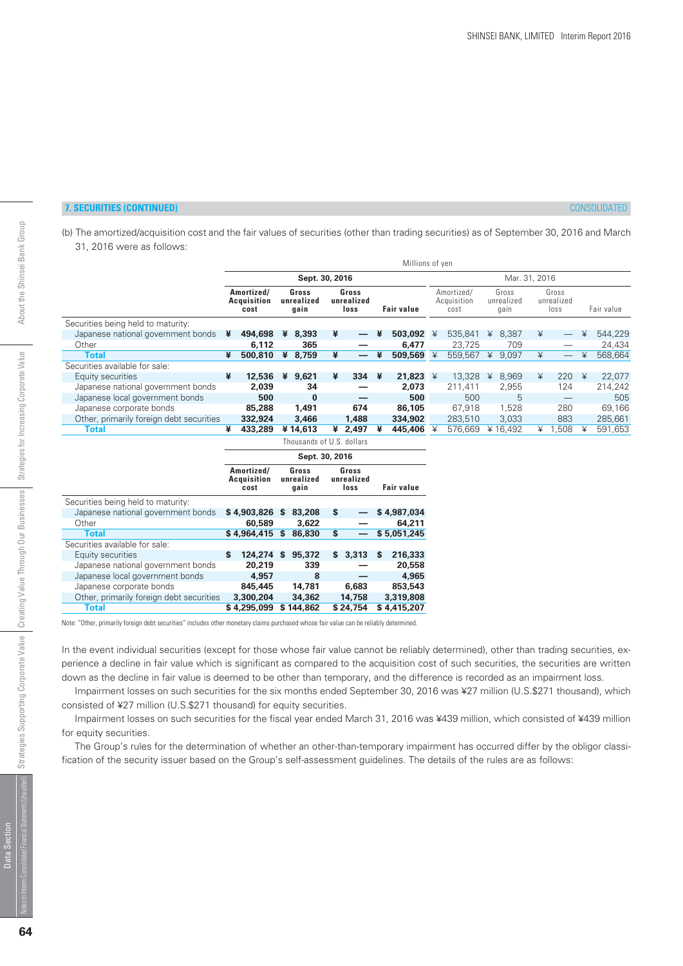# **7. SECURITIES (CONTINUED)** CONSOLIDATED

(b) The amortized/acquisition cost and the fair values of securities (other than trading securities) as of September 30, 2016 and March 31, 2016 were as follows:

|                                          |   |                                          |   |                             |   |                             |   | Millions of yen       |                                   |   |                             |   |                             |   |            |
|------------------------------------------|---|------------------------------------------|---|-----------------------------|---|-----------------------------|---|-----------------------|-----------------------------------|---|-----------------------------|---|-----------------------------|---|------------|
|                                          |   |                                          |   | Sept. 30, 2016              |   |                             |   |                       |                                   |   | Mar. 31, 2016               |   |                             |   |            |
|                                          |   | Amortized/<br><b>Acquisition</b><br>cost |   | Gross<br>unrealized<br>gain |   | Gross<br>unrealized<br>loss |   | <b>Fair value</b>     | Amortized/<br>Acquisition<br>cost |   | Gross<br>unrealized<br>qain |   | Gross<br>unrealized<br>loss |   | Fair value |
| Securities being held to maturity:       |   |                                          |   |                             |   |                             |   |                       |                                   |   |                             |   |                             |   |            |
| Japanese national government bonds       | ¥ | 494,698                                  | ¥ | 8,393                       | ¥ | $\overline{\phantom{0}}$    | ¥ | 503,092 $\frac{1}{2}$ | 535.841                           | ¥ | 8,387                       | ¥ |                             | ¥ | 544.229    |
| Other                                    |   | 6.112                                    |   | 365                         |   |                             |   | 6.477                 | 23.725                            |   | 709                         |   |                             |   | 24,434     |
| <b>Total</b>                             | ¥ | 500,810                                  | ¥ | 8,759                       | ¥ |                             | ¥ | 509,569 $\frac{1}{2}$ | 559,567                           | ¥ | 9,097                       | ¥ |                             | ¥ | 568,664    |
| Securities available for sale:           |   |                                          |   |                             |   |                             |   |                       |                                   |   |                             |   |                             |   |            |
| Equity securities                        | ¥ | 12,536                                   | ¥ | 9,621                       | ¥ | 334                         | ¥ | 21.823 $4$            | 13,328                            | ¥ | 8.969                       | ¥ | 220                         | ¥ | 22.077     |
| Japanese national government bonds       |   | 2.039                                    |   | 34                          |   |                             |   | 2.073                 | 211.411                           |   | 2,955                       |   | 124                         |   | 214.242    |
| Japanese local government bonds          |   | 500                                      |   | $\bf{0}$                    |   |                             |   | 500                   | 500                               |   | 5                           |   | –                           |   | 505        |
| Japanese corporate bonds                 |   | 85,288                                   |   | 1.491                       |   | 674                         |   | 86,105                | 67.918                            |   | 1,528                       |   | 280                         |   | 69,166     |
| Other, primarily foreign debt securities |   | 332,924                                  |   | 3,466                       |   | 1.488                       |   | 334,902               | 283,510                           |   | 3.033                       |   | 883                         |   | 285,661    |
| <b>Total</b>                             | ¥ | 433,289                                  |   | ¥14,613                     | ¥ | 2.497                       | ¥ | 445,406               | 576.669                           |   | ¥16.492                     | ¥ | .508                        | ¥ | 591.653    |

|                                          | Thousands of U.S. dollars |                                          |   |                             |    |                             |   |             |
|------------------------------------------|---------------------------|------------------------------------------|---|-----------------------------|----|-----------------------------|---|-------------|
|                                          |                           |                                          |   | Sept. 30, 2016              |    |                             |   |             |
|                                          |                           | Amortized/<br><b>Acquisition</b><br>cost |   | Gross<br>unrealized<br>qain |    | Gross<br>unrealized<br>loss |   | Fair value  |
| Securities being held to maturity:       |                           |                                          |   |                             |    |                             |   |             |
| Japanese national government bonds       |                           | \$4,903,826                              | S | 83,208                      | S  |                             |   | \$4,987,034 |
| Other                                    |                           | 60,589                                   |   | 3.622                       |    |                             |   | 64,211      |
| <b>Total</b>                             |                           | \$4,964,415                              | S | 86,830                      | \$ |                             |   | \$5.051.245 |
| Securities available for sale:           |                           |                                          |   |                             |    |                             |   |             |
| Equity securities                        | \$                        | 124,274                                  | S | 95,372                      | S. | 3,313                       | S | 216,333     |
| Japanese national government bonds       |                           | 20,219                                   |   | 339                         |    |                             |   | 20,558      |
| Japanese local government bonds          |                           | 4,957                                    |   | 8                           |    |                             |   | 4.965       |
| Japanese corporate bonds                 |                           | 845,445                                  |   | 14,781                      |    | 6,683                       |   | 853,543     |
| Other, primarily foreign debt securities |                           | 3,300,204                                |   | 34,362                      |    | 14,758                      |   | 3,319,808   |
| <b>Total</b>                             |                           | \$4,295,099                              |   | \$144,862                   |    | \$24,754                    |   | \$4,415,207 |

Note: "Other, primarily foreign debt securities" includes other monetary claims purchased whose fair value can be reliably determined.

In the event individual securities (except for those whose fair value cannot be reliably determined), other than trading securities, experience a decline in fair value which is significant as compared to the acquisition cost of such securities, the securities are written down as the decline in fair value is deemed to be other than temporary, and the difference is recorded as an impairment loss.

 Impairment losses on such securities for the six months ended September 30, 2016 was ¥27 million (U.S.\$271 thousand), which consisted of ¥27 million (U.S.\$271 thousand) for equity securities.

 Impairment losses on such securities for the fiscal year ended March 31, 2016 was ¥439 million, which consisted of ¥439 million for equity securities.

 The Group's rules for the determination of whether an other-than-temporary impairment has occurred differ by the obligor classification of the security issuer based on the Group's self-assessment guidelines. The details of the rules are as follows:

Data Section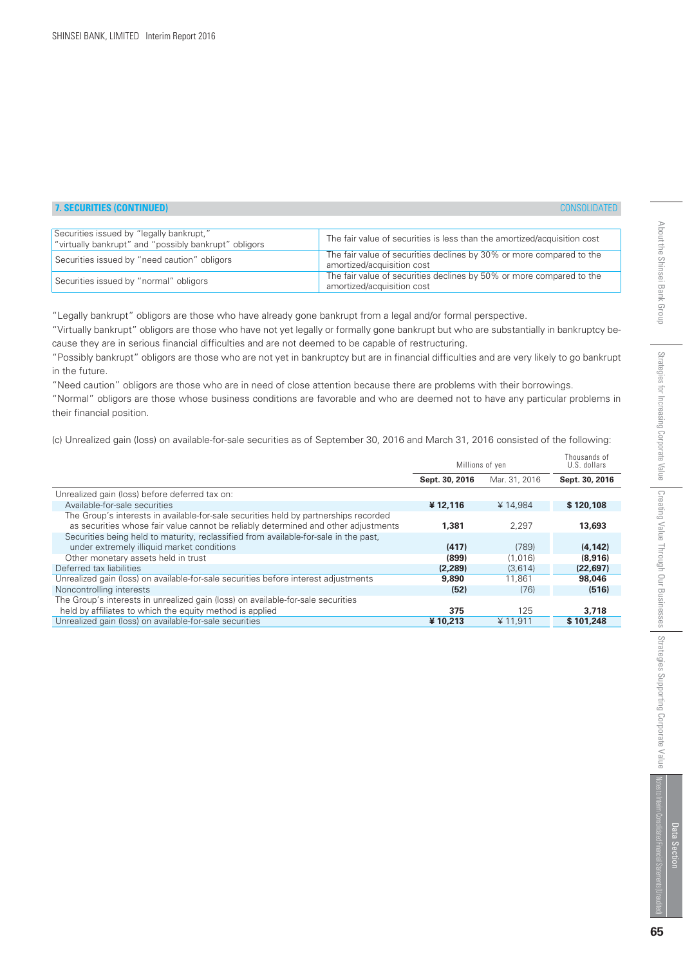# **7. SECURITIES (CONTINUED)**

| <b>CONSOLIDATED</b> |  |
|---------------------|--|

| Securities issued by "legally bankrupt,"<br>"virtually bankrupt" and "possibly bankrupt" obligors | The fair value of securities is less than the amortized/acquisition cost                           |
|---------------------------------------------------------------------------------------------------|----------------------------------------------------------------------------------------------------|
| Securities issued by "need caution" obligors                                                      | The fair value of securities declines by 30% or more compared to the<br>amortized/acquisition cost |
| Securities issued by "normal" obligors                                                            | The fair value of securities declines by 50% or more compared to the<br>amortized/acquisition cost |

"Legally bankrupt" obligors are those who have already gone bankrupt from a legal and/or formal perspective.

"Virtually bankrupt" obligors are those who have not yet legally or formally gone bankrupt but who are substantially in bankruptcy because they are in serious financial difficulties and are not deemed to be capable of restructuring.

"Possibly bankrupt" obligors are those who are not yet in bankruptcy but are in financial difficulties and are very likely to go bankrupt in the future.

"Need caution" obligors are those who are in need of close attention because there are problems with their borrowings.

"Normal" obligors are those whose business conditions are favorable and who are deemed not to have any particular problems in their financial position.

(c) Unrealized gain (loss) on available-for-sale securities as of September 30, 2016 and March 31, 2016 consisted of the following:

| Mar. 31, 2016<br>Sept. 30, 2016<br>Sept. 30, 2016<br>Unrealized gain (loss) before deferred tax on:<br>Available-for-sale securities<br>¥12,116<br>¥14.984<br>\$120,108<br>The Group's interests in available-for-sale securities held by partnerships recorded<br>as securities whose fair value cannot be reliably determined and other adjustments<br>2.297<br>13,693<br>1,381<br>Securities being held to maturity, reclassified from available-for-sale in the past,<br>under extremely illiquid market conditions<br>(417)<br>(789)<br>(4, 142)<br>Other monetary assets held in trust<br>(899)<br>(8.916)<br>(1.016)<br>Deferred tax liabilities<br>(2,289)<br>(3.614)<br>(22, 697)<br>Unrealized gain (loss) on available-for-sale securities before interest adjustments<br>9,890<br>98,046<br>11.861 |
|----------------------------------------------------------------------------------------------------------------------------------------------------------------------------------------------------------------------------------------------------------------------------------------------------------------------------------------------------------------------------------------------------------------------------------------------------------------------------------------------------------------------------------------------------------------------------------------------------------------------------------------------------------------------------------------------------------------------------------------------------------------------------------------------------------------|
|                                                                                                                                                                                                                                                                                                                                                                                                                                                                                                                                                                                                                                                                                                                                                                                                                |
|                                                                                                                                                                                                                                                                                                                                                                                                                                                                                                                                                                                                                                                                                                                                                                                                                |
|                                                                                                                                                                                                                                                                                                                                                                                                                                                                                                                                                                                                                                                                                                                                                                                                                |
|                                                                                                                                                                                                                                                                                                                                                                                                                                                                                                                                                                                                                                                                                                                                                                                                                |
|                                                                                                                                                                                                                                                                                                                                                                                                                                                                                                                                                                                                                                                                                                                                                                                                                |
|                                                                                                                                                                                                                                                                                                                                                                                                                                                                                                                                                                                                                                                                                                                                                                                                                |
|                                                                                                                                                                                                                                                                                                                                                                                                                                                                                                                                                                                                                                                                                                                                                                                                                |
|                                                                                                                                                                                                                                                                                                                                                                                                                                                                                                                                                                                                                                                                                                                                                                                                                |
|                                                                                                                                                                                                                                                                                                                                                                                                                                                                                                                                                                                                                                                                                                                                                                                                                |
|                                                                                                                                                                                                                                                                                                                                                                                                                                                                                                                                                                                                                                                                                                                                                                                                                |
| Noncontrolling interests<br>(516)<br>(52)<br>(76)                                                                                                                                                                                                                                                                                                                                                                                                                                                                                                                                                                                                                                                                                                                                                              |
| The Group's interests in unrealized gain (loss) on available-for-sale securities                                                                                                                                                                                                                                                                                                                                                                                                                                                                                                                                                                                                                                                                                                                               |
| held by affiliates to which the equity method is applied<br>125<br>375<br>3,718                                                                                                                                                                                                                                                                                                                                                                                                                                                                                                                                                                                                                                                                                                                                |
| Unrealized gain (loss) on available-for-sale securities<br>\$101,248<br>¥10,213<br>¥ 11,911                                                                                                                                                                                                                                                                                                                                                                                                                                                                                                                                                                                                                                                                                                                    |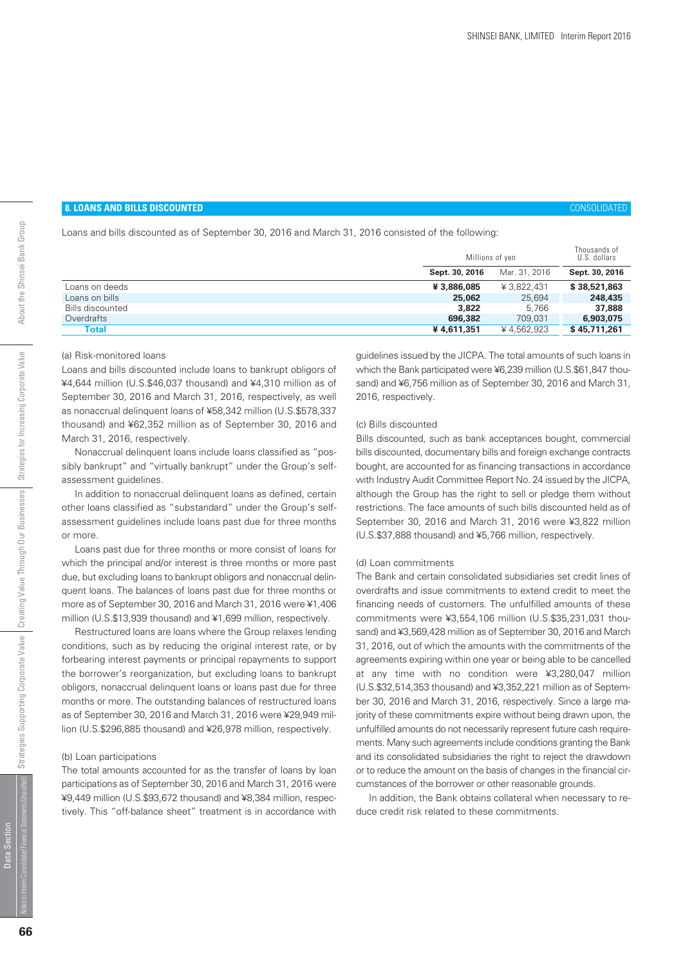# **8. LOANS AND BILLS DISCOUNTED** CONSOLIDATED

Loans and bills discounted as of September 30, 2016 and March 31, 2016 consisted of the following:

|                         |                | Millions of yen |                |
|-------------------------|----------------|-----------------|----------------|
|                         | Sept. 30, 2016 | Mar. 31, 2016   | Sept. 30, 2016 |
| Loans on deeds          | ¥ 3,886,085    | ¥ 3.822.431     | \$38,521,863   |
| Loans on bills          | 25,062         | 25.694          | 248,435        |
| <b>Bills discounted</b> | 3,822          | 5.766           | 37,888         |
| Overdrafts              | 696,382        | 709.031         | 6,903,075      |
| Total                   | ¥4,611,351     | ¥4.562.923      | \$45,711,261   |
|                         |                |                 |                |

#### (a) Risk-monitored loans

Loans and bills discounted include loans to bankrupt obligors of ¥4,644 million (U.S.\$46,037 thousand) and ¥4,310 million as of September 30, 2016 and March 31, 2016, respectively, as well as nonaccrual delinquent loans of ¥58,342 million (U.S.\$578,337 thousand) and ¥62,352 million as of September 30, 2016 and March 31, 2016, respectively.

 Nonaccrual delinquent loans include loans classified as "possibly bankrupt" and "virtually bankrupt" under the Group's selfassessment guidelines.

 In addition to nonaccrual delinquent loans as defined, certain other loans classified as "substandard" under the Group's selfassessment guidelines include loans past due for three months or more.

 Loans past due for three months or more consist of loans for which the principal and/or interest is three months or more past due, but excluding loans to bankrupt obligors and nonaccrual delinquent loans. The balances of loans past due for three months or more as of September 30, 2016 and March 31, 2016 were ¥1,406 million (U.S.\$13,939 thousand) and ¥1,699 million, respectively.

 Restructured loans are loans where the Group relaxes lending conditions, such as by reducing the original interest rate, or by forbearing interest payments or principal repayments to support the borrower's reorganization, but excluding loans to bankrupt obligors, nonaccrual delinquent loans or loans past due for three months or more. The outstanding balances of restructured loans as of September 30, 2016 and March 31, 2016 were ¥29,949 million (U.S.\$296,885 thousand) and ¥26,978 million, respectively.

#### (b) Loan participations

The total amounts accounted for as the transfer of loans by loan participations as of September 30, 2016 and March 31, 2016 were ¥9,449 million (U.S.\$93,672 thousand) and ¥8,384 million, respectively. This "off-balance sheet" treatment is in accordance with guidelines issued by the JICPA. The total amounts of such loans in which the Bank participated were ¥6,239 million (U.S.\$61,847 thousand) and ¥6,756 million as of September 30, 2016 and March 31, 2016, respectively.

#### (c) Bills discounted

Bills discounted, such as bank acceptances bought, commercial bills discounted, documentary bills and foreign exchange contracts bought, are accounted for as financing transactions in accordance with Industry Audit Committee Report No. 24 issued by the JICPA, although the Group has the right to sell or pledge them without restrictions. The face amounts of such bills discounted held as of September 30, 2016 and March 31, 2016 were ¥3,822 million (U.S.\$37,888 thousand) and ¥5,766 million, respectively.

#### (d) Loan commitments

The Bank and certain consolidated subsidiaries set credit lines of overdrafts and issue commitments to extend credit to meet the financing needs of customers. The unfulfilled amounts of these commitments were ¥3,554,106 million (U.S.\$35,231,031 thousand) and ¥3,569,428 million as of September 30, 2016 and March 31, 2016, out of which the amounts with the commitments of the agreements expiring within one year or being able to be cancelled at any time with no condition were ¥3,280,047 million (U.S.\$32,514,353 thousand) and ¥3,352,221 million as of September 30, 2016 and March 31, 2016, respectively. Since a large majority of these commitments expire without being drawn upon, the unfulfilled amounts do not necessarily represent future cash requirements. Many such agreements include conditions granting the Bank and its consolidated subsidiaries the right to reject the drawdown or to reduce the amount on the basis of changes in the financial circumstances of the borrower or other reasonable grounds.

In addition, the Bank obtains collateral when necessary to reduce credit risk related to these commitments.

Data Section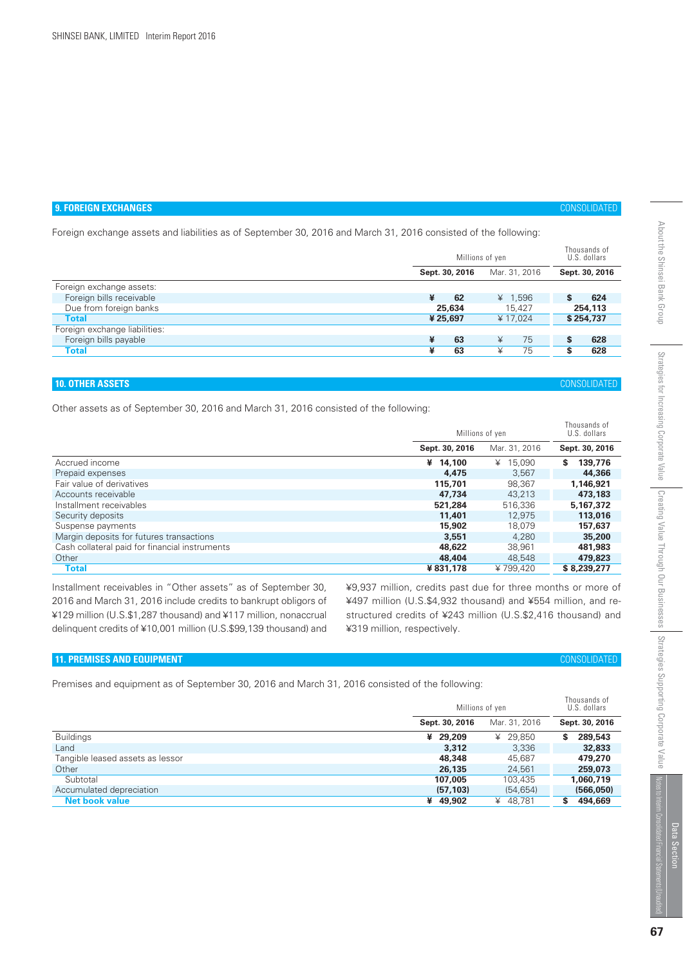# **9. FOREIGN EXCHANGES** CONSOLIDATED

Foreign exchange assets and liabilities as of September 30, 2016 and March 31, 2016 consisted of the following:

|                               | Millions of yen |                |   | Thousands of<br>U.S. dollars |   |                |
|-------------------------------|-----------------|----------------|---|------------------------------|---|----------------|
|                               |                 | Sept. 30, 2016 |   | Mar. 31, 2016                |   | Sept. 30, 2016 |
| Foreign exchange assets:      |                 |                |   |                              |   |                |
| Foreign bills receivable      | ¥               | 62             |   | ¥ $1,596$                    | S | 624            |
| Due from foreign banks        |                 | 25,634         |   | 15.427                       |   | 254,113        |
| <b>Total</b>                  |                 | ¥25,697        |   | ¥17.024                      |   | \$254,737      |
| Foreign exchange liabilities: |                 |                |   |                              |   |                |
| Foreign bills payable         | ¥               | 63             | ¥ | 75                           | S | 628            |
| Total                         | ¥               | 63             | ¥ | 75                           |   | 628            |

# **10. OTHER ASSETS** CONSOLIDATED

Other assets as of September 30, 2016 and March 31, 2016 consisted of the following:

|                                                |                | Millions of yen |                |
|------------------------------------------------|----------------|-----------------|----------------|
|                                                | Sept. 30, 2016 | Mar. 31, 2016   | Sept. 30, 2016 |
| Accrued income                                 | ¥ $14.100$     | ¥ 15.090        | 139,776<br>s   |
| Prepaid expenses                               | 4,475          | 3.567           | 44,366         |
| Fair value of derivatives                      | 115,701        | 98,367          | 1,146,921      |
| Accounts receivable                            | 47.734         | 43.213          | 473,183        |
| Installment receivables                        | 521.284        | 516.336         | 5,167,372      |
| Security deposits                              | 11,401         | 12.975          | 113,016        |
| Suspense payments                              | 15,902         | 18.079          | 157,637        |
| Margin deposits for futures transactions       | 3,551          | 4.280           | 35,200         |
| Cash collateral paid for financial instruments | 48,622         | 38.961          | 481.983        |
| Other                                          | 48,404         | 48,548          | 479,823        |
| Total                                          | ¥831.178       | ¥799.420        | \$8,239,277    |

Installment receivables in "Other assets" as of September 30, 2016 and March 31, 2016 include credits to bankrupt obligors of ¥129 million (U.S.\$1,287 thousand) and ¥117 million, nonaccrual delinquent credits of ¥10,001 million (U.S.\$99,139 thousand) and ¥9,937 million, credits past due for three months or more of ¥497 million (U.S.\$4,932 thousand) and ¥554 million, and restructured credits of ¥243 million (U.S.\$2,416 thousand) and ¥319 million, respectively.

# **11. PREMISES AND EQUIPMENT** CONSOLIDATED

Premises and equipment as of September 30, 2016 and March 31, 2016 consisted of the following:

|                                  | Millions of yen |               | Thousands of<br>U.S. dollars |
|----------------------------------|-----------------|---------------|------------------------------|
|                                  | Sept. 30, 2016  | Mar. 31, 2016 | Sept. 30, 2016               |
| <b>Buildings</b>                 | ¥ 29,209        | ¥ 29.850      | 289,543<br>S                 |
| Land                             | 3,312           | 3,336         | 32,833                       |
| Tangible leased assets as lessor | 48,348          | 45.687        | 479,270                      |
| Other                            | 26,135          | 24.561        | 259,073                      |
| Subtotal                         | 107.005         | 103,435       | 1.060.719                    |
| Accumulated depreciation         | (57, 103)       | (54, 654)     | (566,050)                    |
| <b>Net book value</b>            | 49.902<br>¥     | ¥ 48.781      | 494,669                      |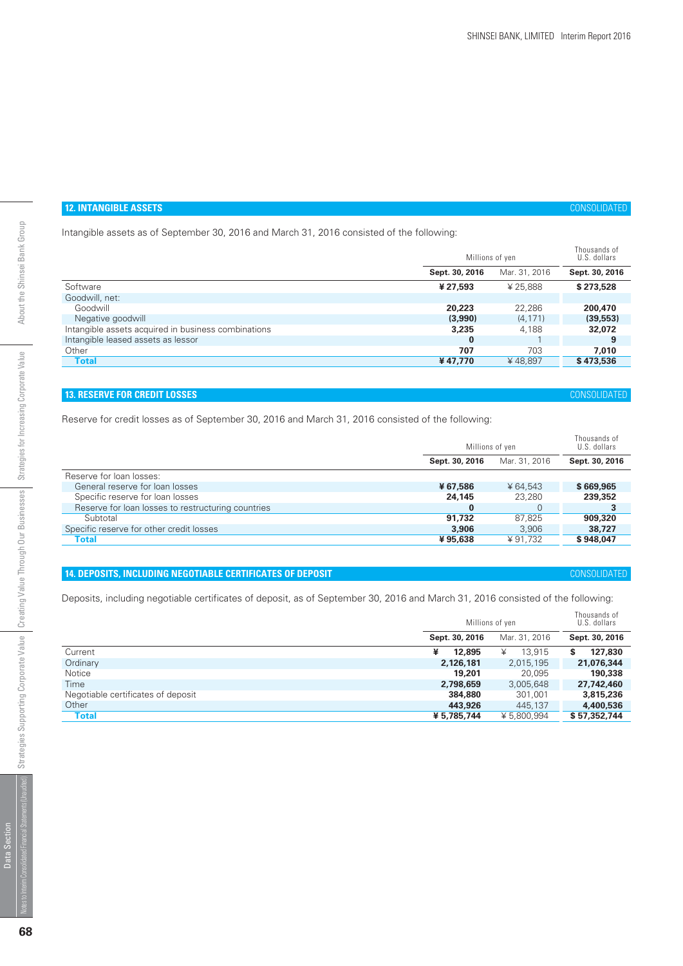# **12. INTANGIBLE ASSETS** CONSOLIDATED

Intangible assets as of September 30, 2016 and March 31, 2016 consisted of the following:

|                                                     | Millions of yen |               | Thousands of<br>U.S. dollars |
|-----------------------------------------------------|-----------------|---------------|------------------------------|
|                                                     | Sept. 30, 2016  | Mar. 31, 2016 | Sept. 30, 2016               |
| Software                                            | ¥ 27.593        | ¥ 25.888      | \$273,528                    |
| Goodwill, net:                                      |                 |               |                              |
| Goodwill                                            | 20,223          | 22.286        | 200,470                      |
| Negative goodwill                                   | (3,990)         | (4, 171)      | (39, 553)                    |
| Intangible assets acquired in business combinations | 3,235           | 4,188         | 32,072                       |
| Intangible leased assets as lessor                  | $\bf{0}$        |               | 9                            |
| Other                                               | 707             | 703           | 7.010                        |
| <b>Total</b>                                        | ¥47.770         | ¥48.897       | \$473,536                    |

# **13. RESERVE FOR CREDIT LOSSES** CONSOLIDATED

Reserve for credit losses as of September 30, 2016 and March 31, 2016 consisted of the following:

|                                                    | Millions of yen |               | Thousands of<br>U.S. dollars |
|----------------------------------------------------|-----------------|---------------|------------------------------|
|                                                    | Sept. 30, 2016  | Mar. 31, 2016 | Sept. 30, 2016               |
| Reserve for loan losses:                           |                 |               |                              |
| General reserve for loan losses                    | ¥67.586         | ¥ 64.543      | \$669,965                    |
| Specific reserve for loan losses                   | 24,145          | 23,280        | 239,352                      |
| Reserve for loan losses to restructuring countries | $\bf{0}$        |               |                              |
| Subtotal                                           | 91.732          | 87.825        | 909,320                      |
| Specific reserve for other credit losses           | 3,906           | 3.906         | 38,727                       |
| Total                                              | ¥95.638         | ¥91.732       | \$948,047                    |

# **14. DEPOSITS, INCLUDING NEGOTIABLE CERTIFICATES OF DEPOSIT** CONSOLIDATED

Deposits, including negotiable certificates of deposit, as of September 30, 2016 and March 31, 2016 consisted of the following:

|                                    | Millions of yen |               | Thousands of<br>U.S. dollars |
|------------------------------------|-----------------|---------------|------------------------------|
|                                    | Sept. 30, 2016  | Mar. 31, 2016 | Sept. 30, 2016               |
| Current                            | ¥<br>12,895     | 13.915<br>¥   | 127,830<br>S                 |
| Ordinary                           | 2,126,181       | 2,015,195     | 21,076,344                   |
| Notice                             | 19,201          | 20.095        | 190,338                      |
| Time                               | 2,798,659       | 3,005,648     | 27,742,460                   |
| Negotiable certificates of deposit | 384,880         | 301.001       | 3,815,236                    |
| Other                              | 443,926         | 445,137       | 4,400,536                    |
| <b>Total</b>                       | ¥ 5,785,744     | ¥5,800,994    | \$57,352,744                 |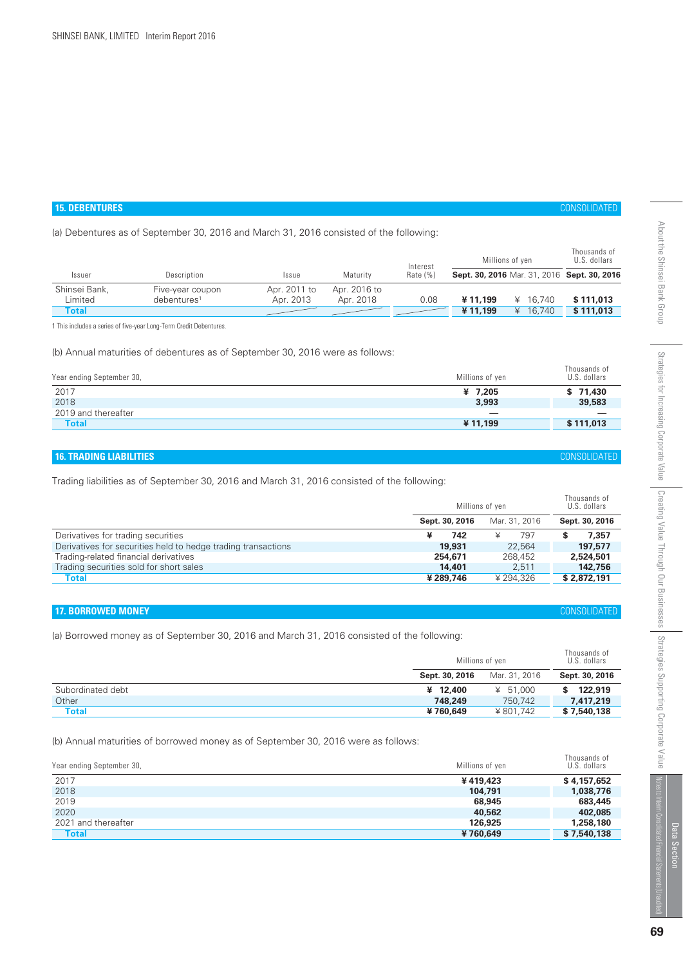# **15. DEBENTURES** CONSOLIDATED

(a) Debentures as of September 30, 2016 and March 31, 2016 consisted of the following:

| Interest                                                                                                |           |
|---------------------------------------------------------------------------------------------------------|-----------|
| Sept. 30, 2016 Mar. 31, 2016 Sept. 30, 2016<br>Rate $(%)$<br>Description<br>Maturity<br>Issue<br>Issuer |           |
| Shinsei Bank,<br>Apr. 2016 to<br>Apr. 2011 to<br>Five-year coupon                                       |           |
| Limited<br>Apr. 2013<br>0.08<br>¥11.199<br>Apr. 2018<br>16,740<br>debentures <sup>1</sup><br>¥          | \$111,013 |
| ¥11.199<br>16.740<br>Total                                                                              | \$111,013 |

1 This includes a series of five-year Long-Term Credit Debentures.

(b) Annual maturities of debentures as of September 30, 2016 were as follows:

| Year ending September 30, | Millions of yen          | Thousands of<br>U.S. dollars |
|---------------------------|--------------------------|------------------------------|
| 2017                      | ¥ 7,205                  | \$71,430                     |
| 2018                      | 3,993                    | 39,583                       |
| 2019 and thereafter       | $\overline{\phantom{0}}$ |                              |
| <b>Total</b>              | ¥11.199                  | \$111,013                    |

# **16. TRADING LIABILITIES** CONSOLIDATED

Trading liabilities as of September 30, 2016 and March 31, 2016 consisted of the following:

|                                                               | Millions of yen |               | Thousands of<br>U.S. dollars |
|---------------------------------------------------------------|-----------------|---------------|------------------------------|
|                                                               | Sept. 30, 2016  | Mar. 31, 2016 | Sept. 30, 2016               |
| Derivatives for trading securities                            | 742             | 797<br>¥      | 7.357                        |
| Derivatives for securities held to hedge trading transactions | 19,931          | 22.564        | 197,577                      |
| Trading-related financial derivatives                         | 254,671         | 268,452       | 2,524,501                    |
| Trading securities sold for short sales                       | 14,401          | 2.511         | 142,756                      |
| Total                                                         | ¥ 289,746       | ¥294.326      | \$2,872,191                  |

# **17. BORROWED MONEY** CONSOLIDATED

(a) Borrowed money as of September 30, 2016 and March 31, 2016 consisted of the following:

|                   |                | Millions of yen |                |
|-------------------|----------------|-----------------|----------------|
|                   | Sept. 30, 2016 | Mar. 31, 2016   | Sept. 30, 2016 |
| Subordinated debt | ¥ 12,400       | ¥ 51.000        | 122,919        |
| Other             | 748.249        | 750.742         | 7,417,219      |
| <b>Total</b>      | ¥760,649       | ¥801.742        | \$7,540,138    |

(b) Annual maturities of borrowed money as of September 30, 2016 were as follows:

| Year ending September 30, | Millions of yen | Thousands of<br>U.S. dollars |
|---------------------------|-----------------|------------------------------|
| 2017                      | ¥419,423        | \$4,157,652                  |
| 2018                      | 104,791         | 1,038,776                    |
| 2019                      | 68,945          | 683,445                      |
| 2020                      | 40,562          | 402,085                      |
| 2021 and thereafter       | 126,925         | 1,258,180                    |
| <b>Total</b>              | ¥760,649        | \$7,540,138                  |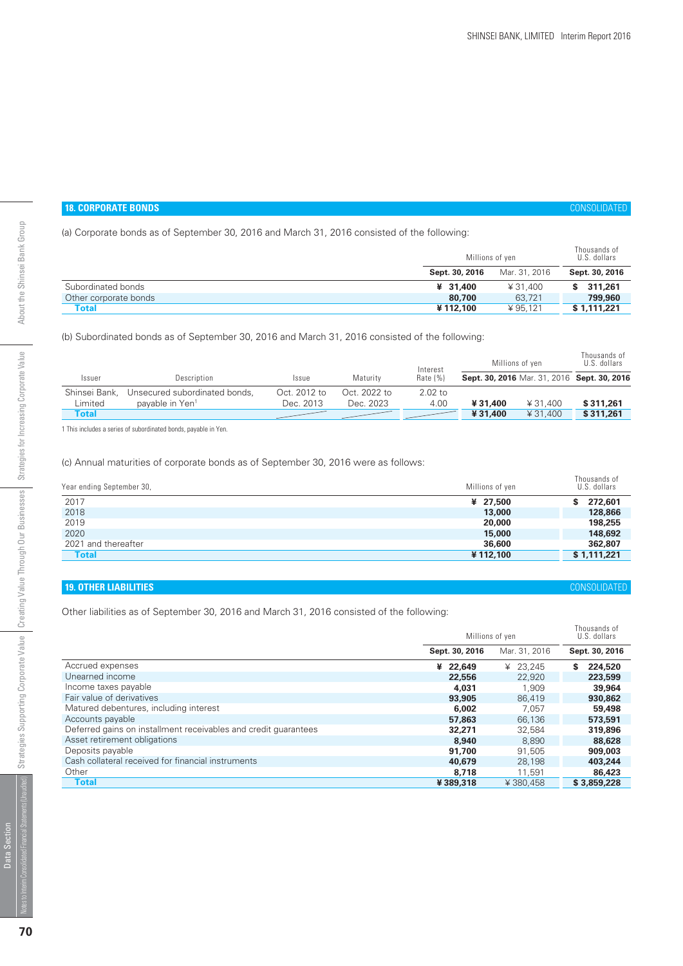# **18. CORPORATE BONDS** CONSOLIDATED

Thousands of

(a) Corporate bonds as of September 30, 2016 and March 31, 2016 consisted of the following:

|                       | Millions of yen |               | Thousands of<br>U.S. dollars |  |
|-----------------------|-----------------|---------------|------------------------------|--|
|                       | Sept. 30, 2016  | Mar. 31, 2016 | Sept. 30, 2016               |  |
| Subordinated bonds    | ¥ 31,400        | ¥31,400       | 311.261                      |  |
| Other corporate bonds | 80,700          | 63.721        | 799,960                      |  |
| Total                 | ¥112.100        | ¥95.121       | \$1,111,221                  |  |

(b) Subordinated bonds as of September 30, 2016 and March 31, 2016 consisted of the following:

|               |                               |              |              | Interest   | Millions of ven |          | Thousands of<br>U.S. dollars                |
|---------------|-------------------------------|--------------|--------------|------------|-----------------|----------|---------------------------------------------|
| Issuer        | Description                   | Issue        | Maturity     | Rate $(%)$ |                 |          | Sept. 30, 2016 Mar. 31, 2016 Sept. 30, 2016 |
| Shinsei Bank, | Unsecured subordinated bonds, | Oct. 2012 to | Oct. 2022 to | $2.02$ to  |                 |          |                                             |
| Limited       | pavable in Yen <sup>1</sup>   | Dec. 2013    | Dec. 2023    | 4.00       | ¥31.400         | ¥ 31.400 | \$311,261                                   |
| Total         |                               |              |              |            | ¥31.400         | ¥ 31,400 | \$311,261                                   |
|               |                               |              |              |            |                 |          |                                             |

1 This includes a series of subordinated bonds, payable in Yen.

# (c) Annual maturities of corporate bonds as of September 30, 2016 were as follows:

| Year ending September 30, | Millions of yen | Thousands of<br>U.S. dollars |
|---------------------------|-----------------|------------------------------|
| 2017                      | ¥ 27,500        | 272,601                      |
| 2018                      | 13,000          | 128,866                      |
| 2019                      | 20,000          | 198,255                      |
| 2020                      | 15,000          | 148,692                      |
| 2021 and thereafter       | 36,600          | 362,807                      |
| <b>Total</b>              | ¥112,100        | \$1,111,221                  |

# **19. OTHER LIABILITIES** CONSOLIDATED

Other liabilities as of September 30, 2016 and March 31, 2016 consisted of the following:

|                                                                 | Millions of yen | THUUS 411US UT<br>U.S. dollars |                |
|-----------------------------------------------------------------|-----------------|--------------------------------|----------------|
|                                                                 | Sept. 30, 2016  | Mar. 31, 2016                  | Sept. 30, 2016 |
| Accrued expenses                                                | ¥ 22,649        | ¥ $23,245$                     | S<br>224,520   |
| Unearned income                                                 | 22,556          | 22,920                         | 223,599        |
| Income taxes payable                                            | 4,031           | 1.909                          | 39,964         |
| Fair value of derivatives                                       | 93,905          | 86,419                         | 930,862        |
| Matured debentures, including interest                          | 6,002           | 7.057                          | 59,498         |
| Accounts payable                                                | 57,863          | 66,136                         | 573,591        |
| Deferred gains on installment receivables and credit quarantees | 32,271          | 32.584                         | 319,896        |
| Asset retirement obligations                                    | 8,940           | 8.890                          | 88,628         |
| Deposits payable                                                | 91,700          | 91.505                         | 909,003        |
| Cash collateral received for financial instruments              | 40,679          | 28.198                         | 403,244        |
| Other                                                           | 8,718           | 11.591                         | 86,423         |
| <b>Total</b>                                                    | ¥389,318        | ¥380.458                       | \$3,859,228    |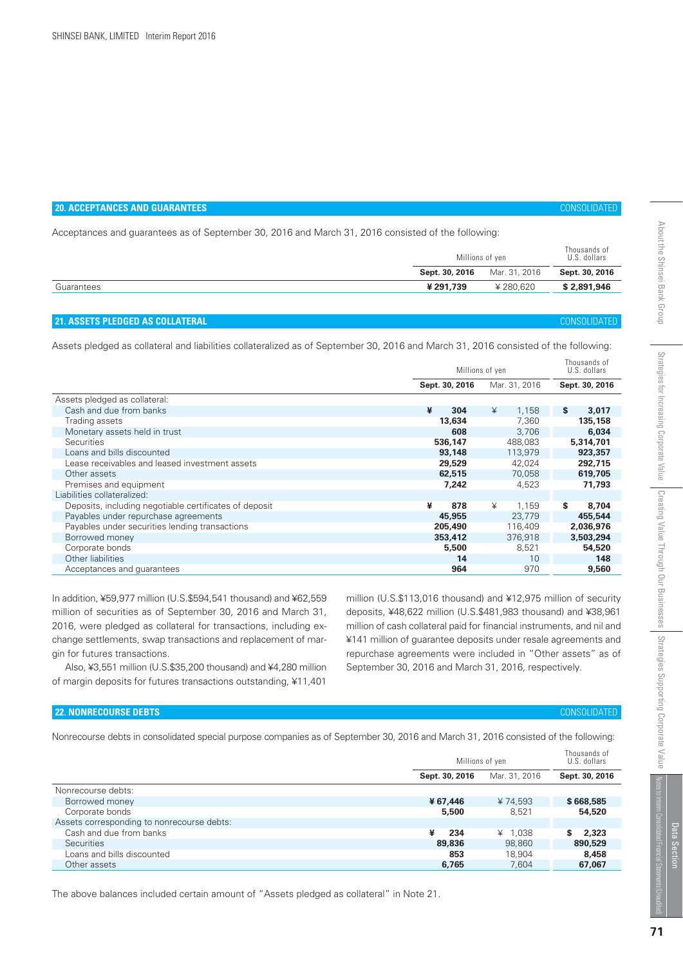| <b>20. ACCEPTANCES AND GUARANTEES</b>                                                                                               |                |                 |                              |  |  |  |
|-------------------------------------------------------------------------------------------------------------------------------------|----------------|-----------------|------------------------------|--|--|--|
| Acceptances and guarantees as of September 30, 2016 and March 31, 2016 consisted of the following:                                  |                |                 |                              |  |  |  |
|                                                                                                                                     |                | Millions of yen | Thousands of<br>U.S. dollars |  |  |  |
|                                                                                                                                     | Sept. 30, 2016 | Mar. 31, 2016   | Sept. 30, 2016               |  |  |  |
| Guarantees                                                                                                                          | ¥291.739       | ¥280.620        | \$2,891,946                  |  |  |  |
|                                                                                                                                     |                |                 |                              |  |  |  |
| <b>21. ASSETS PLEDGED AS COLLATERAL</b>                                                                                             |                |                 | <b>CONSOLIDATED</b>          |  |  |  |
| Assets pledged as collateral and liabilities collateralized as of September 30, 2016 and March 31, 2016 consisted of the following: |                |                 |                              |  |  |  |
|                                                                                                                                     |                | Millions of ven | Thousands of<br>U.S. dollars |  |  |  |

|                                                        | <b>IVILIIIUII</b> U UI YUII | o.o. uunulu   |                |
|--------------------------------------------------------|-----------------------------|---------------|----------------|
|                                                        | Sept. 30, 2016              | Mar. 31, 2016 | Sept. 30, 2016 |
| Assets pledged as collateral:                          |                             |               |                |
| Cash and due from banks                                | ¥<br>304                    | ¥<br>1.158    | S.<br>3,017    |
| Trading assets                                         | 13,634                      | 7,360         | 135,158        |
| Monetary assets held in trust                          | 608                         | 3,706         | 6,034          |
| <b>Securities</b>                                      | 536,147                     | 488.083       | 5,314,701      |
| Loans and bills discounted                             | 93,148                      | 113,979       | 923,357        |
| Lease receivables and leased investment assets         | 29,529                      | 42,024        | 292,715        |
| Other assets                                           | 62,515                      | 70,058        | 619,705        |
| Premises and equipment                                 | 7,242                       | 4,523         | 71,793         |
| Liabilities collateralized:                            |                             |               |                |
| Deposits, including negotiable certificates of deposit | ¥<br>878                    | ¥<br>1.159    | S.<br>8,704    |
| Payables under repurchase agreements                   | 45,955                      | 23,779        | 455,544        |
| Payables under securities lending transactions         | 205,490                     | 116,409       | 2,036,976      |
| Borrowed money                                         | 353,412                     | 376,918       | 3,503,294      |
| Corporate bonds                                        | 5,500                       | 8,521         | 54,520         |
| Other liabilities                                      | 14                          | 10            | 148            |
| Acceptances and quarantees                             | 964                         | 970           | 9,560          |

In addition, ¥59,977 million (U.S.\$594,541 thousand) and ¥62,559 million of securities as of September 30, 2016 and March 31, 2016, were pledged as collateral for transactions, including exchange settlements, swap transactions and replacement of margin for futures transactions.

 Also, ¥3,551 million (U.S.\$35,200 thousand) and ¥4,280 million of margin deposits for futures transactions outstanding, ¥11,401

million (U.S.\$113,016 thousand) and ¥12,975 million of security deposits, ¥48,622 million (U.S.\$481,983 thousand) and ¥38,961 million of cash collateral paid for financial instruments, and nil and ¥141 million of guarantee deposits under resale agreements and repurchase agreements were included in "Other assets" as of September 30, 2016 and March 31, 2016, respectively.

# **22. NONRECOURSE DEBTS** CONSOLIDATED

Nonrecourse debts in consolidated special purpose companies as of September 30, 2016 and March 31, 2016 consisted of the following:

|                                            |                | Millions of yen |                |  |
|--------------------------------------------|----------------|-----------------|----------------|--|
|                                            | Sept. 30, 2016 | Mar. 31, 2016   | Sept. 30, 2016 |  |
| Nonrecourse debts:                         |                |                 |                |  |
| Borrowed money                             | ¥67.446        | ¥ 74.593        | \$668,585      |  |
| Corporate bonds                            | 5,500          | 8.521           | 54,520         |  |
| Assets corresponding to nonrecourse debts: |                |                 |                |  |
| Cash and due from banks                    | ¥<br>234       | ¥ $1.038$       | 2,323<br>s     |  |
| <b>Securities</b>                          | 89,836         | 98.860          | 890,529        |  |
| Loans and bills discounted                 | 853            | 18,904          | 8,458          |  |
| Other assets                               | 6,765          | 7.604           | 67,067         |  |

The above balances included certain amount of "Assets pledged as collateral" in Note 21.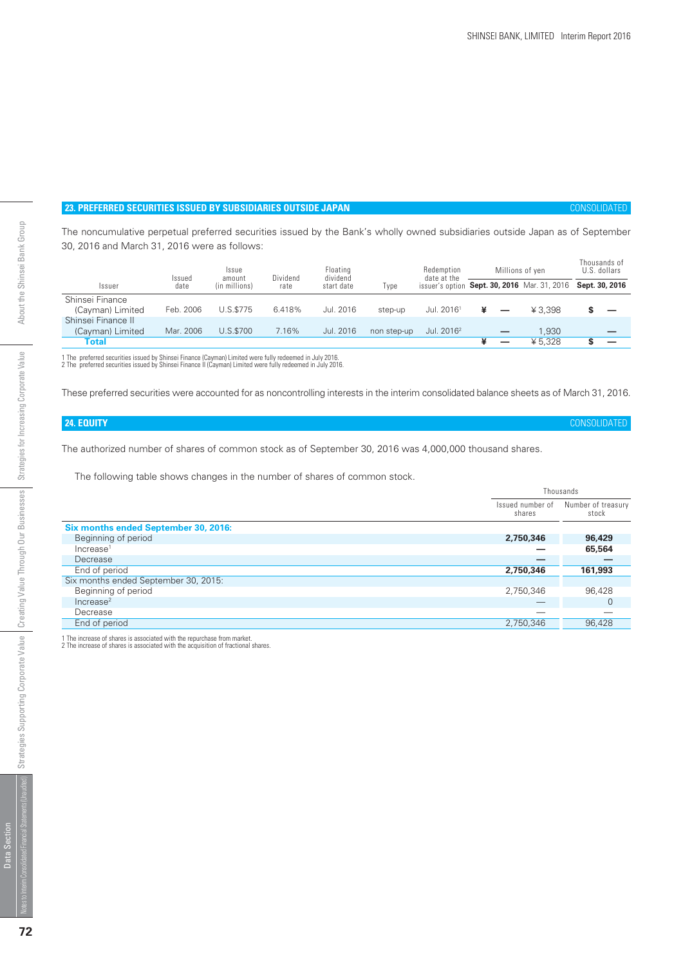# **23. PREFERRED SECURITIES ISSUED BY SUBSIDIARIES OUTSIDE JAPAN** CONSOLIDATED

The noncumulative perpetual preferred securities issued by the Bank's wholly owned subsidiaries outside Japan as of September 30, 2016 and March 31, 2016 were as follows:

|                    | Issued    | Issue<br>amount | Dividend | Floating<br>dividend |             | Redemption<br>date at the |   | Millions of yen                                             | Thousands of<br>U.S. dollars |
|--------------------|-----------|-----------------|----------|----------------------|-------------|---------------------------|---|-------------------------------------------------------------|------------------------------|
| Issuer             | date      | (in millions)   | rate     | start date           | Type        |                           |   | issuer's option Sept. 30, 2016 Mar. 31, 2016 Sept. 30, 2016 |                              |
| Shinsei Finance    |           |                 |          |                      |             |                           |   |                                                             |                              |
| (Cayman) Limited   | Feb. 2006 | U.S.\$775       | 6.418%   | Jul. 2016            | step-up     | Jul. 2016 <sup>1</sup>    |   | ¥ 3.398                                                     |                              |
| Shinsei Finance II |           |                 |          |                      |             |                           |   |                                                             |                              |
| (Cayman) Limited   | Mar. 2006 | U.S.\$700       | 7.16%    | Jul. 2016            | non step-up | Jul. 2016 <sup>2</sup>    |   | 1.930                                                       |                              |
| Total              |           |                 |          |                      |             |                           | _ | ¥ 5.328                                                     |                              |

1 The preferred securities issued by Shinsei Finance (Cayman) Limited were fully redeemed in July 2016. 2 The preferred securities issued by Shinsei Finance II (Cayman) Limited were fully redeemed in July 2016.

These preferred securities were accounted for as noncontrolling interests in the interim consolidated balance sheets as of March 31, 2016.

# **24. EQUITY** CONSOLIDATED

The authorized number of shares of common stock as of September 30, 2016 was 4,000,000 thousand shares.

The following table shows changes in the number of shares of common stock.

|                                      |                            | Thousands                   |
|--------------------------------------|----------------------------|-----------------------------|
|                                      | Issued number of<br>shares | Number of treasury<br>stock |
| Six months ended September 30, 2016: |                            |                             |
| Beginning of period                  | 2,750,346                  | 96,429                      |
| Increase <sup>1</sup>                |                            | 65,564                      |
| Decrease                             |                            |                             |
| End of period                        | 2,750,346                  | 161,993                     |
| Six months ended September 30, 2015: |                            |                             |
| Beginning of period                  | 2,750,346                  | 96,428                      |
| Increase <sup>2</sup>                |                            | 0                           |
| Decrease                             |                            |                             |
| End of period                        | 2,750,346                  | 96,428                      |
|                                      |                            |                             |

1 The increase of shares is associated with the repurchase from market. 2 The increase of shares is associated with the acquisition of fractional shares.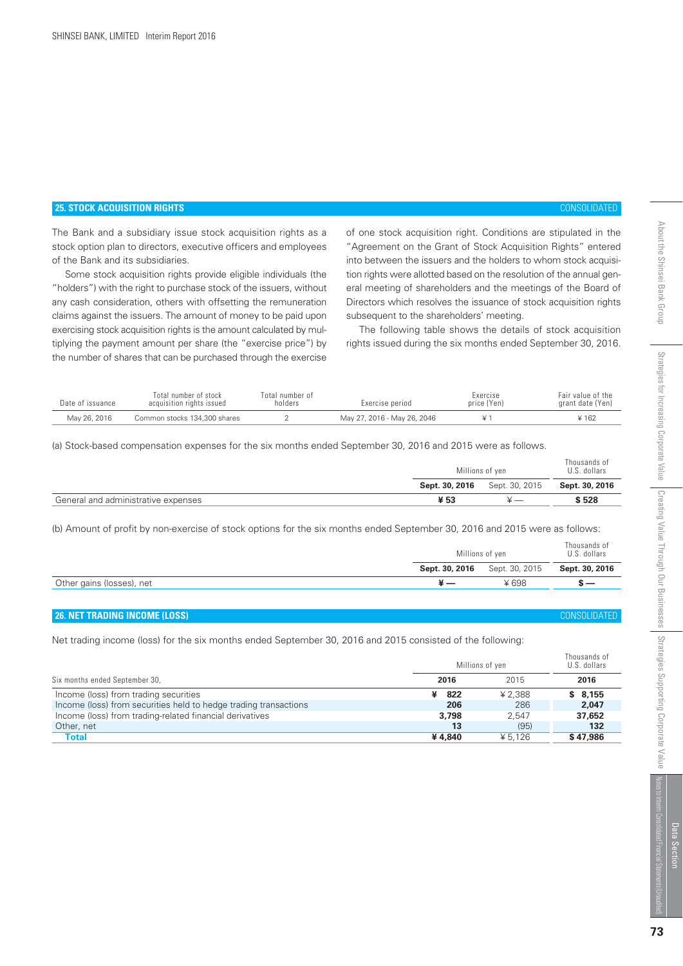# **25. STOCK ACQUISITION RIGHTS** CONSOLIDATED

The Bank and a subsidiary issue stock acquisition rights as a stock option plan to directors, executive officers and employees of the Bank and its subsidiaries.

 Some stock acquisition rights provide eligible individuals (the "holders") with the right to purchase stock of the issuers, without any cash consideration, others with offsetting the remuneration claims against the issuers. The amount of money to be paid upon exercising stock acquisition rights is the amount calculated by multiplying the payment amount per share (the "exercise price") by the number of shares that can be purchased through the exercise

of one stock acquisition right. Conditions are stipulated in the "Agreement on the Grant of Stock Acquisition Rights" entered into between the issuers and the holders to whom stock acquisition rights were allotted based on the resolution of the annual general meeting of shareholders and the meetings of the Board of Directors which resolves the issuance of stock acquisition rights subsequent to the shareholders' meeting.

 The following table shows the details of stock acquisition rights issued during the six months ended September 30, 2016.

| Date of issuance | Total number of stock<br>acquisition rights issued | Total number of<br>holders | Exercise period             | Exercise<br>price (Yen) | Fair value of the<br>grant date (Yen) |
|------------------|----------------------------------------------------|----------------------------|-----------------------------|-------------------------|---------------------------------------|
| May 26, 2016     | Common stocks 134,300 shares                       |                            | May 27, 2016 - May 26, 2046 |                         | ¥162                                  |

(a) Stock-based compensation expenses for the six months ended September 30, 2016 and 2015 were as follows.

|                                     |                | Millions of yen                 | Thousands of<br>U.S. dollars |
|-------------------------------------|----------------|---------------------------------|------------------------------|
|                                     | Sept. 30, 2016 | Sept. 30, 2015                  | Sept. 30, 2016               |
| General and administrative expenses | ¥ 53           | $\hspace{0.1mm}-\hspace{0.1mm}$ | \$528                        |

(b) Amount of profit by non-exercise of stock options for the six months ended September 30, 2016 and 2015 were as follows:

|                           |                | Millions of yen | Thousands of<br>U.S. dollars |
|---------------------------|----------------|-----------------|------------------------------|
|                           | Sept. 30, 2016 | Sept. 30, 2015  | Sept. 30, 2016               |
| Other gains (losses), net | ¥ —            | ¥698            | $\mathbf{s} =$               |

# **26. NET TRADING INCOME (LOSS)** CONSOLIDATED

Net trading income (loss) for the six months ended September 30, 2016 and 2015 consisted of the following:

|          | Thousands of<br>U.S. dollars |                 |  |
|----------|------------------------------|-----------------|--|
| 2016     | 2015                         | 2016            |  |
| 822<br>¥ | ¥ 2.388                      | \$8,155         |  |
| 206      | 286                          | 2.047           |  |
| 3,798    | 2.547                        | 37,652          |  |
| 13       | (95)                         | 132             |  |
| ¥4.840   | ¥ 5.126                      | \$47,986        |  |
|          |                              | Millions of yen |  |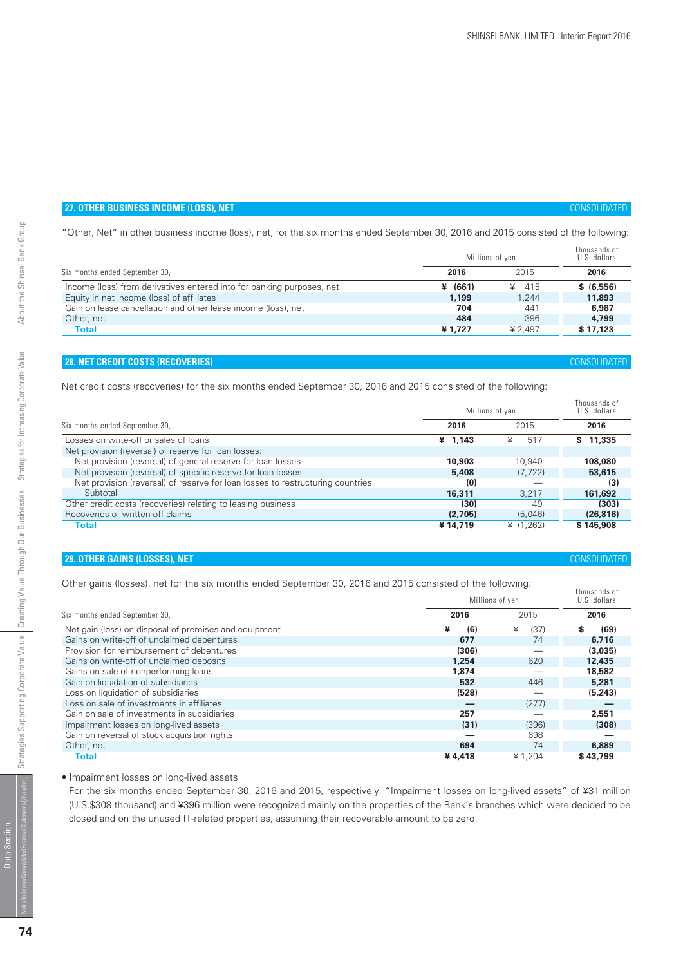# **27. OTHER BUSINESS INCOME (LOSS), NET** *CONSOLIDATED*

"Other, Net" in other business income (loss), net, for the six months ended September 30, 2016 and 2015 consisted of the following:

|                                                                       | Millions of yen | Thousands of<br>U.S. dollars |            |  |
|-----------------------------------------------------------------------|-----------------|------------------------------|------------|--|
| Six months ended September 30,                                        | 2016            | 2015                         | 2016       |  |
| Income (loss) from derivatives entered into for banking purposes, net | ¥ $(661)$       | ¥ 415                        | \$ (6,556) |  |
| Equity in net income (loss) of affiliates                             | 1.199           | 1.244                        | 11,893     |  |
| Gain on lease cancellation and other lease income (loss), net         | 704             | 441                          | 6,987      |  |
| Other, net                                                            | 484             | 396                          | 4.799      |  |
| <b>Total</b>                                                          | ¥1.727          | ¥ 2.497                      | \$17,123   |  |

# **28. NET CREDIT COSTS (RECOVERIES)** CONSOLIDATED

Net credit costs (recoveries) for the six months ended September 30, 2016 and 2015 consisted of the following:

|                                                                                | Millions of yen | Thousands of<br>U.S. dollars |           |
|--------------------------------------------------------------------------------|-----------------|------------------------------|-----------|
| Six months ended September 30,                                                 | 2016            | 2015                         | 2016      |
| Losses on write-off or sales of loans                                          | ¥ $1,143$       | 517<br>¥                     | \$11,335  |
| Net provision (reversal) of reserve for loan losses:                           |                 |                              |           |
| Net provision (reversal) of general reserve for loan losses                    | 10,903          | 10.940                       | 108,080   |
| Net provision (reversal) of specific reserve for loan losses                   | 5,408           | (7, 722)                     | 53,615    |
| Net provision (reversal) of reserve for loan losses to restructuring countries | (0)             |                              | (3)       |
| Subtotal                                                                       | 16,311          | 3.217                        | 161,692   |
| Other credit costs (recoveries) relating to leasing business                   | (30)            | 49                           | (303)     |
| Recoveries of written-off claims                                               | (2,705)         | (5,046)                      | (26, 816) |
| <b>Total</b>                                                                   | ¥14.719         | ¥ $(1.262)$                  | \$145,908 |

# **29. OTHER GAINS (LOSSES), NET** *CONSOLIDATED*

Other gains (losses), net for the six months ended September 30, 2016 and 2015 consisted of the following:

|                                                       |          | Millions of yen |           |  |  |  |  |  |
|-------------------------------------------------------|----------|-----------------|-----------|--|--|--|--|--|
| Six months ended September 30,                        | 2016     | 2015            | 2016      |  |  |  |  |  |
| Net gain (loss) on disposal of premises and equipment | ¥<br>(6) | ¥<br>(37)       | S<br>(69) |  |  |  |  |  |
| Gains on write-off of unclaimed debentures            | 677      | 74              | 6.716     |  |  |  |  |  |
| Provision for reimbursement of debentures             | (306)    |                 | (3,035)   |  |  |  |  |  |
| Gains on write-off of unclaimed deposits              | 1.254    | 620             | 12,435    |  |  |  |  |  |
| Gains on sale of nonperforming loans                  | 1,874    |                 | 18,582    |  |  |  |  |  |
| Gain on liquidation of subsidiaries                   | 532      | 446             | 5,281     |  |  |  |  |  |
| Loss on liquidation of subsidiaries                   | (528)    |                 | (5,243)   |  |  |  |  |  |
| Loss on sale of investments in affiliates             |          | (277)           |           |  |  |  |  |  |
| Gain on sale of investments in subsidiaries           | 257      |                 | 2.551     |  |  |  |  |  |
| Impairment losses on long-lived assets                | (31)     | (396)           | (308)     |  |  |  |  |  |
| Gain on reversal of stock acquisition rights          |          | 698             |           |  |  |  |  |  |
| Other, net                                            | 694      | 74              | 6,889     |  |  |  |  |  |
| Total                                                 | ¥4.418   | ¥1.204          | \$43,799  |  |  |  |  |  |

# • Impairment losses on long-lived assets

For the six months ended September 30, 2016 and 2015, respectively, "Impairment losses on long-lived assets" of ¥31 million (U.S.\$308 thousand) and ¥396 million were recognized mainly on the properties of the Bank's branches which were decided to be closed and on the unused IT-related properties, assuming their recoverable amount to be zero.

# **74**

Data Section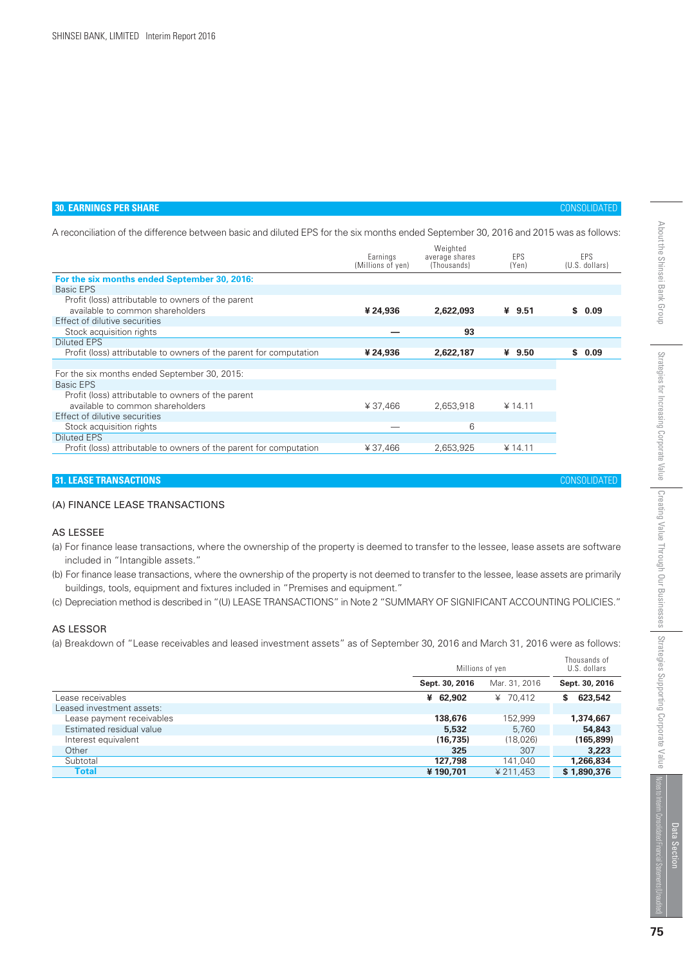# **30. EARNINGS PER SHARE** CONSOLIDATED

A reconciliation of the difference between basic and diluted EPS for the six months ended September 30, 2016 and 2015 was as follows:

|                                                                    | Earnings<br>(Millions of yen) | Weighted<br>average shares<br>(Thousands) | <b>FPS</b><br>(Yen) | <b>FPS</b><br>(U.S. dollars) |
|--------------------------------------------------------------------|-------------------------------|-------------------------------------------|---------------------|------------------------------|
| For the six months ended September 30, 2016:                       |                               |                                           |                     |                              |
| Basic EPS                                                          |                               |                                           |                     |                              |
| Profit (loss) attributable to owners of the parent                 |                               |                                           |                     |                              |
| available to common shareholders                                   | ¥ 24,936                      | 2,622,093                                 | ¥ $9.51$            | \$0.09                       |
| Effect of dilutive securities                                      |                               |                                           |                     |                              |
| Stock acquisition rights                                           |                               | 93                                        |                     |                              |
| <b>Diluted EPS</b>                                                 |                               |                                           |                     |                              |
| Profit (loss) attributable to owners of the parent for computation | ¥ 24,936                      | 2,622,187                                 | ¥ $9.50$            | \$0.09                       |
|                                                                    |                               |                                           |                     |                              |
| For the six months ended September 30, 2015:                       |                               |                                           |                     |                              |
| Basic EPS                                                          |                               |                                           |                     |                              |
| Profit (loss) attributable to owners of the parent                 |                               |                                           |                     |                              |
| available to common shareholders                                   | ¥37,466                       | 2,653,918                                 | ¥ 14.11             |                              |
| Effect of dilutive securities                                      |                               |                                           |                     |                              |
| Stock acquisition rights                                           |                               | 6                                         |                     |                              |
| <b>Diluted EPS</b>                                                 |                               |                                           |                     |                              |
| Profit (loss) attributable to owners of the parent for computation | ¥37.466                       | 2,653,925                                 | ¥ 14.11             |                              |
|                                                                    |                               |                                           |                     |                              |

# **31. LEASE TRANSACTIONS** CONSOLIDATED

# (A) FINANCE LEASE TRANSACTIONS

# AS LESSEE

- (a) For finance lease transactions, where the ownership of the property is deemed to transfer to the lessee, lease assets are software included in "Intangible assets."
- (b) For finance lease transactions, where the ownership of the property is not deemed to transfer to the lessee, lease assets are primarily buildings, tools, equipment and fixtures included in "Premises and equipment."
- (c) Depreciation method is described in "(U) LEASE TRANSACTIONS" in Note 2 "SUMMARY OF SIGNIFICANT ACCOUNTING POLICIES."

# AS LESSOR

(a) Breakdown of "Lease receivables and leased investment assets" as of September 30, 2016 and March 31, 2016 were as follows:

|                           | Millions of yen | Thousands of<br>U.S. dollars |                |
|---------------------------|-----------------|------------------------------|----------------|
|                           | Sept. 30, 2016  | Mar. 31, 2016                | Sept. 30, 2016 |
| Lease receivables         | ¥ 62,902        | ¥ 70.412                     | 623,542<br>S   |
| Leased investment assets: |                 |                              |                |
| Lease payment receivables | 138,676         | 152.999                      | 1,374,667      |
| Estimated residual value  | 5,532           | 5.760                        | 54,843         |
| Interest equivalent       | (16, 735)       | (18,026)                     | (165, 899)     |
| Other                     | 325             | 307                          | 3,223          |
| Subtotal                  | 127,798         | 141,040                      | 1,266,834      |
| <b>Total</b>              | ¥190,701        | ¥ 211,453                    | \$1,890,376    |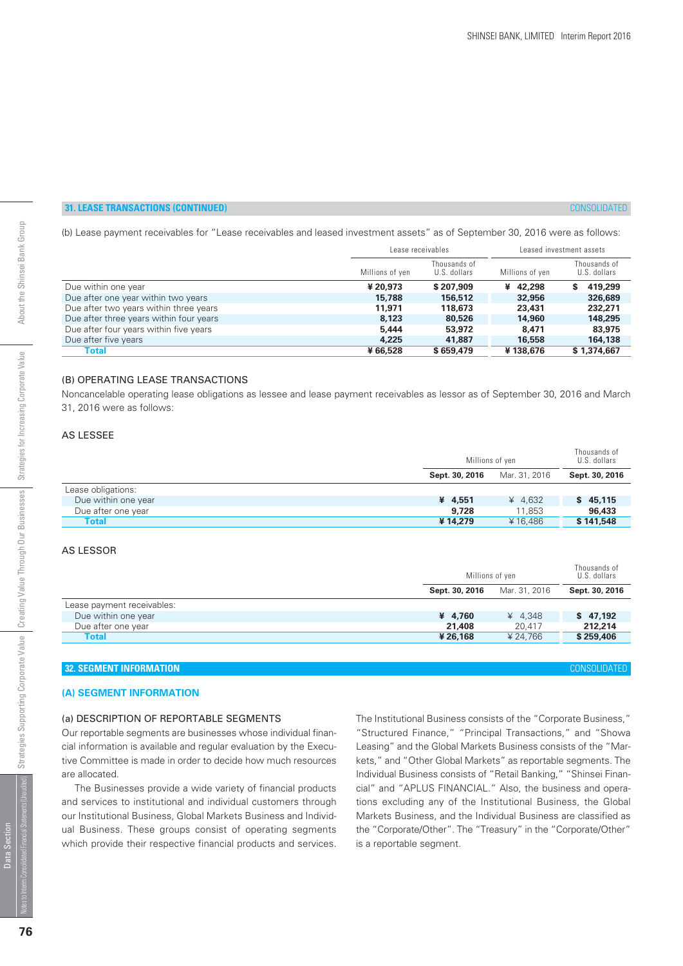# **31. LEASE TRANSACTIONS (CONTINUED)** CONSOLIDATED

(b) Lease payment receivables for "Lease receivables and leased investment assets" as of September 30, 2016 were as follows:

|                                         | Lease receivables |                              | Leased investment assets |                              |  |  |
|-----------------------------------------|-------------------|------------------------------|--------------------------|------------------------------|--|--|
|                                         | Millions of yen   | Thousands of<br>U.S. dollars | Millions of yen          | Thousands of<br>U.S. dollars |  |  |
| Due within one year                     | ¥ 20,973          | \$207,909                    | ¥ 42,298                 | 419,299<br>S.                |  |  |
| Due after one year within two years     | 15,788            | 156,512                      | 32,956                   | 326,689                      |  |  |
| Due after two years within three years  | 11.971            | 118,673                      | 23,431                   | 232,271                      |  |  |
| Due after three years within four years | 8,123             | 80,526                       | 14,960                   | 148,295                      |  |  |
| Due after four years within five years  | 5,444             | 53,972                       | 8,471                    | 83,975                       |  |  |
| Due after five years                    | 4,225             | 41.887                       | 16,558                   | 164,138                      |  |  |
| Total                                   | ¥66,528           | \$659,479                    | ¥138,676                 | \$1,374,667                  |  |  |

### (B) OPERATING LEASE TRANSACTIONS

Noncancelable operating lease obligations as lessee and lease payment receivables as lessor as of September 30, 2016 and March 31, 2016 were as follows:

# AS LESSEE

|                     |                | Millions of yen |                |  |  |
|---------------------|----------------|-----------------|----------------|--|--|
|                     | Sept. 30, 2016 | Mar. 31, 2016   | Sept. 30, 2016 |  |  |
| Lease obligations:  |                |                 |                |  |  |
| Due within one year | ¥ 4.551        | ¥ 4.632         | \$45,115       |  |  |
| Due after one year  | 9,728          | 11.853          | 96,433         |  |  |
| <b>Total</b>        | ¥14,279        | ¥16.486         | \$141,548      |  |  |

#### AS LESSOR

|                            |                | Millions of yen |                |  |  |  |
|----------------------------|----------------|-----------------|----------------|--|--|--|
|                            | Sept. 30, 2016 | Mar. 31, 2016   | Sept. 30, 2016 |  |  |  |
| Lease payment receivables: |                |                 |                |  |  |  |
| Due within one year        | ¥ 4.760        | ¥ $4.348$       | \$47,192       |  |  |  |
| Due after one year         | 21,408         | 20.417          | 212,214        |  |  |  |
| <b>Total</b>               | ¥ 26.168       | ¥ 24.766        | \$259,406      |  |  |  |
|                            |                |                 |                |  |  |  |

# **32. SEGMENT INFORMATION** CONSOLIDATED

# **(A) SEGMENT INFORMATION**

# (a) DESCRIPTION OF REPORTABLE SEGMENTS

Our reportable segments are businesses whose individual financial information is available and regular evaluation by the Executive Committee is made in order to decide how much resources are allocated.

 The Businesses provide a wide variety of financial products and services to institutional and individual customers through our Institutional Business, Global Markets Business and Individual Business. These groups consist of operating segments which provide their respective financial products and services. The Institutional Business consists of the "Corporate Business," "Structured Finance," "Principal Transactions," and "Showa Leasing" and the Global Markets Business consists of the "Markets," and "Other Global Markets" as reportable segments. The Individual Business consists of "Retail Banking," "Shinsei Financial" and "APLUS FINANCIAL." Also, the business and operations excluding any of the Institutional Business, the Global Markets Business, and the Individual Business are classified as the "Corporate/Other". The "Treasury" in the "Corporate/Other" is a reportable segment.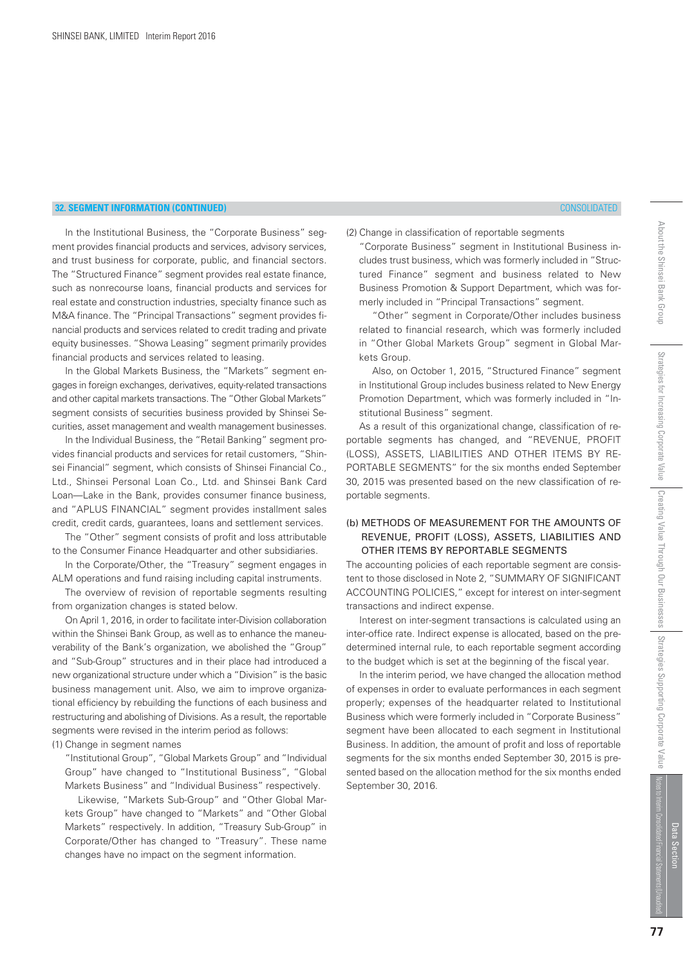In the Institutional Business, the "Corporate Business" segment provides financial products and services, advisory services, and trust business for corporate, public, and financial sectors. The "Structured Finance" segment provides real estate finance, such as nonrecourse loans, financial products and services for real estate and construction industries, specialty finance such as M&A finance. The "Principal Transactions" segment provides financial products and services related to credit trading and private equity businesses. "Showa Leasing" segment primarily provides financial products and services related to leasing.

In the Global Markets Business, the "Markets" segment engages in foreign exchanges, derivatives, equity-related transactions and other capital markets transactions. The "Other Global Markets" segment consists of securities business provided by Shinsei Securities, asset management and wealth management businesses.

 In the Individual Business, the "Retail Banking" segment provides financial products and services for retail customers, "Shinsei Financial" segment, which consists of Shinsei Financial Co., Ltd., Shinsei Personal Loan Co., Ltd. and Shinsei Bank Card Loan—Lake in the Bank, provides consumer finance business, and "APLUS FINANCIAL" segment provides installment sales credit, credit cards, guarantees, loans and settlement services.

 The "Other" segment consists of profit and loss attributable to the Consumer Finance Headquarter and other subsidiaries.

 In the Corporate/Other, the "Treasury" segment engages in ALM operations and fund raising including capital instruments.

 The overview of revision of reportable segments resulting from organization changes is stated below.

 On April 1, 2016, in order to facilitate inter-Division collaboration within the Shinsei Bank Group, as well as to enhance the maneuverability of the Bank's organization, we abolished the "Group" and "Sub-Group" structures and in their place had introduced a new organizational structure under which a "Division" is the basic business management unit. Also, we aim to improve organizational efficiency by rebuilding the functions of each business and restructuring and abolishing of Divisions. As a result, the reportable segments were revised in the interim period as follows:

(1) Change in segment names

 "Institutional Group", "Global Markets Group" and "Individual Group" have changed to "Institutional Business", "Global Markets Business" and "Individual Business" respectively.

 Likewise, "Markets Sub-Group" and "Other Global Markets Group" have changed to "Markets" and "Other Global Markets" respectively. In addition, "Treasury Sub-Group" in Corporate/Other has changed to "Treasury". These name changes have no impact on the segment information.

(2) Change in classification of reportable segments

merly included in "Principal Transactions" segment.

kets Group.

portable segments.

September 30, 2016.

stitutional Business" segment.

transactions and indirect expense.

 "Corporate Business" segment in Institutional Business includes trust business, which was formerly included in "Structured Finance" segment and business related to New Business Promotion & Support Department, which was for-

 "Other" segment in Corporate/Other includes business related to financial research, which was formerly included in "Other Global Markets Group" segment in Global Mar-

 Also, on October 1, 2015, "Structured Finance" segment in Institutional Group includes business related to New Energy Promotion Department, which was formerly included in "In-

 As a result of this organizational change, classification of reportable segments has changed, and "REVENUE, PROFIT (LOSS), ASSETS, LIABILITIES AND OTHER ITEMS BY RE-PORTABLE SEGMENTS" for the six months ended September 30, 2015 was presented based on the new classification of re-

(b) METHODS OF MEASUREMENT FOR THE AMOUNTS OF REVENUE, PROFIT (LOSS), ASSETS, LIABILITIES AND

The accounting policies of each reportable segment are consistent to those disclosed in Note 2, "SUMMARY OF SIGNIFICANT ACCOUNTING POLICIES," except for interest on inter-segment

 Interest on inter-segment transactions is calculated using an inter-office rate. Indirect expense is allocated, based on the predetermined internal rule, to each reportable segment according to the budget which is set at the beginning of the fiscal year. In the interim period, we have changed the allocation method of expenses in order to evaluate performances in each segment properly; expenses of the headquarter related to Institutional Business which were formerly included in "Corporate Business" segment have been allocated to each segment in Institutional Business. In addition, the amount of profit and loss of reportable segments for the six months ended September 30, 2015 is presented based on the allocation method for the six months ended

OTHER ITEMS BY REPORTABLE SEGMENTS

About the Shinsei Bank Group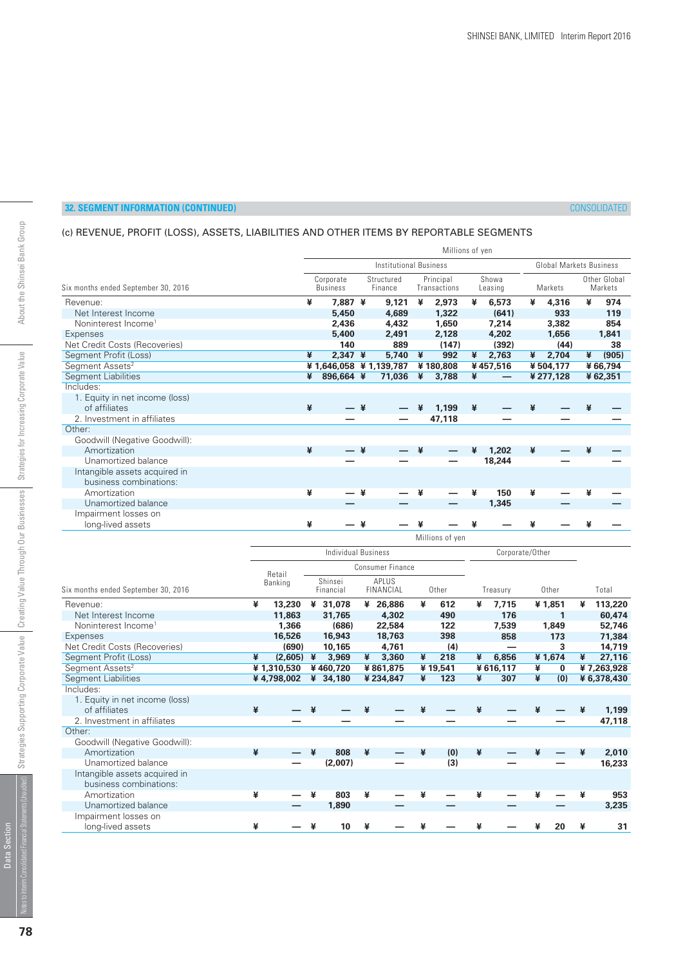# (c) REVENUE, PROFIT (LOSS), ASSETS, LIABILITIES AND OTHER ITEMS BY REPORTABLE SEGMENTS

|                                     | Millions of yen               |                              |                       |        |                           |                 |                  |          |         |                                |                         |         |
|-------------------------------------|-------------------------------|------------------------------|-----------------------|--------|---------------------------|-----------------|------------------|----------|---------|--------------------------------|-------------------------|---------|
|                                     | <b>Institutional Business</b> |                              |                       |        |                           |                 |                  |          |         | <b>Global Markets Business</b> |                         |         |
| Six months ended September 30, 2016 |                               | Corporate<br><b>Business</b> | Structured<br>Finance |        | Principal<br>Transactions |                 | Showa<br>Leasing |          | Markets |                                | Other Global<br>Markets |         |
| Revenue:                            | ¥                             | 7,887 ¥                      |                       | 9,121  | ¥                         | 2,973           | ¥                | 6,573    | ¥       | 4,316                          | ¥                       | 974     |
| Net Interest Income                 |                               | 5,450                        |                       | 4,689  |                           | 1,322           |                  | (641)    |         | 933                            |                         | 119     |
| Noninterest Income <sup>1</sup>     |                               | 2,436                        |                       | 4,432  |                           | 1,650           |                  | 7,214    |         | 3,382                          |                         | 854     |
| Expenses                            |                               | 5,400                        |                       | 2,491  |                           | 2,128           |                  | 4,202    |         | 1,656                          |                         | 1,841   |
| Net Credit Costs (Recoveries)       |                               | 140                          |                       | 889    |                           | (147)           |                  | (392)    |         | (44)                           |                         | 38      |
| Segment Profit (Loss)               | ¥                             | $2,347$ ¥                    |                       | 5.740  | ¥                         | 992             | ¥                | 2,763    | ¥       | 2,704                          | ¥                       | (905)   |
| Segment Assets <sup>2</sup>         |                               | ¥ 1,646,058 ¥ 1,139,787      |                       |        |                           | ¥180,808        |                  | ¥457,516 |         | ¥504,177                       |                         | ¥66,794 |
| <b>Segment Liabilities</b>          | ¥                             | 896,664 ¥                    |                       | 71,036 | ¥                         | 3,788           | ¥                |          |         | ¥ 277,128                      |                         | ¥62,351 |
| Includes:                           |                               |                              |                       |        |                           |                 |                  |          |         |                                |                         |         |
| 1. Equity in net income (loss)      |                               |                              |                       |        |                           |                 |                  |          |         |                                |                         |         |
| of affiliates                       | ¥                             |                              | ¥                     |        | ¥                         | 1,199           | ¥                |          | ¥       |                                |                         |         |
| 2. Investment in affiliates         |                               |                              |                       |        |                           | 47,118          |                  |          |         |                                |                         |         |
| Other:                              |                               |                              |                       |        |                           |                 |                  |          |         |                                |                         |         |
| Goodwill (Negative Goodwill):       |                               |                              |                       |        |                           |                 |                  |          |         |                                |                         |         |
| Amortization                        | ¥                             |                              | — ¥                   |        | ¥                         |                 | ¥                | 1,202    | ¥       |                                | ¥                       |         |
| Unamortized balance                 |                               |                              |                       |        |                           |                 |                  | 18,244   |         |                                |                         |         |
| Intangible assets acquired in       |                               |                              |                       |        |                           |                 |                  |          |         |                                |                         |         |
| business combinations:              |                               |                              |                       |        |                           |                 |                  |          |         |                                |                         |         |
| Amortization                        | ¥                             |                              | ¥                     |        | ¥                         |                 | ¥                | 150      | ¥       |                                |                         |         |
| Unamortized balance                 |                               |                              |                       |        |                           |                 |                  | 1,345    |         |                                |                         |         |
| Impairment losses on                |                               |                              |                       |        |                           |                 |                  |          |         |                                |                         |         |
| long-lived assets                   | ¥                             |                              | ¥                     |        |                           |                 | ¥                |          | ¥       |                                | ¥                       |         |
|                                     |                               |                              |                       |        |                           | Millions of yen |                  |          |         |                                |                         |         |

|                                     |   |            | Individual Business |                      |   |                           |   | Corporate/Other |   |          |   |          |   |             |
|-------------------------------------|---|------------|---------------------|----------------------|---|---------------------------|---|-----------------|---|----------|---|----------|---|-------------|
|                                     |   | Retail     |                     |                      |   | <b>Consumer Finance</b>   |   |                 |   |          |   |          |   |             |
| Six months ended September 30, 2016 |   | Banking    |                     | Shinsei<br>Financial |   | APLUS<br><b>FINANCIAL</b> |   | Other           |   | Treasury |   | Other    |   | Total       |
| Revenue:                            | ¥ | 13,230     | ¥                   | 31,078               |   | ¥ 26,886                  | ¥ | 612             | ¥ | 7,715    |   | ¥1,851   | ¥ | 113,220     |
| Net Interest Income                 |   | 11,863     |                     | 31,765               |   | 4,302                     |   | 490             |   | 176      |   |          |   | 60,474      |
| Noninterest Income <sup>1</sup>     |   | 1.366      |                     | (686)                |   | 22,584                    |   | 122             |   | 7,539    |   | 1,849    |   | 52,746      |
| Expenses                            |   | 16,526     |                     | 16,943               |   | 18,763                    |   | 398             |   | 858      |   | 173      |   | 71,384      |
| Net Credit Costs (Recoveries)       |   | (690)      |                     | 10,165               |   | 4,761                     |   | (4)             |   |          |   | 3        |   | 14,719      |
| Segment Profit (Loss)               | ¥ | (2,605)    | ¥                   | 3,969                | ¥ | 3,360                     | ¥ | 218             | ¥ | 6,856    |   | ¥1,674   | ¥ | 27,116      |
| Segment Assets <sup>2</sup>         |   | ¥1,310,530 |                     | ¥460.720             |   | ¥861,875                  |   | ¥19,541         |   | ¥616,117 | ¥ | $\bf{0}$ |   | ¥7,263,928  |
| <b>Segment Liabilities</b>          |   | ¥4,798,002 |                     | ¥ 34,180             |   | ¥234,847                  | ¥ | 123             | ¥ | 307      | ¥ | (0)      |   | ¥ 6,378,430 |
| Includes:                           |   |            |                     |                      |   |                           |   |                 |   |          |   |          |   |             |
| 1. Equity in net income (loss)      |   |            |                     |                      |   |                           |   |                 |   |          |   |          |   |             |
| of affiliates                       | ¥ |            | ¥                   |                      | ¥ |                           | ¥ |                 |   |          | ¥ |          | ¥ | 1,199       |
| 2. Investment in affiliates         |   |            |                     |                      |   |                           |   |                 |   |          |   |          |   | 47,118      |
| Other:                              |   |            |                     |                      |   |                           |   |                 |   |          |   |          |   |             |
| Goodwill (Negative Goodwill):       |   |            |                     |                      |   |                           |   |                 |   |          |   |          |   |             |
| Amortization                        | ¥ |            |                     | 808                  | ¥ |                           | ¥ | (0)             | ¥ |          | ¥ |          | ¥ | 2,010       |
| Unamortized balance                 |   |            |                     | (2,007)              |   |                           |   | (3)             |   |          |   |          |   | 16,233      |
| Intangible assets acquired in       |   |            |                     |                      |   |                           |   |                 |   |          |   |          |   |             |
| business combinations:              |   |            |                     |                      |   |                           |   |                 |   |          |   |          |   |             |
| Amortization                        | ¥ |            | ¥                   | 803                  | ¥ |                           | ¥ |                 |   |          | ¥ |          | ¥ | 953         |
| Unamortized balance                 |   |            |                     | 1,890                |   |                           |   |                 |   |          |   |          |   | 3,235       |
| Impairment losses on                |   |            |                     |                      |   |                           |   |                 |   |          |   |          |   |             |
| long-lived assets                   | ¥ |            | ¥                   | 10                   | ¥ |                           | ¥ |                 | ¥ |          | ¥ | 20       | ¥ | 31          |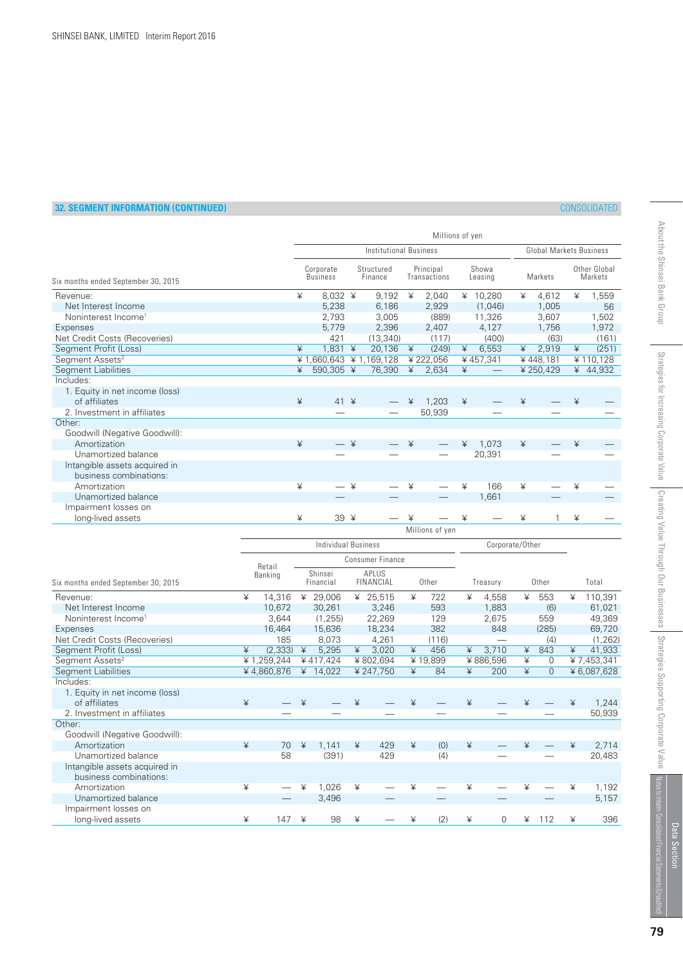|                                     |      |                              |          |                       |   | Millions of yen           |   |                  |   |           |                                |                         |  |  |
|-------------------------------------|------|------------------------------|----------|-----------------------|---|---------------------------|---|------------------|---|-----------|--------------------------------|-------------------------|--|--|
|                                     |      | Institutional Business       |          |                       |   |                           |   |                  |   |           | <b>Global Markets Business</b> |                         |  |  |
| Six months ended September 30, 2015 |      | Corporate<br><b>Business</b> |          | Structured<br>Finance |   | Principal<br>Transactions |   | Showa<br>Leasing |   | Markets   |                                | Other Global<br>Markets |  |  |
| Revenue:                            | ¥    | 8,032 ¥                      |          | 9,192                 | ¥ | 2,040                     |   | ¥ $10,280$       | ¥ | 4,612     | ¥                              | 1,559                   |  |  |
| Net Interest Income                 |      | 5,238                        |          | 6,186                 |   | 2,929                     |   | (1,046)          |   | 1,005     |                                | 56                      |  |  |
| Noninterest Income <sup>1</sup>     |      | 2,793                        |          | 3,005                 |   | (889)                     |   | 11,326           |   | 3,607     |                                | 1,502                   |  |  |
| Expenses                            |      | 5,779                        |          | 2,396                 |   | 2,407                     |   | 4,127            |   | 1,756     |                                | 1,972                   |  |  |
| Net Credit Costs (Recoveries)       |      | 421                          |          | (13, 340)             |   | (117)                     |   | (400)            |   | (63)      |                                | (161)                   |  |  |
| Segment Profit (Loss)               | ¥    | $1,831 \pm 1$                |          | 20,136                | ¥ | (249)                     | ¥ | 6,553            | ¥ | 2,919     | ¥                              | (251)                   |  |  |
| Segment Assets <sup>2</sup>         | $*1$ | .660,643                     |          | ¥1,169,128            |   | ¥222,056                  |   | ¥457,341         |   | ¥448,181  |                                | ¥110,128                |  |  |
| <b>Segment Liabilities</b>          | ¥    | 590,305 ¥                    |          | 76,390                | ¥ | 2,634                     | ¥ |                  |   | ¥ 250,429 |                                | ¥ 44,932                |  |  |
| Includes:                           |      |                              |          |                       |   |                           |   |                  |   |           |                                |                         |  |  |
| 1. Equity in net income (loss)      |      |                              |          |                       |   |                           |   |                  |   |           |                                |                         |  |  |
| of affiliates                       | ¥    | $41 \times$                  |          |                       | ¥ | 1,203                     | ¥ |                  | ¥ |           | ¥                              |                         |  |  |
| 2. Investment in affiliates         |      |                              |          |                       |   | 50,939                    |   |                  |   |           |                                |                         |  |  |
| Other:                              |      |                              |          |                       |   |                           |   |                  |   |           |                                |                         |  |  |
| Goodwill (Negative Goodwill):       |      |                              |          |                       |   |                           |   |                  |   |           |                                |                         |  |  |
| Amortization                        | ¥    | $-$ ¥                        |          |                       | ¥ |                           | ¥ | 1,073            | ¥ |           | ¥                              |                         |  |  |
| Unamortized balance                 |      |                              |          |                       |   |                           |   | 20,391           |   |           |                                |                         |  |  |
| Intangible assets acquired in       |      |                              |          |                       |   |                           |   |                  |   |           |                                |                         |  |  |
| business combinations:              |      |                              |          |                       |   |                           |   |                  |   |           |                                |                         |  |  |
| Amortization                        | ¥    |                              | $\angle$ |                       | ¥ |                           | ¥ | 166              | ¥ |           | ¥                              |                         |  |  |
| Unamortized balance                 |      |                              |          |                       |   |                           |   | 1,661            |   |           |                                |                         |  |  |
| Impairment losses on                |      |                              |          |                       |   |                           |   |                  |   |           |                                |                         |  |  |
| long-lived assets                   | ¥    | 39 ¥                         |          |                       | ¥ |                           | ¥ |                  | ¥ |           | ¥                              |                         |  |  |
|                                     |      |                              |          |                       |   | Millions of yen           |   |                  |   |           |                                |                         |  |  |

| Individual Business |          |                                    |                      |                      |                                  |                                             |                         |                  | Corporate/Other |          |             |          |             |
|---------------------|----------|------------------------------------|----------------------|----------------------|----------------------------------|---------------------------------------------|-------------------------|------------------|-----------------|----------|-------------|----------|-------------|
|                     |          |                                    |                      |                      |                                  |                                             |                         |                  |                 |          |             |          |             |
| Banking             |          |                                    | Shinsei<br>Financial |                      | <b>APIUS</b><br><b>FINANCIAL</b> |                                             |                         | Treasury         |                 | Other    |             |          | Total       |
| ¥                   | 14,316   | ¥                                  | 29,006               |                      |                                  | ¥                                           | 722                     | ¥                | 4,558           | ¥        | 553         | ¥        | 110,391     |
|                     | 10,672   |                                    | 30,261               |                      | 3,246                            |                                             | 593                     |                  | 1,883           |          | (6)         |          | 61,021      |
|                     | 3,644    |                                    | (1, 255)             |                      | 22,269                           |                                             | 129                     |                  | 2,675           |          | 559         |          | 49,369      |
|                     | 16,464   |                                    | 15,636               |                      | 18,234                           |                                             | 382                     |                  | 848             |          | (285)       |          | 69,720      |
|                     | 185      |                                    | 8,073                |                      | 4,261                            |                                             | (116)                   |                  |                 |          | (4)         |          | (1, 262)    |
| ¥                   | (2, 333) | ¥                                  | 5,295                |                      | 3,020                            | ¥                                           | 456                     | $\angle$         | 3,710           | ¥        | 843         | ¥        | 41,933      |
|                     |          |                                    |                      |                      |                                  |                                             |                         |                  |                 | ¥        | $\mathbf 0$ |          | ¥7,453,341  |
|                     |          |                                    | 14,022               |                      |                                  | ¥                                           | 84                      | ¥                | 200             | ¥        | $\Omega$    |          | ¥ 6,087,628 |
|                     |          |                                    |                      |                      |                                  |                                             |                         |                  |                 |          |             |          |             |
|                     |          |                                    |                      |                      |                                  |                                             |                         |                  |                 |          |             |          |             |
| ¥                   |          | $\angle$                           |                      | ¥                    |                                  | ¥                                           |                         |                  |                 | $\angle$ |             | $\angle$ | 1,244       |
|                     |          |                                    |                      |                      |                                  |                                             |                         |                  |                 |          |             |          | 50,939      |
|                     |          |                                    |                      |                      |                                  |                                             |                         |                  |                 |          |             |          |             |
|                     |          |                                    |                      |                      |                                  |                                             |                         |                  |                 |          |             |          |             |
| ¥                   | 70       | ¥                                  | 1,141                |                      | 429                              | ¥                                           | (0)                     | ¥                |                 | ¥        |             | ¥        | 2,714       |
|                     | 58       |                                    | (391)                |                      | 429                              |                                             | (4)                     |                  |                 |          |             |          | 20,483      |
|                     |          |                                    |                      |                      |                                  |                                             |                         |                  |                 |          |             |          |             |
|                     |          |                                    |                      |                      |                                  |                                             |                         |                  |                 |          |             |          |             |
| ¥                   |          | ¥                                  | 1,026                | ¥                    |                                  | ¥                                           |                         | ¥                |                 | ¥        |             | ¥        | 1,192       |
|                     |          |                                    | 3,496                |                      |                                  |                                             |                         |                  |                 |          |             |          | 5,157       |
|                     |          |                                    |                      |                      |                                  |                                             |                         |                  |                 |          |             |          |             |
| ¥                   | 147      | ¥                                  | 98                   | ¥                    |                                  | ¥                                           | (2)                     | ¥                | $\Omega$        | ¥        | 112         | ¥        | 396         |
|                     |          | Retail<br>¥1,259,244<br>¥4,860,876 |                      | ¥417,424<br>$\angle$ |                                  | ¥ 25,515<br>¥<br>¥802,694<br>¥ 247,750<br>¥ | <b>Consumer Finance</b> | Other<br>¥19,899 |                 | ¥886,596 |             |          |             |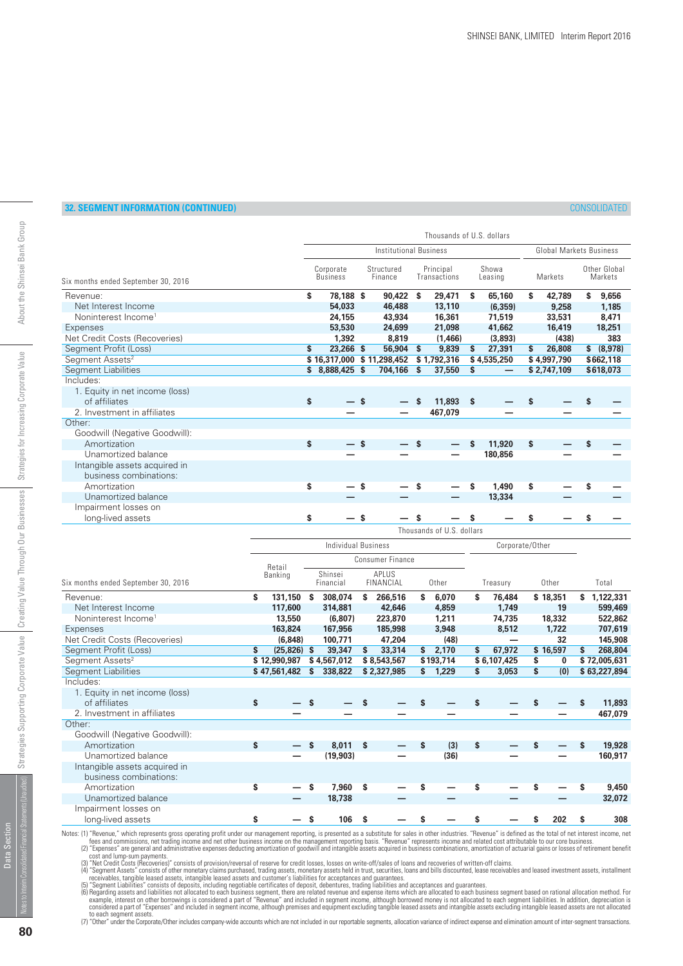|                                     |    |                               |     |                       |   | Thousands of U.S. dollars |      |                  |    |             |   |                                |  |  |  |
|-------------------------------------|----|-------------------------------|-----|-----------------------|---|---------------------------|------|------------------|----|-------------|---|--------------------------------|--|--|--|
|                                     |    | <b>Institutional Business</b> |     |                       |   |                           |      |                  |    |             |   | <b>Global Markets Business</b> |  |  |  |
| Six months ended September 30, 2016 |    | Corporate<br><b>Business</b>  |     | Structured<br>Finance |   | Principal<br>Transactions |      | Showa<br>Leasing |    | Markets     |   | Other Global<br>Markets        |  |  |  |
| Revenue:                            | \$ | 78,188 \$                     |     | 90,422 \$             |   | 29,471                    | s.   | 65,160           | \$ | 42,789      | s | 9,656                          |  |  |  |
| Net Interest Income                 |    | 54.033                        |     | 46,488                |   | 13,110                    |      | (6.359)          |    | 9,258       |   | 1,185                          |  |  |  |
| Noninterest Income <sup>1</sup>     |    | 24,155                        |     | 43,934                |   | 16,361                    |      | 71,519           |    | 33,531      |   | 8.471                          |  |  |  |
| Expenses                            |    | 53,530                        |     | 24,699                |   | 21.098                    |      | 41,662           |    | 16,419      |   | 18,251                         |  |  |  |
| Net Credit Costs (Recoveries)       |    | 1,392                         |     | 8,819                 |   | (1,466)                   |      | (3,893)          |    | (438)       |   | 383                            |  |  |  |
| Segment Profit (Loss)               | \$ | 23,266 \$                     |     | 56,904                | S | 9,839                     | S    | 27,391           | \$ | 26,808      |   | \$ (8,978)                     |  |  |  |
| Segment Assets <sup>2</sup>         |    | \$16,317,000 \$11,298,452     |     |                       |   | \$1,792,316               |      | \$4,535,250      |    | \$4,997,790 |   | \$662,118                      |  |  |  |
| <b>Segment Liabilities</b>          | \$ | 8,888,425 \$                  |     | 704,166               | S | 37,550                    | Ŝ    |                  |    | \$2,747,109 |   | \$618,073                      |  |  |  |
| Includes:                           |    |                               |     |                       |   |                           |      |                  |    |             |   |                                |  |  |  |
| 1. Equity in net income (loss)      |    |                               |     |                       |   |                           |      |                  |    |             |   |                                |  |  |  |
| of affiliates                       | \$ |                               | S.  |                       | S | 11,893                    | - \$ |                  | S  |             |   |                                |  |  |  |
| 2. Investment in affiliates         |    |                               |     |                       |   | 467,079                   |      |                  |    |             |   |                                |  |  |  |
| Other:                              |    |                               |     |                       |   |                           |      |                  |    |             |   |                                |  |  |  |
| Goodwill (Negative Goodwill):       |    |                               |     |                       |   |                           |      |                  |    |             |   |                                |  |  |  |
| Amortization                        | \$ |                               | — s |                       | S |                           | S    | 11,920           | \$ |             |   |                                |  |  |  |
| Unamortized balance                 |    |                               |     |                       |   |                           |      | 180,856          |    |             |   |                                |  |  |  |
| Intangible assets acquired in       |    |                               |     |                       |   |                           |      |                  |    |             |   |                                |  |  |  |
| business combinations:              |    |                               |     |                       |   |                           |      |                  |    |             |   |                                |  |  |  |
| Amortization                        | S  |                               | \$  |                       |   |                           | \$   | 1,490            | \$ |             |   |                                |  |  |  |
| Unamortized balance                 |    |                               |     |                       |   |                           |      | 13,334           |    |             |   |                                |  |  |  |
| Impairment losses on                |    |                               |     |                       |   |                           |      |                  |    |             |   |                                |  |  |  |
| long-lived assets                   | S  |                               | S   |                       | s |                           |      |                  | S  |             |   |                                |  |  |  |
|                                     |    |                               |     |                       |   | Thousands of U.S. dollars |      |                  |    |             |   |                                |  |  |  |

|                                     |              | Individual Business |    |                      |     |                    |    |           |    |             | Corporate/Other |          |          |              |
|-------------------------------------|--------------|---------------------|----|----------------------|-----|--------------------|----|-----------|----|-------------|-----------------|----------|----------|--------------|
|                                     |              | Retail              |    |                      |     | Consumer Finance   |    |           |    |             |                 |          |          |              |
| Six months ended September 30, 2016 |              | Banking             |    | Shinsei<br>Financial |     | APLUS<br>FINANCIAL |    | Other     |    | Treasury    |                 | Other    |          | Total        |
| Revenue:                            | \$           | 131,150 \$          |    | 308,074              | s   | 266,516            | \$ | 6,070     | s  | 76,484      |                 | \$18,351 | S.       | 1,122,331    |
| Net Interest Income                 |              | 117,600             |    | 314,881              |     | 42,646             |    | 4,859     |    | 1,749       |                 | 19       |          | 599,469      |
| Noninterest Income <sup>1</sup>     |              | 13,550              |    | (6,807)              |     | 223,870            |    | 1,211     |    | 74,735      |                 | 18,332   |          | 522,862      |
| Expenses                            |              | 163,824             |    | 167,956              |     | 185,998            |    | 3,948     |    | 8,512       |                 | 1,722    |          | 707,619      |
| Net Credit Costs (Recoveries)       |              | (6, 848)            |    | 100,771              |     | 47,204             |    | (48)      |    |             |                 | 32       |          | 145,908      |
| Segment Profit (Loss)               | S            | $(25,826)$ \$       |    | 39,347               | s   | 33,314             | \$ | 2,170     | \$ | 67,972      |                 | \$16,597 | \$       | 268,804      |
| Segment Assets <sup>2</sup>         |              | \$12,990,987        |    | \$4,567,012          |     | \$8,543,567        |    | \$193,714 |    | \$6,107,425 | S               | 0        |          | \$72,005,631 |
| <b>Segment Liabilities</b>          |              | \$47,561,482        |    | 338,822              |     | \$2,327,985        | \$ | 1,229     | S  | 3,053       | \$              | (0)      |          | \$63,227,894 |
| Includes:                           |              |                     |    |                      |     |                    |    |           |    |             |                 |          |          |              |
| 1. Equity in net income (loss)      |              |                     |    |                      |     |                    |    |           |    |             |                 |          |          |              |
| of affiliates                       | $\mathbf{s}$ |                     |    |                      | S   |                    |    |           | S. |             |                 |          | <b>S</b> | 11,893       |
| 2. Investment in affiliates         |              |                     |    |                      |     |                    |    |           |    |             |                 |          |          | 467,079      |
| Other:                              |              |                     |    |                      |     |                    |    |           |    |             |                 |          |          |              |
| Goodwill (Negative Goodwill):       |              |                     |    |                      |     |                    |    |           |    |             |                 |          |          |              |
| Amortization                        | \$           |                     |    | 8,011                | - S |                    | S  | (3)       | \$ |             |                 |          | S        | 19,928       |
| Unamortized balance                 |              |                     |    | (19, 903)            |     |                    |    | (36)      |    |             |                 |          |          | 160,917      |
| Intangible assets acquired in       |              |                     |    |                      |     |                    |    |           |    |             |                 |          |          |              |
| business combinations:              |              |                     |    |                      |     |                    |    |           |    |             |                 |          |          |              |
| Amortization                        | \$           |                     | \$ | 7,960                | \$  |                    | \$ |           | S  |             |                 |          | S        | 9,450        |
| Unamortized balance                 |              |                     |    | 18,738               |     |                    |    |           |    |             |                 |          |          | 32,072       |
| Impairment losses on                |              |                     |    |                      |     |                    |    |           |    |             |                 |          |          |              |
| long-lived assets                   | \$           |                     | S  | 106                  | s   |                    |    |           | S  |             | S               | 202      | S        | 308          |

Notes: (1) "Revenue," which represents gross operating profit under our management reporting, is presented as a substitute for sales in other industries. "Revenue" is defined as the total of net interest income, net to div

Data Section

Data Section

ted Financial Statements (I

**80**

Strategies for Increasing Corporate Value

Strategies Supporting Corporate Value | Creating Value Through Our Businesses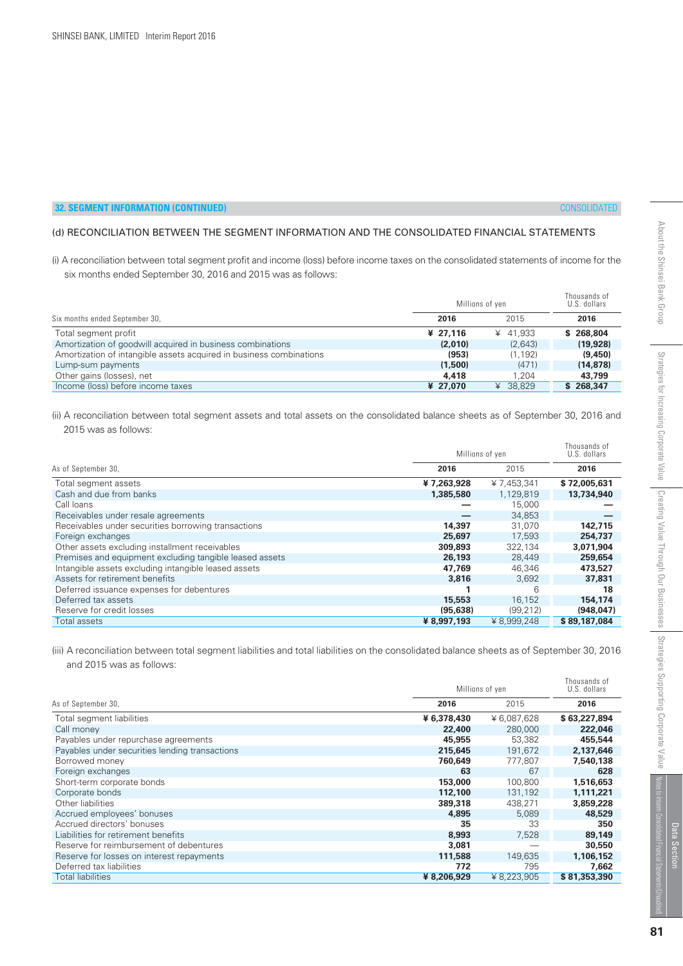# (d) RECONCILIATION BETWEEN THE SEGMENT INFORMATION AND THE CONSOLIDATED FINANCIAL STATEMENTS

(i) A reconciliation between total segment profit and income (loss) before income taxes on the consolidated statements of income for the six months ended September 30, 2016 and 2015 was as follows:

|                                                                     | Millions of yen | Thousands of<br>U.S. dollars |           |
|---------------------------------------------------------------------|-----------------|------------------------------|-----------|
| Six months ended September 30,                                      | 2016            | 2015                         | 2016      |
| Total segment profit                                                | ¥ 27.116        | ¥ 41.933                     | \$268.804 |
| Amortization of goodwill acquired in business combinations          | (2,010)         | (2,643)                      | (19, 928) |
| Amortization of intangible assets acquired in business combinations | (953)           | (1, 192)                     | (9,450)   |
| Lump-sum payments                                                   | (1,500)         | (471)                        | (14, 878) |
| Other gains (losses), net                                           | 4,418           | 1.204                        | 43,799    |
| Income (loss) before income taxes                                   | ¥ 27,070        | ¥ 38.829                     | \$268,347 |

(ii) A reconciliation between total segment assets and total assets on the consolidated balance sheets as of September 30, 2016 and 2015 was as follows:

|                                                         | Millions of yen | Thousands of<br>U.S. dollars |              |
|---------------------------------------------------------|-----------------|------------------------------|--------------|
| As of September 30,                                     | 2016            | 2015                         | 2016         |
| Total segment assets                                    | ¥7,263,928      | ¥7,453,341                   | \$72,005,631 |
| Cash and due from banks                                 | 1,385,580       | 1,129,819                    | 13,734,940   |
| Call Ioans                                              |                 | 15,000                       |              |
| Receivables under resale agreements                     |                 | 34,853                       |              |
| Receivables under securities borrowing transactions     | 14,397          | 31,070                       | 142,715      |
| Foreign exchanges                                       | 25,697          | 17.593                       | 254,737      |
| Other assets excluding installment receivables          | 309,893         | 322.134                      | 3,071,904    |
| Premises and equipment excluding tangible leased assets | 26,193          | 28,449                       | 259,654      |
| Intangible assets excluding intangible leased assets    | 47,769          | 46.346                       | 473,527      |
| Assets for retirement benefits                          | 3,816           | 3.692                        | 37,831       |
| Deferred issuance expenses for debentures               |                 | 6                            | 18           |
| Deferred tax assets                                     | 15,553          | 16.152                       | 154,174      |
| Reserve for credit losses                               | (95.638)        | (99, 212)                    | (948, 047)   |
| Total assets                                            | ¥ 8,997,193     | ¥ 8.999.248                  | \$89,187,084 |

(iii) A reconciliation between total segment liabilities and total liabilities on the consolidated balance sheets as of September 30, 2016 and 2015 was as follows:

|                                                |             | Millions of yen |              |  |  |  |
|------------------------------------------------|-------------|-----------------|--------------|--|--|--|
| As of September 30,                            | 2016        | 2015            | 2016         |  |  |  |
| Total segment liabilities                      | ¥ 6,378,430 | ¥ 6,087,628     | \$63,227,894 |  |  |  |
| Call money                                     | 22,400      | 280,000         | 222,046      |  |  |  |
| Payables under repurchase agreements           | 45,955      | 53,382          | 455,544      |  |  |  |
| Payables under securities lending transactions | 215,645     | 191,672         | 2,137,646    |  |  |  |
| Borrowed money                                 | 760,649     | 777.807         | 7,540,138    |  |  |  |
| Foreign exchanges                              | 63          | 67              | 628          |  |  |  |
| Short-term corporate bonds                     | 153,000     | 100,800         | 1,516,653    |  |  |  |
| Corporate bonds                                | 112,100     | 131,192         | 1,111,221    |  |  |  |
| Other liabilities                              | 389,318     | 438,271         | 3,859,228    |  |  |  |
| Accrued employees' bonuses                     | 4,895       | 5,089           | 48,529       |  |  |  |
| Accrued directors' bonuses                     | 35          | 33              | 350          |  |  |  |
| Liabilities for retirement benefits            | 8,993       | 7,528           | 89,149       |  |  |  |
| Reserve for reimbursement of debentures        | 3,081       |                 | 30,550       |  |  |  |
| Reserve for losses on interest repayments      | 111,588     | 149,635         | 1,106,152    |  |  |  |
| Deferred tax liabilities                       | 772         | 795             | 7,662        |  |  |  |
| <b>Total liabilities</b>                       | ¥ 8,206,929 | ¥ 8,223,905     | \$81,353,390 |  |  |  |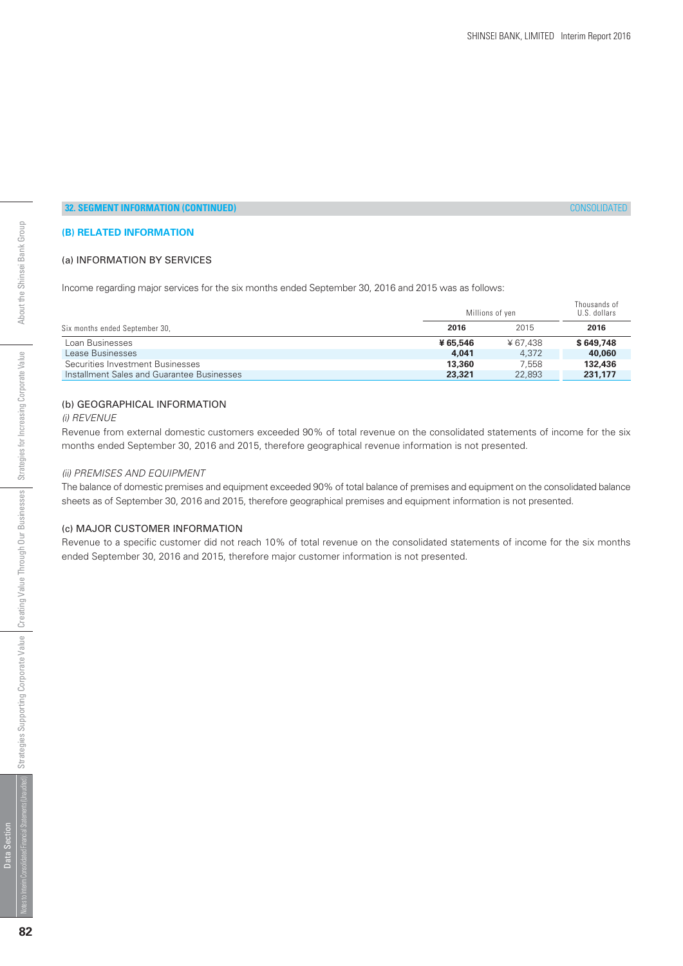# **(B) RELATED INFORMATION**

## (a) INFORMATION BY SERVICES

Income regarding major services for the six months ended September 30, 2016 and 2015 was as follows:

|                                            | Millions of yen |         |           |  |  |
|--------------------------------------------|-----------------|---------|-----------|--|--|
| Six months ended September 30,             | 2016            | 2015    | 2016      |  |  |
| Loan Businesses                            | ¥65,546         | ¥67.438 | \$649,748 |  |  |
| Lease Businesses                           | 4,041           | 4.372   | 40,060    |  |  |
| Securities Investment Businesses           | 13,360          | 7.558   | 132,436   |  |  |
| Installment Sales and Guarantee Businesses | 23,321          | 22.893  | 231,177   |  |  |

#### (b) GEOGRAPHICAL INFORMATION

#### (i) REVENUE

Revenue from external domestic customers exceeded 90% of total revenue on the consolidated statements of income for the six months ended September 30, 2016 and 2015, therefore geographical revenue information is not presented.

#### (ii) PREMISES AND EQUIPMENT

The balance of domestic premises and equipment exceeded 90% of total balance of premises and equipment on the consolidated balance sheets as of September 30, 2016 and 2015, therefore geographical premises and equipment information is not presented.

#### (c) MAJOR CUSTOMER INFORMATION

Revenue to a specific customer did not reach 10% of total revenue on the consolidated statements of income for the six months ended September 30, 2016 and 2015, therefore major customer information is not presented.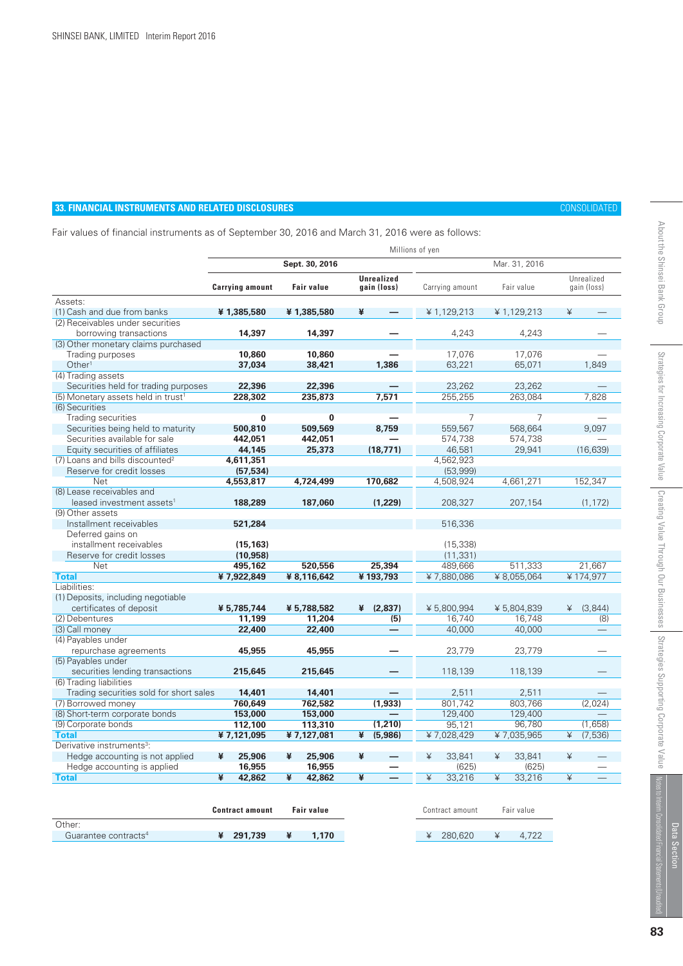Guarantee contracts<sup>4</sup>

# **33. FINANCIAL INSTRUMENTS AND RELATED DISCLOSURES** CONSOLIDATED

About the Shinsei Bank Group

Fair values of financial instruments as of September 30, 2016 and March 31, 2016 were as follows:

|                                                                    |                        |                   |                                  | Millions of yen |               |                           |
|--------------------------------------------------------------------|------------------------|-------------------|----------------------------------|-----------------|---------------|---------------------------|
|                                                                    |                        | Sept. 30, 2016    |                                  |                 | Mar. 31, 2016 |                           |
|                                                                    | <b>Carrying amount</b> | <b>Fair value</b> | <b>Unrealized</b><br>gain (loss) | Carrying amount | Fair value    | Unrealized<br>gain (loss) |
| Assets:                                                            |                        |                   |                                  |                 |               |                           |
| (1) Cash and due from banks                                        | ¥1,385,580             | ¥1,385,580        | ¥                                | ¥1,129,213      | ¥1.129.213    | ¥                         |
| (2) Receivables under securities                                   |                        |                   |                                  |                 |               |                           |
| borrowing transactions                                             | 14,397                 | 14,397            |                                  | 4.243           | 4.243         |                           |
| (3) Other monetary claims purchased                                |                        |                   |                                  |                 |               |                           |
| Trading purposes                                                   | 10,860                 | 10,860            |                                  | 17,076          | 17,076        |                           |
| Other <sup>1</sup>                                                 | 37,034                 | 38,421            | 1,386                            | 63,221          | 65,071        | 1,849                     |
| (4) Trading assets                                                 |                        |                   |                                  |                 |               |                           |
| Securities held for trading purposes                               | 22,396                 | 22,396            |                                  | 23,262          | 23,262        |                           |
| (5) Monetary assets held in trust <sup>1</sup>                     | 228,302                | 235,873           | 7,571                            | 255,255         | 263,084       | 7,828                     |
| (6) Securities                                                     |                        |                   |                                  |                 |               |                           |
| Trading securities                                                 | $\bf{0}$               | $\bf{0}$          |                                  | $\overline{7}$  | 7             |                           |
| Securities being held to maturity                                  | 500,810                | 509,569           | 8.759                            | 559.567         | 568.664       | 9.097                     |
| Securities available for sale                                      | 442,051                | 442,051           |                                  | 574,738         | 574,738       |                           |
| Equity securities of affiliates                                    | 44,145                 | 25,373            | (18, 771)                        | 46,581          | 29,941        | (16, 639)                 |
| (7) Loans and bills discounted <sup>2</sup>                        | 4,611,351              |                   |                                  | 4,562,923       |               |                           |
| Reserve for credit losses                                          | (57, 534)              |                   |                                  | (53,999)        |               |                           |
| <b>Net</b>                                                         | 4,553,817              | 4,724,499         | 170.682                          | 4,508,924       | 4,661,271     | 152,347                   |
| (8) Lease receivables and                                          |                        |                   |                                  |                 |               |                           |
| leased investment assets <sup>1</sup>                              | 188,289                | 187.060           | (1.229)                          | 208,327         | 207,154       | (1, 172)                  |
| (9) Other assets                                                   |                        |                   |                                  |                 |               |                           |
| Installment receivables                                            | 521,284                |                   |                                  | 516,336         |               |                           |
| Deferred gains on                                                  |                        |                   |                                  |                 |               |                           |
| installment receivables                                            | (15, 163)              |                   |                                  | (15, 338)       |               |                           |
| Reserve for credit losses                                          | (10, 958)              |                   |                                  | (11, 331)       |               |                           |
| <b>Net</b>                                                         | 495,162                | 520,556           | 25,394                           | 489,666         | 511,333       | 21,667                    |
| <b>Total</b>                                                       | ¥7,922,849             | ¥ 8,116,642       | ¥193.793                         | ¥7,880,086      | ¥ 8,055,064   | ¥174,977                  |
| Liabilities:                                                       |                        |                   |                                  |                 |               |                           |
| (1) Deposits, including negotiable                                 |                        |                   |                                  |                 |               |                           |
| certificates of deposit                                            | ¥ 5,785,744            | ¥ 5,788,582       | (2.837)<br>¥                     | ¥5.800.994      | ¥5.804.839    | (3.844)<br>¥              |
| (2) Debentures                                                     | 11.199                 | 11,204            | (5)                              | 16.740          | 16.748        | (8)                       |
| (3) Call money                                                     | 22,400                 | 22,400            |                                  | 40,000          | 40,000        |                           |
| (4) Payables under                                                 |                        |                   |                                  |                 |               |                           |
| repurchase agreements                                              | 45,955                 | 45,955            |                                  | 23,779          | 23,779        |                           |
| (5) Payables under                                                 |                        |                   |                                  |                 |               |                           |
| securities lending transactions                                    | 215,645                | 215,645           |                                  | 118,139         | 118.139       |                           |
| (6) Trading liabilities<br>Trading securities sold for short sales | 14,401                 | 14,401            |                                  | 2,511           | 2,511         |                           |
| (7) Borrowed money                                                 | 760,649                | 762,582           | (1,933)                          | 801.742         | 803,766       | (2,024)                   |
| (8) Short-term corporate bonds                                     | 153,000                | 153,000           |                                  | 129,400         | 129,400       |                           |
| (9) Corporate bonds                                                | 112,100                | 113,310           | (1, 210)                         | 95,121          | 96.780        | (1,658)                   |
| <b>Total</b>                                                       | ¥7,121,095             | ¥7,127,081        | ¥<br>(5,986)                     | ¥7,028,429      | ¥7,035,965    | (7, 536)<br>¥             |
| Derivative instruments <sup>3</sup> :                              |                        |                   |                                  |                 |               |                           |
| Hedge accounting is not applied                                    | ¥<br>25,906            | ¥<br>25,906       | ¥                                | 33,841<br>¥     | ¥<br>33,841   | ¥                         |
| Hedge accounting is applied                                        | 16,955                 | 16,955            |                                  | (625)           | (625)         |                           |
| <b>Total</b>                                                       | ¥<br>42,862            | ¥<br>42,862       | ¥                                | ¥<br>33,216     | ¥<br>33,216   | ¥                         |
|                                                                    |                        |                   |                                  |                 |               |                           |
|                                                                    |                        |                   |                                  |                 |               |                           |
|                                                                    | <b>Contract amount</b> | <b>Fair value</b> |                                  | Contract amount | Fair value    |                           |
|                                                                    |                        |                   |                                  |                 |               |                           |
| Other:                                                             |                        |                   |                                  |                 |               |                           |

 **¥ 1,170** 

 **¥ 291,739** 

Data Section

Data Section

¥ 4,722

¥ 280,620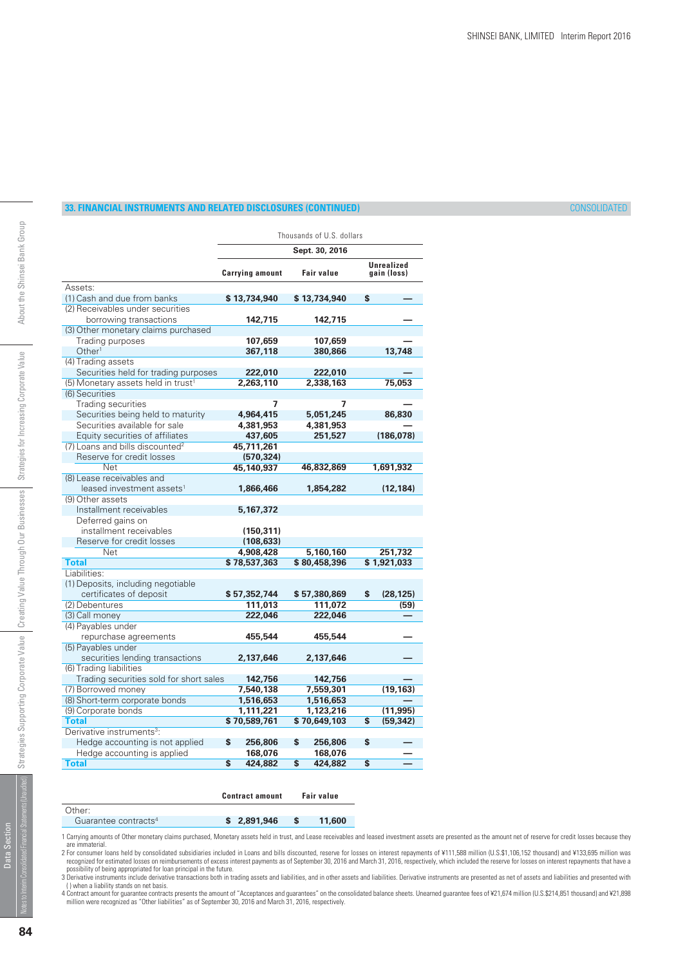# **33. FINANCIAL INSTRUMENTS AND RELATED DISCLOSURES (CONTINUED)** CONSOLIDATED

|                                                |                        | Thousands of U.S. dollars |    |                                  |
|------------------------------------------------|------------------------|---------------------------|----|----------------------------------|
|                                                |                        | Sept. 30, 2016            |    |                                  |
|                                                | <b>Carrying amount</b> | <b>Fair value</b>         |    | <b>Unrealized</b><br>gain (loss) |
| Assets:                                        |                        |                           |    |                                  |
| (1) Cash and due from banks                    | \$13,734,940           | \$13,734,940              | S  |                                  |
| (2) Receivables under securities               |                        |                           |    |                                  |
| borrowing transactions                         | 142,715                | 142,715                   |    |                                  |
| (3) Other monetary claims purchased            |                        |                           |    |                                  |
| Trading purposes                               | 107.659                | 107.659                   |    |                                  |
| Other <sup>1</sup>                             | 367,118                | 380,866                   |    | 13,748                           |
| (4) Trading assets                             |                        |                           |    |                                  |
| Securities held for trading purposes           | 222,010                | 222,010                   |    |                                  |
| (5) Monetary assets held in trust <sup>1</sup> | 2,263,110              | 2,338,163                 |    | 75,053                           |
| (6) Securities                                 |                        |                           |    |                                  |
| <b>Trading securities</b>                      | 7                      | 7                         |    |                                  |
| Securities being held to maturity              | 4,964,415              | 5,051,245                 |    | 86,830                           |
| Securities available for sale                  | 4,381,953              | 4,381,953                 |    |                                  |
| Equity securities of affiliates                | 437,605                | 251,527                   |    | (186, 078)                       |
| (7) Loans and bills discounted <sup>2</sup>    | 45,711,261             |                           |    |                                  |
| Reserve for credit losses                      | (570, 324)             |                           |    |                                  |
| Net                                            | 45,140,937             | 46,832,869                |    | 1,691,932                        |
| (8) Lease receivables and                      |                        |                           |    |                                  |
| leased investment assets <sup>1</sup>          | 1,866,466              | 1,854,282                 |    | (12, 184)                        |
| (9) Other assets                               |                        |                           |    |                                  |
| Installment receivables                        | 5,167,372              |                           |    |                                  |
| Deferred gains on                              |                        |                           |    |                                  |
| installment receivables                        | (150, 311)             |                           |    |                                  |
| Reserve for credit losses                      | (108, 633)             |                           |    |                                  |
| Net                                            | 4,908,428              | 5,160,160                 |    | 251,732                          |
| <b>Total</b>                                   | \$78,537,363           | \$80,458,396              |    | \$1,921,033                      |
| Liabilities:                                   |                        |                           |    |                                  |
| (1) Deposits, including negotiable             |                        |                           |    |                                  |
| certificates of deposit                        | \$57,352,744           | \$57,380,869              | \$ | (28, 125)                        |
| (2) Debentures                                 | 111,013                | 111,072                   |    | (59)                             |
| (3) Call money                                 | 222,046                | 222,046                   |    |                                  |
| (4) Payables under                             |                        |                           |    |                                  |
| repurchase agreements                          | 455,544                | 455,544                   |    |                                  |
| (5) Payables under                             |                        |                           |    |                                  |
| securities lending transactions                | 2,137,646              | 2,137,646                 |    |                                  |
| (6) Trading liabilities                        |                        |                           |    |                                  |
| Trading securities sold for short sales        | 142,756                | 142,756                   |    |                                  |
| (7) Borrowed money                             | 7,540,138              | 7,559,301                 |    | (19, 163)                        |
| (8) Short-term corporate bonds                 | 1,516,653              | 1,516,653                 |    |                                  |
| (9) Corporate bonds                            | 1,111,221              | 1,123,216                 |    | (11, 995)                        |
| <b>Total</b>                                   | \$70,589,761           | \$70,649,103              | \$ | (59, 342)                        |
| Derivative instruments <sup>3</sup> :          |                        |                           |    |                                  |
| Hedge accounting is not applied                | \$<br>256,806          | \$<br>256,806             | \$ |                                  |
| Hedge accounting is applied                    | 168,076                | 168,076                   |    |                                  |
| <b>Total</b>                                   | \$<br>424,882          | \$<br>424,882             | \$ |                                  |
|                                                |                        |                           |    |                                  |

|                                  | <b>Contract amount</b> | Fair value |
|----------------------------------|------------------------|------------|
| Other:                           |                        |            |
| Guarantee contracts <sup>4</sup> | \$2.891.946            | 11,600     |

1 Carrying amounts of Other monetary claims purchased, Monetary assets held in trust, and Lease receivables and leased investment assets are presented as the amount net of reserve for credit losses because they

are immaterial.<br>2 For consumer loans held by consolidated subsidiaries included in Loans and bills discounted, reserve for losses on interest repayments of ¥111,588 million (U.S.\$1,106,152 thousand) and ¥133,695 million wa

4 Contract amount for guarantee contracts presents the amount of "Acceptances and guarantees" on the consolidated balance sheets. Unearned guarantee fees of ¥21,674 million (U.S.\$214,851 thousand) and ¥21,898<br>million were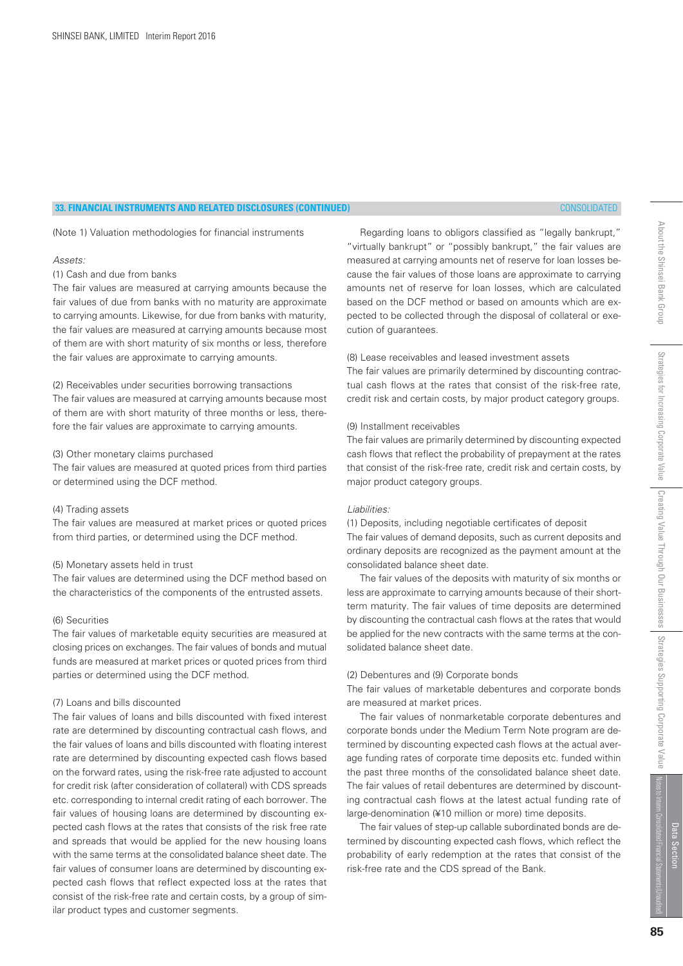# **33. FINANCIAL INSTRUMENTS AND RELATED DISCLOSURES (CONTINUED)** CONSOLIDATED

(Note 1) Valuation methodologies for financial instruments

#### Assets:

# (1) Cash and due from banks

The fair values are measured at carrying amounts because the fair values of due from banks with no maturity are approximate to carrying amounts. Likewise, for due from banks with maturity, the fair values are measured at carrying amounts because most of them are with short maturity of six months or less, therefore the fair values are approximate to carrying amounts.

#### (2) Receivables under securities borrowing transactions

The fair values are measured at carrying amounts because most of them are with short maturity of three months or less, therefore the fair values are approximate to carrying amounts.

#### (3) Other monetary claims purchased

The fair values are measured at quoted prices from third parties or determined using the DCF method.

#### (4) Trading assets

The fair values are measured at market prices or quoted prices from third parties, or determined using the DCF method.

## (5) Monetary assets held in trust

The fair values are determined using the DCF method based on the characteristics of the components of the entrusted assets.

# (6) Securities

The fair values of marketable equity securities are measured at closing prices on exchanges. The fair values of bonds and mutual funds are measured at market prices or quoted prices from third parties or determined using the DCF method.

#### (7) Loans and bills discounted

The fair values of loans and bills discounted with fixed interest rate are determined by discounting contractual cash flows, and the fair values of loans and bills discounted with floating interest rate are determined by discounting expected cash flows based on the forward rates, using the risk-free rate adjusted to account for credit risk (after consideration of collateral) with CDS spreads etc. corresponding to internal credit rating of each borrower. The fair values of housing loans are determined by discounting expected cash flows at the rates that consists of the risk free rate and spreads that would be applied for the new housing loans with the same terms at the consolidated balance sheet date. The fair values of consumer loans are determined by discounting expected cash flows that reflect expected loss at the rates that consist of the risk-free rate and certain costs, by a group of similar product types and customer segments.

 Regarding loans to obligors classified as "legally bankrupt," "virtually bankrupt" or "possibly bankrupt," the fair values are measured at carrying amounts net of reserve for loan losses because the fair values of those loans are approximate to carrying amounts net of reserve for loan losses, which are calculated based on the DCF method or based on amounts which are expected to be collected through the disposal of collateral or execution of guarantees.

# (8) Lease receivables and leased investment assets

The fair values are primarily determined by discounting contractual cash flows at the rates that consist of the risk-free rate, credit risk and certain costs, by major product category groups.

#### (9) Installment receivables

The fair values are primarily determined by discounting expected cash flows that reflect the probability of prepayment at the rates that consist of the risk-free rate, credit risk and certain costs, by major product category groups.

#### Liabilities:

(1) Deposits, including negotiable certificates of deposit The fair values of demand deposits, such as current deposits and ordinary deposits are recognized as the payment amount at the consolidated balance sheet date.

 The fair values of the deposits with maturity of six months or less are approximate to carrying amounts because of their shortterm maturity. The fair values of time deposits are determined by discounting the contractual cash flows at the rates that would be applied for the new contracts with the same terms at the consolidated balance sheet date.

# (2) Debentures and (9) Corporate bonds

The fair values of marketable debentures and corporate bonds are measured at market prices.

 The fair values of nonmarketable corporate debentures and corporate bonds under the Medium Term Note program are determined by discounting expected cash flows at the actual average funding rates of corporate time deposits etc. funded within the past three months of the consolidated balance sheet date. The fair values of retail debentures are determined by discounting contractual cash flows at the latest actual funding rate of large-denomination (¥10 million or more) time deposits.

 The fair values of step-up callable subordinated bonds are determined by discounting expected cash flows, which reflect the probability of early redemption at the rates that consist of the risk-free rate and the CDS spread of the Bank.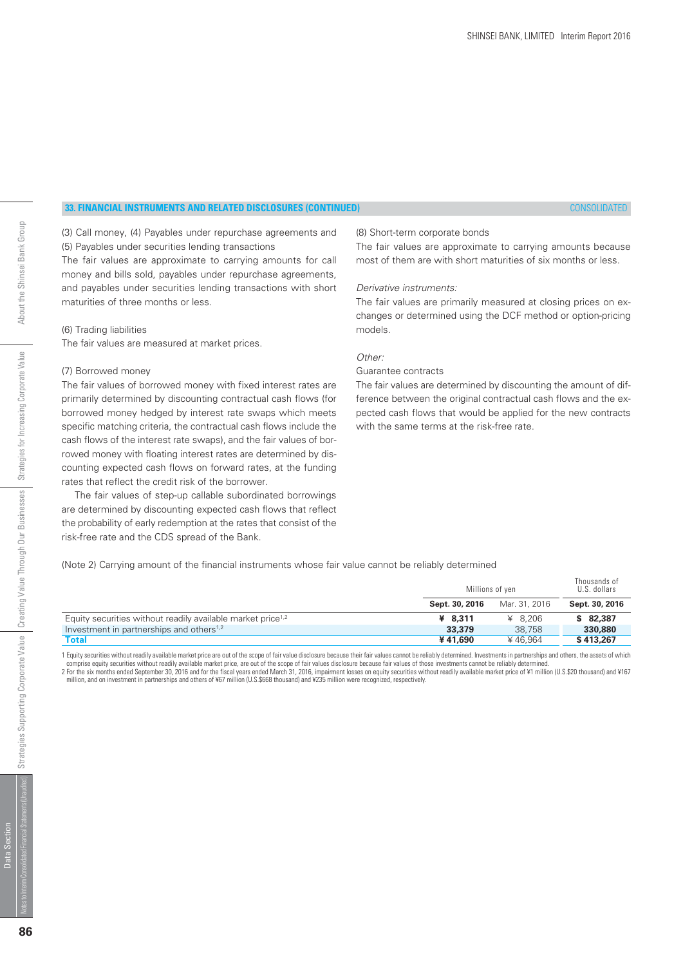# **33. FINANCIAL INSTRUMENTS AND RELATED DISCLOSURES (CONTINUED)** CONSOLIDATED

(3) Call money, (4) Payables under repurchase agreements and (5) Payables under securities lending transactions

The fair values are approximate to carrying amounts for call money and bills sold, payables under repurchase agreements, and payables under securities lending transactions with short maturities of three months or less.

#### (6) Trading liabilities

The fair values are measured at market prices.

#### (7) Borrowed money

The fair values of borrowed money with fixed interest rates are primarily determined by discounting contractual cash flows (for borrowed money hedged by interest rate swaps which meets specific matching criteria, the contractual cash flows include the cash flows of the interest rate swaps), and the fair values of borrowed money with floating interest rates are determined by discounting expected cash flows on forward rates, at the funding rates that reflect the credit risk of the borrower.

 The fair values of step-up callable subordinated borrowings are determined by discounting expected cash flows that reflect the probability of early redemption at the rates that consist of the risk-free rate and the CDS spread of the Bank.

#### (8) Short-term corporate bonds

The fair values are approximate to carrying amounts because most of them are with short maturities of six months or less.

#### Derivative instruments:

The fair values are primarily measured at closing prices on exchanges or determined using the DCF method or option-pricing models.

## Other:

# Guarantee contracts

The fair values are determined by discounting the amount of difference between the original contractual cash flows and the expected cash flows that would be applied for the new contracts with the same terms at the risk-free rate.

(Note 2) Carrying amount of the financial instruments whose fair value cannot be reliably determined

|                                                                         | Millions of yen |               | Thousands of<br>U.S. dollars |
|-------------------------------------------------------------------------|-----------------|---------------|------------------------------|
|                                                                         | Sept. 30, 2016  | Mar. 31, 2016 | Sept. 30, 2016               |
| Equity securities without readily available market price <sup>1,2</sup> | ¥ $8.311$       | ¥ $8.206$     | \$82,387                     |
| Investment in partnerships and others <sup>1,2</sup>                    | 33,379          | 38,758        | 330,880                      |
| Total                                                                   | ¥41.690         | ¥46.964       | \$413,267                    |

1 Equity securities without readily available market price are out of the scope of fair value disclosure because their fair values cannot be reliably determined. Investments in partnerships and others, the assets of which comprise equity securities without readily available market price, are out of the scope of fair values disclosure because fair values of those investments cannot be reliably determined 2 For the six months ended September 30, 2016 and for the fiscal years ended March 31, 2016, impairment losses on equity securities without readily available market price of ¥1 million (U.S.\$20 thousand) and ¥167<br>million,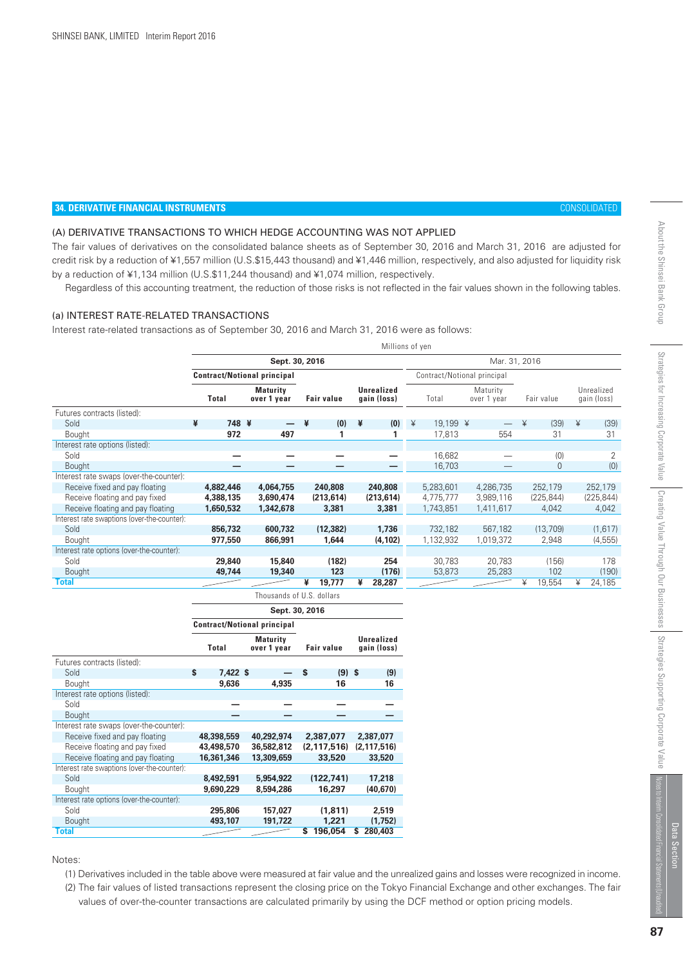# **34. DERIVATIVE FINANCIAL INSTRUMENTS** CONSOLIDATED

# (A) DERIVATIVE TRANSACTIONS TO WHICH HEDGE ACCOUNTING WAS NOT APPLIED

The fair values of derivatives on the consolidated balance sheets as of September 30, 2016 and March 31, 2016 are adjusted for credit risk by a reduction of ¥1,557 million (U.S.\$15,443 thousand) and ¥1,446 million, respectively, and also adjusted for liquidity risk by a reduction of ¥1,134 million (U.S.\$11,244 thousand) and ¥1,074 million, respectively.

Regardless of this accounting treatment, the reduction of those risks is not reflected in the fair values shown in the following tables.

## (a) INTEREST RATE-RELATED TRANSACTIONS

Interest rate-related transactions as of September 30, 2016 and March 31, 2016 were as follows:

|                                             | Millions of yen |                                    |                                |   |                   |   |                                  |   |                             |  |                         |   |              |   |                           |
|---------------------------------------------|-----------------|------------------------------------|--------------------------------|---|-------------------|---|----------------------------------|---|-----------------------------|--|-------------------------|---|--------------|---|---------------------------|
|                                             |                 | Sept. 30, 2016                     |                                |   |                   |   | Mar. 31, 2016                    |   |                             |  |                         |   |              |   |                           |
|                                             |                 | <b>Contract/Notional principal</b> |                                |   |                   |   |                                  |   | Contract/Notional principal |  |                         |   |              |   |                           |
|                                             |                 | Total                              | <b>Maturity</b><br>over 1 year |   | <b>Fair value</b> |   | <b>Unrealized</b><br>gain (loss) |   | Total                       |  | Maturity<br>over 1 year |   | Fair value   |   | Unrealized<br>gain (loss) |
| Futures contracts (listed):                 |                 |                                    |                                |   |                   |   |                                  |   |                             |  |                         |   |              |   |                           |
| Sold                                        | ¥               | 748 ¥                              |                                | ¥ | (0)               | ¥ | (0)                              | ¥ | 19,199 ¥                    |  |                         | ¥ | (39)         | ¥ | (39)                      |
| Bought                                      |                 | 972                                | 497                            |   |                   |   |                                  |   | 17,813                      |  | 554                     |   | 31           |   | 31                        |
| Interest rate options (listed):             |                 |                                    |                                |   |                   |   |                                  |   |                             |  |                         |   |              |   |                           |
| Sold                                        |                 |                                    |                                |   |                   |   |                                  |   | 16,682                      |  |                         |   | (0)          |   | 2                         |
| Bought                                      |                 |                                    |                                |   |                   |   |                                  |   | 16,703                      |  |                         |   | $\mathbf{0}$ |   | (0)                       |
| Interest rate swaps (over-the-counter):     |                 |                                    |                                |   |                   |   |                                  |   |                             |  |                         |   |              |   |                           |
| Receive fixed and pay floating              |                 | 4,882,446                          | 4,064,755                      |   | 240,808           |   | 240,808                          |   | 5,283,601                   |  | 4.286.735               |   | 252.179      |   | 252,179                   |
| Receive floating and pay fixed              |                 | 4,388,135                          | 3,690,474                      |   | (213, 614)        |   | (213, 614)                       |   | 4,775,777                   |  | 3,989,116               |   | (225, 844)   |   | (225, 844)                |
| Receive floating and pay floating           |                 | 1,650,532                          | 1,342,678                      |   | 3,381             |   | 3,381                            |   | 1,743,851                   |  | 1,411,617               |   | 4,042        |   | 4,042                     |
| Interest rate swaptions (over-the-counter): |                 |                                    |                                |   |                   |   |                                  |   |                             |  |                         |   |              |   |                           |
| Sold                                        |                 | 856,732                            | 600,732                        |   | (12, 382)         |   | 1,736                            |   | 732,182                     |  | 567,182                 |   | (13,709)     |   | (1,617)                   |
| Bought                                      |                 | 977,550                            | 866,991                        |   | 1,644             |   | (4, 102)                         |   | 1,132,932                   |  | 1,019,372               |   | 2,948        |   | (4, 555)                  |
| Interest rate options (over-the-counter):   |                 |                                    |                                |   |                   |   |                                  |   |                             |  |                         |   |              |   |                           |
| Sold                                        |                 | 29,840                             | 15,840                         |   | (182)             |   | 254                              |   | 30,783                      |  | 20,783                  |   | (156)        |   | 178                       |
| <b>Bought</b>                               |                 | 49,744                             | 19,340                         |   | 123               |   | (176)                            |   | 53,873                      |  | 25,283                  |   | 102          |   | (190)                     |
| <b>Total</b>                                |                 |                                    |                                | ¥ | 19,777            | ¥ | 28,287                           |   |                             |  |                         | ¥ | 19,554       | ¥ | 24,185                    |
|                                             |                 |                                    | Thousands of U.S. dollars      |   |                   |   |                                  |   |                             |  |                         |   |              |   |                           |

|                                             | Sept. 30, 2016                                 |            |                   |            |    |                           |   |               |  |  |
|---------------------------------------------|------------------------------------------------|------------|-------------------|------------|----|---------------------------|---|---------------|--|--|
|                                             | <b>Contract/Notional principal</b>             |            |                   |            |    |                           |   |               |  |  |
|                                             | <b>Maturity</b><br><b>Total</b><br>over 1 year |            | <b>Fair value</b> |            |    | Unrealized<br>gain (loss) |   |               |  |  |
| Futures contracts (listed):                 |                                                |            |                   |            |    |                           |   |               |  |  |
| Sold                                        | Ŝ                                              | $7,422$ \$ |                   |            | \$ | $(9)$ \$                  |   | (9)           |  |  |
| Bought                                      |                                                | 9,636      |                   | 4.935      |    | 16                        |   | 16            |  |  |
| Interest rate options (listed):             |                                                |            |                   |            |    |                           |   |               |  |  |
| Sold                                        |                                                |            |                   |            |    |                           |   |               |  |  |
| <b>Bought</b>                               |                                                |            |                   |            |    |                           |   |               |  |  |
| Interest rate swaps (over-the-counter):     |                                                |            |                   |            |    |                           |   |               |  |  |
| Receive fixed and pay floating              |                                                | 48,398,559 |                   | 40,292,974 |    | 2,387,077                 |   | 2,387,077     |  |  |
| Receive floating and pay fixed              |                                                | 43,498,570 |                   | 36,582,812 |    | (2.117.516)               |   | (2, 117, 516) |  |  |
| Receive floating and pay floating           |                                                | 16,361,346 |                   | 13,309,659 |    | 33,520                    |   | 33,520        |  |  |
| Interest rate swaptions (over-the-counter): |                                                |            |                   |            |    |                           |   |               |  |  |
| Sold                                        |                                                | 8,492,591  |                   | 5,954,922  |    | (122.741)                 |   | 17,218        |  |  |
| Bought                                      |                                                | 9,690,229  |                   | 8,594,286  |    | 16,297                    |   | (40, 670)     |  |  |
| Interest rate options (over-the-counter):   |                                                |            |                   |            |    |                           |   |               |  |  |
| Sold                                        |                                                | 295,806    |                   | 157,027    |    | (1, 811)                  |   | 2,519         |  |  |
| <b>Bought</b>                               |                                                | 493,107    |                   | 191,722    |    | 1.221                     |   | (1,752)       |  |  |
| <b>Total</b>                                |                                                |            |                   |            | S  | 196,054                   | s | 280,403       |  |  |

Notes:

 (1) Derivatives included in the table above were measured at fair value and the unrealized gains and losses were recognized in income. (2) The fair values of listed transactions represent the closing price on the Tokyo Financial Exchange and other exchanges. The fair

values of over-the-counter transactions are calculated primarily by using the DCF method or option pricing models.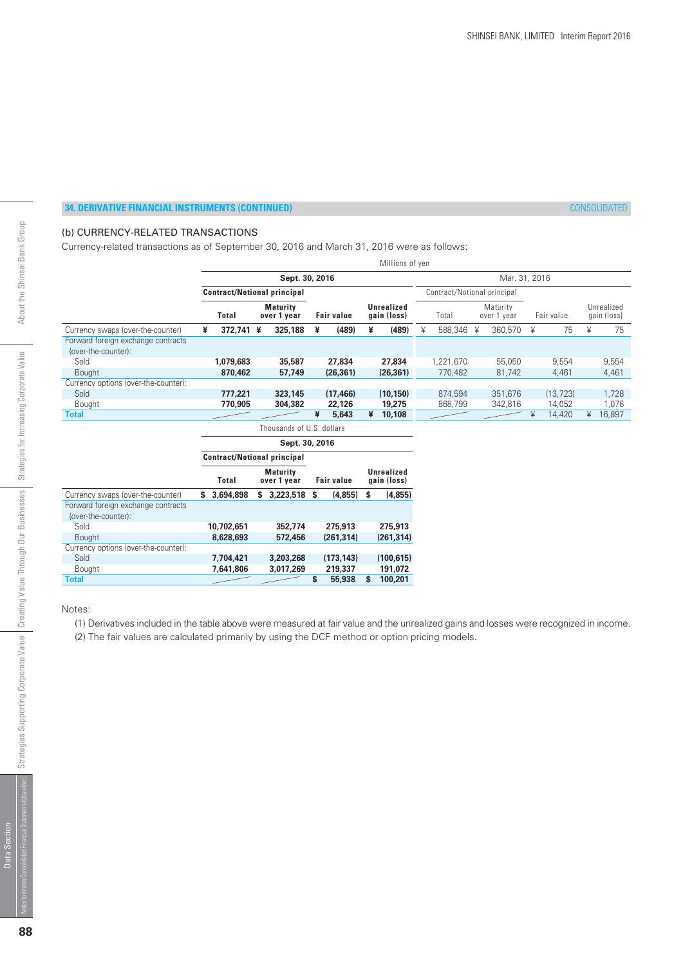# (b) CURRENCY-RELATED TRANSACTIONS

Currency-related transactions as of September 30, 2016 and March 31, 2016 were as follows:

|                                                           |   |                                    |                                |    |                   |   | Millions of yen                  |   |                             |   |                         |   |            |   |                           |
|-----------------------------------------------------------|---|------------------------------------|--------------------------------|----|-------------------|---|----------------------------------|---|-----------------------------|---|-------------------------|---|------------|---|---------------------------|
|                                                           |   |                                    | Sept. 30, 2016                 |    |                   |   |                                  |   |                             |   | Mar. 31, 2016           |   |            |   |                           |
|                                                           |   | <b>Contract/Notional principal</b> |                                |    |                   |   |                                  |   | Contract/Notional principal |   |                         |   |            |   |                           |
|                                                           |   | <b>Total</b>                       | <b>Maturity</b><br>over 1 year |    | <b>Fair value</b> |   | <b>Unrealized</b><br>gain (loss) |   | Total                       |   | Maturity<br>over 1 year |   | Fair value |   | Unrealized<br>gain (loss) |
| Currency swaps (over-the-counter)                         | ¥ | 372,741 ¥                          | 325,188                        | ¥  | (489)             | ¥ | (489)                            | ¥ | 588,346                     | ¥ | 360,570                 | ¥ | 75         | ¥ | 75                        |
| Forward foreign exchange contracts<br>(over-the-counter): |   |                                    |                                |    |                   |   |                                  |   |                             |   |                         |   |            |   |                           |
| Sold                                                      |   | 1.079.683                          | 35,587                         |    | 27,834            |   | 27,834                           |   | 1,221,670                   |   | 55.050                  |   | 9.554      |   | 9,554                     |
| <b>Bought</b>                                             |   | 870,462                            | 57,749                         |    | (26, 361)         |   | (26, 361)                        |   | 770,482                     |   | 81,742                  |   | 4,461      |   | 4,461                     |
| Currency options (over-the-counter):                      |   |                                    |                                |    |                   |   |                                  |   |                             |   |                         |   |            |   |                           |
| Sold                                                      |   | 777,221                            | 323,145                        |    | (17, 466)         |   | (10, 150)                        |   | 874,594                     |   | 351,676                 |   | (13, 723)  |   | 1,728                     |
| Bought                                                    |   | 770.905                            | 304,382                        |    | 22,126            |   | 19,275                           |   | 868,799                     |   | 342,816                 |   | 14,052     |   | 1,076                     |
| <b>Total</b>                                              |   |                                    |                                | ¥  | 5,643             | ¥ | 10,108                           |   |                             |   |                         | ¥ | 14,420     | ¥ | 16,897                    |
|                                                           |   |                                    | Thousands of U.S. dollars      |    |                   |   |                                  |   |                             |   |                         |   |            |   |                           |
|                                                           |   |                                    | Sept. 30, 2016                 |    |                   |   |                                  |   |                             |   |                         |   |            |   |                           |
|                                                           |   | <b>Contract/Notional principal</b> |                                |    |                   |   |                                  |   |                             |   |                         |   |            |   |                           |
|                                                           |   | <b>Total</b>                       | <b>Maturity</b><br>over 1 year |    | <b>Fair value</b> |   | <b>Unrealized</b><br>gain (loss) |   |                             |   |                         |   |            |   |                           |
| Currency swaps (over-the-counter)                         |   | \$3,694,898                        | \$3,223,518                    | S  | (4,855)           | s | (4,855)                          |   |                             |   |                         |   |            |   |                           |
| Forward foreign exchange contracts                        |   |                                    |                                |    |                   |   |                                  |   |                             |   |                         |   |            |   |                           |
| (over-the-counter):                                       |   |                                    |                                |    |                   |   |                                  |   |                             |   |                         |   |            |   |                           |
| Sold                                                      |   | 10,702,651                         | 352,774                        |    | 275,913           |   | 275,913                          |   |                             |   |                         |   |            |   |                           |
| <b>Bought</b>                                             |   | 8,628,693                          | 572,456                        |    | (261, 314)        |   | (261, 314)                       |   |                             |   |                         |   |            |   |                           |
| Currency options (over-the-counter):                      |   |                                    |                                |    |                   |   |                                  |   |                             |   |                         |   |            |   |                           |
| Sold                                                      |   | 7,704,421                          | 3,203,268                      |    | (173, 143)        |   | (100, 615)                       |   |                             |   |                         |   |            |   |                           |
| Bought                                                    |   | 7,641,806                          | 3,017,269                      |    | 219,337           |   | 191,072                          |   |                             |   |                         |   |            |   |                           |
| Total                                                     |   |                                    |                                | \$ | 55,938            | s | 100,201                          |   |                             |   |                         |   |            |   |                           |

Notes:

(1) Derivatives included in the table above were measured at fair value and the unrealized gains and losses were recognized in income.

(2) The fair values are calculated primarily by using the DCF method or option pricing models.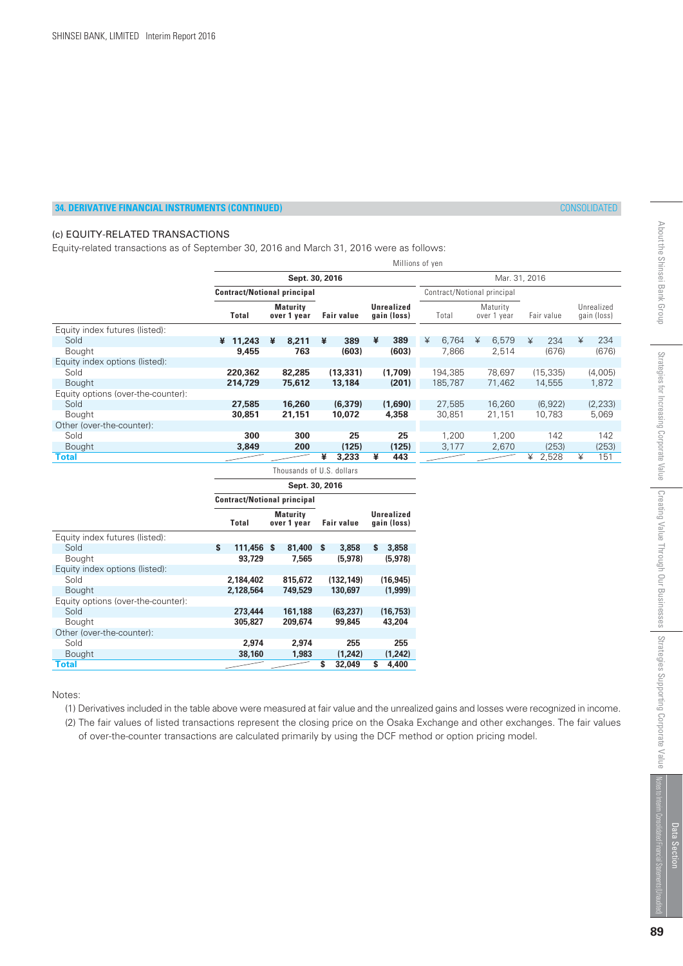# (c) EQUITY-RELATED TRANSACTIONS

Equity-related transactions as of September 30, 2016 and March 31, 2016 were as follows:

|                                    | Millions of yen                    |                                |                           |                                  |            |                             |            |                           |  |  |
|------------------------------------|------------------------------------|--------------------------------|---------------------------|----------------------------------|------------|-----------------------------|------------|---------------------------|--|--|
|                                    |                                    |                                | Mar. 31, 2016             |                                  |            |                             |            |                           |  |  |
|                                    | <b>Contract/Notional principal</b> |                                |                           |                                  |            | Contract/Notional principal |            |                           |  |  |
|                                    | Total                              | <b>Maturity</b><br>over 1 year | <b>Fair value</b>         | <b>Unrealized</b><br>gain (loss) | Total      | Maturity<br>over 1 year     | Fair value | Unrealized<br>gain (loss) |  |  |
| Equity index futures (listed):     |                                    |                                |                           |                                  |            |                             |            |                           |  |  |
| Sold                               | 11,243<br>¥                        | 8,211<br>¥                     | ¥<br>389                  | ¥<br>389                         | 6,764<br>¥ | ¥<br>6,579                  | 234<br>¥   | 234<br>¥                  |  |  |
| <b>Bought</b>                      | 9,455                              | 763                            | (603)                     | (603)                            | 7,866      | 2,514                       | (676)      | (676)                     |  |  |
| Equity index options (listed):     |                                    |                                |                           |                                  |            |                             |            |                           |  |  |
| Sold                               | 220,362                            | 82,285                         | (13, 331)                 | (1,709)                          | 194,385    | 78,697                      | (15, 335)  | (4,005)                   |  |  |
| <b>Bought</b>                      | 214,729                            | 75,612                         | 13,184                    | (201)                            | 185,787    | 71,462                      | 14,555     | 1,872                     |  |  |
| Equity options (over-the-counter): |                                    |                                |                           |                                  |            |                             |            |                           |  |  |
| Sold                               | 27,585                             | 16,260                         | (6, 379)                  | (1,690)                          | 27,585     | 16,260                      | (6,922)    | (2, 233)                  |  |  |
| <b>Bought</b>                      | 30,851                             | 21,151                         | 10,072                    | 4,358                            | 30,851     | 21,151                      | 10,783     | 5,069                     |  |  |
| Other (over-the-counter):          |                                    |                                |                           |                                  |            |                             |            |                           |  |  |
| Sold                               | 300                                | 300                            | 25                        | 25                               | 1,200      | 1.200                       | 142        | 142                       |  |  |
| <b>Bought</b>                      | 3,849                              | 200                            | (125)                     | (125)                            | 3,177      | 2,670                       | (253)      | (253)                     |  |  |
| Total                              |                                    |                                | ¥<br>3,233                | 443<br>¥                         |            |                             | 2,528<br>¥ | 151<br>¥                  |  |  |
|                                    |                                    |                                | Thousands of U.S. dollars |                                  |            |                             |            |                           |  |  |

|                                    | Sept. 30, 2016                     |            |                                |           |                   |            |    |                           |  |  |  |
|------------------------------------|------------------------------------|------------|--------------------------------|-----------|-------------------|------------|----|---------------------------|--|--|--|
|                                    | <b>Contract/Notional principal</b> |            |                                |           |                   |            |    |                           |  |  |  |
|                                    |                                    | Total      | <b>Maturity</b><br>over 1 year |           | <b>Fair value</b> |            |    | Unrealized<br>gain (loss) |  |  |  |
| Equity index futures (listed):     |                                    |            |                                |           |                   |            |    |                           |  |  |  |
| Sold                               | \$                                 | 111,456 \$ |                                | 81.400 \$ |                   | 3,858      | S. | 3,858                     |  |  |  |
| <b>Bought</b>                      |                                    | 93,729     |                                | 7.565     |                   | (5, 978)   |    | (5,978)                   |  |  |  |
| Equity index options (listed):     |                                    |            |                                |           |                   |            |    |                           |  |  |  |
| Sold                               |                                    | 2,184,402  |                                | 815,672   |                   | (132, 149) |    | (16, 945)                 |  |  |  |
| <b>Bought</b>                      |                                    | 2,128,564  |                                | 749.529   |                   | 130,697    |    | (1.999)                   |  |  |  |
| Equity options (over-the-counter): |                                    |            |                                |           |                   |            |    |                           |  |  |  |
| Sold                               |                                    | 273,444    |                                | 161,188   |                   | (63, 237)  |    | (16, 753)                 |  |  |  |
| <b>Bought</b>                      |                                    | 305,827    |                                | 209,674   |                   | 99,845     |    | 43,204                    |  |  |  |
| Other (over-the-counter):          |                                    |            |                                |           |                   |            |    |                           |  |  |  |
| Sold                               |                                    | 2.974      |                                | 2.974     |                   | 255        |    | 255                       |  |  |  |
| <b>Bought</b>                      |                                    | 38,160     |                                | 1,983     |                   | (1.242)    |    | (1,242)                   |  |  |  |
| Total                              |                                    |            |                                |           | S                 | 32,049     | S  | 4,400                     |  |  |  |

#### Notes:

(1) Derivatives included in the table above were measured at fair value and the unrealized gains and losses were recognized in income.

 (2) The fair values of listed transactions represent the closing price on the Osaka Exchange and other exchanges. The fair values of over-the-counter transactions are calculated primarily by using the DCF method or option pricing model.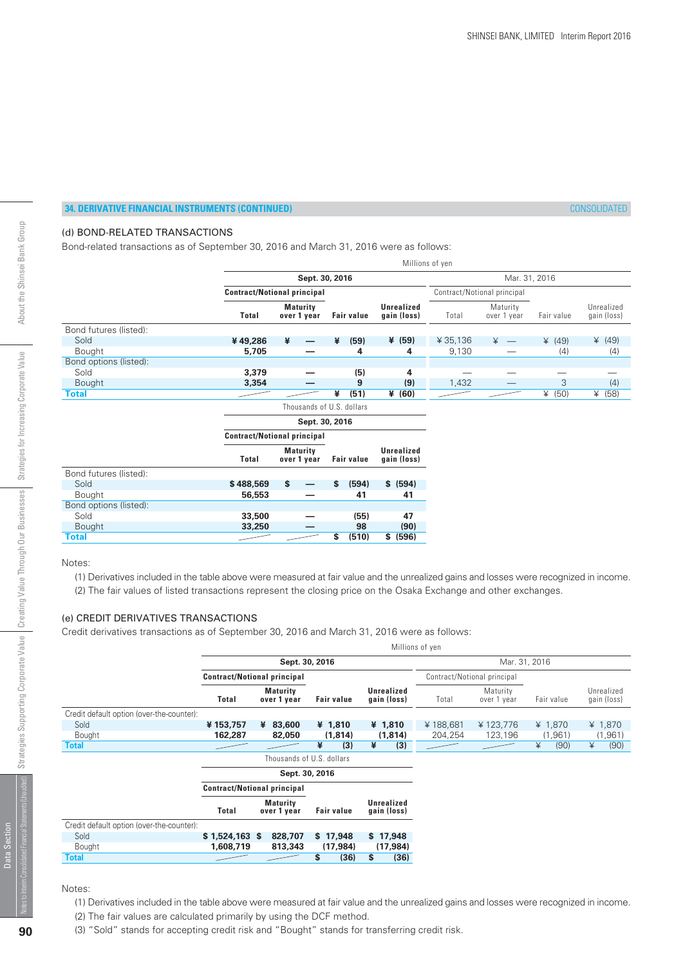# (d) BOND-RELATED TRANSACTIONS

Bond-related transactions as of September 30, 2016 and March 31, 2016 were as follows:

|                        |                                    |                                    |                                |    |                   |                                  | Millions of yen             |                         |            |                           |
|------------------------|------------------------------------|------------------------------------|--------------------------------|----|-------------------|----------------------------------|-----------------------------|-------------------------|------------|---------------------------|
|                        |                                    |                                    | Sept. 30, 2016                 |    |                   |                                  |                             | Mar. 31, 2016           |            |                           |
|                        |                                    | <b>Contract/Notional principal</b> |                                |    |                   |                                  | Contract/Notional principal |                         |            |                           |
|                        | <b>Total</b>                       |                                    | <b>Maturity</b><br>over 1 year |    | <b>Fair value</b> | <b>Unrealized</b><br>gain (loss) | Total                       | Maturity<br>over 1 year | Fair value | Unrealized<br>gain (loss) |
| Bond futures (listed): |                                    |                                    |                                |    |                   |                                  |                             |                         |            |                           |
| Sold                   | ¥49,286                            | ¥                                  |                                | ¥  | (59)              | ¥ (59)                           | ¥ 35,136                    | ¥                       | (49)       | ¥ $(49)$                  |
| Bought                 | 5,705                              |                                    |                                |    | 4                 | 4                                | 9,130                       |                         | (4)        | (4)                       |
| Bond options (listed): |                                    |                                    |                                |    |                   |                                  |                             |                         |            |                           |
| Sold                   | 3,379                              |                                    |                                |    | (5)               | 4                                |                             |                         |            |                           |
| Bought                 | 3,354                              |                                    |                                |    | 9                 | (9)                              | 1,432                       |                         | 3          | (4)                       |
| Total                  |                                    |                                    |                                | ¥  | (51)              | ¥ (60)                           |                             |                         | (50)<br>¥  | ¥ (58)                    |
|                        |                                    |                                    | Thousands of U.S. dollars      |    |                   |                                  |                             |                         |            |                           |
|                        |                                    |                                    | Sept. 30, 2016                 |    |                   |                                  |                             |                         |            |                           |
|                        | <b>Contract/Notional principal</b> |                                    |                                |    |                   |                                  |                             |                         |            |                           |
|                        | Total                              |                                    | <b>Maturity</b><br>over 1 year |    | <b>Fair value</b> | <b>Unrealized</b><br>gain (loss) |                             |                         |            |                           |
| Bond futures (listed): |                                    |                                    |                                |    |                   |                                  |                             |                         |            |                           |
| Sold                   | \$488,569                          | \$                                 |                                | \$ | (594)             | \$ (594)                         |                             |                         |            |                           |
| Bought                 | 56,553                             |                                    | -                              |    | 41                | 41                               |                             |                         |            |                           |
| Bond options (listed): |                                    |                                    |                                |    |                   |                                  |                             |                         |            |                           |
| Sold                   | 33,500                             |                                    |                                |    | (55)              | 47                               |                             |                         |            |                           |
| Bought                 | 33,250                             |                                    |                                |    | 98                | (90)                             |                             |                         |            |                           |
| Total                  |                                    |                                    |                                | \$ | (510)             | \$ (596)                         |                             |                         |            |                           |

#### Notes:

(1) Derivatives included in the table above were measured at fair value and the unrealized gains and losses were recognized in income.

(2) The fair values of listed transactions represent the closing price on the Osaka Exchange and other exchanges.

# (e) CREDIT DERIVATIVES TRANSACTIONS

Credit derivatives transactions as of September 30, 2016 and March 31, 2016 were as follows:

|                                           |                                    | Millions of yen                    |                   |                                  |               |                             |            |                           |  |  |  |
|-------------------------------------------|------------------------------------|------------------------------------|-------------------|----------------------------------|---------------|-----------------------------|------------|---------------------------|--|--|--|
|                                           |                                    | Sept. 30, 2016                     |                   |                                  | Mar. 31, 2016 |                             |            |                           |  |  |  |
|                                           |                                    | <b>Contract/Notional principal</b> |                   |                                  |               | Contract/Notional principal |            |                           |  |  |  |
|                                           | <b>Total</b>                       | <b>Maturity</b><br>over 1 year     | <b>Fair value</b> | <b>Unrealized</b><br>gain (loss) | Total         | Maturity<br>over 1 year     | Fair value | Unrealized<br>gain (loss) |  |  |  |
| Credit default option (over-the-counter): |                                    |                                    |                   |                                  |               |                             |            |                           |  |  |  |
| Sold                                      | ¥153,757                           | ¥ 83,600                           | ¥ $1.810$         | ¥ $1,810$                        | ¥188,681      | ¥123,776                    | ¥ $1,870$  | ¥ $1,870$                 |  |  |  |
| Bought                                    | 162,287                            | 82,050                             | (1,814)           | (1,814)                          | 204,254       | 123,196                     | (1,961)    | (1,961)                   |  |  |  |
| <b>Total</b>                              |                                    |                                    | ¥<br>(3)          | ¥<br>(3)                         |               |                             | ¥<br>(90)  | ¥<br>(90)                 |  |  |  |
|                                           |                                    | Thousands of U.S. dollars          |                   |                                  |               |                             |            |                           |  |  |  |
|                                           |                                    | Sept. 30, 2016                     |                   |                                  |               |                             |            |                           |  |  |  |
|                                           | <b>Contract/Notional principal</b> |                                    |                   |                                  |               |                             |            |                           |  |  |  |
|                                           | <b>Total</b>                       | <b>Maturity</b><br>over 1 year     | <b>Fair value</b> | Unrealized<br>gain (loss)        |               |                             |            |                           |  |  |  |
| Credit default option (over-the-counter): |                                    |                                    |                   |                                  |               |                             |            |                           |  |  |  |
| Sold                                      | $$1,524,163$ \$                    | 828,707                            | \$17.948          | \$17,948                         |               |                             |            |                           |  |  |  |
| Bought                                    | 1,608,719                          | 813,343                            | (17, 984)         | (17, 984)                        |               |                             |            |                           |  |  |  |
| Total                                     |                                    |                                    | (36)<br>S         | (36)<br>s                        |               |                             |            |                           |  |  |  |

# Notes:

 (1) Derivatives included in the table above were measured at fair value and the unrealized gains and losses were recognized in income. (2) The fair values are calculated primarily by using the DCF method.

About the Shinsei Bank Group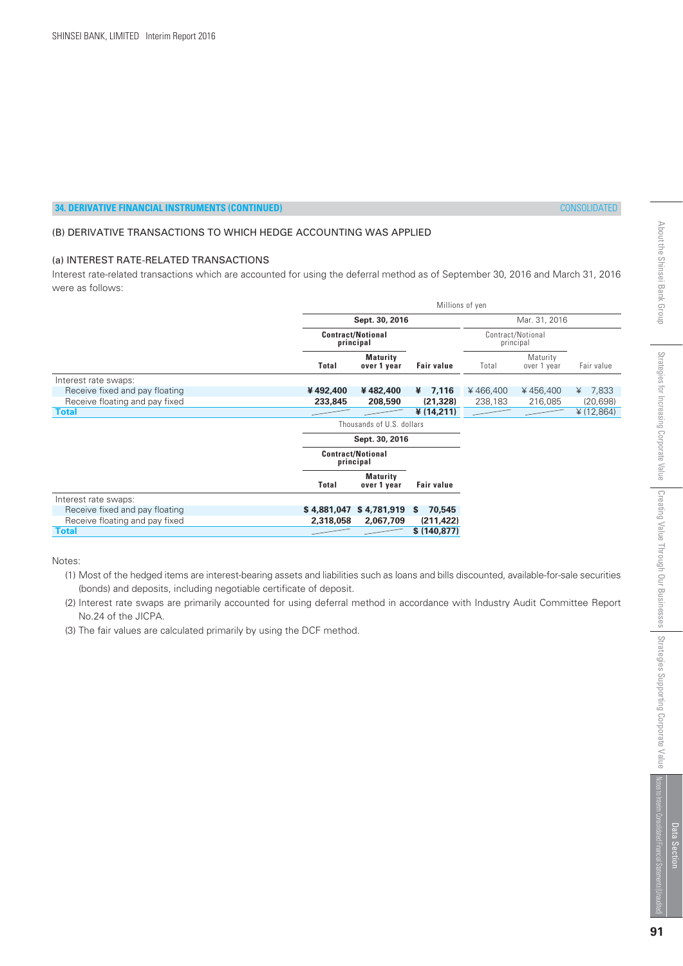# (B) DERIVATIVE TRANSACTIONS TO WHICH HEDGE ACCOUNTING WAS APPLIED

# (a) INTEREST RATE-RELATED TRANSACTIONS

Interest rate-related transactions which are accounted for using the deferral method as of September 30, 2016 and March 31, 2016 were as follows:

|                                |              |                                       | Millions of yen   |          |                                |               |  |
|--------------------------------|--------------|---------------------------------------|-------------------|----------|--------------------------------|---------------|--|
|                                |              | Sept. 30, 2016                        | Mar. 31, 2016     |          |                                |               |  |
|                                |              | <b>Contract/Notional</b><br>principal |                   |          | Contract/Notional<br>principal |               |  |
|                                | <b>Total</b> | <b>Maturity</b><br>over 1 year        | <b>Fair value</b> | Total    | Maturity<br>over 1 year        | Fair value    |  |
| Interest rate swaps:           |              |                                       |                   |          |                                |               |  |
| Receive fixed and pay floating | ¥492,400     | ¥482,400                              | 7,116<br>¥        | ¥466,400 | ¥456,400                       | 7,833<br>¥    |  |
| Receive floating and pay fixed | 233,845      | 208,590                               | (21, 328)         | 238,183  | 216,085                        | (20, 698)     |  |
| <b>Total</b>                   |              |                                       | ¥ (14,211)        |          |                                | ¥ $(12, 864)$ |  |
|                                |              | Thousands of U.S. dollars             |                   |          |                                |               |  |
|                                |              | Sept. 30, 2016                        |                   |          |                                |               |  |
|                                |              | <b>Contract/Notional</b><br>principal |                   |          |                                |               |  |
|                                | <b>Total</b> | <b>Maturity</b><br>over 1 year        | <b>Fair value</b> |          |                                |               |  |
| Interest rate swaps:           |              |                                       |                   |          |                                |               |  |
| Receive fixed and pay floating |              | \$4,881,047 \$4,781,919               | 70,545<br>S.      |          |                                |               |  |
| Receive floating and pay fixed | 2,318,058    | 2,067,709                             | (211, 422)        |          |                                |               |  |
| <b>Total</b>                   |              |                                       | \$(140, 877)      |          |                                |               |  |

Notes:

- (2) Interest rate swaps are primarily accounted for using deferral method in accordance with Industry Audit Committee Report No.24 of the JICPA.
- (3) The fair values are calculated primarily by using the DCF method.

 <sup>(1)</sup> Most of the hedged items are interest-bearing assets and liabilities such as loans and bills discounted, available-for-sale securities (bonds) and deposits, including negotiable certificate of deposit.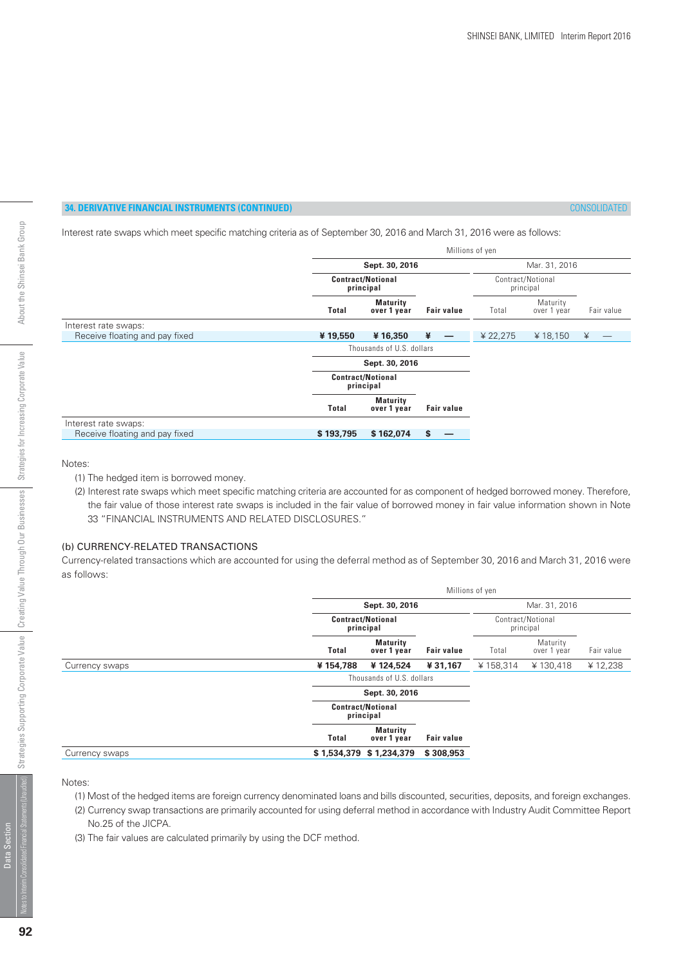Interest rate swaps which meet specific matching criteria as of September 30, 2016 and March 31, 2016 were as follows:

|                                | Millions of yen                       |                                       |                                |          |                         |            |  |  |  |
|--------------------------------|---------------------------------------|---------------------------------------|--------------------------------|----------|-------------------------|------------|--|--|--|
|                                |                                       | Sept. 30, 2016                        | Mar. 31, 2016                  |          |                         |            |  |  |  |
|                                | <b>Contract/Notional</b><br>principal |                                       | Contract/Notional<br>principal |          |                         |            |  |  |  |
|                                | <b>Total</b>                          | <b>Maturity</b><br>over 1 year        | <b>Fair value</b>              | Total    | Maturity<br>over 1 year | Fair value |  |  |  |
| Interest rate swaps:           |                                       |                                       |                                |          |                         |            |  |  |  |
| Receive floating and pay fixed | ¥19,550                               | ¥16,350                               | ¥                              | ¥ 22,275 | ¥ 18,150                | ¥          |  |  |  |
|                                | Thousands of U.S. dollars             |                                       |                                |          |                         |            |  |  |  |
|                                |                                       | Sept. 30, 2016                        |                                |          |                         |            |  |  |  |
|                                |                                       | <b>Contract/Notional</b><br>principal |                                |          |                         |            |  |  |  |
|                                | Total                                 | <b>Maturity</b><br>over 1 year        | <b>Fair value</b>              |          |                         |            |  |  |  |
| Interest rate swaps:           |                                       |                                       |                                |          |                         |            |  |  |  |
| Receive floating and pay fixed | \$193,795                             | \$162,074                             | \$<br>–                        |          |                         |            |  |  |  |

#### Notes:

- (1) The hedged item is borrowed money.
- (2) Interest rate swaps which meet specific matching criteria are accounted for as component of hedged borrowed money. Therefore, the fair value of those interest rate swaps is included in the fair value of borrowed money in fair value information shown in Note 33 "FINANCIAL INSTRUMENTS AND RELATED DISCLOSURES."

# (b) CURRENCY-RELATED TRANSACTIONS

Currency-related transactions which are accounted for using the deferral method as of September 30, 2016 and March 31, 2016 were as follows:

|                | Millions of yen |                                       |                   |                                |                         |            |  |  |
|----------------|-----------------|---------------------------------------|-------------------|--------------------------------|-------------------------|------------|--|--|
|                | Sept. 30, 2016  | Mar. 31, 2016                         |                   |                                |                         |            |  |  |
|                |                 | <b>Contract/Notional</b><br>principal |                   | Contract/Notional<br>principal |                         |            |  |  |
|                | <b>Total</b>    | <b>Maturity</b><br>over 1 year        | <b>Fair value</b> | Total                          | Maturity<br>over 1 year | Fair value |  |  |
| Currency swaps | ¥154,788        | ¥124.524                              | ¥31,167           | ¥158,314                       | ¥130,418                | ¥12,238    |  |  |
|                |                 | Thousands of U.S. dollars             |                   |                                |                         |            |  |  |
|                |                 | Sept. 30, 2016                        |                   |                                |                         |            |  |  |
|                |                 | <b>Contract/Notional</b><br>principal |                   |                                |                         |            |  |  |
|                | <b>Total</b>    | <b>Maturity</b><br>over 1 year        | <b>Fair value</b> |                                |                         |            |  |  |
| Currency swaps |                 | \$1,534,379 \$1,234,379               | \$308,953         |                                |                         |            |  |  |

Notes:

- (1) Most of the hedged items are foreign currency denominated loans and bills discounted, securities, deposits, and foreign exchanges.
- (2) Currency swap transactions are primarily accounted for using deferral method in accordance with Industry Audit Committee Report No.25 of the JICPA.
- (3) The fair values are calculated primarily by using the DCF method.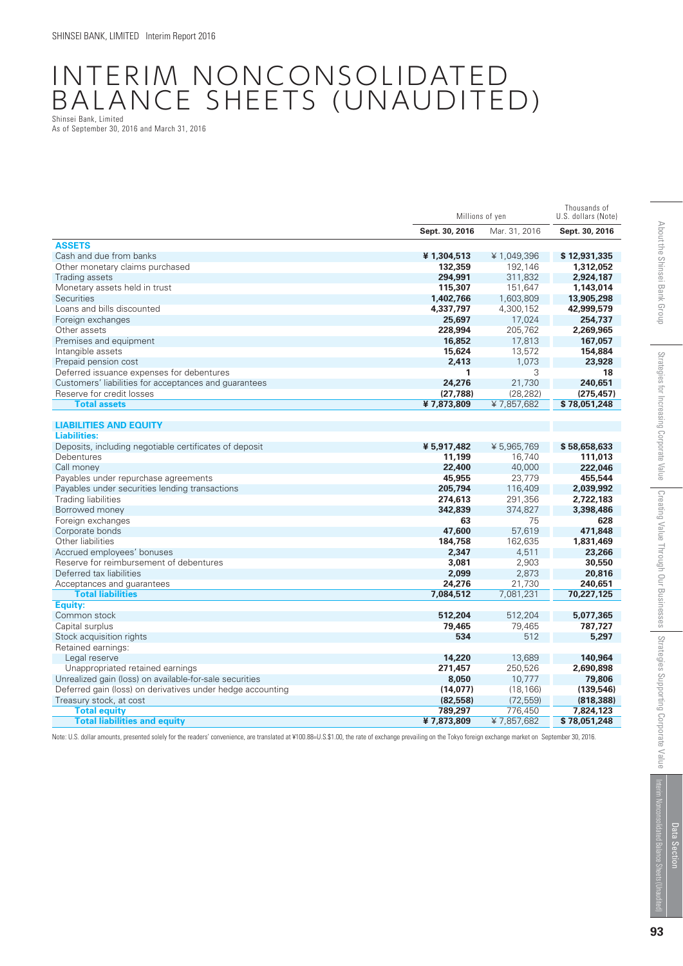# INTERIM NONCONSOLIDATED BALANCE SHEETS (UNAUDITED) Shinsei Bank, Limited

As of September 30, 2016 and March 31, 2016

|                                                            | Millions of yen | Thousands of<br>U.S. dollars (Note) |                |
|------------------------------------------------------------|-----------------|-------------------------------------|----------------|
|                                                            | Sept. 30, 2016  | Mar. 31, 2016                       | Sept. 30, 2016 |
| <b>ASSETS</b>                                              |                 |                                     |                |
| Cash and due from banks                                    | ¥1,304,513      | ¥1,049,396                          | \$12,931,335   |
| Other monetary claims purchased                            | 132,359         | 192,146                             | 1,312,052      |
| Trading assets                                             | 294,991         | 311,832                             | 2,924,187      |
| Monetary assets held in trust                              | 115,307         | 151,647                             | 1,143,014      |
| Securities                                                 | 1,402,766       | 1,603,809                           | 13,905,298     |
| Loans and bills discounted                                 | 4,337,797       | 4,300,152                           | 42,999,579     |
| Foreign exchanges                                          | 25,697          | 17,024                              | 254,737        |
| Other assets                                               | 228,994         | 205,762                             | 2,269,965      |
| Premises and equipment                                     | 16,852          | 17,813                              | 167,057        |
| Intangible assets                                          | 15,624          | 13,572                              | 154,884        |
| Prepaid pension cost                                       | 2,413           | 1,073                               | 23,928         |
| Deferred issuance expenses for debentures                  | 1               | 3                                   | 18             |
| Customers' liabilities for acceptances and guarantees      | 24,276          | 21,730                              | 240,651        |
| Reserve for credit losses                                  | (27, 788)       | (28, 282)                           | (275, 457)     |
| <b>Total assets</b>                                        | ¥7,873,809      | ¥7,857,682                          | \$78,051,248   |
|                                                            |                 |                                     |                |
| <b>LIABILITIES AND EQUITY</b>                              |                 |                                     |                |
| <b>Liabilities:</b>                                        |                 |                                     |                |
| Deposits, including negotiable certificates of deposit     | ¥ 5,917,482     | ¥ 5,965,769                         | \$58,658,633   |
| Debentures                                                 | 11,199          | 16,740                              | 111,013        |
| Call money                                                 | 22,400          | 40,000                              | 222,046        |
| Payables under repurchase agreements                       | 45,955          | 23,779                              | 455,544        |
| Payables under securities lending transactions             | 205,794         | 116,409                             | 2,039,992      |
| <b>Trading liabilities</b>                                 | 274,613         | 291,356                             | 2,722,183      |
| Borrowed money                                             | 342,839         | 374,827                             | 3,398,486      |
| Foreign exchanges                                          | 63              | 75                                  | 628            |
| Corporate bonds                                            | 47,600          | 57,619                              | 471,848        |
| Other liabilities                                          | 184,758         | 162,635                             | 1,831,469      |
| Accrued employees' bonuses                                 | 2,347           | 4,511                               | 23,266         |
| Reserve for reimbursement of debentures                    | 3,081           | 2,903                               | 30,550         |
| Deferred tax liabilities                                   | 2,099           | 2,873                               | 20,816         |
| Acceptances and quarantees                                 | 24,276          | 21,730                              | 240,651        |
| <b>Total liabilities</b>                                   | 7,084,512       | 7,081,231                           | 70,227,125     |
| Equity:                                                    |                 |                                     |                |
| Common stock                                               | 512,204         | 512,204                             | 5,077,365      |
| Capital surplus                                            | 79,465          | 79,465                              | 787,727        |
| Stock acquisition rights                                   | 534             | 512                                 | 5,297          |
| Retained earnings:                                         |                 |                                     |                |
| Legal reserve                                              | 14,220          | 13,689                              | 140,964        |
| Unappropriated retained earnings                           | 271,457         | 250,526                             | 2,690,898      |
| Unrealized gain (loss) on available-for-sale securities    | 8,050           | 10,777                              | 79,806         |
| Deferred gain (loss) on derivatives under hedge accounting | (14, 077)       | (18, 166)                           | (139, 546)     |
| Treasury stock, at cost                                    | (82, 558)       | (72, 559)                           | (818, 388)     |
| <b>Total equity</b>                                        | 789,297         | 776,450                             | 7,824,123      |
| <b>Total liabilities and equity</b>                        | ¥7,873,809      | ¥7,857,682                          | \$78.051.248   |

Note: U.S. dollar amounts, presented solely for the readers' convenience, are translated at ¥100.88=U.S.\$1.00, the rate of exchange prevailing on the Tokyo foreign exchange market on September 30, 2016.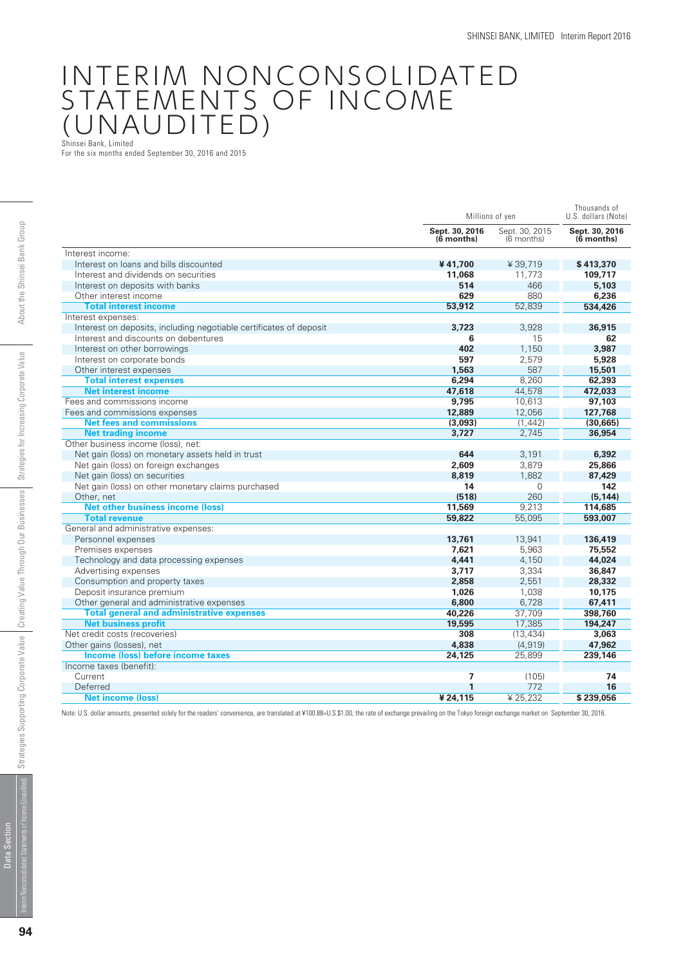# INTERIM NONCONSOLIDATED STATEMENTS OF INCOME (UNAUDITED)

Shinsei Bank, Limited

For the six months ended September 30, 2016 and 2015

|                                                                    | Millions of yen                | Thousands of<br>U.S. dollars (Note) |                                |
|--------------------------------------------------------------------|--------------------------------|-------------------------------------|--------------------------------|
|                                                                    | Sept. 30, 2016<br>$(6$ months) | Sept. 30, 2015<br>(6 months)        | Sept. 30, 2016<br>$(6$ months) |
| Interest income:                                                   |                                |                                     |                                |
| Interest on loans and bills discounted                             | ¥41.700                        | ¥39,719                             | \$413,370                      |
| Interest and dividends on securities                               | 11,068                         | 11.773                              | 109,717                        |
| Interest on deposits with banks                                    | 514                            | 466                                 | 5,103                          |
| Other interest income                                              | 629                            | 880                                 | 6,236                          |
| <b>Total interest income</b>                                       | 53,912                         | 52.839                              | 534,426                        |
| Interest expenses:                                                 |                                |                                     |                                |
| Interest on deposits, including negotiable certificates of deposit | 3,723                          | 3,928                               | 36,915                         |
| Interest and discounts on debentures                               | 6                              | 15                                  | 62                             |
| Interest on other borrowings                                       | 402                            | 1,150                               | 3.987                          |
| Interest on corporate bonds                                        | 597                            | 2.579                               | 5,928                          |
| Other interest expenses                                            | 1,563                          | 587                                 | 15,501                         |
| <b>Total interest expenses</b>                                     | 6,294                          | 8,260                               | 62,393                         |
| <b>Net interest income</b>                                         | 47,618                         | 44.578                              | 472,033                        |
| Fees and commissions income                                        | 9,795                          | 10,613                              | 97,103                         |
| Fees and commissions expenses                                      | 12,889                         | 12,056                              | 127,768                        |
| <b>Net fees and commissions</b>                                    | (3,093)                        | (1, 442)                            | (30, 665)                      |
| <b>Net trading income</b>                                          | 3,727                          | 2.745                               | 36,954                         |
| Other business income (loss), net:                                 |                                |                                     |                                |
| Net gain (loss) on monetary assets held in trust                   | 644                            | 3,191                               | 6,392                          |
| Net gain (loss) on foreign exchanges                               | 2,609                          | 3,879                               | 25,866                         |
| Net gain (loss) on securities                                      | 8,819                          | 1.882                               | 87,429                         |
| Net gain (loss) on other monetary claims purchased                 | 14                             | $\mathbf 0$                         | 142                            |
| Other, net                                                         | (518)                          | 260                                 | (5, 144)                       |
| <b>Net other business income (loss)</b>                            | 11,569                         | 9,213                               | 114,685                        |
| <b>Total revenue</b>                                               | 59,822                         | 55.095                              | 593,007                        |
| General and administrative expenses:                               |                                |                                     |                                |
| Personnel expenses                                                 | 13,761                         | 13,941                              | 136,419                        |
| Premises expenses                                                  | 7.621                          | 5.963                               | 75,552                         |
| Technology and data processing expenses                            | 4.441                          | 4,150                               | 44,024                         |
| Advertising expenses                                               | 3,717                          | 3,334                               | 36,847                         |
| Consumption and property taxes                                     | 2,858                          | 2,551                               | 28,332                         |
| Deposit insurance premium                                          | 1,026                          | 1,038                               | 10,175                         |
| Other general and administrative expenses                          | 6,800                          | 6,728                               | 67,411                         |
| <b>Total general and administrative expenses</b>                   | 40,226                         | 37,709                              | 398,760                        |
| <b>Net business profit</b>                                         | 19,595                         | 17,385                              | 194.247                        |
| Net credit costs (recoveries)                                      | 308                            | (13, 434)                           | 3,063                          |
| Other gains (losses), net                                          | 4,838                          | (4.919)                             | 47.962                         |
| <b>Income (loss) before income taxes</b>                           | 24,125                         | 25,899                              | 239,146                        |
| Income taxes (benefit):                                            |                                |                                     |                                |
| Current                                                            | $\overline{\mathbf{z}}$        | (105)                               | 74                             |
| Deferred                                                           | 1                              | 772                                 | 16                             |
| <b>Net income (loss)</b>                                           | ¥24,115                        | ¥ 25,232                            | \$239.056                      |

 $\overline{1}$ Note: U.S. dollar amounts, presented solely for the readers' convenience, are translated at ¥100.88=U.S.\$1.00, the rate of exchange prevailing on the Tokyo foreign exchange market on September 30, 2016.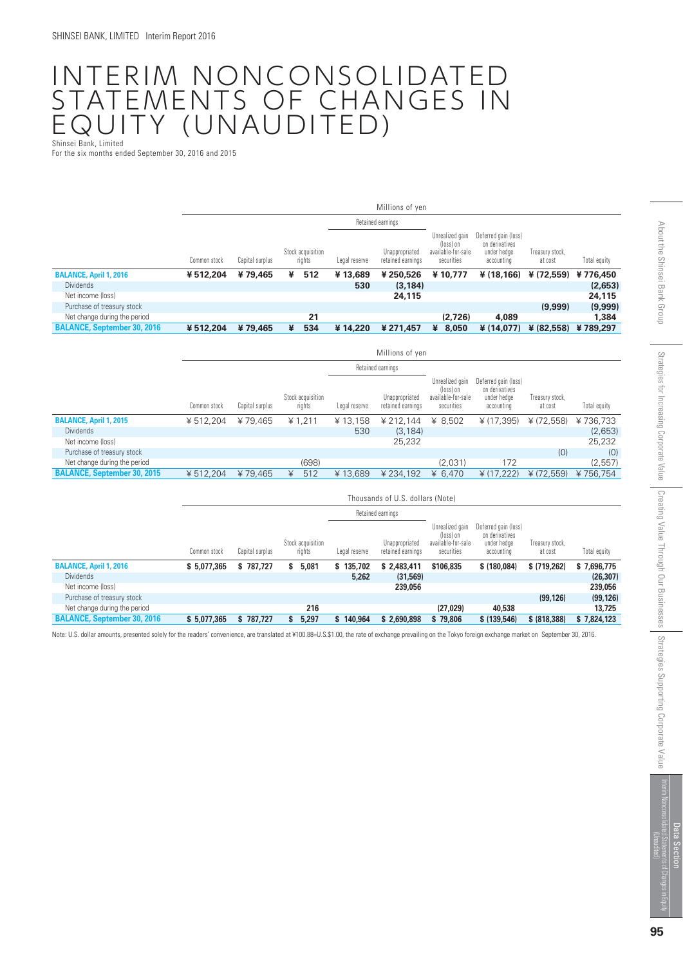### INTERIM NONCONSOLIDATED STATEMENTS OF CHANGES IN EQUITY (UNAUDITED) Shinsei Bank, Limited

For the six months ended September 30, 2016 and 2015

|                                    |              | Millions of yen |                             |               |                                     |                                                                  |                                                                     |                            |              |
|------------------------------------|--------------|-----------------|-----------------------------|---------------|-------------------------------------|------------------------------------------------------------------|---------------------------------------------------------------------|----------------------------|--------------|
|                                    |              |                 |                             |               | Retained earnings                   |                                                                  |                                                                     |                            |              |
|                                    | Common stock | Capital surplus | Stock acquisition<br>rights | Legal reserve | Unappropriated<br>retained earnings | Unrealized gain<br>(loss) on<br>available-for-sale<br>securities | Deferred gain (loss)<br>on derivatives<br>under hedge<br>accounting | Treasury stock,<br>at cost | Total equity |
| <b>BALANCE, April 1, 2016</b>      | ¥512,204     | ¥79,465         | 512<br>¥                    | ¥13,689       | ¥250,526                            | ¥10.777                                                          | ¥ (18.166)                                                          | ¥ (72,559)                 | ¥776.450     |
| <b>Dividends</b>                   |              |                 |                             | 530           | (3, 184)                            |                                                                  |                                                                     |                            | (2,653)      |
| Net income (loss)                  |              |                 |                             |               | 24,115                              |                                                                  |                                                                     |                            | 24,115       |
| Purchase of treasury stock         |              |                 |                             |               |                                     |                                                                  |                                                                     | (9,999)                    | (9,999)      |
| Net change during the period       |              |                 | 21                          |               |                                     | (2,726)                                                          | 4,089                                                               |                            | 1,384        |
| <b>BALANCE, September 30, 2016</b> | ¥512,204     | ¥79,465         | 534<br>¥                    | ¥14,220       | ¥ 271,457                           | 8,050<br>¥                                                       | ¥ (14,077)                                                          | ¥ (82,558)                 | ¥789,297     |

|                                    |              |                 |                             |               | Millions of yen                     |                                                                  |                                                                     |                            |              |
|------------------------------------|--------------|-----------------|-----------------------------|---------------|-------------------------------------|------------------------------------------------------------------|---------------------------------------------------------------------|----------------------------|--------------|
|                                    |              |                 |                             |               | Retained earnings                   |                                                                  |                                                                     |                            |              |
|                                    | Common stock | Capital surplus | Stock acquisition<br>rights | Legal reserve | Unappropriated<br>retained earnings | Unrealized gain<br>(loss) on<br>available-for-sale<br>securities | Deferred gain (loss)<br>on derivatives<br>under hedge<br>accounting | Treasury stock,<br>at cost | Total equity |
| <b>BALANCE, April 1, 2015</b>      | ¥512.204     | ¥79.465         | ¥ 1,211                     | ¥13,158       | ¥ 212.144                           | ¥ $8,502$                                                        | ¥ (17,395)                                                          | ¥ (72,558)                 | ¥736,733     |
| <b>Dividends</b>                   |              |                 |                             | 530           | (3, 184)                            |                                                                  |                                                                     |                            | (2,653)      |
| Net income (loss)                  |              |                 |                             |               | 25,232                              |                                                                  |                                                                     |                            | 25,232       |
| Purchase of treasury stock         |              |                 |                             |               |                                     |                                                                  |                                                                     | (0)                        | (0)          |
| Net change during the period       |              |                 | (698)                       |               |                                     | (2,031)                                                          | 172                                                                 |                            | (2,557)      |
| <b>BALANCE, September 30, 2015</b> | ¥ 512,204    | ¥79.465         | 512<br>¥                    | ¥13.689       | ¥ 234.192                           | ¥ 6.470                                                          | ¥ (17,222)                                                          | ¥ (72,559)                 | ¥756.754     |

|                                    |              | Thousands of U.S. dollars (Note) |                             |               |                                     |                                                                  |                                                                     |                            |              |
|------------------------------------|--------------|----------------------------------|-----------------------------|---------------|-------------------------------------|------------------------------------------------------------------|---------------------------------------------------------------------|----------------------------|--------------|
|                                    |              |                                  |                             |               | Retained earnings                   |                                                                  |                                                                     |                            |              |
|                                    | Common stock | Capital surplus                  | Stock acquisition<br>rights | Legal reserve | Unappropriated<br>retained earnings | Unrealized gain<br>(loss) on<br>available-for-sale<br>securities | Deferred gain (loss)<br>on derivatives<br>under hedae<br>accounting | Treasury stock,<br>at cost | Total equity |
| <b>BALANCE, April 1, 2016</b>      | \$5,077,365  | \$787.727                        | 5,081<br>s                  | 135,702<br>s. | \$2,483,411                         | \$106,835                                                        | \$(180,084)                                                         | \$ (719,262)               | \$7,696,775  |
| <b>Dividends</b>                   |              |                                  |                             | 5,262         | (31,569)                            |                                                                  |                                                                     |                            | (26, 307)    |
| Net income (loss)                  |              |                                  |                             |               | 239,056                             |                                                                  |                                                                     |                            | 239,056      |
| Purchase of treasury stock         |              |                                  |                             |               |                                     |                                                                  |                                                                     | (99, 126)                  | (99, 126)    |
| Net change during the period       |              |                                  | 216                         |               |                                     | (27, 029)                                                        | 40,538                                                              |                            | 13.725       |
| <b>BALANCE, September 30, 2016</b> | \$5,077,365  | \$787,727                        | 5,297<br>S                  | 140,964<br>s  | \$2,690,898                         | \$79,806                                                         | \$ (139, 546)                                                       | \$ (818, 388)              | \$7,824,123  |

Note: U.S. dollar amounts, presented solely for the readers' convenience, are translated at ¥100.88=U.S.\$1.00, the rate of exchange prevailing on the Tokyo foreign exchange market on September 30, 2016.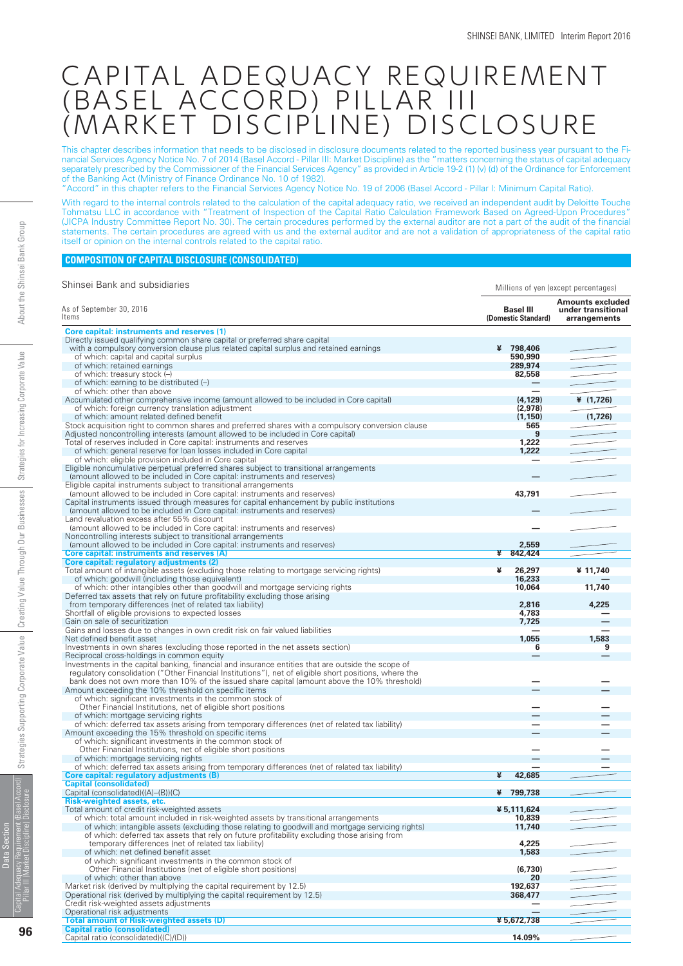## CAPITAL ADEQUACY REQUIREMENT (BASEL ACCORD) PILLAR III (MARKET DISCIPLINE) DISCLOSURE

This chapter describes information that needs to be disclosed in disclosure documents related to the reported business year pursuant to the Financial Services Agency Notice No. 7 of 2014 (Basel Accord - Pillar III: Market Discipline) as the "matters concerning the status of capital adequacy separately prescribed by the Commissioner of the Financial Services Agency" as provided in Article 19-2 (1) (v) (d) of the Ordinance for Enforcement of the Banking Act (Ministry of Finance Ordinance No. 10 of 1982).

"Accord" in this chapter refers to the Financial Services Agency Notice No. 19 of 2006 (Basel Accord - Pillar I: Minimum Capital Ratio).

With regard to the internal controls related to the calculation of the capital adequacy ratio, we received an independent audit by Deloitte Touche Tohmatsu LLC in accordance with "Treatment of Inspection of the Capital Ratio Calculation Framework Based on Agreed-Upon Procedures" (JICPA Industry Committee Report No. 30). The certain procedures performed by the external auditor are not a part of the audit of the financial statements. The certain procedures are agreed with us and the external auditor and are not a validation of appropriateness of the capital ratio itself or opinion on the internal controls related to the capital ratio.

#### **COMPOSITION OF CAPITAL DISCLOSURE (CONSOLIDATED)**

| Shinsei Bank and subsidiaries                                                                                                                                                                         | Millions of yen (except percentages)    |                                                        |
|-------------------------------------------------------------------------------------------------------------------------------------------------------------------------------------------------------|-----------------------------------------|--------------------------------------------------------|
| As of September 30, 2016<br>Items                                                                                                                                                                     | <b>Basel III</b><br>(Domestic Standard) | Amounts excluded<br>under transitional<br>arrangements |
| <b>Core capital: instruments and reserves (1)</b>                                                                                                                                                     |                                         |                                                        |
| Directly issued qualifying common share capital or preferred share capital                                                                                                                            |                                         |                                                        |
| with a compulsory conversion clause plus related capital surplus and retained earnings                                                                                                                | ¥ 798,406                               |                                                        |
| of which: capital and capital surplus                                                                                                                                                                 | 590,990                                 |                                                        |
| of which: retained earnings                                                                                                                                                                           | 289,974                                 |                                                        |
| of which: treasury stock (-)                                                                                                                                                                          | 82,558                                  |                                                        |
| of which: earning to be distributed $(-)$                                                                                                                                                             |                                         |                                                        |
| of which: other than above                                                                                                                                                                            |                                         |                                                        |
| Accumulated other comprehensive income (amount allowed to be included in Core capital)                                                                                                                | (4, 129)                                | ¥ $(1,726)$                                            |
| of which: foreign currency translation adjustment                                                                                                                                                     | (2,978)                                 |                                                        |
| of which: amount related defined benefit                                                                                                                                                              | (1, 150)                                | (1,726)                                                |
| Stock acquisition right to common shares and preferred shares with a compulsory conversion clause<br>Adjusted noncontrolling interests (amount allowed to be included in Core capital)                | 565<br>9                                |                                                        |
| Total of reserves included in Core capital: instruments and reserves                                                                                                                                  | 1,222                                   |                                                        |
| of which: general reserve for loan losses included in Core capital                                                                                                                                    | 1,222                                   |                                                        |
| of which: eligible provision included in Core capital                                                                                                                                                 | —                                       |                                                        |
| Eligible noncumulative perpetual preferred shares subject to transitional arrangements                                                                                                                |                                         |                                                        |
| (amount allowed to be included in Core capital: instruments and reserves)                                                                                                                             |                                         |                                                        |
| Eligible capital instruments subject to transitional arrangements                                                                                                                                     |                                         |                                                        |
| (amount allowed to be included in Core capital: instruments and reserves)                                                                                                                             | 43,791                                  |                                                        |
| Capital instruments issued through measures for capital enhancement by public institutions                                                                                                            |                                         |                                                        |
| (amount allowed to be included in Core capital: instruments and reserves)                                                                                                                             |                                         |                                                        |
| Land revaluation excess after 55% discount                                                                                                                                                            |                                         |                                                        |
| (amount allowed to be included in Core capital: instruments and reserves)                                                                                                                             |                                         |                                                        |
| Noncontrolling interests subject to transitional arrangements                                                                                                                                         |                                         |                                                        |
| (amount allowed to be included in Core capital: instruments and reserves)                                                                                                                             | 2,559                                   |                                                        |
| Core capital: instruments and reserves (A)                                                                                                                                                            | ¥<br>842,424                            |                                                        |
| Core capital: regulatory adjustments (2)                                                                                                                                                              |                                         |                                                        |
| Total amount of intangible assets (excluding those relating to mortgage servicing rights)                                                                                                             | ¥<br>26,297                             | ¥ 11,740                                               |
| of which: goodwill (including those equivalent)                                                                                                                                                       | 16,233                                  |                                                        |
| of which: other intangibles other than goodwill and mortgage servicing rights                                                                                                                         | 10,064                                  | 11,740                                                 |
| Deferred tax assets that rely on future profitability excluding those arising                                                                                                                         |                                         |                                                        |
| from temporary differences (net of related tax liability)                                                                                                                                             | 2,816                                   | 4,225                                                  |
| Shortfall of eligible provisions to expected losses                                                                                                                                                   | 4,783                                   |                                                        |
| Gain on sale of securitization                                                                                                                                                                        | 7,725                                   |                                                        |
| Gains and losses due to changes in own credit risk on fair valued liabilities                                                                                                                         |                                         |                                                        |
| Net defined benefit asset                                                                                                                                                                             | 1.055                                   | 1.583                                                  |
| Investments in own shares (excluding those reported in the net assets section)                                                                                                                        | 6                                       | 9                                                      |
| Reciprocal cross-holdings in common equity                                                                                                                                                            |                                         |                                                        |
| Investments in the capital banking, financial and insurance entities that are outside the scope of                                                                                                    |                                         |                                                        |
| regulatory consolidation ("Other Financial Institutions"), net of eligible short positions, where the<br>bank does not own more than 10% of the issued share capital (amount above the 10% threshold) |                                         |                                                        |
| Amount exceeding the 10% threshold on specific items                                                                                                                                                  |                                         |                                                        |
| of which: significant investments in the common stock of                                                                                                                                              |                                         |                                                        |
| Other Financial Institutions, net of eligible short positions                                                                                                                                         |                                         |                                                        |
| of which: mortgage servicing rights                                                                                                                                                                   |                                         |                                                        |
| of which: deferred tax assets arising from temporary differences (net of related tax liability)                                                                                                       |                                         |                                                        |
| Amount exceeding the 15% threshold on specific items                                                                                                                                                  |                                         |                                                        |
| of which: significant investments in the common stock of                                                                                                                                              |                                         |                                                        |
| Other Financial Institutions, net of eligible short positions                                                                                                                                         |                                         |                                                        |
| of which: mortgage servicing rights                                                                                                                                                                   |                                         |                                                        |
| of which: deferred tax assets arising from temporary differences (net of related tax liability)                                                                                                       |                                         |                                                        |
| Core capital: regulatory adjustments (B)                                                                                                                                                              | 42,685<br>¥                             |                                                        |
| <b>Capital (consolidated)</b>                                                                                                                                                                         |                                         |                                                        |
| Capital (consolidated)((A)-(B))(C)                                                                                                                                                                    | 799,738                                 |                                                        |
| <b>Risk-weighted assets, etc.</b>                                                                                                                                                                     |                                         |                                                        |
| Total amount of credit risk-weighted assets                                                                                                                                                           | ¥5,111,624                              |                                                        |
| of which: total amount included in risk-weighted assets by transitional arrangements                                                                                                                  | 10,839                                  |                                                        |
| of which: intangible assets (excluding those relating to goodwill and mortgage servicing rights)                                                                                                      | 11,740                                  |                                                        |
| of which: deferred tax assets that rely on future profitability excluding those arising from                                                                                                          |                                         |                                                        |
| temporary differences (net of related tax liability)                                                                                                                                                  | 4,225                                   |                                                        |
| of which: net defined benefit asset                                                                                                                                                                   | 1,583                                   |                                                        |
| of which: significant investments in the common stock of                                                                                                                                              |                                         |                                                        |
| Other Financial Institutions (net of eligible short positions)                                                                                                                                        | (6,730)                                 |                                                        |
| of which: other than above                                                                                                                                                                            | 20                                      |                                                        |
| Market risk (derived by multiplying the capital requirement by 12.5)                                                                                                                                  | 192,637                                 |                                                        |
| Operational risk (derived by multiplying the capital requirement by 12.5)<br>Credit risk-weighted assets adjustments                                                                                  | 368,477                                 |                                                        |
| Operational risk adjustments                                                                                                                                                                          | $\equiv$                                |                                                        |
| <b>Total amount of Risk-weighted assets (D)</b>                                                                                                                                                       | ¥5,672,738                              |                                                        |
| <b>Capital ratio (consolidated)</b>                                                                                                                                                                   |                                         |                                                        |
| Capital ratio (consolidated)((C)/(D))                                                                                                                                                                 | 14.09%                                  |                                                        |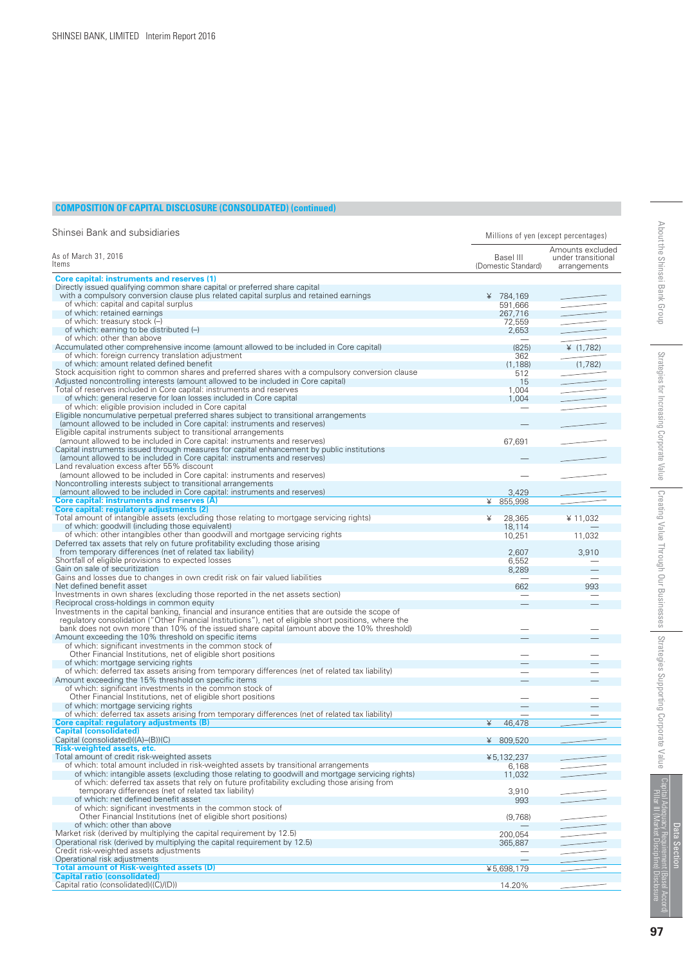#### **COMPOSITION OF CAPITAL DISCLOSURE (CONSOLIDATED) (continued)**

| Shinsei Bank and subsidiaries                                                                                                                                                                         | Millions of yen (except percentages) |                                                        |
|-------------------------------------------------------------------------------------------------------------------------------------------------------------------------------------------------------|--------------------------------------|--------------------------------------------------------|
| As of March 31, 2016<br>ltems                                                                                                                                                                         | Basel III<br>(Domestic Standard)     | Amounts excluded<br>under transitional<br>arrangements |
| Core capital: instruments and reserves (1)                                                                                                                                                            |                                      |                                                        |
| Directly issued qualifying common share capital or preferred share capital                                                                                                                            |                                      |                                                        |
| with a compulsory conversion clause plus related capital surplus and retained earnings                                                                                                                | ¥ 784.169                            |                                                        |
| of which: capital and capital surplus                                                                                                                                                                 | 591,666                              |                                                        |
| of which: retained earnings                                                                                                                                                                           | 267,716                              |                                                        |
| of which: treasury stock (-)<br>of which: earning to be distributed (-)                                                                                                                               | 72,559                               |                                                        |
| of which: other than above                                                                                                                                                                            | 2,653                                |                                                        |
| Accumulated other comprehensive income (amount allowed to be included in Core capital)                                                                                                                | (825)                                | ¥ $(1, 782)$                                           |
| of which: foreign currency translation adjustment                                                                                                                                                     | 362                                  |                                                        |
| of which: amount related defined benefit                                                                                                                                                              | (1, 188)                             | (1,782)                                                |
| Stock acquisition right to common shares and preferred shares with a compulsory conversion clause                                                                                                     | 512                                  |                                                        |
| Adjusted noncontrolling interests (amount allowed to be included in Core capital)                                                                                                                     | 15                                   |                                                        |
| Total of reserves included in Core capital: instruments and reserves                                                                                                                                  | 1,004                                |                                                        |
| of which: general reserve for loan losses included in Core capital                                                                                                                                    | 1,004                                |                                                        |
| of which: eligible provision included in Core capital                                                                                                                                                 |                                      |                                                        |
| Eligible noncumulative perpetual preferred shares subject to transitional arrangements                                                                                                                |                                      |                                                        |
| (amount allowed to be included in Core capital: instruments and reserves)                                                                                                                             |                                      |                                                        |
| Eligible capital instruments subject to transitional arrangements                                                                                                                                     |                                      |                                                        |
| (amount allowed to be included in Core capital: instruments and reserves)                                                                                                                             | 67,691                               |                                                        |
| Capital instruments issued through measures for capital enhancement by public institutions                                                                                                            |                                      |                                                        |
| (amount allowed to be included in Core capital: instruments and reserves)                                                                                                                             |                                      |                                                        |
| Land revaluation excess after 55% discount<br>(amount allowed to be included in Core capital: instruments and reserves)                                                                               |                                      |                                                        |
| Noncontrolling interests subject to transitional arrangements                                                                                                                                         |                                      |                                                        |
| (amount allowed to be included in Core capital: instruments and reserves)                                                                                                                             | 3,429                                |                                                        |
| Core capital: instruments and reserves (A)                                                                                                                                                            | ¥<br>855,998                         |                                                        |
| Core capital: regulatory adjustments (2)                                                                                                                                                              |                                      |                                                        |
| Total amount of intangible assets (excluding those relating to mortgage servicing rights)                                                                                                             | 28,365<br>¥                          | ¥ 11,032                                               |
| of which: goodwill (including those equivalent)                                                                                                                                                       | 18,114                               |                                                        |
| of which: other intangibles other than goodwill and mortgage servicing rights                                                                                                                         | 10,251                               | 11,032                                                 |
| Deferred tax assets that rely on future profitability excluding those arising                                                                                                                         |                                      |                                                        |
| from temporary differences (net of related tax liability)                                                                                                                                             | 2,607                                | 3,910                                                  |
| Shortfall of eligible provisions to expected losses                                                                                                                                                   | 6,552                                |                                                        |
| Gain on sale of securitization                                                                                                                                                                        | 8,289                                |                                                        |
| Gains and losses due to changes in own credit risk on fair valued liabilities                                                                                                                         |                                      |                                                        |
| Net defined benefit asset                                                                                                                                                                             | 662                                  | 993                                                    |
| Investments in own shares (excluding those reported in the net assets section)                                                                                                                        |                                      |                                                        |
| Reciprocal cross-holdings in common equity                                                                                                                                                            |                                      |                                                        |
| Investments in the capital banking, financial and insurance entities that are outside the scope of                                                                                                    |                                      |                                                        |
| regulatory consolidation ("Other Financial Institutions"), net of eligible short positions, where the<br>bank does not own more than 10% of the issued share capital (amount above the 10% threshold) |                                      |                                                        |
| Amount exceeding the 10% threshold on specific items                                                                                                                                                  |                                      |                                                        |
| of which: significant investments in the common stock of                                                                                                                                              |                                      |                                                        |
| Other Financial Institutions, net of eligible short positions                                                                                                                                         |                                      |                                                        |
| of which: mortgage servicing rights                                                                                                                                                                   |                                      |                                                        |
| of which: deferred tax assets arising from temporary differences (net of related tax liability)                                                                                                       |                                      |                                                        |
| Amount exceeding the 15% threshold on specific items                                                                                                                                                  |                                      |                                                        |
| of which: significant investments in the common stock of                                                                                                                                              |                                      |                                                        |
| Other Financial Institutions, net of eligible short positions                                                                                                                                         |                                      |                                                        |
| of which: mortgage servicing rights                                                                                                                                                                   |                                      |                                                        |
| of which: deferred tax assets arising from temporary differences (net of related tax liability)                                                                                                       |                                      |                                                        |
| Core capital: regulatory adjustments (B)                                                                                                                                                              | ¥<br>46,478                          |                                                        |
| <b>Capital (consolidated)</b>                                                                                                                                                                         |                                      |                                                        |
| Capital (consolidated)((A)-(B))(C)                                                                                                                                                                    | ¥ 809,520                            |                                                        |
| <b>Risk-weighted assets, etc.</b>                                                                                                                                                                     |                                      |                                                        |
| Total amount of credit risk-weighted assets                                                                                                                                                           | ¥5,132,237                           |                                                        |
| of which: total amount included in risk-weighted assets by transitional arrangements<br>of which: intangible assets (excluding those relating to goodwill and mortgage servicing rights)              | 6,168                                |                                                        |
| of which: deferred tax assets that rely on future profitability excluding those arising from                                                                                                          | 11,032                               |                                                        |
| temporary differences (net of related tax liability)                                                                                                                                                  | 3,910                                |                                                        |
| of which: net defined benefit asset                                                                                                                                                                   | 993                                  |                                                        |
| of which: significant investments in the common stock of                                                                                                                                              |                                      |                                                        |
| Other Financial Institutions (net of eligible short positions)                                                                                                                                        | (9,768)                              |                                                        |
| of which: other than above                                                                                                                                                                            |                                      |                                                        |
| Market risk (derived by multiplying the capital requirement by 12.5)                                                                                                                                  | 200,054                              |                                                        |
| Operational risk (derived by multiplying the capital requirement by 12.5)                                                                                                                             | 365,887                              |                                                        |
| Credit risk-weighted assets adjustments                                                                                                                                                               |                                      |                                                        |
| Operational risk adjustments                                                                                                                                                                          |                                      |                                                        |
| <b>Total amount of Risk-weighted assets (D)</b>                                                                                                                                                       | ¥5,698,179                           |                                                        |
| <b>Capital ratio (consolidated)</b>                                                                                                                                                                   |                                      |                                                        |
| Capital ratio (consolidated)((C)/(D))                                                                                                                                                                 | 14.20%                               |                                                        |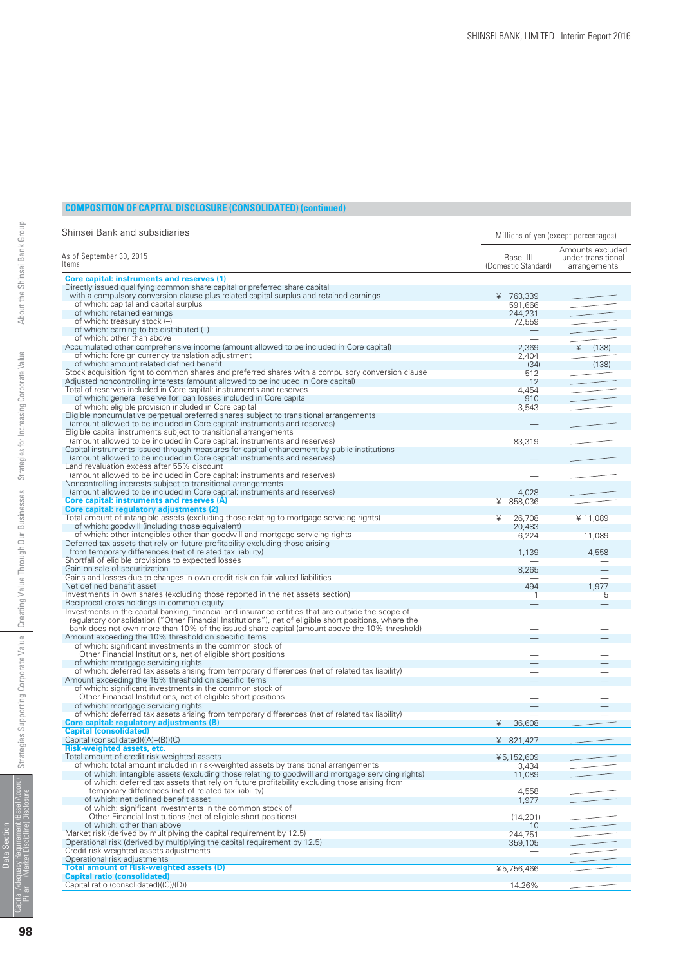#### **COMPOSITION OF CAPITAL DISCLOSURE (CONSOLIDATED) (continued)**

| Shinsei Bank and subsidiaries                                                                                                                     | Millions of yen (except percentages) |                                                        |
|---------------------------------------------------------------------------------------------------------------------------------------------------|--------------------------------------|--------------------------------------------------------|
| As of September 30, 2015<br>Items                                                                                                                 | Basel III<br>(Domestic Standard)     | Amounts excluded<br>under transitional<br>arrangements |
| <b>Core capital: instruments and reserves (1)</b>                                                                                                 |                                      |                                                        |
| Directly issued qualifying common share capital or preferred share capital                                                                        |                                      |                                                        |
| with a compulsory conversion clause plus related capital surplus and retained earnings<br>of which: capital and capital surplus                   | ¥ 763.339                            |                                                        |
| of which: retained earnings                                                                                                                       | 591,666<br>244,231                   |                                                        |
| of which: treasury stock (-)                                                                                                                      | 72,559                               |                                                        |
| of which: earning to be distributed (-)                                                                                                           | $\overline{\phantom{m}}$             |                                                        |
| of which: other than above                                                                                                                        |                                      |                                                        |
| Accumulated other comprehensive income (amount allowed to be included in Core capital)                                                            | 2,369                                | (138)<br>¥                                             |
| of which: foreign currency translation adjustment                                                                                                 | 2,404                                |                                                        |
| of which: amount related defined benefit                                                                                                          | (34)                                 | (138)                                                  |
| Stock acquisition right to common shares and preferred shares with a compulsory conversion clause                                                 | 512                                  |                                                        |
| Adjusted noncontrolling interests (amount allowed to be included in Core capital)                                                                 | 12                                   |                                                        |
| Total of reserves included in Core capital: instruments and reserves<br>of which: general reserve for loan losses included in Core capital        | 4,454                                |                                                        |
| of which: eligible provision included in Core capital                                                                                             | 910<br>3,543                         |                                                        |
| Eligible noncumulative perpetual preferred shares subject to transitional arrangements                                                            |                                      |                                                        |
| (amount allowed to be included in Core capital: instruments and reserves)                                                                         |                                      |                                                        |
| Eligible capital instruments subject to transitional arrangements                                                                                 |                                      |                                                        |
| (amount allowed to be included in Core capital: instruments and reserves)                                                                         | 83,319                               |                                                        |
| Capital instruments issued through measures for capital enhancement by public institutions                                                        |                                      |                                                        |
| (amount allowed to be included in Core capital: instruments and reserves)                                                                         |                                      |                                                        |
| Land revaluation excess after 55% discount                                                                                                        |                                      |                                                        |
| (amount allowed to be included in Core capital: instruments and reserves)                                                                         | -                                    |                                                        |
| Noncontrolling interests subject to transitional arrangements<br>(amount allowed to be included in Core capital: instruments and reserves)        |                                      |                                                        |
| Core capital: instruments and reserves (A)                                                                                                        | 4,028<br>¥<br>858,036                |                                                        |
| Core capital: regulatory adjustments (2)                                                                                                          |                                      |                                                        |
| Total amount of intangible assets (excluding those relating to mortgage servicing rights)                                                         | ¥<br>26,708                          | ¥11.089                                                |
| of which: goodwill (including those equivalent)                                                                                                   | 20,483                               |                                                        |
| of which: other intangibles other than goodwill and mortgage servicing rights                                                                     | 6,224                                | 11,089                                                 |
| Deferred tax assets that rely on future profitability excluding those arising                                                                     |                                      |                                                        |
| from temporary differences (net of related tax liability)                                                                                         | 1,139                                | 4,558                                                  |
| Shortfall of eligible provisions to expected losses                                                                                               |                                      |                                                        |
| Gain on sale of securitization                                                                                                                    | 8,265                                |                                                        |
| Gains and losses due to changes in own credit risk on fair valued liabilities<br>Net defined benefit asset                                        | 494                                  | 1,977                                                  |
| Investments in own shares (excluding those reported in the net assets section)                                                                    | 1                                    | 5                                                      |
| Reciprocal cross-holdings in common equity                                                                                                        |                                      |                                                        |
| Investments in the capital banking, financial and insurance entities that are outside the scope of                                                |                                      |                                                        |
| regulatory consolidation ("Other Financial Institutions"), net of eligible short positions, where the                                             |                                      |                                                        |
| bank does not own more than 10% of the issued share capital (amount above the 10% threshold)                                                      |                                      |                                                        |
| Amount exceeding the 10% threshold on specific items                                                                                              |                                      |                                                        |
| of which: significant investments in the common stock of                                                                                          |                                      |                                                        |
| Other Financial Institutions, net of eligible short positions                                                                                     |                                      |                                                        |
| of which: mortgage servicing rights<br>of which: deferred tax assets arising from temporary differences (net of related tax liability)            |                                      |                                                        |
| Amount exceeding the 15% threshold on specific items                                                                                              |                                      |                                                        |
| of which: significant investments in the common stock of                                                                                          |                                      |                                                        |
| Other Financial Institutions, net of eligible short positions                                                                                     |                                      |                                                        |
| of which: mortgage servicing rights                                                                                                               |                                      |                                                        |
| of which: deferred tax assets arising from temporary differences (net of related tax liability)                                                   |                                      |                                                        |
| Core capital: regulatory adjustments (B)                                                                                                          | ¥<br>36,608                          |                                                        |
| <b>Capital (consolidated)</b>                                                                                                                     |                                      |                                                        |
| Capital (consolidated)((A)-(B))(C)                                                                                                                | ¥ 821.427                            |                                                        |
| <b>Risk-weighted assets, etc.</b><br>Total amount of credit risk-weighted assets                                                                  | ¥5,152,609                           |                                                        |
| of which: total amount included in risk-weighted assets by transitional arrangements                                                              | 3,434                                |                                                        |
| of which: intangible assets (excluding those relating to goodwill and mortgage servicing rights)                                                  | 11,089                               |                                                        |
| of which: deferred tax assets that rely on future profitability excluding those arising from                                                      |                                      |                                                        |
| temporary differences (net of related tax liability)                                                                                              | 4,558                                |                                                        |
| of which: net defined benefit asset                                                                                                               | 1,977                                |                                                        |
| of which: significant investments in the common stock of                                                                                          |                                      |                                                        |
| Other Financial Institutions (net of eligible short positions)                                                                                    | (14, 201)                            |                                                        |
| of which: other than above                                                                                                                        | 10                                   |                                                        |
| Market risk (derived by multiplying the capital requirement by 12.5)<br>Operational risk (derived by multiplying the capital requirement by 12.5) | 244,751                              |                                                        |
| Credit risk-weighted assets adjustments                                                                                                           | 359,105                              |                                                        |
| Operational risk adjustments                                                                                                                      | $\equiv$                             |                                                        |
| <b>Total amount of Risk-weighted assets (D)</b>                                                                                                   | ¥5,756,466                           |                                                        |
| <b>Capital ratio (consolidated)</b>                                                                                                               |                                      |                                                        |
| Capital ratio (consolidated)((C)/(D))                                                                                                             | 14.26%                               |                                                        |

Data Section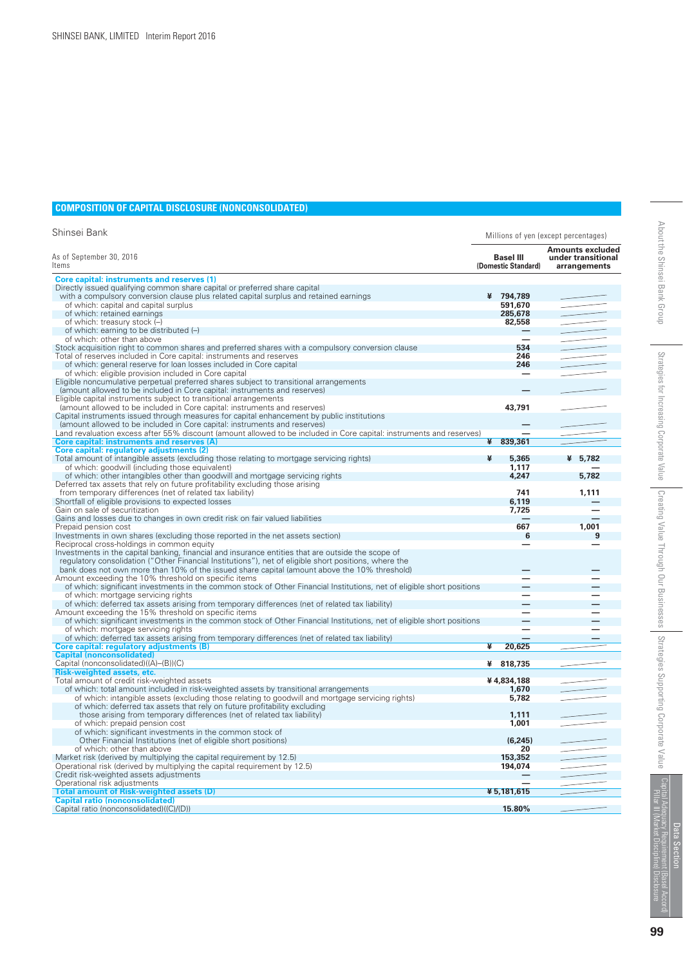#### **COMPOSITION OF CAPITAL DISCLOSURE (NONCONSOLIDATED)**

| Shinsei Bank                                                                                                           |   |                                         | Millions of yen (except percentages)                          |
|------------------------------------------------------------------------------------------------------------------------|---|-----------------------------------------|---------------------------------------------------------------|
| As of September 30, 2016<br>ltems                                                                                      |   | <b>Basel III</b><br>(Domestic Standard) | <b>Amounts excluded</b><br>under transitional<br>arrangements |
| <b>Core capital: instruments and reserves (1)</b>                                                                      |   |                                         |                                                               |
| Directly issued qualifying common share capital or preferred share capital                                             |   |                                         |                                                               |
| with a compulsory conversion clause plus related capital surplus and retained earnings                                 |   | ¥ 794,789                               |                                                               |
| of which: capital and capital surplus                                                                                  |   | 591,670                                 |                                                               |
| of which: retained earnings                                                                                            |   | 285,678                                 |                                                               |
| of which: treasury stock (-)                                                                                           |   | 82,558                                  |                                                               |
| of which: earning to be distributed (-)                                                                                |   |                                         |                                                               |
| of which: other than above                                                                                             |   |                                         |                                                               |
|                                                                                                                        |   | 534                                     |                                                               |
| Stock acquisition right to common shares and preferred shares with a compulsory conversion clause                      |   |                                         |                                                               |
| Total of reserves included in Core capital: instruments and reserves                                                   |   | 246                                     |                                                               |
| of which: general reserve for loan losses included in Core capital                                                     |   | 246                                     |                                                               |
| of which: eligible provision included in Core capital                                                                  |   |                                         |                                                               |
| Eligible noncumulative perpetual preferred shares subject to transitional arrangements                                 |   |                                         |                                                               |
| (amount allowed to be included in Core capital: instruments and reserves)                                              |   |                                         |                                                               |
| Eligible capital instruments subject to transitional arrangements                                                      |   |                                         |                                                               |
| (amount allowed to be included in Core capital: instruments and reserves)                                              |   | 43,791                                  |                                                               |
| Capital instruments issued through measures for capital enhancement by public institutions                             |   |                                         |                                                               |
| (amount allowed to be included in Core capital: instruments and reserves)                                              |   |                                         |                                                               |
| Land revaluation excess after 55% discount (amount allowed to be included in Core capital: instruments and reserves)   |   |                                         |                                                               |
| Core capital: instruments and reserves (A)                                                                             | ¥ | 839,361                                 |                                                               |
| Core capital: regulatory adjustments (2)                                                                               |   |                                         |                                                               |
| Total amount of intangible assets (excluding those relating to mortgage servicing rights)                              | ¥ | 5,365                                   | ¥ 5,782                                                       |
| of which: goodwill (including those equivalent)                                                                        |   | 1.117                                   |                                                               |
| of which: other intangibles other than goodwill and mortgage servicing rights                                          |   | 4,247                                   | 5,782                                                         |
| Deferred tax assets that rely on future profitability excluding those arising                                          |   |                                         |                                                               |
| from temporary differences (net of related tax liability)                                                              |   | 741                                     | 1,111                                                         |
| Shortfall of eligible provisions to expected losses                                                                    |   | 6,119                                   |                                                               |
| Gain on sale of securitization                                                                                         |   | 7,725                                   |                                                               |
| Gains and losses due to changes in own credit risk on fair valued liabilities                                          |   |                                         |                                                               |
|                                                                                                                        |   |                                         |                                                               |
| Prepaid pension cost                                                                                                   |   | 667                                     | 1.001                                                         |
| Investments in own shares (excluding those reported in the net assets section)                                         |   | 6                                       | 9                                                             |
| Reciprocal cross-holdings in common equity                                                                             |   |                                         |                                                               |
| Investments in the capital banking, financial and insurance entities that are outside the scope of                     |   |                                         |                                                               |
| regulatory consolidation ("Other Financial Institutions"), net of eligible short positions, where the                  |   |                                         |                                                               |
| bank does not own more than 10% of the issued share capital (amount above the 10% threshold)                           |   |                                         |                                                               |
| Amount exceeding the 10% threshold on specific items                                                                   |   |                                         |                                                               |
| of which: significant investments in the common stock of Other Financial Institutions, net of eligible short positions |   |                                         |                                                               |
| of which: mortgage servicing rights                                                                                    |   |                                         |                                                               |
| of which: deferred tax assets arising from temporary differences (net of related tax liability)                        |   |                                         |                                                               |
| Amount exceeding the 15% threshold on specific items                                                                   |   |                                         |                                                               |
| of which: significant investments in the common stock of Other Financial Institutions, net of eligible short positions |   |                                         |                                                               |
| of which: mortgage servicing rights                                                                                    |   |                                         |                                                               |
| of which: deferred tax assets arising from temporary differences (net of related tax liability)                        |   |                                         |                                                               |
| Core capital: regulatory adjustments (B)                                                                               | ¥ | 20,625                                  |                                                               |
| <b>Capital (nonconsolidated)</b>                                                                                       |   |                                         |                                                               |
| Capital (nonconsolidated)((A)–(B))(C)                                                                                  | ¥ | 818,735                                 |                                                               |
| <b>Risk-weighted assets, etc.</b>                                                                                      |   |                                         |                                                               |
| Total amount of credit risk-weighted assets                                                                            |   | ¥4,834,188                              |                                                               |
| of which: total amount included in risk-weighted assets by transitional arrangements                                   |   | 1.670                                   |                                                               |
| of which: intangible assets (excluding those relating to goodwill and mortgage servicing rights)                       |   | 5,782                                   |                                                               |
| of which: deferred tax assets that rely on future profitability excluding                                              |   |                                         |                                                               |
|                                                                                                                        |   |                                         |                                                               |
| those arising from temporary differences (net of related tax liability)                                                |   | 1,111                                   |                                                               |
| of which: prepaid pension cost                                                                                         |   | 1,001                                   |                                                               |
| of which: significant investments in the common stock of                                                               |   |                                         |                                                               |
| Other Financial Institutions (net of eligible short positions)                                                         |   | (6.245)                                 |                                                               |
| of which: other than above                                                                                             |   | 20                                      |                                                               |
| Market risk (derived by multiplying the capital requirement by 12.5)                                                   |   | 153,352                                 |                                                               |
| Operational risk (derived by multiplying the capital requirement by 12.5)                                              |   | 194,074                                 |                                                               |
| Credit risk-weighted assets adjustments                                                                                |   |                                         |                                                               |
| Operational risk adjustments                                                                                           |   |                                         |                                                               |
| <b>Total amount of Risk-weighted assets (D)</b>                                                                        |   | ¥5,181,615                              |                                                               |
| <b>Capital ratio (nonconsolidated)</b>                                                                                 |   |                                         |                                                               |
| Capital ratio (nonconsolidated)((C)/(D))                                                                               |   | 15.80%                                  |                                                               |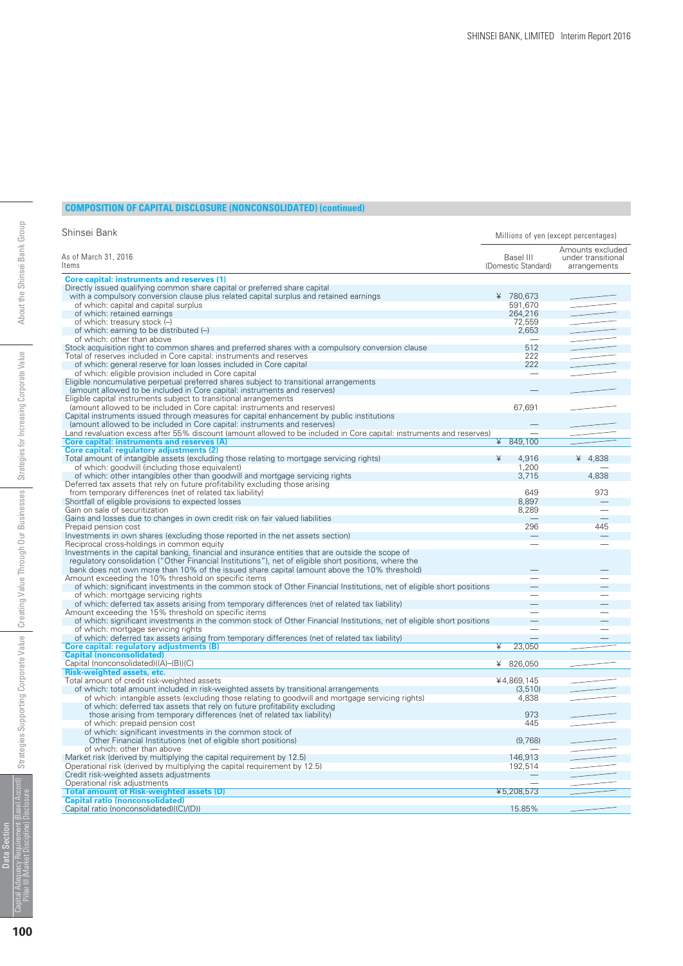#### **COMPOSITION OF CAPITAL DISCLOSURE (NONCONSOLIDATED) (continued)**

| Shinsei Bank                                                                                                           |                                  | Millions of yen (except percentages)                   |  |  |
|------------------------------------------------------------------------------------------------------------------------|----------------------------------|--------------------------------------------------------|--|--|
| As of March 31, 2016<br>Items                                                                                          | Basel III<br>(Domestic Standard) | Amounts excluded<br>under transitional<br>arrangements |  |  |
| <b>Core capital: instruments and reserves (1)</b>                                                                      |                                  |                                                        |  |  |
| Directly issued qualifying common share capital or preferred share capital                                             |                                  |                                                        |  |  |
| with a compulsory conversion clause plus related capital surplus and retained earnings                                 | ¥ 780,673                        |                                                        |  |  |
| of which: capital and capital surplus                                                                                  | 591,670                          |                                                        |  |  |
| of which: retained earnings                                                                                            | 264,216                          |                                                        |  |  |
| of which: treasury stock (-)                                                                                           | 72,559                           |                                                        |  |  |
| of which: earning to be distributed (-)                                                                                | 2.653                            |                                                        |  |  |
| of which: other than above                                                                                             |                                  |                                                        |  |  |
| Stock acquisition right to common shares and preferred shares with a compulsory conversion clause                      | 512                              |                                                        |  |  |
| Total of reserves included in Core capital: instruments and reserves                                                   | 222                              |                                                        |  |  |
| of which: general reserve for loan losses included in Core capital                                                     | 222                              |                                                        |  |  |
| of which: eligible provision included in Core capital                                                                  |                                  |                                                        |  |  |
| Eligible noncumulative perpetual preferred shares subject to transitional arrangements                                 |                                  |                                                        |  |  |
| (amount allowed to be included in Core capital: instruments and reserves)                                              |                                  |                                                        |  |  |
| Eligible capital instruments subject to transitional arrangements                                                      |                                  |                                                        |  |  |
| (amount allowed to be included in Core capital: instruments and reserves)                                              | 67,691                           |                                                        |  |  |
| Capital instruments issued through measures for capital enhancement by public institutions                             |                                  |                                                        |  |  |
| (amount allowed to be included in Core capital: instruments and reserves)                                              |                                  |                                                        |  |  |
| Land revaluation excess after 55% discount (amount allowed to be included in Core capital: instruments and reserves)   |                                  |                                                        |  |  |
| Core capital: instruments and reserves (A)                                                                             | $¥$ 849,100                      |                                                        |  |  |
| Core capital: regulatory adjustments (2)                                                                               |                                  |                                                        |  |  |
| Total amount of intangible assets (excluding those relating to mortgage servicing rights)                              | ¥<br>4,916                       | ¥ $4,838$                                              |  |  |
| of which: goodwill (including those equivalent)                                                                        | 1,200                            |                                                        |  |  |
| of which: other intangibles other than goodwill and mortgage servicing rights                                          | 3,715                            | 4,838                                                  |  |  |
| Deferred tax assets that rely on future profitability excluding those arising                                          |                                  |                                                        |  |  |
| from temporary differences (net of related tax liability)                                                              | 649                              | 973                                                    |  |  |
| Shortfall of eligible provisions to expected losses                                                                    | 8.897                            |                                                        |  |  |
| Gain on sale of securitization                                                                                         | 8,289                            |                                                        |  |  |
| Gains and losses due to changes in own credit risk on fair valued liabilities                                          |                                  |                                                        |  |  |
| Prepaid pension cost                                                                                                   | 296                              | 445                                                    |  |  |
| Investments in own shares (excluding those reported in the net assets section)                                         |                                  |                                                        |  |  |
| Reciprocal cross-holdings in common equity                                                                             |                                  |                                                        |  |  |
| Investments in the capital banking, financial and insurance entities that are outside the scope of                     |                                  |                                                        |  |  |
| regulatory consolidation ("Other Financial Institutions"), net of eligible short positions, where the                  |                                  |                                                        |  |  |
| bank does not own more than 10% of the issued share capital (amount above the 10% threshold)                           |                                  |                                                        |  |  |
| Amount exceeding the 10% threshold on specific items                                                                   |                                  |                                                        |  |  |
| of which: significant investments in the common stock of Other Financial Institutions, net of eligible short positions |                                  |                                                        |  |  |
| of which: mortgage servicing rights                                                                                    |                                  |                                                        |  |  |
| of which: deferred tax assets arising from temporary differences (net of related tax liability)                        |                                  |                                                        |  |  |
| Amount exceeding the 15% threshold on specific items                                                                   |                                  |                                                        |  |  |
| of which: significant investments in the common stock of Other Financial Institutions, net of eligible short positions |                                  |                                                        |  |  |
| of which: mortgage servicing rights                                                                                    |                                  |                                                        |  |  |
| of which: deferred tax assets arising from temporary differences (net of related tax liability)                        | $\overline{\phantom{0}}$         |                                                        |  |  |
| Core capital: regulatory adjustments (B)                                                                               | ¥<br>23,050                      |                                                        |  |  |
| <b>Capital (nonconsolidated)</b>                                                                                       |                                  |                                                        |  |  |
| Capital (nonconsolidated)((A)-(B))(C)                                                                                  | ¥<br>826,050                     |                                                        |  |  |
| Risk-weighted assets, etc.                                                                                             |                                  |                                                        |  |  |
| Total amount of credit risk-weighted assets                                                                            | ¥4,869,145                       |                                                        |  |  |
| of which: total amount included in risk-weighted assets by transitional arrangements                                   | (3, 510)                         |                                                        |  |  |
| of which: intangible assets (excluding those relating to goodwill and mortgage servicing rights)                       | 4,838                            |                                                        |  |  |
| of which: deferred tax assets that rely on future profitability excluding                                              |                                  |                                                        |  |  |
| those arising from temporary differences (net of related tax liability)                                                | 973                              |                                                        |  |  |
| of which: prepaid pension cost                                                                                         | 445                              |                                                        |  |  |
| of which: significant investments in the common stock of                                                               |                                  |                                                        |  |  |
| Other Financial Institutions (net of eligible short positions)                                                         | (9,768)                          |                                                        |  |  |
| of which: other than above                                                                                             |                                  |                                                        |  |  |
| Market risk (derived by multiplying the capital requirement by 12.5)                                                   | 146,913                          |                                                        |  |  |
| Operational risk (derived by multiplying the capital requirement by 12.5)                                              | 192,514                          |                                                        |  |  |
| Credit risk-weighted assets adjustments                                                                                |                                  |                                                        |  |  |
| Operational risk adjustments                                                                                           |                                  |                                                        |  |  |
| <b>Total amount of Risk-weighted assets (D)</b><br><b>Capital ratio (nonconsolidated)</b>                              | ¥5.208.573                       |                                                        |  |  |
| Capital ratio (nonconsolidated)((C)/(D))                                                                               | 15.85%                           |                                                        |  |  |
|                                                                                                                        |                                  |                                                        |  |  |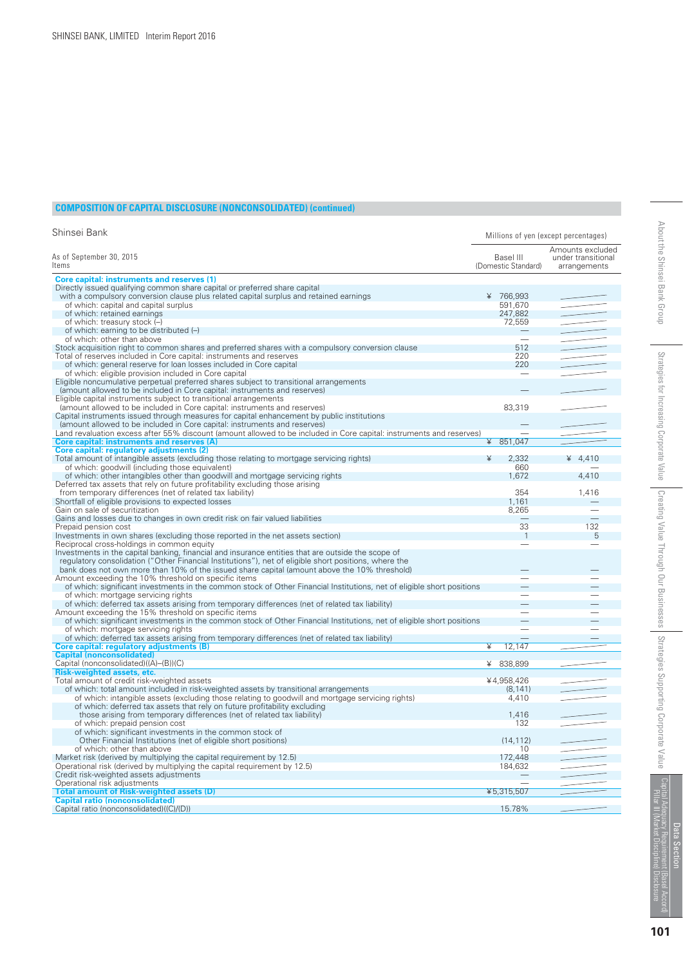#### **COMPOSITION OF CAPITAL DISCLOSURE (NONCONSOLIDATED) (continued)**

| Shinsei Bank                                                                                                                                      |                                  | Millions of yen (except percentages)                   |
|---------------------------------------------------------------------------------------------------------------------------------------------------|----------------------------------|--------------------------------------------------------|
| As of September 30, 2015<br>ltems                                                                                                                 | Basel III<br>(Domestic Standard) | Amounts excluded<br>under transitional<br>arrangements |
| <b>Core capital: instruments and reserves (1)</b>                                                                                                 |                                  |                                                        |
| Directly issued qualifying common share capital or preferred share capital                                                                        |                                  |                                                        |
| with a compulsory conversion clause plus related capital surplus and retained earnings                                                            | ¥ 766,993                        |                                                        |
| of which: capital and capital surplus                                                                                                             | 591,670                          |                                                        |
| of which: retained earnings                                                                                                                       | 247,882                          |                                                        |
| of which: treasury stock (-)                                                                                                                      | 72,559                           |                                                        |
| of which: earning to be distributed (-)                                                                                                           |                                  |                                                        |
| of which: other than above                                                                                                                        | $\overline{\phantom{0}}$         |                                                        |
| Stock acquisition right to common shares and preferred shares with a compulsory conversion clause                                                 | 512                              |                                                        |
| Total of reserves included in Core capital: instruments and reserves                                                                              | 220                              |                                                        |
| of which: general reserve for loan losses included in Core capital                                                                                | 220                              |                                                        |
| of which: eligible provision included in Core capital                                                                                             |                                  |                                                        |
| Eligible noncumulative perpetual preferred shares subject to transitional arrangements                                                            |                                  |                                                        |
| (amount allowed to be included in Core capital: instruments and reserves)<br>Eligible capital instruments subject to transitional arrangements    |                                  |                                                        |
| (amount allowed to be included in Core capital: instruments and reserves)                                                                         | 83,319                           |                                                        |
| Capital instruments issued through measures for capital enhancement by public institutions                                                        |                                  |                                                        |
| (amount allowed to be included in Core capital: instruments and reserves)                                                                         |                                  |                                                        |
| Land revaluation excess after 55% discount (amount allowed to be included in Core capital: instruments and reserves)                              |                                  |                                                        |
| <b>Core capital: instruments and reserves (A)</b>                                                                                                 | 851,047<br>¥                     |                                                        |
| Core capital: regulatory adjustments (2)                                                                                                          |                                  |                                                        |
| Total amount of intangible assets (excluding those relating to mortgage servicing rights)                                                         | 2,332<br>¥                       | ¥ $4,410$                                              |
| of which: goodwill (including those equivalent)                                                                                                   | 660                              |                                                        |
| of which: other intangibles other than goodwill and mortgage servicing rights                                                                     | 1,672                            | 4,410                                                  |
| Deferred tax assets that rely on future profitability excluding those arising                                                                     |                                  |                                                        |
| from temporary differences (net of related tax liability)                                                                                         | 354                              | 1.416                                                  |
| Shortfall of eligible provisions to expected losses                                                                                               | 1.161                            |                                                        |
| Gain on sale of securitization                                                                                                                    | 8,265                            |                                                        |
| Gains and losses due to changes in own credit risk on fair valued liabilities                                                                     |                                  |                                                        |
| Prepaid pension cost                                                                                                                              | 33                               | 132                                                    |
| Investments in own shares (excluding those reported in the net assets section)                                                                    | $\overline{1}$                   | 5                                                      |
| Reciprocal cross-holdings in common equity                                                                                                        |                                  |                                                        |
| Investments in the capital banking, financial and insurance entities that are outside the scope of                                                |                                  |                                                        |
| regulatory consolidation ("Other Financial Institutions"), net of eligible short positions, where the                                             |                                  |                                                        |
| bank does not own more than 10% of the issued share capital (amount above the 10% threshold)                                                      |                                  |                                                        |
| Amount exceeding the 10% threshold on specific items                                                                                              |                                  |                                                        |
| of which: significant investments in the common stock of Other Financial Institutions, net of eligible short positions                            |                                  |                                                        |
| of which: mortgage servicing rights<br>of which: deferred tax assets arising from temporary differences (net of related tax liability)            |                                  |                                                        |
| Amount exceeding the 15% threshold on specific items                                                                                              |                                  |                                                        |
| of which: significant investments in the common stock of Other Financial Institutions, net of eligible short positions                            |                                  |                                                        |
| of which: mortgage servicing rights                                                                                                               |                                  |                                                        |
| of which: deferred tax assets arising from temporary differences (net of related tax liability)                                                   | $\mathcal{L}$                    |                                                        |
| Core capital: regulatory adjustments (B)                                                                                                          | ¥<br>12.147                      |                                                        |
| <b>Capital (nonconsolidated)</b>                                                                                                                  |                                  |                                                        |
| Capital (nonconsolidated)((A)-(B))(C)                                                                                                             | ¥ 838,899                        |                                                        |
| <b>Risk-weighted assets, etc.</b>                                                                                                                 |                                  |                                                        |
| Total amount of credit risk-weighted assets                                                                                                       | ¥4,958,426                       |                                                        |
| of which: total amount included in risk-weighted assets by transitional arrangements                                                              | (8, 141)                         |                                                        |
| of which: intangible assets (excluding those relating to goodwill and mortgage servicing rights)                                                  | 4.410                            |                                                        |
| of which: deferred tax assets that rely on future profitability excluding                                                                         |                                  |                                                        |
| those arising from temporary differences (net of related tax liability)                                                                           | 1.416                            |                                                        |
| of which: prepaid pension cost                                                                                                                    | 132                              |                                                        |
| of which: significant investments in the common stock of                                                                                          |                                  |                                                        |
| Other Financial Institutions (net of eligible short positions)                                                                                    | (14, 112)                        |                                                        |
| of which: other than above                                                                                                                        | 10<br>172,448                    |                                                        |
| Market risk (derived by multiplying the capital requirement by 12.5)<br>Operational risk (derived by multiplying the capital requirement by 12.5) | 184,632                          |                                                        |
| Credit risk-weighted assets adjustments                                                                                                           |                                  |                                                        |
| Operational risk adjustments                                                                                                                      |                                  |                                                        |
| <b>Total amount of Risk-weighted assets (D)</b>                                                                                                   | ¥5,315,507                       |                                                        |
| <b>Capital ratio (nonconsolidated)</b>                                                                                                            |                                  |                                                        |
| Capital ratio (nonconsolidated)((C)/(D))                                                                                                          | 15.78%                           |                                                        |

**101**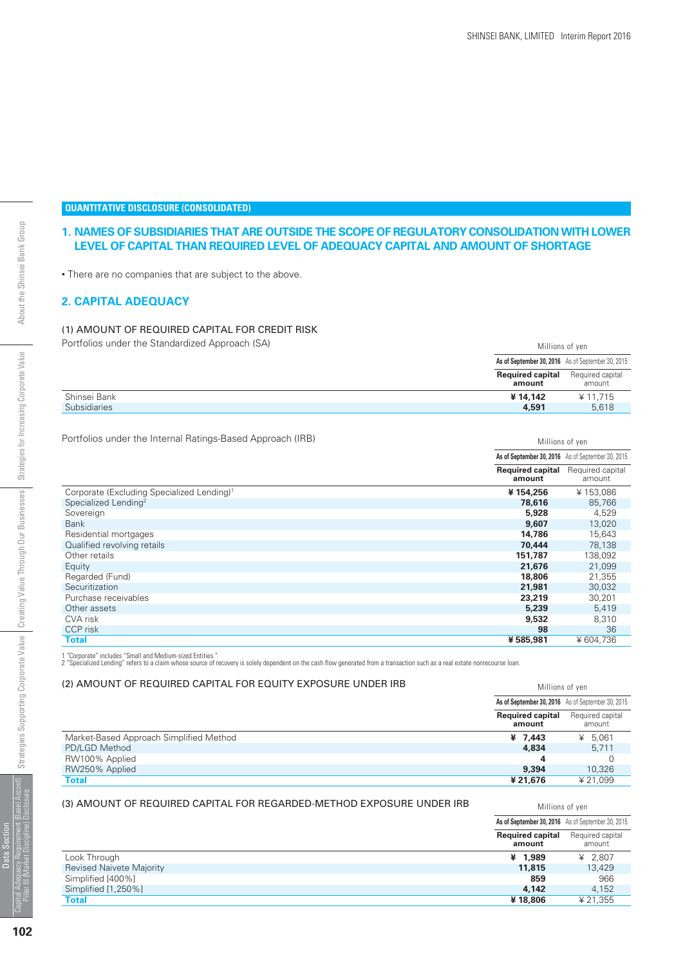Millions of yen

Millions of yen

# About the Shinsei Bank Group

Strategies for Increasing Corporate Value

#### **QUANTITATIVE DISCLOSURE (CONSOLIDATED)**

#### **1. NAMES OF SUBSIDIARIES THAT ARE OUTSIDE THE SCOPE OF REGULATORY CONSOLIDATION WITH LOWER LEVEL OF CAPITAL THAN REQUIRED LEVEL OF ADEQUACY CAPITAL AND AMOUNT OF SHORTAGE**

• There are no companies that are subject to the above.

#### **2. CAPITAL ADEQUACY**

#### (1) AMOUNT OF REQUIRED CAPITAL FOR CREDIT RISK

Portfolios under the Standardized Approach (SA) and the Standardized Approach (SA) and the Standardized Approach (SA)

|                     |                                   | As of September 30, 2016 As of September 30, 2015 |
|---------------------|-----------------------------------|---------------------------------------------------|
|                     | <b>Required capital</b><br>amount | Required capital<br>amount                        |
| Shinsei Bank        | ¥14.142                           | ¥ 11.715                                          |
| <b>Subsidiaries</b> | 4,591                             | 5.618                                             |

Portfolios under the Internal Ratings-Based Approach (IRB)

|                                                        | As of September 30, 2016 As of September 30, 2015 |                            |
|--------------------------------------------------------|---------------------------------------------------|----------------------------|
|                                                        | <b>Required capital</b><br>amount                 | Required capital<br>amount |
| Corporate (Excluding Specialized Lending) <sup>1</sup> | ¥154,256                                          | ¥153,086                   |
| Specialized Lending <sup>2</sup>                       | 78,616                                            | 85,766                     |
| Sovereign                                              | 5,928                                             | 4,529                      |
| <b>Bank</b>                                            | 9,607                                             | 13,020                     |
| Residential mortgages                                  | 14,786                                            | 15,643                     |
| Qualified revolving retails                            | 70.444                                            | 78,138                     |
| Other retails                                          | 151.787                                           | 138,092                    |
| Equity                                                 | 21,676                                            | 21,099                     |
| Regarded (Fund)                                        | 18,806                                            | 21,355                     |
| Securitization                                         | 21,981                                            | 30,032                     |
| Purchase receivables                                   | 23,219                                            | 30,201                     |
| Other assets                                           | 5,239                                             | 5,419                      |
| CVA risk                                               | 9,532                                             | 8,310                      |
| CCP risk                                               | 98                                                | 36                         |
| <b>Total</b>                                           | ¥585,981                                          | ¥604,736                   |

1 "Corporate" includes "Small and Medium-sized Entities."<br>2 "Specialized Lending" refers to a claim whose source of recovery is solely dependent on the cash flow generated from a transaction such as a real estate nonrecour

#### (2) AMOUNT OF REQUIRED CAPITAL FOR EQUITY EXPOSURE UNDER IRB

|                                         |                                   | As of September 30, 2016 As of September 30, 2015 |
|-----------------------------------------|-----------------------------------|---------------------------------------------------|
|                                         | <b>Required capital</b><br>amount | Required capital<br>amount                        |
| Market-Based Approach Simplified Method | ¥ $7.443$                         | ¥ $5.061$                                         |
| PD/LGD Method                           | 4.834                             | 5.711                                             |
| RW100% Applied                          |                                   |                                                   |
| RW250% Applied                          | 9,394                             | 10,326                                            |
| Total                                   | ¥ 21.676                          | ¥21.099                                           |

#### (3) AMOUNT OF REQUIRED CAPITAL FOR REGARDED-METHOD EXPOSURE UNDER IRB

| (3) AMOUNT OF REQUIRED CAPITAL FOR REGARDED-METHOD EXPOSURE UNDER IRB |                                                   | Millions of ven            |
|-----------------------------------------------------------------------|---------------------------------------------------|----------------------------|
|                                                                       | As of September 30, 2016 As of September 30, 2015 |                            |
|                                                                       | <b>Required capital</b><br>amount                 | Required capital<br>amount |
| Look Through                                                          | ¥ 1.989                                           | ¥ 2.807                    |
| <b>Revised Naivete Majority</b>                                       | 11,815                                            | 13,429                     |
| Simplified [400%]                                                     | 859                                               | 966                        |
| Simplified [1,250%]                                                   | 4.142                                             | 4.152                      |
| Total                                                                 | ¥18,806                                           | ¥ 21.355                   |
|                                                                       |                                                   |                            |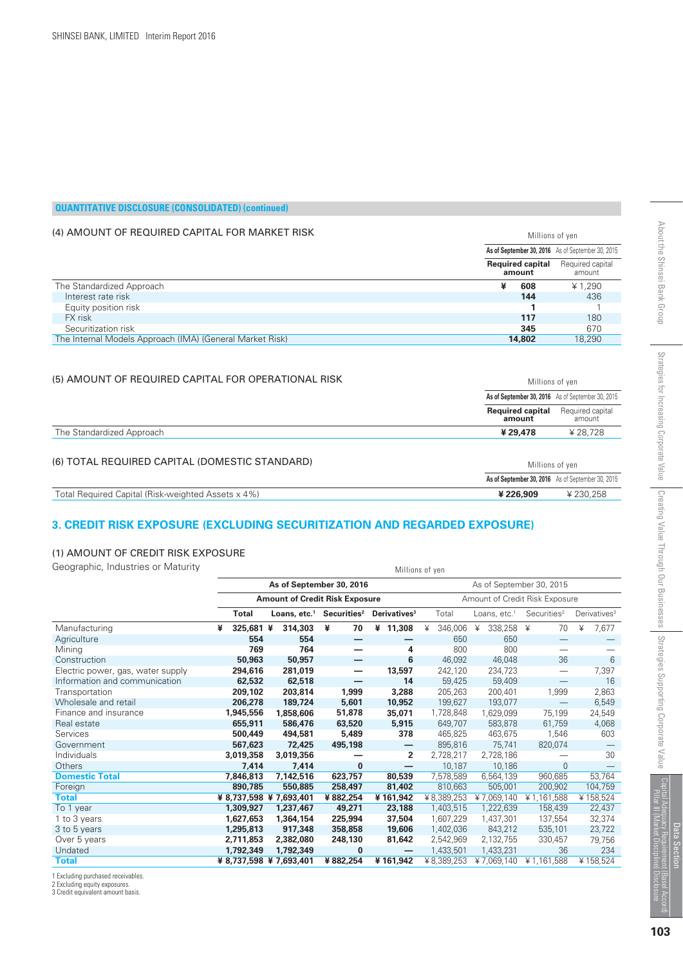Millions of yen

|  | <b>QUANTITATIVE DISCLOSURE (CONSOLIDATED) (continued)</b> |  |
|--|-----------------------------------------------------------|--|
|  |                                                           |  |

#### (4) AMOUNT OF REQUIRED CAPITAL FOR MARKET RISK

|                                                          | AS OT September 30, 2016 AS OT September 30, 2015 |                            |  |
|----------------------------------------------------------|---------------------------------------------------|----------------------------|--|
|                                                          | <b>Required capital</b><br>amount                 | Required capital<br>amount |  |
| The Standardized Approach                                | ¥<br>608                                          | ¥ 1.290                    |  |
| Interest rate risk                                       | 144                                               | 436                        |  |
| Equity position risk                                     |                                                   |                            |  |
| FX risk                                                  | 117                                               | 180                        |  |
| Securitization risk                                      | 345                                               | 670                        |  |
| The Internal Models Approach (IMA) (General Market Risk) | 14,802                                            | 18,290                     |  |
| (5) AMOUNT OF REQUIRED CAPITAL FOR OPERATIONAL RISK      | Millions of yen                                   |                            |  |
|                                                          | As of September 30, 2016 As of September 30, 2015 |                            |  |
|                                                          | <b>Required capital</b>                           | Required capital           |  |

|                                                    | <b>Required capital</b><br>amount                 | Required capital<br>amount |
|----------------------------------------------------|---------------------------------------------------|----------------------------|
| The Standardized Approach                          | ¥ 29.478                                          | ¥ 28.728                   |
| (6) TOTAL REQUIRED CAPITAL (DOMESTIC STANDARD)     | Millions of ven                                   |                            |
|                                                    | As of September 30, 2016 As of September 30, 2015 |                            |
| Total Required Capital (Risk-weighted Assets x 4%) | ¥226,909                                          | ¥230.258                   |

#### **3. CREDIT RISK EXPOSURE (EXCLUDING SECURITIZATION AND REGARDED EXPOSURE)**

#### (1) AMOUNT OF CREDIT RISK EXPOSURE

Geographic, Industries or Maturity **Millions** of yen

|                                   | As of September 30, 2016<br>As of September 30, 2015 |                                                                         |                                                  |          |                          |              |                |                                  |                          |  |
|-----------------------------------|------------------------------------------------------|-------------------------------------------------------------------------|--------------------------------------------------|----------|--------------------------|--------------|----------------|----------------------------------|--------------------------|--|
|                                   |                                                      | <b>Amount of Credit Risk Exposure</b><br>Amount of Credit Risk Exposure |                                                  |          |                          |              |                |                                  |                          |  |
|                                   | <b>Total</b>                                         |                                                                         | Loans, etc. <sup>1</sup> Securities <sup>2</sup> |          | Derivatives <sup>3</sup> | Total        | Loans, $etc.1$ | Securities <sup>2</sup>          | Derivatives <sup>3</sup> |  |
| Manufacturing                     | 325,681 ¥<br>¥                                       |                                                                         | 314,303                                          | ¥<br>70  | ¥ 11,308                 | 346,006<br>¥ | 338,258<br>¥   | 70<br>¥                          | ¥<br>7,677               |  |
| Agriculture                       |                                                      | 554                                                                     | 554                                              |          |                          | 650          | 650            |                                  |                          |  |
| Mining                            |                                                      | 769                                                                     | 764                                              |          | 4                        | 800          | 800            |                                  |                          |  |
| Construction                      |                                                      | 50,963                                                                  | 50,957                                           |          | 6                        | 46,092       | 46,048         | 36                               | 6                        |  |
| Electric power, gas, water supply | 294,616                                              |                                                                         | 281,019                                          | —        | 13,597                   | 242,120      | 234,723        | $\overbrace{\phantom{12322111}}$ | 7,397                    |  |
| Information and communication     |                                                      | 62,532                                                                  | 62,518                                           |          | 14                       | 59,425       | 59,409         | $\overline{\phantom{0}}$         | 16                       |  |
| Transportation                    | 209,102                                              |                                                                         | 203,814                                          | 1,999    | 3,288                    | 205,263      | 200,401        | 1,999                            | 2,863                    |  |
| Wholesale and retail              | 206,278                                              |                                                                         | 189,724                                          | 5,601    | 10,952                   | 199,627      | 193,077        | $\overline{\phantom{0}}$         | 6,549                    |  |
| Finance and insurance             | 1,945,556                                            |                                                                         | 1,858,606                                        | 51,878   | 35,071                   | 1,728,848    | 1,629,099      | 75,199                           | 24,549                   |  |
| Real estate                       | 655,911                                              |                                                                         | 586,476                                          | 63,520   | 5,915                    | 649,707      | 583,878        | 61,759                           | 4,068                    |  |
| Services                          | 500,449                                              |                                                                         | 494,581                                          | 5,489    | 378                      | 465,825      | 463,675        | 1,546                            | 603                      |  |
| Government                        | 567,623                                              |                                                                         | 72,425                                           | 495,198  | —                        | 895,816      | 75,741         | 820,074                          |                          |  |
| Individuals                       | 3,019,358                                            |                                                                         | 3,019,356                                        |          | $\overline{2}$           | 2,728,217    | 2,728,186      |                                  | 30                       |  |
| Others                            |                                                      | 7,414                                                                   | 7,414                                            | $\bf{0}$ | —                        | 10,187       | 10,186         | $\Omega$                         |                          |  |
| <b>Domestic Total</b>             | 7,846,813                                            |                                                                         | 7,142,516                                        | 623,757  | 80,539                   | 7,578,589    | 6,564,139      | 960,685                          | 53,764                   |  |
| Foreign                           | 890,785                                              |                                                                         | 550,885                                          | 258,497  | 81,402                   | 810,663      | 505,001        | 200,902                          | 104,759                  |  |
| <b>Total</b>                      |                                                      |                                                                         | ¥ 8,737,598 ¥ 7,693,401                          | ¥882,254 | ¥161,942                 | ¥8,389,253   | ¥7,069,140     | ¥1,161,588                       | ¥158,524                 |  |
| To 1 year                         | 1,309,927                                            |                                                                         | 1,237,467                                        | 49,271   | 23,188                   | 1,403,515    | 1,222,639      | 158,439                          | 22,437                   |  |
| 1 to 3 years                      | 1,627,653                                            |                                                                         | 1,364,154                                        | 225,994  | 37,504                   | 1,607,229    | 1,437,301      | 137,554                          | 32,374                   |  |
| 3 to 5 years                      | 1,295,813                                            |                                                                         | 917,348                                          | 358,858  | 19,606                   | 1,402,036    | 843,212        | 535,101                          | 23,722                   |  |
| Over 5 years                      | 2,711,853                                            |                                                                         | 2,382,080                                        | 248,130  | 81,642                   | 2,542,969    | 2,132,755      | 330,457                          | 79,756                   |  |
| Undated                           | 1,792,349                                            |                                                                         | 1,792,349                                        | $\bf{0}$ |                          | 1,433,501    | 1,433,231      | 36                               | 234                      |  |
| <b>Total</b>                      |                                                      |                                                                         | ¥ 8,737,598 ¥ 7,693,401                          | ¥882,254 | ¥161,942                 | ¥8,389,253   | ¥7,069,140     | ¥1,161,588                       | ¥158,524                 |  |

1 Excluding purchased receivables. 2 Excluding equity exposures. 3 Credit equivalent amount basis.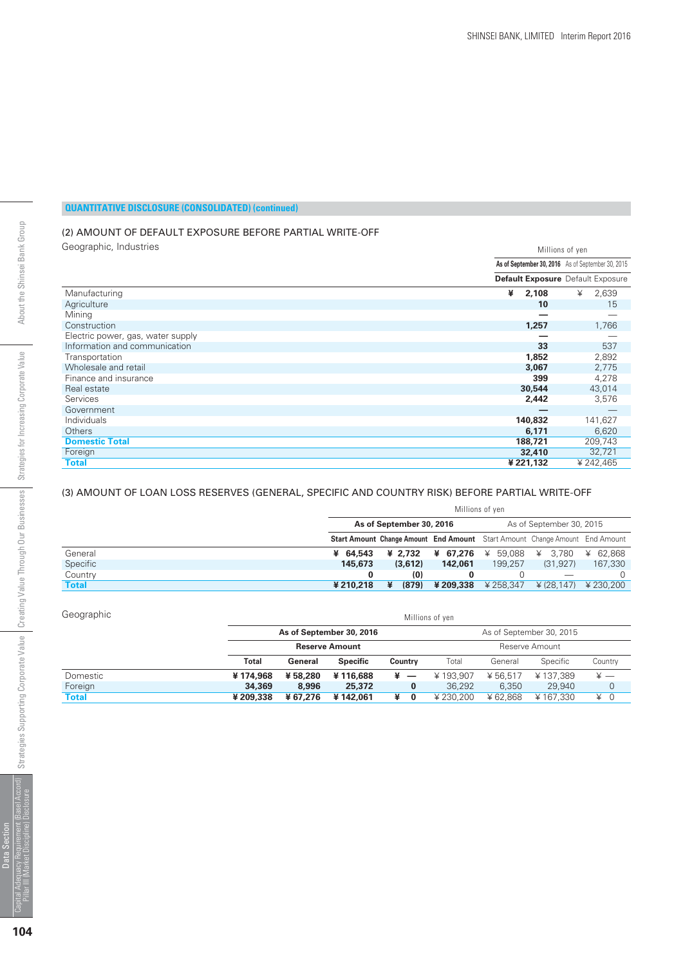#### (2) AMOUNT OF DEFAULT EXPOSURE BEFORE PARTIAL WRITE-OFF

Geographic, Industries

| Geographic, Industries            |   | Millions of yen                                   |   |           |  |  |  |
|-----------------------------------|---|---------------------------------------------------|---|-----------|--|--|--|
|                                   |   | As of September 30, 2016 As of September 30, 2015 |   |           |  |  |  |
|                                   |   | <b>Default Exposure</b> Default Exposure          |   |           |  |  |  |
| Manufacturing                     | ¥ | 2,108                                             | ¥ | 2,639     |  |  |  |
| Agriculture                       |   | 10                                                |   | 15        |  |  |  |
| Mining                            |   |                                                   |   |           |  |  |  |
| Construction                      |   | 1,257                                             |   | 1,766     |  |  |  |
| Electric power, gas, water supply |   |                                                   |   |           |  |  |  |
| Information and communication     |   | 33                                                |   | 537       |  |  |  |
| Transportation                    |   | 1,852                                             |   | 2,892     |  |  |  |
| Wholesale and retail              |   | 3,067                                             |   | 2,775     |  |  |  |
| Finance and insurance             |   | 399                                               |   | 4,278     |  |  |  |
| Real estate                       |   | 30,544                                            |   | 43,014    |  |  |  |
| Services                          |   | 2,442                                             |   | 3,576     |  |  |  |
| Government                        |   |                                                   |   |           |  |  |  |
| Individuals                       |   | 140,832                                           |   | 141,627   |  |  |  |
| Others                            |   | 6,171                                             |   | 6,620     |  |  |  |
| <b>Domestic Total</b>             |   | 188,721                                           |   | 209,743   |  |  |  |
| Foreign                           |   | 32,410                                            |   | 32,721    |  |  |  |
| <b>Total</b>                      |   | ¥ 221,132                                         |   | ¥ 242,465 |  |  |  |

#### (3) AMOUNT OF LOAN LOSS RESERVES (GENERAL, SPECIFIC AND COUNTRY RISK) BEFORE PARTIAL WRITE-OFF

|              | Millions of yen          |   |         |           |                   |                                                                                    |             |
|--------------|--------------------------|---|---------|-----------|-------------------|------------------------------------------------------------------------------------|-------------|
|              | As of September 30, 2016 |   |         |           |                   | As of September 30, 2015                                                           |             |
|              |                          |   |         |           |                   | <b>Start Amount Change Amount End Amount</b> Start Amount Change Amount End Amount |             |
| General      | ¥ 64,543                 |   | ¥ 2.732 |           | ¥ 67,276 ¥ 59,088 | ¥<br>3.780                                                                         | 62.868<br>¥ |
| Specific     | 145,673                  |   | (3,612) | 142,061   | 199.257           | (31, 927)                                                                          | 167,330     |
| Country      |                          |   | (0)     |           |                   |                                                                                    |             |
| <b>Total</b> | ¥210,218                 | ¥ | (879)   | ¥ 209,338 | ¥ 258.347         | $\angle$ (28.147) $\angle$ 230.200                                                 |             |

| Geographic | Millions of yen |                                         |                          |         |          |          |          |                             |  |
|------------|-----------------|-----------------------------------------|--------------------------|---------|----------|----------|----------|-----------------------------|--|
|            |                 | As of September 30, 2016                | As of September 30, 2015 |         |          |          |          |                             |  |
|            |                 | <b>Reserve Amount</b><br>Reserve Amount |                          |         |          |          |          |                             |  |
|            | Total           | General                                 | <b>Specific</b>          | Country | Total    | General  | Specific | Country                     |  |
| Domestic   | ¥174.968        | ¥58,280                                 | ¥116,688                 | ¥ —     | ¥193.907 | ¥ 56.517 | ¥137.389 | $\frac{1}{2}$ $\frac{1}{2}$ |  |
| Foreign    | 34,369          | 8,996                                   | 25,372                   | 0       | 36,292   | 6.350    | 29,940   | $\overline{0}$              |  |
| Total      | ¥209,338        | ¥67.276                                 | ¥142,061                 | ¥<br>0  | ¥230.200 | ¥ 62.868 | ¥167.330 | ¥ 0                         |  |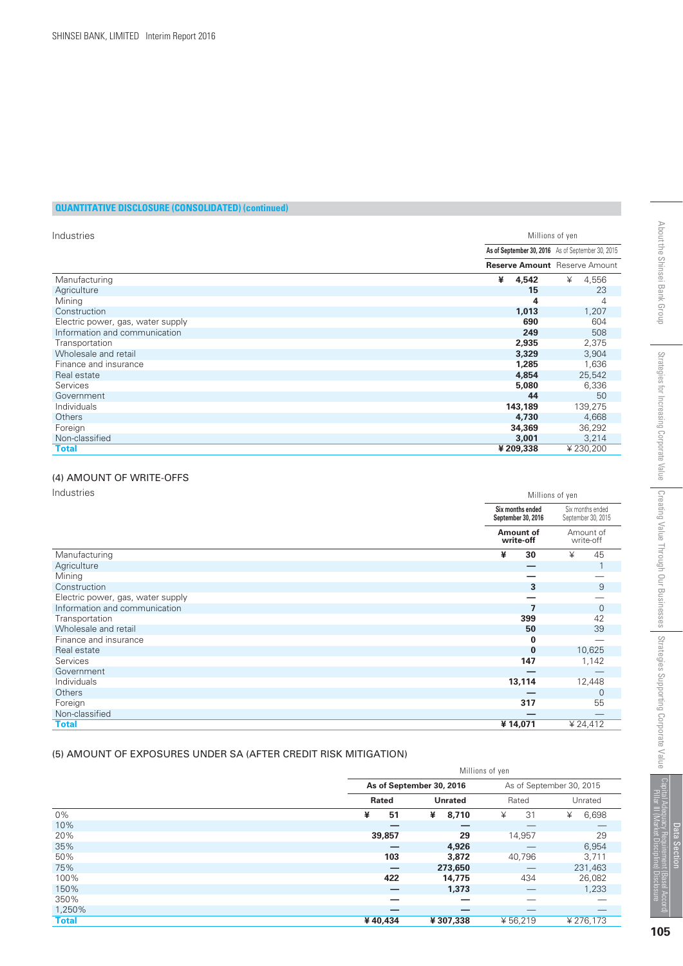| Industries                        |   | Millions of yen                      |                                                   |                |  |  |  |
|-----------------------------------|---|--------------------------------------|---------------------------------------------------|----------------|--|--|--|
|                                   |   |                                      | As of September 30, 2016 As of September 30, 2015 |                |  |  |  |
|                                   |   | <b>Reserve Amount</b> Reserve Amount |                                                   |                |  |  |  |
| Manufacturing                     | ¥ | 4,542                                | ¥                                                 | 4,556          |  |  |  |
| Agriculture                       |   | 15                                   |                                                   | 23             |  |  |  |
| Mining                            |   | 4                                    |                                                   | $\overline{4}$ |  |  |  |
| Construction                      |   | 1,013                                |                                                   | 1,207          |  |  |  |
| Electric power, gas, water supply |   | 690                                  |                                                   | 604            |  |  |  |
| Information and communication     |   | 249                                  |                                                   | 508            |  |  |  |
| Transportation                    |   | 2,935                                |                                                   | 2,375          |  |  |  |
| Wholesale and retail              |   | 3,329                                |                                                   | 3,904          |  |  |  |
| Finance and insurance             |   | 1,285                                |                                                   | 1,636          |  |  |  |
| Real estate                       |   | 4,854                                |                                                   | 25,542         |  |  |  |
| <b>Services</b>                   |   | 5,080                                |                                                   | 6,336          |  |  |  |
| Government                        |   | 44                                   |                                                   | 50             |  |  |  |
| Individuals                       |   | 143,189                              |                                                   | 139,275        |  |  |  |
| Others                            |   | 4,730                                |                                                   | 4,668          |  |  |  |
| Foreign                           |   | 34,369                               |                                                   | 36,292         |  |  |  |
| Non-classified                    |   | 3,001                                |                                                   | 3,214          |  |  |  |
| Total                             |   | ¥ 209,338                            |                                                   | ¥230,200       |  |  |  |

#### (4) AMOUNT OF WRITE-OFFS

Industries

| Industries                        |   | Millions of yen                        |   |                                        |  |  |  |
|-----------------------------------|---|----------------------------------------|---|----------------------------------------|--|--|--|
|                                   |   | Six months ended<br>September 30, 2016 |   | Six months ended<br>September 30, 2015 |  |  |  |
|                                   |   | Amount of<br>write-off                 |   | Amount of<br>write-off                 |  |  |  |
| Manufacturing                     | ¥ | 30                                     | ¥ | 45                                     |  |  |  |
| Agriculture                       |   |                                        |   |                                        |  |  |  |
| Mining                            |   |                                        |   |                                        |  |  |  |
| Construction                      |   | 3                                      |   | 9                                      |  |  |  |
| Electric power, gas, water supply |   |                                        |   |                                        |  |  |  |
| Information and communication     |   |                                        |   | $\mathbf{0}$                           |  |  |  |
| Transportation                    |   | 399                                    |   | 42                                     |  |  |  |
| Wholesale and retail              |   | 50                                     |   | 39                                     |  |  |  |
| Finance and insurance             |   | $\Omega$                               |   |                                        |  |  |  |
| Real estate                       |   | $\bf{0}$                               |   | 10,625                                 |  |  |  |
| Services                          |   | 147                                    |   | 1,142                                  |  |  |  |
| Government                        |   |                                        |   |                                        |  |  |  |
| Individuals                       |   | 13,114                                 |   | 12,448                                 |  |  |  |
| Others                            |   |                                        |   | $\overline{0}$                         |  |  |  |
| Foreign                           |   | 317                                    |   | 55                                     |  |  |  |
| Non-classified                    |   |                                        |   |                                        |  |  |  |
| <b>Total</b>                      |   | ¥14,071                                |   | ¥ 24,412                               |  |  |  |

#### (5) AMOUNT OF EXPOSURES UNDER SA (AFTER CREDIT RISK MITIGATION)

|              | Millions of yen |                          |            |                          |  |  |  |
|--------------|-----------------|--------------------------|------------|--------------------------|--|--|--|
|              |                 | As of September 30, 2016 |            | As of September 30, 2015 |  |  |  |
|              | Rated           | <b>Unrated</b>           | Rated      | Unrated                  |  |  |  |
| $0\%$        | ¥<br>51         | 8,710<br>¥               | 31<br>¥    | 6,698<br>¥               |  |  |  |
| 10%          |                 | _                        |            |                          |  |  |  |
| 20%          | 39,857          | 29                       | 14,957     | 29                       |  |  |  |
| 35%          |                 | 4,926                    |            | 6,954                    |  |  |  |
| 50%          | 103             | 3,872                    | 40,796     | 3,711                    |  |  |  |
| 75%          |                 | 273,650                  |            | 231,463                  |  |  |  |
| 100%         | 422             | 14,775                   | 434        | 26,082                   |  |  |  |
| 150%         |                 | 1,373                    |            | 1,233                    |  |  |  |
| 350%         |                 | _                        |            |                          |  |  |  |
| 1,250%       |                 | -                        |            |                          |  |  |  |
| <b>Total</b> | ¥40.434         | ¥307.338                 | ¥ $56,219$ | ¥ 276,173                |  |  |  |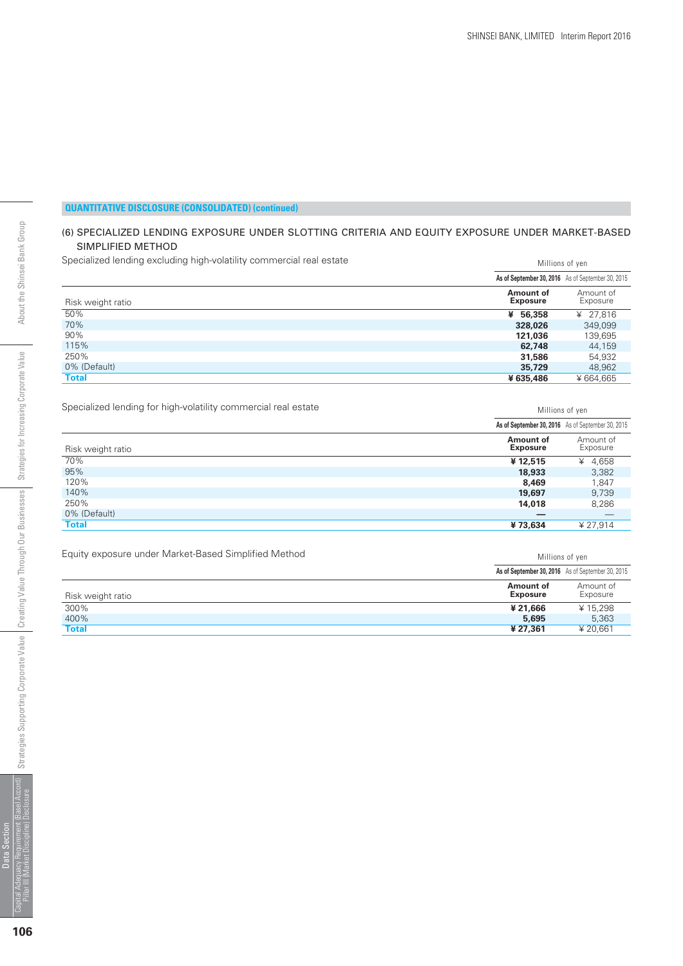Millions of yen

Millions of yen

#### **QUANTITATIVE DISCLOSURE (CONSOLIDATED) (continued)**

#### (6) SPECIALIZED LENDING EXPOSURE UNDER SLOTTING CRITERIA AND EQUITY EXPOSURE UNDER MARKET-BASED SIMPLIFIED METHOD

Specialized lending excluding high-volatility commercial real estate

| Specialized lending excluding high-volatility commercial real estate | Millions of yen              |                                                   |  |  |
|----------------------------------------------------------------------|------------------------------|---------------------------------------------------|--|--|
|                                                                      |                              | As of September 30, 2016 As of September 30, 2015 |  |  |
| Risk weight ratio                                                    | Amount of<br><b>Exposure</b> | Amount of<br>Exposure                             |  |  |
| 50%                                                                  | ¥ 56,358                     | ¥ 27.816                                          |  |  |
| 70%                                                                  | 328,026                      | 349,099                                           |  |  |
| 90%                                                                  | 121,036                      | 139,695                                           |  |  |
| 115%                                                                 | 62,748                       | 44,159                                            |  |  |
| 250%                                                                 | 31,586                       | 54,932                                            |  |  |
| 0% (Default)                                                         | 35,729                       | 48,962                                            |  |  |
| <b>Total</b>                                                         | ¥635,486                     | ¥664.665                                          |  |  |

Specialized lending for high-volatility commercial real estate

|                   |                              | As of September 30, 2016 As of September 30, 2015 |
|-------------------|------------------------------|---------------------------------------------------|
| Risk weight ratio | Amount of<br><b>Exposure</b> | Amount of<br>Exposure                             |
| 70%               | ¥12,515                      | ¥ 4,658                                           |
| 95%               | 18,933                       | 3,382                                             |
| 120%              | 8,469                        | 1,847                                             |
| 140%              | 19,697                       | 9,739                                             |
| 250%              | 14,018                       | 8,286                                             |
| 0% (Default)      |                              |                                                   |
| <b>Total</b>      | ¥73,634                      | ¥ 27,914                                          |

Equity exposure under Market-Based Simplified Method

|                   |                              | As of September 30, 2016 As of September 30, 2015 |
|-------------------|------------------------------|---------------------------------------------------|
| Risk weight ratio | Amount of<br><b>Exposure</b> | Amount of<br>Exposure                             |
| 300%              | ¥ 21.666                     | ¥15,298                                           |
| 400%              | 5,695                        | 5.363                                             |
| <b>Total</b>      | ¥ 27.361                     | ¥ 20.661                                          |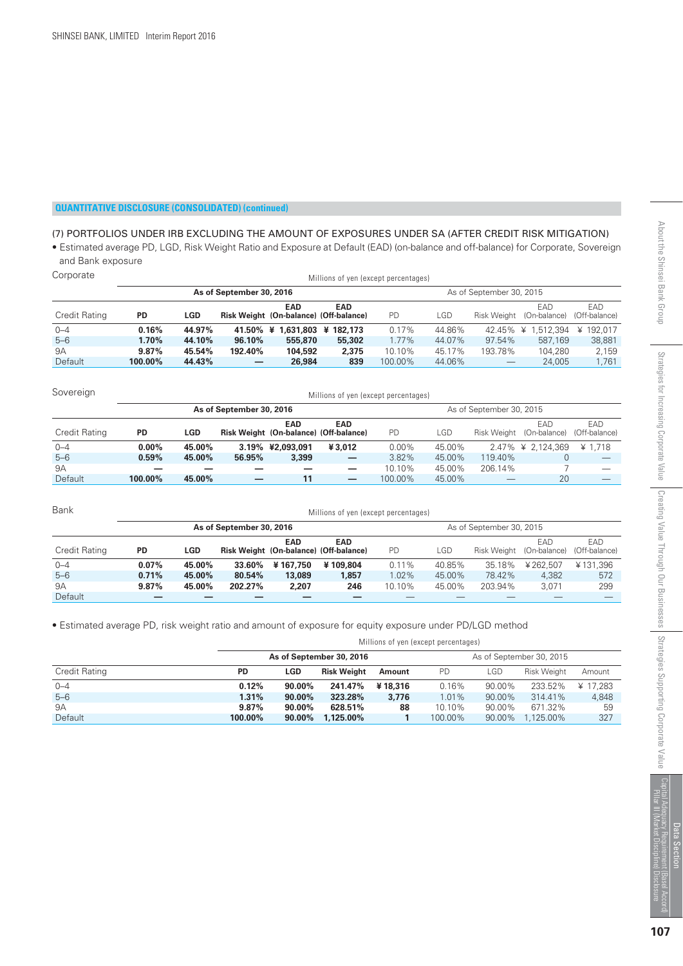#### (7) PORTFOLIOS UNDER IRB EXCLUDING THE AMOUNT OF EXPOSURES UNDER SA (AFTER CREDIT RISK MITIGATION)

• Estimated average PD, LGD, Risk Weight Ratio and Exposure at Default (EAD) (on-balance and off-balance) for Corporate, Sovereign and Bank exposure

| Corporate     | Millions of yen (except percentages) |        |                          |                                                      |                     |           |        |         |                                 |                       |  |
|---------------|--------------------------------------|--------|--------------------------|------------------------------------------------------|---------------------|-----------|--------|---------|---------------------------------|-----------------------|--|
|               |                                      |        | As of September 30, 2016 | As of September 30, 2015                             |                     |           |        |         |                                 |                       |  |
| Credit Rating | PD                                   | LGD    |                          | <b>EAD</b><br>Risk Weight (On-balance) (Off-balance) | <b>EAD</b>          | <b>PD</b> | LGD    |         | EAD<br>Risk Weight (On-balance) | EAD.<br>(Off-balance) |  |
| $0 - 4$       | 0.16%                                | 44.97% | 41.50% ¥                 |                                                      | 1.631.803 ¥ 182.173 | 0.17%     | 44.86% | 42.45%  | 1.512.394<br>¥                  | ¥ 192.017             |  |
| $5 - 6$       | 1.70%                                | 44.10% | 96.10%                   | 555,870                                              | 55,302              | 1.77%     | 44.07% | 97.54%  | 587.169                         | 38,881                |  |
| <b>9A</b>     | $9.87\%$                             | 45.54% | 192.40%                  | 104,592                                              | 2,375               | 10.10%    | 45.17% | 193.78% | 104,280                         | 2,159                 |  |
| Default       | 100.00%                              | 44.43% |                          | 26,984                                               | 839                 | 100.00%   | 44.06% |         | 24,005                          | 1,761                 |  |

| Sovereign     | Millions of yen (except percentages) |        |                          |                  |                                                      |                          |        |         |                                 |                      |  |  |  |
|---------------|--------------------------------------|--------|--------------------------|------------------|------------------------------------------------------|--------------------------|--------|---------|---------------------------------|----------------------|--|--|--|
|               |                                      |        | As of September 30, 2016 |                  |                                                      | As of September 30, 2015 |        |         |                                 |                      |  |  |  |
| Credit Rating | <b>PD</b>                            | LGD    |                          | <b>EAD</b>       | <b>EAD</b><br>Risk Weight (On-balance) (Off-balance) | <b>PD</b>                | LGD    |         | EAD<br>Risk Weight (On-balance) | EAD<br>(Off-balance) |  |  |  |
| $0 - 4$       | $0.00\%$                             | 45.00% |                          | 3.19% ¥2.093.091 | ¥3.012                                               | $0.00\%$                 | 45.00% |         | 2.47% ¥ 2,124,369               | ¥ 1.718              |  |  |  |
| $5 - 6$       | 0.59%                                | 45.00% | 56.95%                   | 3,399            | $\qquad \qquad$                                      | 3.82%                    | 45.00% | 119.40% | 0                               |                      |  |  |  |
| 9A            |                                      |        |                          |                  | —                                                    | 10.10%                   | 45.00% | 206.14% |                                 |                      |  |  |  |
| Default       | 100.00%                              | 45.00% |                          | 11               | $\overline{\phantom{0}}$                             | 100.00%                  | 45.00% |         | 20                              |                      |  |  |  |

| Bank          | Millions of yen (except percentages) |        |                          |            |                                                      |                          |        |         |                                 |                       |  |  |
|---------------|--------------------------------------|--------|--------------------------|------------|------------------------------------------------------|--------------------------|--------|---------|---------------------------------|-----------------------|--|--|
|               |                                      |        | As of September 30, 2016 |            |                                                      | As of September 30, 2015 |        |         |                                 |                       |  |  |
| Credit Rating | <b>PD</b>                            | LGD    |                          | <b>EAD</b> | <b>EAD</b><br>Risk Weight (On-balance) (Off-balance) | <b>PD</b>                | LGD    |         | EAD<br>Risk Weight (On-balance) | EAD.<br>(Off-balance) |  |  |
| $0 - 4$       | $0.07\%$                             | 45.00% | 33.60%                   | ¥167.750   | ¥109.804                                             | $0.11\%$                 | 40.85% | 35.18%  | ¥262.507                        | ¥131.396              |  |  |
| $5 - 6$       | 0.71%                                | 45.00% | 80.54%                   | 13,089     | 1.857                                                | 1.02%                    | 45.00% | 78.42%  | 4.382                           | 572                   |  |  |
| 9Α            | 9.87%                                | 45.00% | 202.27%                  | 2,207      | 246                                                  | 10.10%                   | 45.00% | 203.94% | 3.071                           | 299                   |  |  |
| Default       |                                      |        |                          |            |                                                      |                          |        |         |                                 |                       |  |  |

• Estimated average PD, risk weight ratio and amount of exposure for equity exposure under PD/LGD method

Millions of yen (except percentages)

|                      |           |            | As of September 30, 2016 |         |           |        | As of September 30, 2015 |          |
|----------------------|-----------|------------|--------------------------|---------|-----------|--------|--------------------------|----------|
| <b>Credit Rating</b> | <b>PD</b> | <b>LGD</b> | Risk Weight              | Amount  | <b>PD</b> | LGD    | <b>Risk Weight</b>       | Amount   |
| $0 - 4$              | 0.12%     | 90.00%     | 241.47%                  | ¥18,316 | 0.16%     | 90.00% | 233.52%                  | ¥ 17.283 |
| $5 - 6$              | 1.31%     | 90.00%     | 323.28%                  | 3.776   | 1.01%     | 90.00% | 314.41%                  | 4.848    |
| 9A                   | 9.87%     | $90.00\%$  | 628.51%                  | 88      | 10.10%    | 90.00% | 671.32%                  | 59       |
| <b>Default</b>       | 100.00%   | $90.00\%$  | 1.125.00%                |         | 100.00%   | 90.00% | 1.125.00%                | 327      |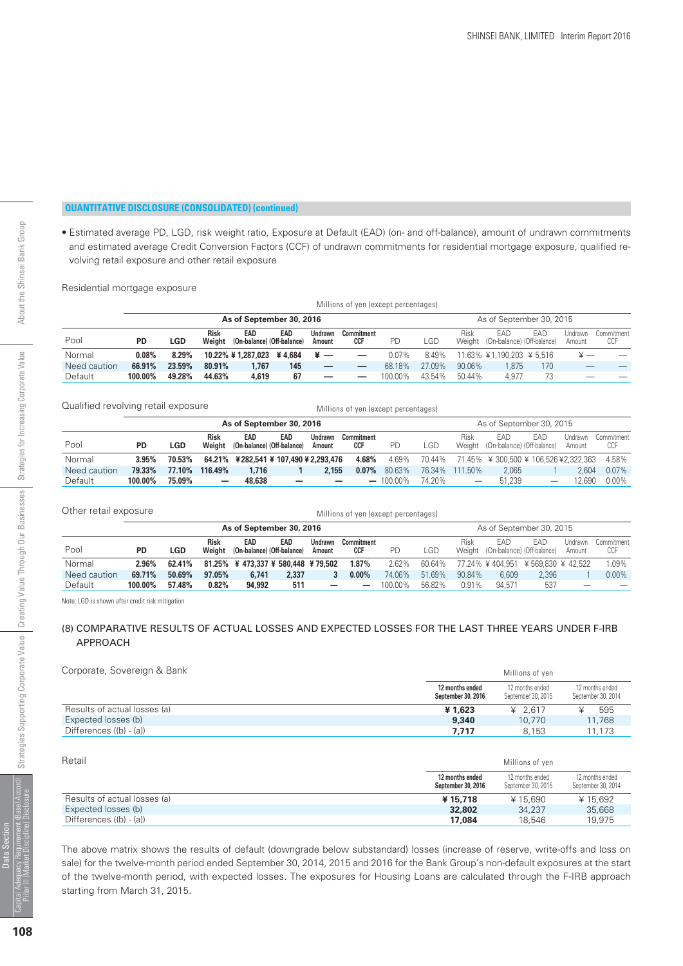Millions of yen

12 months ended September 30, 2015  $*15.690$  34,237 18,546

12 months ender September 30, 2014  $*15.692$  35,668 19,975

 **17,084**

#### **QUANTITATIVE DISCLOSURE (CONSOLIDATED) (continued)**

• Estimated average PD, LGD, risk weight ratio, Exposure at Default (EAD) (on- and off-balance), amount of undrawn commitments and estimated average Credit Conversion Factors (CCF) of undrawn commitments for residential mortgage exposure, qualified revolving retail exposure and other retail exposure

Residential mortgage exposure

|                          |           | Millions of yen (except percentages) |                       |                                   |     |                          |                          |           |        |        |                                          |     |                   |                   |
|--------------------------|-----------|--------------------------------------|-----------------------|-----------------------------------|-----|--------------------------|--------------------------|-----------|--------|--------|------------------------------------------|-----|-------------------|-------------------|
| As of September 30, 2016 |           |                                      |                       |                                   |     |                          |                          |           |        |        | As of September 30, 2015                 |     |                   |                   |
| Pool                     | <b>PD</b> | LGD                                  | <b>Risk</b><br>Weight | EAD<br>(On-balance) (Off-balance) | EAD | <b>Undrawn</b><br>Amount | Commitment<br><b>CCF</b> | <b>PD</b> | LGD    | Risk   | EAD<br>Weight (On-balance) (Off-balance) | EAD | Undrawn<br>Amount | Commitment<br>CCF |
| Normal                   | 0.08%     | 8.29%                                |                       | 10.22% ¥ 1,287,023 ¥ 4,684        |     | $\frac{1}{2}$            | $\overline{\phantom{0}}$ | $0.07\%$  | 8.49%  |        | 11.63% ¥1,190,203 ¥5,516                 |     |                   |                   |
| Need caution             | 66.91%    | 23.59%                               | 80.91%                | 1.767                             | 145 |                          | –                        | 68.18%    | 27.09% | 90.06% | .875                                     | 170 |                   |                   |
| Default                  | 100.00%   | 49.28%                               | 44.63%                | 4,619                             | 67  |                          |                          | 100.00%   | 43.54% | 50.44% | 4.977                                    | 73  |                   |                   |

| Qualified revolving retail exposure |  |
|-------------------------------------|--|
|-------------------------------------|--|

|              | Qualified revolving retail exposure<br>Millions of yen (except percentages) |        |                       |                                   |                                       |                   |                                 |                          |        |         |                                          |                                 |                   |                   |
|--------------|-----------------------------------------------------------------------------|--------|-----------------------|-----------------------------------|---------------------------------------|-------------------|---------------------------------|--------------------------|--------|---------|------------------------------------------|---------------------------------|-------------------|-------------------|
|              |                                                                             |        |                       |                                   | As of September 30, 2016              |                   |                                 | As of September 30, 2015 |        |         |                                          |                                 |                   |                   |
| Pool         | <b>PD</b>                                                                   | LGD    | <b>Risk</b><br>Weight | EAD<br>(On-balance) (Off-balance) | EAD                                   | Undrawn<br>Amount | <b>Commitment</b><br><b>CCF</b> | PD                       | LGD    | Risk    | EAD<br>Weight (On-balance) (Off-balance) | EAD                             | Undrawn<br>Amount | Commitment<br>CCF |
| Normal       | 3.95%                                                                       | 70.53% |                       |                                   | 64.21% ¥282,541 ¥ 107,490 ¥ 2,293,476 |                   | 4.68%                           | 4.69%                    | 70.44% |         | 71.45% ¥ 300.500 ¥ 106.526 ¥ 2.322.363   |                                 |                   | 4.58%             |
| Need caution | 79.33%                                                                      | 77.10% | 116.49%               | 1.716                             |                                       | 2.155             | $0.07\%$                        | 80.63%                   | 76.34% | 111.50% | 2.065                                    |                                 | 2.604             | 0.07%             |
| Default      | 100.00%                                                                     | 75.09% | -                     | 48,638                            | $\overline{\phantom{0}}$              | $\qquad \qquad$   |                                 | $-100.00\%$              | 74.20% |         | 51.239                                   | $\hspace{0.1mm}-\hspace{0.1mm}$ | 12.690            | $0.00\%$          |

| Other retail exposure    |           |        |                       |                                         |       | Millions of yen (except percentages) |                          |         |        |        |                                          |       |                   |                   |
|--------------------------|-----------|--------|-----------------------|-----------------------------------------|-------|--------------------------------------|--------------------------|---------|--------|--------|------------------------------------------|-------|-------------------|-------------------|
| As of September 30, 2016 |           |        |                       |                                         |       |                                      |                          |         |        |        | As of September 30, 2015                 |       |                   |                   |
| Pool                     | <b>PD</b> | LGD    | <b>Risk</b><br>Weight | EAD<br>(On-balance) (Off-balance)       | EAD   | Undrawn<br>Amount                    | Commitment<br><b>CCF</b> | PD      | LGD    | Risk   | FAD<br>Weight (On-balance) (Off-balance) | EAD   | Undrawn<br>Amount | Commitment<br>CCF |
| Normal                   | 2.96%     | 62.41% |                       | 81.25% \; 473.337 \; 580.448 \; 479.502 |       |                                      | 1.87%                    | 2.62%   | 60.64% |        | 77.24% \\$404.951 \\$569.830 \\$42.522   |       |                   | 1.09%             |
| Need caution             | 69.71%    | 50.69% | 97.05%                | 6.741                                   | 2,337 |                                      | $0.00\%$                 | 74.06%  | 51.69% | 90.84% | 6.609                                    | 2.396 |                   | $0.00\%$          |
| Default                  | 100.00%   | 57.48% | 0.82%                 | 94,992                                  | 511   | -                                    | $\overline{\phantom{0}}$ | 100.00% | 56.82% | 0.91%  | 94.571                                   | 537   |                   |                   |

Note: LGD is shown after credit risk mitigation

#### (8) COMPARATIVE RESULTS OF ACTUAL LOSSES AND EXPECTED LOSSES FOR THE LAST THREE YEARS UNDER F-IRB APPROACH

#### Corporate, Sovereign & Bank Millions of yen

Differences ((b) - (a))

|                              |                                       | .                                     |                                       |
|------------------------------|---------------------------------------|---------------------------------------|---------------------------------------|
|                              | 12 months ended<br>September 30, 2016 | 12 months ended<br>September 30, 2015 | 12 months ended<br>September 30, 2014 |
| Results of actual losses (a) | ¥1.623                                | ¥ 2.617                               | 595                                   |
| Expected losses (b)          | 9,340                                 | 10.770                                | 11,768                                |
| Differences ((b) - (a))      | 7.717                                 | 8.153                                 | 11.173                                |

| Retail                       |                                       |
|------------------------------|---------------------------------------|
|                              | 12 months ended<br>September 30, 2016 |
| Results of actual losses (a) | ¥15,718                               |
| Expected losses (b)          | 32.802                                |

The above matrix shows the results of default (downgrade below substandard) losses (increase of reserve, write-offs and loss on sale) for the twelve-month period ended September 30, 2014, 2015 and 2016 for the Bank Group's non-default exposures at the start of the twelve-month period, with expected losses. The exposures for Housing Loans are calculated through the F-IRB approach starting from March 31, 2015.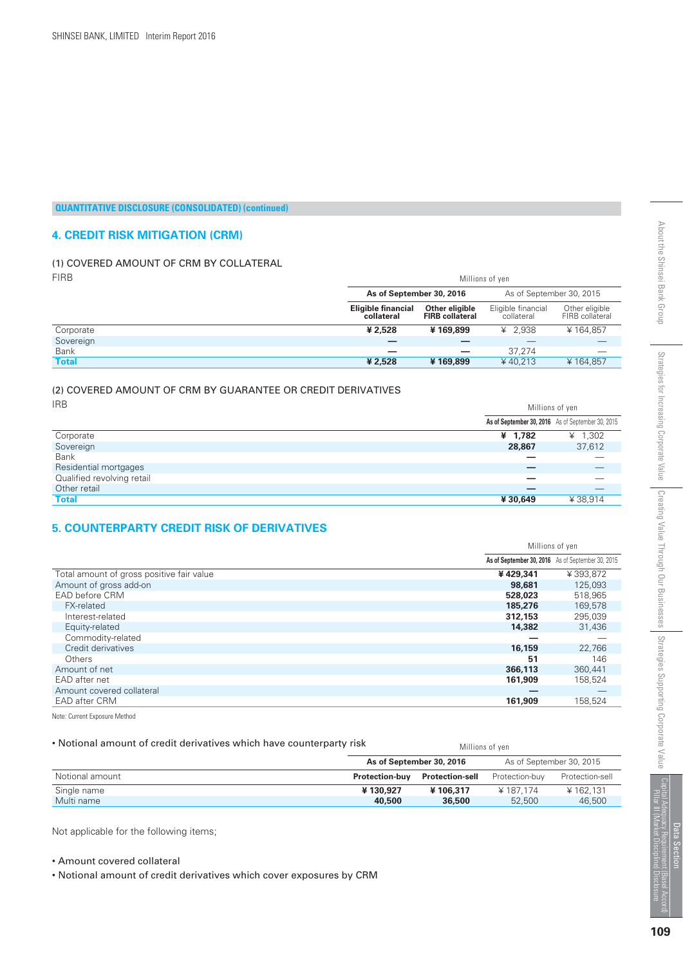#### **4. CREDIT RISK MITIGATION (CRM)**

#### (1) COVERED AMOUNT OF CRM BY COLLATERAL FIRB Millions of yen

|              | As of September 30, 2016                |                                          | As of September 30, 2015         |                                   |
|--------------|-----------------------------------------|------------------------------------------|----------------------------------|-----------------------------------|
|              | <b>Eligible financial</b><br>collateral | Other eligible<br><b>FIRB</b> collateral | Eligible financial<br>collateral | Other eligible<br>FIRB collateral |
| Corporate    | ¥ 2.528                                 | ¥169.899                                 | ¥ 2.938                          | ¥164.857                          |
| Sovereign    |                                         |                                          |                                  |                                   |
| Bank         | _                                       |                                          | 37.274                           |                                   |
| <b>Total</b> | ¥ 2.528                                 | ¥169,899                                 | ¥40.213                          | ¥164,857                          |

#### (2) COVERED AMOUNT OF CRM BY GUARANTEE OR CREDIT DERIVATIVES  $\overline{1}$

| IRR                        |         | Millions of yen                                   |  |  |
|----------------------------|---------|---------------------------------------------------|--|--|
|                            |         | As of September 30, 2016 As of September 30, 2015 |  |  |
| Corporate                  | ¥ 1,782 | ¥ $1,302$                                         |  |  |
| Sovereign                  | 28,867  | 37,612                                            |  |  |
| <b>Bank</b>                |         |                                                   |  |  |
| Residential mortgages      |         |                                                   |  |  |
| Qualified revolving retail |         |                                                   |  |  |
| Other retail               |         | __                                                |  |  |
| <b>Total</b>               | ¥30,649 | ¥38,914                                           |  |  |

#### **5. COUNTERPARTY CREDIT RISK OF DERIVATIVES**

|                                           | Millions of yen |                                                   |
|-------------------------------------------|-----------------|---------------------------------------------------|
|                                           |                 | As of September 30, 2016 As of September 30, 2015 |
| Total amount of gross positive fair value | ¥429,341        | ¥393.872                                          |
| Amount of gross add-on                    | 98,681          | 125,093                                           |
| EAD before CRM                            | 528,023         | 518.965                                           |
| <b>FX-related</b>                         | 185,276         | 169,578                                           |
| Interest-related                          | 312,153         | 295,039                                           |
| Equity-related                            | 14,382          | 31,436                                            |
| Commodity-related                         |                 |                                                   |
| Credit derivatives                        | 16,159          | 22,766                                            |
| <b>Others</b>                             | 51              | 146                                               |
| Amount of net                             | 366,113         | 360.441                                           |
| EAD after net                             | 161.909         | 158.524                                           |
| Amount covered collateral                 |                 |                                                   |
| EAD after CRM                             | 161,909         | 158,524                                           |

Note: Current Exposure Method

#### • Notional amount of credit derivatives which have counterparty risk

| • Notional amount of credit derivatives which have counterparty risk |                       | Millions of ven          |                |                          |
|----------------------------------------------------------------------|-----------------------|--------------------------|----------------|--------------------------|
|                                                                      |                       | As of September 30, 2016 |                | As of September 30, 2015 |
| Notional amount                                                      | <b>Protection-buv</b> | <b>Protection-sell</b>   | Protection-buv | Protection-sell          |
| Single name                                                          | ¥130.927              | ¥106,317                 | ¥187.174       | ¥162.131                 |
| Multi name                                                           | 40,500                | 36,500                   | 52,500         | 46,500                   |

Not applicable for the following items;

#### • Amount covered collateral

• Notional amount of credit derivatives which cover exposures by CRM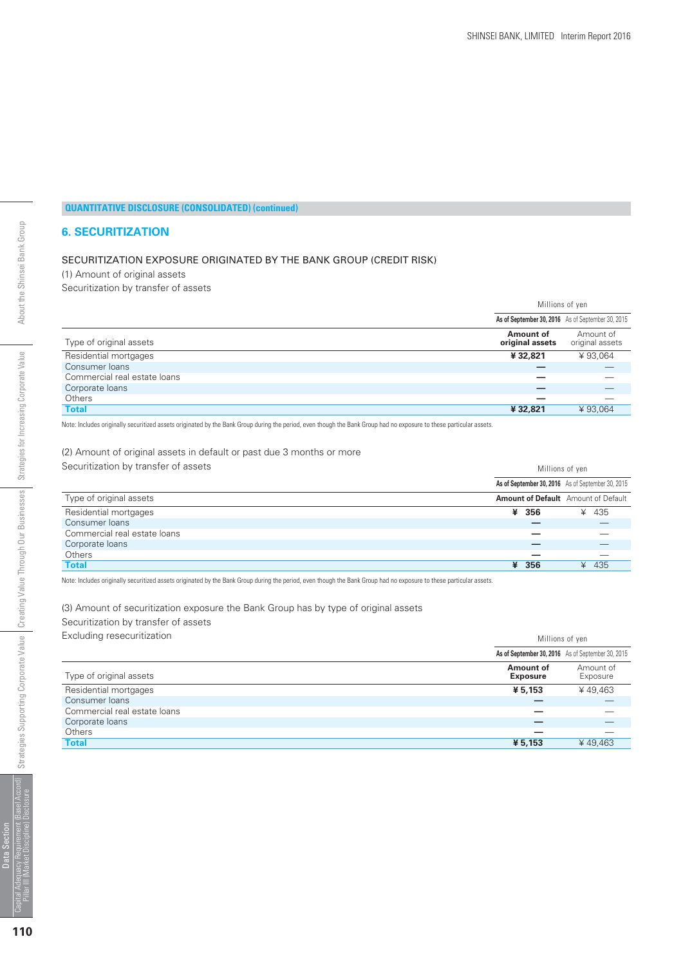#### **6. SECURITIZATION**

#### SECURITIZATION EXPOSURE ORIGINATED BY THE BANK GROUP (CREDIT RISK)

(1) Amount of original assets

Securitization by transfer of assets

|                              | Millions of yen                                   |                              |
|------------------------------|---------------------------------------------------|------------------------------|
|                              | As of September 30, 2016 As of September 30, 2015 |                              |
| Type of original assets      | Amount of<br>original assets                      | Amount of<br>original assets |
| Residential mortgages        | ¥32,821                                           | ¥93.064                      |
| Consumer loans               |                                                   |                              |
| Commercial real estate loans |                                                   |                              |
| Corporate loans              |                                                   |                              |
| Others                       |                                                   |                              |
| <b>Total</b>                 | ¥32,821                                           | ¥93,064                      |

Note: Includes originally securitized assets originated by the Bank Group during the period, even though the Bank Group had no exposure to these particular assets.

(2) Amount of original assets in default or past due 3 months or more Securitization by transfer of assets Millions of yen

|                              | As of September 30, 2016 As of September 30, 2015 |            |
|------------------------------|---------------------------------------------------|------------|
| Type of original assets      | <b>Amount of Default</b> Amount of Default        |            |
| Residential mortgages        | ¥ 356                                             | ¥ 435      |
| Consumer loans               |                                                   |            |
| Commercial real estate loans |                                                   |            |
| Corporate loans              |                                                   |            |
| <b>Others</b>                |                                                   |            |
| <b>Total</b>                 | ¥ 356                                             | - 435<br>¥ |

Note: Includes originally securitized assets originated by the Bank Group during the period, even though the Bank Group had no exposure to these particular assets.

(3) Amount of securitization exposure the Bank Group has by type of original assets

Securitization by transfer of assets

Excluding resecuritization  $\blacksquare$ 

|                              | As of September 30, 2016 As of September 30, 2015 |                       |
|------------------------------|---------------------------------------------------|-----------------------|
| Type of original assets      | Amount of<br><b>Exposure</b>                      | Amount of<br>Exposure |
| Residential mortgages        | ¥ 5.153                                           | ¥49.463               |
| Consumer loans               |                                                   |                       |
| Commercial real estate loans | _                                                 |                       |
| Corporate loans              |                                                   |                       |
| Others                       | _                                                 |                       |
| <b>Total</b>                 | ¥ 5,153                                           | ¥49.463               |

Data Section Capital Adequacy Requirement (Basel Accord)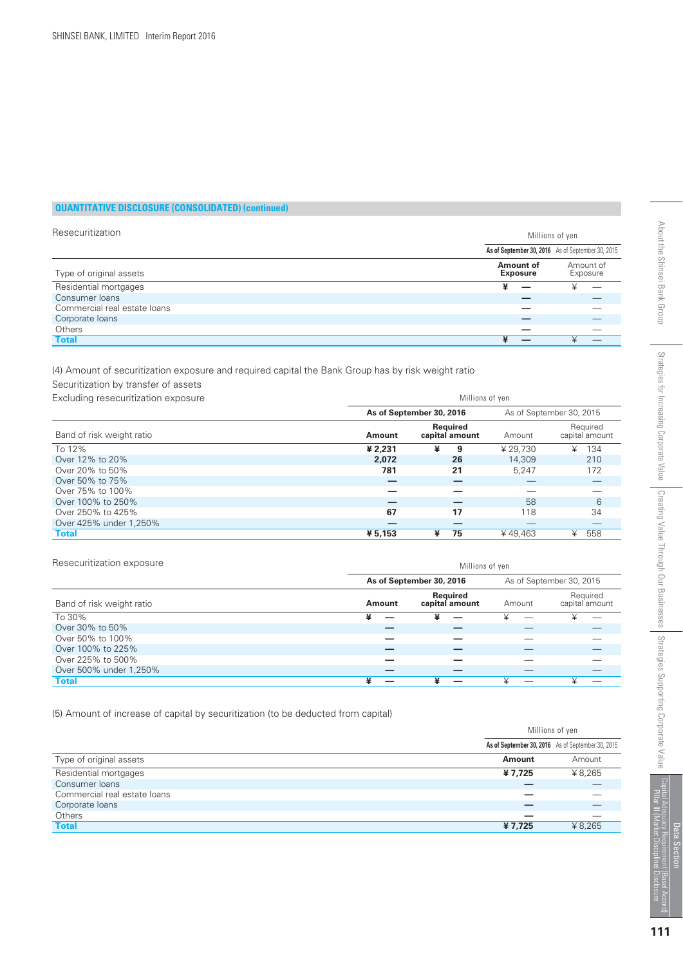| Resecuritization             |                                                   | Millions of yen       |  |  |
|------------------------------|---------------------------------------------------|-----------------------|--|--|
|                              | As of September 30, 2016 As of September 30, 2015 |                       |  |  |
| Type of original assets      | Amount of<br><b>Exposure</b>                      | Amount of<br>Exposure |  |  |
| Residential mortgages        | ¥                                                 | ¥                     |  |  |
| Consumer loans               |                                                   |                       |  |  |
| Commercial real estate loans |                                                   |                       |  |  |
| Corporate loans              |                                                   |                       |  |  |
| Others                       |                                                   |                       |  |  |
| <b>Total</b>                 |                                                   |                       |  |  |

(4) Amount of securitization exposure and required capital the Bank Group has by risk weight ratio

Securitization by transfer of assets

| Excluding resecuritization exposure<br>Band of risk weight ratio | Millions of yen |                            |          |                            |
|------------------------------------------------------------------|-----------------|----------------------------|----------|----------------------------|
|                                                                  |                 | As of September 30, 2016   |          | As of September 30, 2015   |
|                                                                  | Amount          | Reauired<br>capital amount | Amount   | Required<br>capital amount |
| To 12%                                                           | ¥ 2.231         | ¥<br>9                     | ¥ 29.730 | 134<br>¥                   |
| Over 12% to 20%                                                  | 2,072           | 26                         | 14,309   | 210                        |
| Over 20% to 50%                                                  | 781             | 21                         | 5.247    | 172                        |
| Over 50% to 75%                                                  |                 |                            |          |                            |
| Over 75% to 100%                                                 |                 |                            |          |                            |
| Over 100% to 250%                                                |                 |                            | 58       | 6                          |
| Over 250% to 425%                                                | 67              | 17                         | 118      | 34                         |
| Over 425% under 1,250%                                           |                 |                            |          |                            |
| <b>Total</b>                                                     | ¥ 5,153         | ¥<br>75                    | ¥49.463  | 558<br>¥                   |

| Resecuritization exposure | Millions of yen |                            |        |                            |
|---------------------------|-----------------|----------------------------|--------|----------------------------|
|                           |                 | As of September 30, 2016   |        | As of September 30, 2015   |
| Band of risk weight ratio | <b>Amount</b>   | Required<br>capital amount | Amount | Required<br>capital amount |
| To 30%                    | ¥               | ¥                          |        | ¥                          |
| Over 30% to 50%           |                 |                            |        |                            |
| Over 50% to 100%          |                 |                            |        |                            |
| Over 100% to 225%         |                 |                            |        |                            |
| Over 225% to 500%         |                 |                            |        |                            |
| Over 500% under 1,250%    |                 |                            |        |                            |
| <b>Total</b>              |                 | ¥                          |        |                            |

(5) Amount of increase of capital by securitization (to be deducted from capital)

|                              | Millions of yen                                   |         |
|------------------------------|---------------------------------------------------|---------|
|                              | As of September 30, 2016 As of September 30, 2015 |         |
| Type of original assets      | Amount                                            | Amount  |
| Residential mortgages        | ¥7,725                                            | ¥ 8,265 |
| Consumer loans               |                                                   |         |
| Commercial real estate loans |                                                   |         |
| Corporate loans              |                                                   |         |
| Others                       |                                                   |         |
| <b>Total</b>                 | ¥7,725                                            | ¥ 8,265 |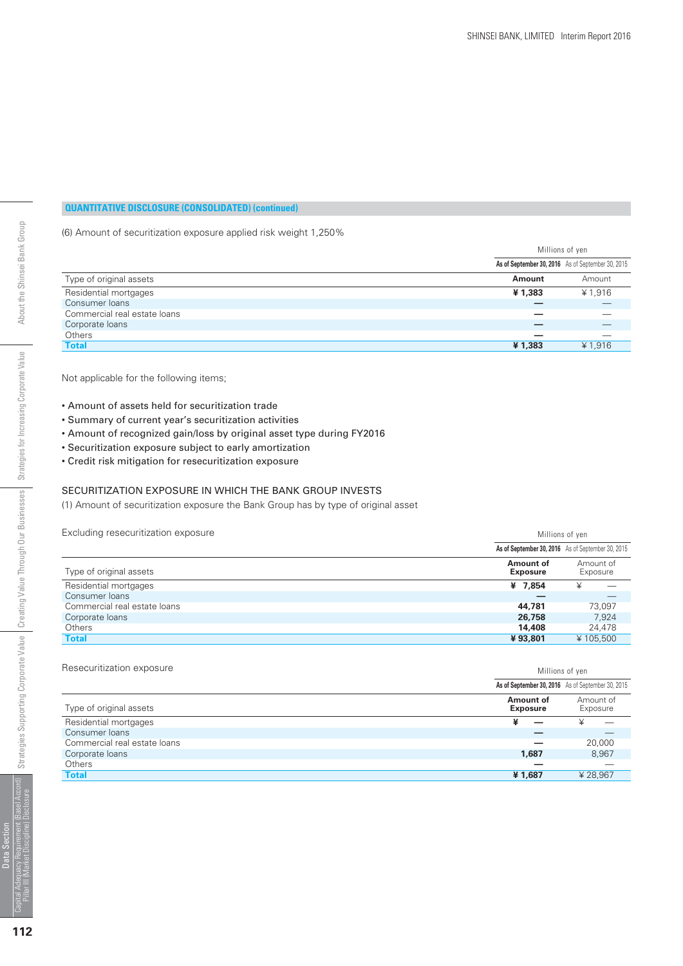(6) Amount of securitization exposure applied risk weight 1,250%

|                              | Millions of yen |                                                   |
|------------------------------|-----------------|---------------------------------------------------|
|                              |                 | As of September 30, 2016 As of September 30, 2015 |
| Type of original assets      | Amount          | Amount                                            |
| Residential mortgages        | ¥1,383          | ¥ 1,916                                           |
| Consumer loans               |                 |                                                   |
| Commercial real estate loans |                 |                                                   |
| Corporate loans              |                 |                                                   |
| Others                       |                 |                                                   |
| <b>Total</b>                 | ¥1,383          | ¥1,916                                            |

Not applicable for the following items;

- Amount of assets held for securitization trade
- Summary of current year's securitization activities
- Amount of recognized gain/loss by original asset type during FY2016
- Securitization exposure subject to early amortization
- Credit risk mitigation for resecuritization exposure

#### SECURITIZATION EXPOSURE IN WHICH THE BANK GROUP INVESTS

(1) Amount of securitization exposure the Bank Group has by type of original asset

Excluding resecuritization exposure **Millions** of yen

|                              | As of September 30, 2016 As of September 30, 2015 |   |                       |
|------------------------------|---------------------------------------------------|---|-----------------------|
| Type of original assets      | Amount of<br><b>Exposure</b>                      |   | Amount of<br>Exposure |
| Residential mortgages        | ¥ 7.854                                           | ¥ |                       |
| Consumer loans               |                                                   |   |                       |
| Commercial real estate loans | 44,781                                            |   | 73.097                |
| Corporate loans              | 26,758                                            |   | 7.924                 |
| Others                       | 14,408                                            |   | 24,478                |
| <b>Total</b>                 | ¥93,801                                           |   | ¥105,500              |

#### Resecuritization exposure matches and the matches of yen all the Millions of yen all the Millions of yen

|                              |                              | As of September 30, 2016 As of September 30, 2015 |
|------------------------------|------------------------------|---------------------------------------------------|
| Type of original assets      | Amount of<br><b>Exposure</b> | Amount of<br>Exposure                             |
| Residential mortgages        |                              |                                                   |
| Consumer loans               |                              |                                                   |
| Commercial real estate loans |                              | 20,000                                            |
| Corporate loans              | 1.687                        | 8,967                                             |
| Others                       |                              |                                                   |
| <b>Total</b>                 | ¥1,687                       | ¥28.967                                           |
|                              |                              |                                                   |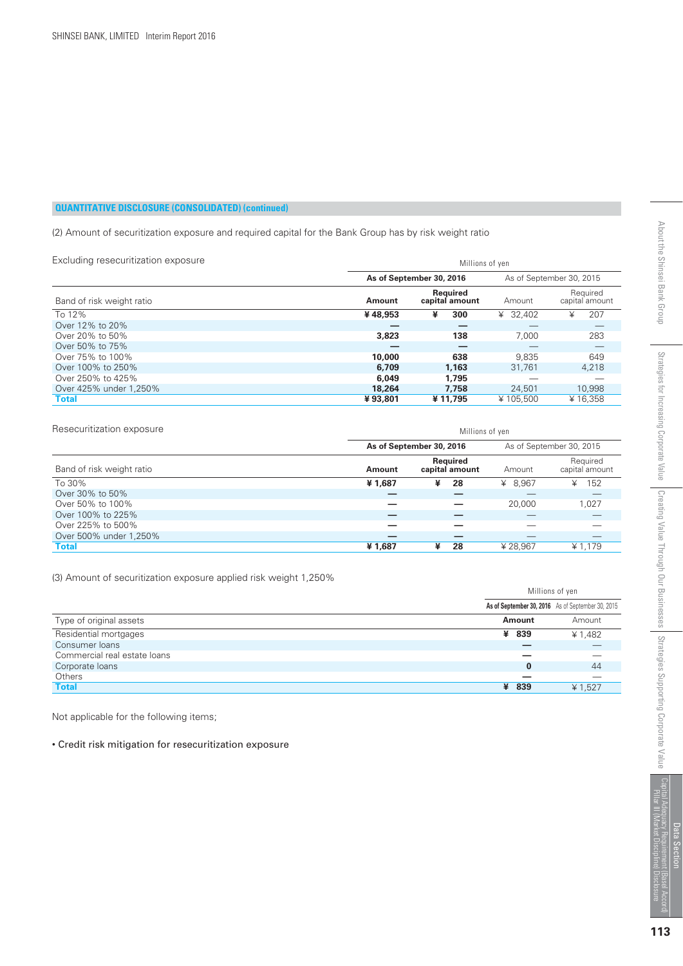(2) Amount of securitization exposure and required capital for the Bank Group has by risk weight ratio

| Excluding resecuritization exposure |         | Millions of ven            |          |                            |  |
|-------------------------------------|---------|----------------------------|----------|----------------------------|--|
|                                     |         | As of September 30, 2016   |          | As of September 30, 2015   |  |
| Band of risk weight ratio           | Amount  | Reauired<br>capital amount | Amount   | Required<br>capital amount |  |
| To 12%                              | ¥48,953 | ¥<br>300                   | ¥ 32,402 | 207<br>¥                   |  |
| Over 12% to 20%                     |         |                            |          |                            |  |
| Over 20% to 50%                     | 3,823   | 138                        | 7.000    | 283                        |  |
| Over 50% to 75%                     |         |                            |          |                            |  |
| Over 75% to 100%                    | 10,000  | 638                        | 9.835    | 649                        |  |
| Over 100% to 250%                   | 6,709   | 1.163                      | 31,761   | 4,218                      |  |
| Over 250% to 425%                   | 6,049   | 1.795                      |          |                            |  |
| Over 425% under 1.250%              | 18,264  | 7.758                      | 24,501   | 10,998                     |  |
| <b>Total</b>                        | ¥93.801 | ¥11,795                    | ¥105.500 | ¥16,358                    |  |

| Resecuritization exposure | Millions of yen |                            |         |                            |
|---------------------------|-----------------|----------------------------|---------|----------------------------|
|                           |                 | As of September 30, 2016   |         | As of September 30, 2015   |
| Band of risk weight ratio | Amount          | Required<br>capital amount | Amount  | Required<br>capital amount |
| To 30%                    | ¥1,687          | ¥<br>28                    | ¥ 8,967 | 152<br>¥                   |
| Over 30% to 50%           |                 |                            |         |                            |
| Over 50% to 100%          |                 |                            | 20,000  | 1,027                      |
| Over 100% to 225%         |                 |                            |         |                            |
| Over 225% to 500%         |                 |                            |         |                            |
| Over 500% under 1,250%    |                 |                            |         |                            |
| <b>Total</b>              | ¥1,687          | ¥<br>28                    | ¥28.967 | ¥ 1.179                    |

(3) Amount of securitization exposure applied risk weight 1,250%

|                              | Millions of yen                                   |         |
|------------------------------|---------------------------------------------------|---------|
|                              | As of September 30, 2016 As of September 30, 2015 |         |
| Type of original assets      | Amount                                            | Amount  |
| Residential mortgages        | ¥ 839                                             | ¥ 1,482 |
| Consumer loans               |                                                   |         |
| Commercial real estate loans |                                                   |         |
| Corporate loans              | $\bf{0}$                                          | 44      |
| Others                       |                                                   |         |
| <b>Total</b>                 | ¥ 839                                             | ¥ 1,527 |

Not applicable for the following items;

• Credit risk mitigation for resecuritization exposure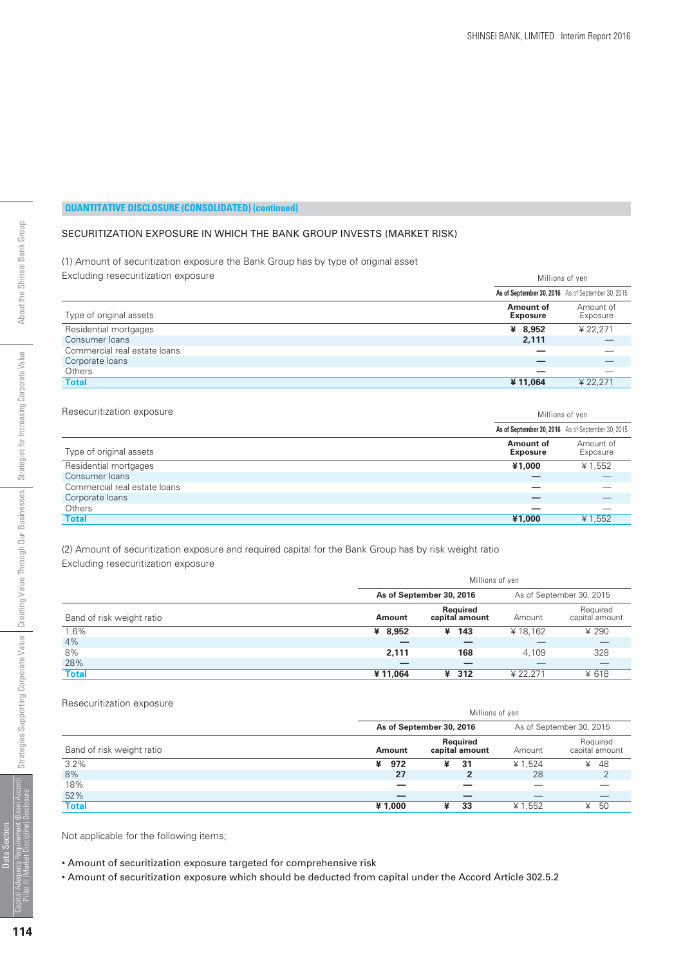#### SECURITIZATION EXPOSURE IN WHICH THE BANK GROUP INVESTS (MARKET RISK)

#### (1) Amount of securitization exposure the Bank Group has by type of original asset Excluding resecuritization exposure Millions of yen

| ີ                            | <b>IVILIIUILU UI YUII</b>    |                                                   |
|------------------------------|------------------------------|---------------------------------------------------|
|                              |                              | As of September 30, 2016 As of September 30, 2015 |
| Type of original assets      | Amount of<br><b>Exposure</b> | Amount of<br>Exposure                             |
| Residential mortgages        | ¥ 8,952                      | ¥ 22.271                                          |
| Consumer loans               | 2,111                        |                                                   |
| Commercial real estate loans |                              |                                                   |
| Corporate loans              |                              |                                                   |
| Others                       |                              |                                                   |
| <b>Total</b>                 | ¥11,064                      | ¥ 22,271                                          |
|                              |                              |                                                   |

Resecuritization exposure matches and the matches of yen all the Millions of yen

|                              |                              | As of September 30, 2016 As of September 30, 2015 |
|------------------------------|------------------------------|---------------------------------------------------|
| Type of original assets      | Amount of<br><b>Exposure</b> | Amount of<br>Exposure                             |
| Residential mortgages        | ¥1,000                       | ¥ 1,552                                           |
| Consumer loans               |                              |                                                   |
| Commercial real estate loans |                              |                                                   |
| Corporate loans              |                              |                                                   |
| <b>Others</b>                | __                           |                                                   |
| <b>Total</b>                 | ¥1,000                       | ¥ 1.552                                           |

(2) Amount of securitization exposure and required capital for the Bank Group has by risk weight ratio Excluding resecuritization exposure

|                           | Millions of yen |                            |          |                            |
|---------------------------|-----------------|----------------------------|----------|----------------------------|
|                           |                 | As of September 30, 2016   |          | As of September 30, 2015   |
| Band of risk weight ratio | <b>Amount</b>   | Required<br>capital amount | Amount   | Required<br>capital amount |
| 1.6%                      | ¥ 8,952         | 143<br>¥                   | ¥18.162  | ¥ 290                      |
| 4%                        |                 |                            |          |                            |
| 8%                        | 2.111           | 168                        | 4.109    | 328                        |
| 28%                       |                 | _                          |          |                            |
| <b>Total</b>              | ¥11.064         | ¥ 312                      | ¥ 22.271 | ¥ 618                      |

#### Resecuritization exposure

|                           | Millions of yen |                                   |         |                            |
|---------------------------|-----------------|-----------------------------------|---------|----------------------------|
|                           |                 | As of September 30, 2016          |         | As of September 30, 2015   |
| Band of risk weight ratio | Amount          | <b>Required</b><br>capital amount | Amount  | Required<br>capital amount |
| 3.2%                      | 972<br>¥        | ¥<br>31                           | ¥ 1.524 | 48<br>¥                    |
| 8%                        | 27              |                                   | 28      |                            |
| 18%                       |                 |                                   |         |                            |
| 52%                       |                 |                                   |         |                            |
| <b>Total</b>              | ¥1,000          | 33<br>¥                           | ¥ 1,552 | 50<br>¥                    |

Not applicable for the following items;

• Amount of securitization exposure targeted for comprehensive risk

• Amount of securitization exposure which should be deducted from capital under the Accord Article 302.5.2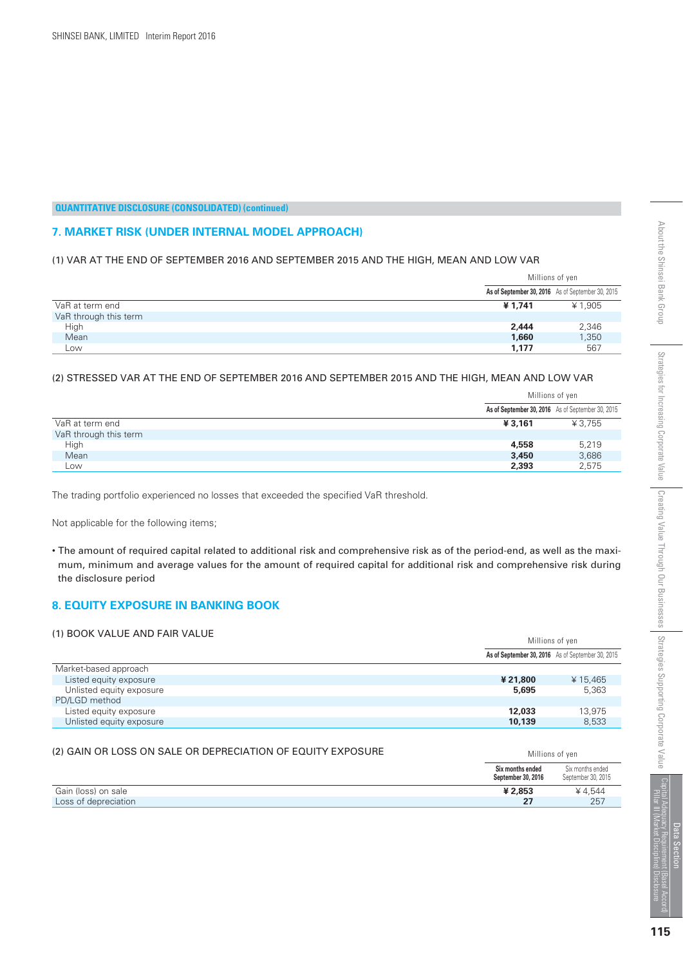#### **7. MARKET RISK (UNDER INTERNAL MODEL APPROACH)**

#### (1) VAR AT THE END OF SEPTEMBER 2016 AND SEPTEMBER 2015 AND THE HIGH, MEAN AND LOW VAR

|                       |         | Millions of yen                                   |
|-----------------------|---------|---------------------------------------------------|
|                       |         | As of September 30, 2016 As of September 30, 2015 |
| VaR at term end       | ¥ 1,741 | ¥ 1,905                                           |
| VaR through this term |         |                                                   |
| High                  | 2,444   | 2,346                                             |
| Mean                  | 1,660   | 1,350                                             |
| LOW                   | 1,177   | 567                                               |

#### (2) STRESSED VAR AT THE END OF SEPTEMBER 2016 AND SEPTEMBER 2015 AND THE HIGH, MEAN AND LOW VAR

|                       | Millions of yen                                   |        |
|-----------------------|---------------------------------------------------|--------|
|                       | As of September 30, 2016 As of September 30, 2015 |        |
| VaR at term end       | ¥3,161                                            | ¥3.755 |
| VaR through this term |                                                   |        |
| High                  | 4,558                                             | 5,219  |
| Mean                  | 3,450                                             | 3,686  |
| Low                   | 2,393                                             | 2,575  |

The trading portfolio experienced no losses that exceeded the specified VaR threshold.

Not applicable for the following items;

• The amount of required capital related to additional risk and comprehensive risk as of the period-end, as well as the maximum, minimum and average values for the amount of required capital for additional risk and comprehensive risk during the disclosure period

#### **8. EQUITY EXPOSURE IN BANKING BOOK**

#### (1) BOOK VALUE AND FAIR VALUE (2) A VALUE MILLION CONTROL AND Millions of yen As of September 30, 2015 **As of September 30, 2016** Market-based approach Listed equity exposure Unlisted equity exposure PD/LGD method Listed equity exposure Unlisted equity exposure ¥ 15,465 5,363 13,975 8,533  **¥ 21,800 5,695 12,033 10,139**

#### (2) GAIN OR LOSS ON SALE OR DEPRECIATION OF EQUITY EXPOSURE MIllions of ven

|                      | Six months ended<br>September 30, 2016 | Six months ended<br>September 30, 2015 |
|----------------------|----------------------------------------|----------------------------------------|
| Gain (loss) on sale  | ¥ 2.853                                | ¥4.544                                 |
| Loss of depreciation | 27                                     | 257                                    |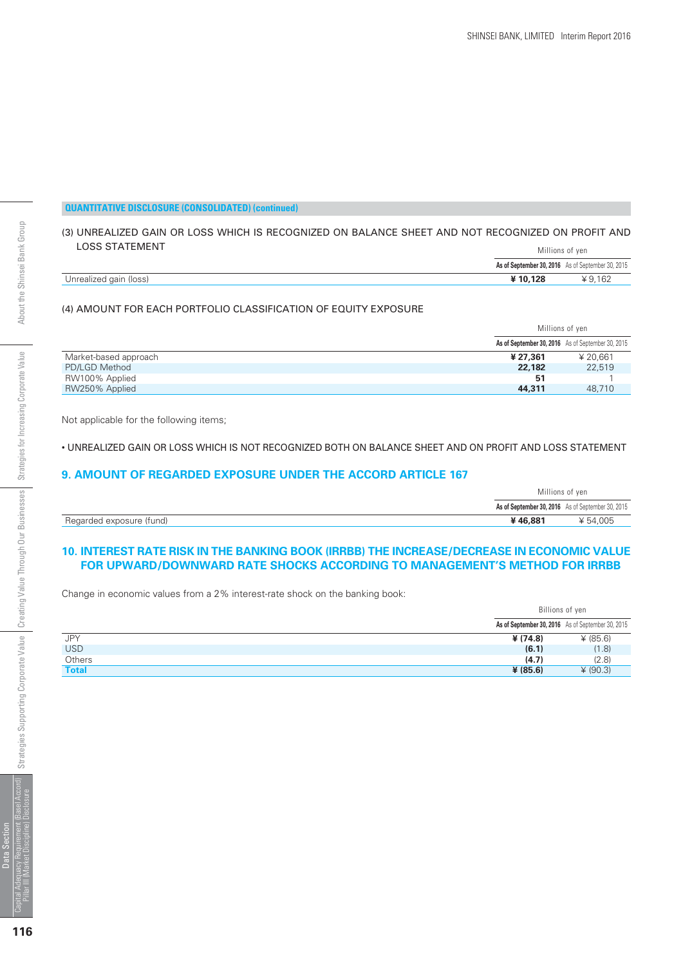#### (3) UNREALIZED GAIN OR LOSS WHICH IS RECOGNIZED ON BALANCE SHEET AND NOT RECOGNIZED ON PROFIT AND LOSS STATEMENT Millions of yen

|                        | <b>TVITTITUTTO UT YUIT</b> |                                                   |
|------------------------|----------------------------|---------------------------------------------------|
|                        |                            | As of September 30, 2016 As of September 30, 2015 |
| Unrealized gain (loss) | ¥10.128                    | ¥ 9,162                                           |

#### (4) AMOUNT FOR EACH PORTFOLIO CLASSIFICATION OF EQUITY EXPOSURE

|                       | Millions of yen |                                                   |
|-----------------------|-----------------|---------------------------------------------------|
|                       |                 | As of September 30, 2016 As of September 30, 2015 |
| Market-based approach | ¥ 27.361        | ¥ 20.661                                          |
| PD/LGD Method         | 22,182          | 22,519                                            |
| RW100% Applied        | 51              |                                                   |
| RW250% Applied        | 44,311          | 48,710                                            |

Not applicable for the following items;

• UNREALIZED GAIN OR LOSS WHICH IS NOT RECOGNIZED BOTH ON BALANCE SHEET AND ON PROFIT AND LOSS STATEMENT

#### **9. AMOUNT OF REGARDED EXPOSURE UNDER THE ACCORD ARTICLE 167**

|                          | Millions of yen |                                                   |
|--------------------------|-----------------|---------------------------------------------------|
|                          |                 | As of September 30, 2016 As of September 30, 2015 |
| Regarded exposure (fund) | ¥46,881         | ¥ 54,005                                          |

#### **10. INTEREST RATE RISK IN THE BANKING BOOK (IRRBB) THE INCREASE/DECREASE IN ECONOMIC VALUE FOR UPWARD/DOWNWARD RATE SHOCKS ACCORDING TO MANAGEMENT'S METHOD FOR IRRBB**

Change in economic values from a 2% interest-rate shock on the banking book:

|              | Billions of yen                                   |          |
|--------------|---------------------------------------------------|----------|
|              | As of September 30, 2016 As of September 30, 2015 |          |
| JPY          | ¥ (74.8)                                          | ¥ (85.6) |
| <b>USD</b>   | (6.1)                                             | (1.8)    |
| Others       | (4.7)                                             | (2.8)    |
| <b>Total</b> | ¥ (85.6)                                          | (90.3)   |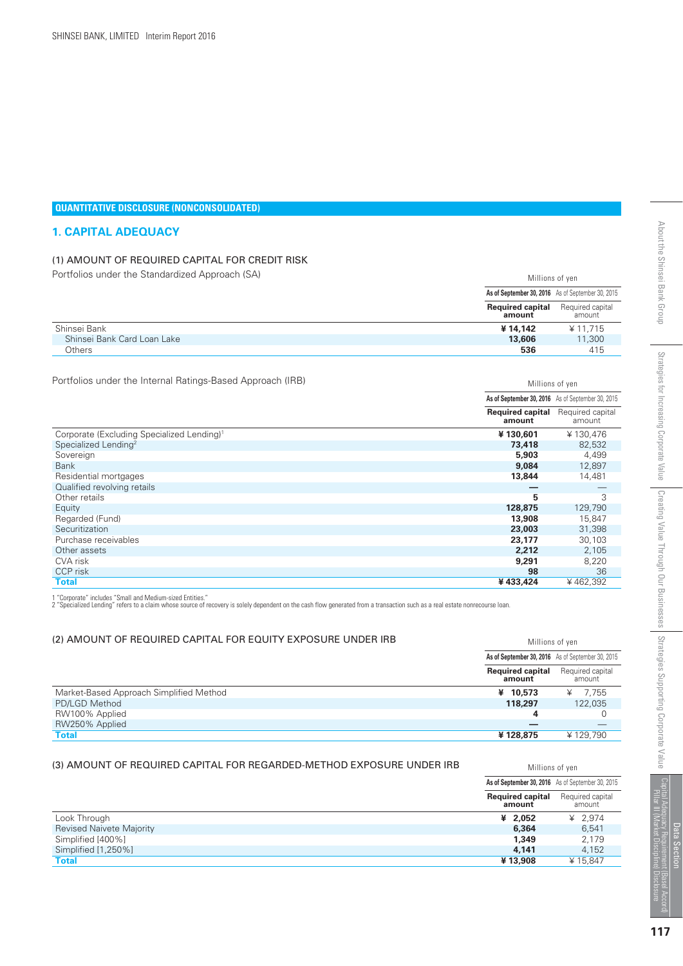#### **QUANTITATIVE DISCLOSURE (NONCONSOLIDATED)**

#### **1. CAPITAL ADEQUACY**

#### (1) AMOUNT OF REQUIRED CAPITAL FOR CREDIT RISK

Portfolios under the Standardized Approach (SA) Millions of yen Required capital amount As of September 30, 2015 **As of September 30, 2016** Shinsei Bank Shinsei Bank Card Loan Lake **Others**  ¥ 11,715 11,300 415 **Required capital amount ¥ 14,142 13,606 536**

Portfolios under the Internal Ratings-Based Approach (IRB)

| Portfolios under the Internal Ratings-Based Approach (IRB) |                                                   | Millions of yen            |  |  |  |
|------------------------------------------------------------|---------------------------------------------------|----------------------------|--|--|--|
|                                                            | As of September 30, 2016 As of September 30, 2015 |                            |  |  |  |
|                                                            | <b>Required capital</b><br>amount                 | Required capital<br>amount |  |  |  |
| Corporate (Excluding Specialized Lending) <sup>1</sup>     | ¥130,601                                          | ¥130,476                   |  |  |  |
| Specialized Lending <sup>2</sup>                           | 73,418                                            | 82,532                     |  |  |  |
| Sovereign                                                  | 5,903                                             | 4,499                      |  |  |  |
| <b>Bank</b>                                                | 9,084                                             | 12,897                     |  |  |  |
| Residential mortgages                                      | 13,844                                            | 14,481                     |  |  |  |
| Qualified revolving retails                                |                                                   |                            |  |  |  |
| Other retails                                              | 5                                                 | 3                          |  |  |  |
| Equity                                                     | 128,875                                           | 129,790                    |  |  |  |
| Regarded (Fund)                                            | 13,908                                            | 15,847                     |  |  |  |
| Securitization                                             | 23,003                                            | 31,398                     |  |  |  |
| Purchase receivables                                       | 23.177                                            | 30,103                     |  |  |  |
| Other assets                                               | 2,212                                             | 2,105                      |  |  |  |
| CVA risk                                                   | 9,291                                             | 8,220                      |  |  |  |
| CCP risk                                                   | 98                                                | 36                         |  |  |  |
| <b>Total</b>                                               | ¥433,424                                          | ¥462,392                   |  |  |  |

1 "Corporate" includes "Small and Medium-sized Entities."<br>2 "Specialized Lending" refers to a claim whose source of recovery is solely dependent on the cash flow generated from a transaction such as a real estate nonrecour

#### (2) AMOUNT OF REQUIRED CAPITAL FOR EQUITY EXPOSURE UNDER IRB

|                                         |                                   | As of September 30, 2016 As of September 30, 2015 |
|-----------------------------------------|-----------------------------------|---------------------------------------------------|
|                                         | <b>Required capital</b><br>amount | Required capital<br>amount                        |
| Market-Based Approach Simplified Method | ¥ 10,573                          | ¥ $7,755$                                         |
| PD/LGD Method                           | 118,297                           | 122,035                                           |
| RW100% Applied                          |                                   |                                                   |
| RW250% Applied                          |                                   |                                                   |
| Total                                   | ¥128,875                          | ¥129.790                                          |

#### (3) AMOUNT OF REQUIRED CAPITAL FOR REGARDED-METHOD EXPOSURE UNDER IRB

|                                 | As of September 30, 2016 As of September 30, 2015 |                            |
|---------------------------------|---------------------------------------------------|----------------------------|
|                                 | <b>Required capital</b><br>amount                 | Required capital<br>amount |
| Look Through                    | ¥ $2.052$                                         | ¥ $2.974$                  |
| <b>Revised Naivete Majority</b> | 6,364                                             | 6.541                      |
| Simplified [400%]               | 1,349                                             | 2,179                      |
| Simplified [1,250%]             | 4.141                                             | 4,152                      |
| <b>Total</b>                    | ¥13,908                                           | ¥15.847                    |

Millions of yen

Millions of yen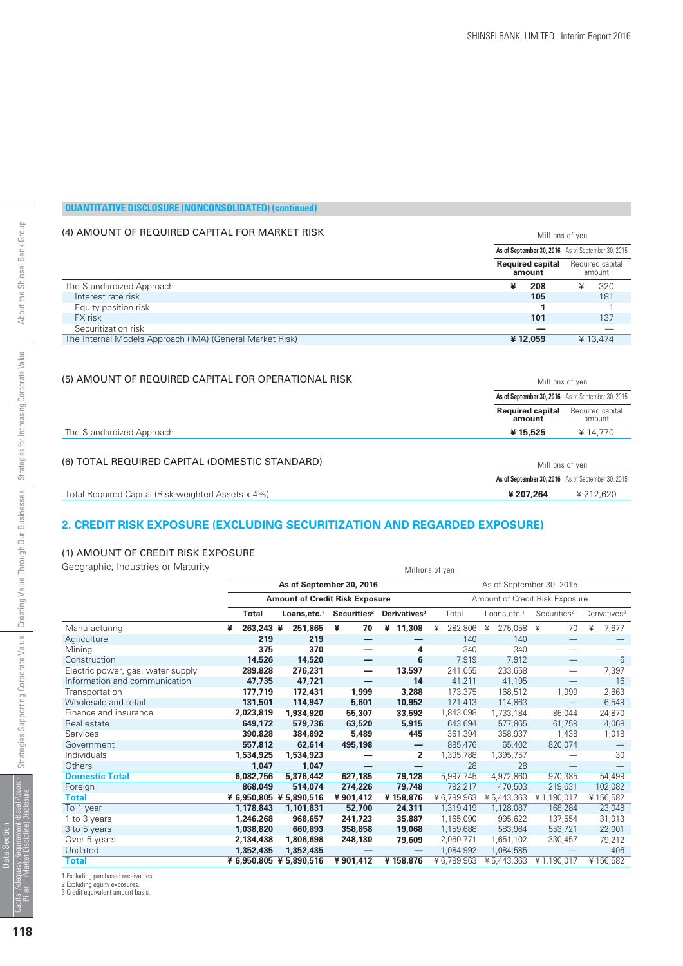Millions of yen

#### **QUANTITATIVE DISCLOSURE (NONCONSOLIDATED) (continued)**

#### (4) AMOUNT OF REQUIRED CAPITAL FOR MARKET RISK

|                                                          | As of September 30, 2016 As of September 30, 2015<br><b>Required capital</b><br>amount |         |   |                            |
|----------------------------------------------------------|----------------------------------------------------------------------------------------|---------|---|----------------------------|
|                                                          |                                                                                        |         |   | Required capital<br>amount |
| The Standardized Approach                                | ¥                                                                                      | 208     | ¥ | 320                        |
| Interest rate risk                                       |                                                                                        | 105     |   | 181                        |
| Equity position risk                                     |                                                                                        |         |   |                            |
| FX risk                                                  |                                                                                        | 101     |   | 137                        |
| Securitization risk                                      |                                                                                        |         |   |                            |
| The Internal Models Approach (IMA) (General Market Risk) |                                                                                        | ¥12.059 |   | ¥13.474                    |

#### (5) AMOUNT OF REQUIRED CAPITAL FOR OPERATIONAL RISK

| (5) AMOUNT OF REQUIRED CAPITAL FOR OPERATIONAL RISK | Millions of yen                   |                                                   |
|-----------------------------------------------------|-----------------------------------|---------------------------------------------------|
|                                                     |                                   | As of September 30, 2016 As of September 30, 2015 |
|                                                     | <b>Required capital</b><br>amount | Required capital<br>amount                        |
| The Standardized Approach                           | ¥15,525                           | ¥ 14,770                                          |
| (6) TOTAL REQUIRED CAPITAL (DOMESTIC STANDARD)      | Millions of yen                   |                                                   |
|                                                     |                                   | As of September 30, 2016 As of September 30, 2015 |
| Total Required Capital (Risk-weighted Assets x 4%)  | ¥ 207,264                         | ¥212.620                                          |

#### **2. CREDIT RISK EXPOSURE (EXCLUDING SECURITIZATION AND REGARDED EXPOSURE)**

#### (1) AMOUNT OF CREDIT RISK EXPOSURE

Geographic, Industries or Maturity Millions of yen

|       | <b>IVIIIIIUII</b> S UI YEII                          |                                                                                                                                                                                                                                                                                                 |                   |                                                                   |                          |                                 |                                    |
|-------|------------------------------------------------------|-------------------------------------------------------------------------------------------------------------------------------------------------------------------------------------------------------------------------------------------------------------------------------------------------|-------------------|-------------------------------------------------------------------|--------------------------|---------------------------------|------------------------------------|
|       | As of September 30, 2016<br>As of September 30, 2015 |                                                                                                                                                                                                                                                                                                 |                   |                                                                   |                          |                                 |                                    |
|       |                                                      |                                                                                                                                                                                                                                                                                                 |                   | Amount of Credit Risk Exposure                                    |                          |                                 |                                    |
| Total | Loans, etc. <sup>1</sup>                             | Securities <sup>2</sup>                                                                                                                                                                                                                                                                         |                   | Total                                                             | Loans, etc. <sup>1</sup> |                                 | Derivatives <sup>3</sup>           |
| ¥     | 251,865                                              | 70<br>¥                                                                                                                                                                                                                                                                                         | ¥ 11,308          | 282,806<br>¥                                                      | ¥                        | ¥<br>70                         | ¥<br>7,677                         |
|       | 219                                                  |                                                                                                                                                                                                                                                                                                 |                   | 140                                                               | 140                      |                                 |                                    |
|       | 370                                                  |                                                                                                                                                                                                                                                                                                 | 4                 | 340                                                               | 340                      |                                 |                                    |
|       | 14,520                                               | —                                                                                                                                                                                                                                                                                               | 6                 | 7,919                                                             | 7,912                    | $\hspace{0.1mm}-\hspace{0.1mm}$ | 6                                  |
|       | 276,231                                              | $\overline{\phantom{0}}$                                                                                                                                                                                                                                                                        | 13,597            | 241,055                                                           | 233,658                  |                                 | 7,397                              |
|       | 47,721                                               | —                                                                                                                                                                                                                                                                                               | 14                | 41,211                                                            | 41,195                   | $\mathcal{L}_{\mathcal{A}}$     | 16                                 |
|       | 172,431                                              | 1,999                                                                                                                                                                                                                                                                                           | 3,288             | 173,375                                                           | 168,512                  | 1,999                           | 2,863                              |
|       | 114,947                                              | 5,601                                                                                                                                                                                                                                                                                           | 10,952            | 121,413                                                           | 114,863                  | $\qquad \qquad -$               | 6,549                              |
|       | 1,934,920                                            | 55,307                                                                                                                                                                                                                                                                                          | 33,592            | 1,843,098                                                         | 1,733,184                | 85,044                          | 24,870                             |
|       | 579,736                                              | 63,520                                                                                                                                                                                                                                                                                          | 5,915             | 643,694                                                           | 577,865                  | 61,759                          | 4,068                              |
|       | 384,892                                              | 5,489                                                                                                                                                                                                                                                                                           | 445               | 361,394                                                           | 358,937                  | 1,438                           | 1,018                              |
|       | 62,614                                               | 495,198                                                                                                                                                                                                                                                                                         | $\qquad \qquad -$ | 885,476                                                           | 65,402                   | 820,074                         |                                    |
|       | 1,534,923                                            |                                                                                                                                                                                                                                                                                                 | $\overline{2}$    | 1,395,788                                                         | 1,395,757                |                                 | 30                                 |
|       | 1,047                                                |                                                                                                                                                                                                                                                                                                 |                   | 28                                                                | 28                       |                                 |                                    |
|       | 5,376,442                                            | 627,185                                                                                                                                                                                                                                                                                         | 79,128            | 5,997,745                                                         | 4,972,860                | 970,385                         | 54,499                             |
|       | 514,074                                              | 274,226                                                                                                                                                                                                                                                                                         | 79,748            | 792,217                                                           | 470,503                  | 219.631                         | 102,082                            |
|       |                                                      | ¥901,412                                                                                                                                                                                                                                                                                        | ¥158,876          | ¥6,789,963                                                        | ¥5,443,363               | ¥1,190,017                      | ¥156,582                           |
|       | 1,101,831                                            | 52,700                                                                                                                                                                                                                                                                                          | 24,311            | 1,319,419                                                         | 1,128,087                | 168,284                         | 23,048                             |
|       | 968,657                                              | 241,723                                                                                                                                                                                                                                                                                         | 35,887            | 1,165,090                                                         | 995,622                  | 137,554                         | 31,913                             |
|       | 660,893                                              | 358,858                                                                                                                                                                                                                                                                                         | 19,068            | 1,159,688                                                         | 583,964                  | 553,721                         | 22,001                             |
|       | 1,806,698                                            | 248,130                                                                                                                                                                                                                                                                                         | 79,609            | 2,060,771                                                         | 1,651,102                | 330,457                         | 79,212                             |
|       | 1,352,435                                            |                                                                                                                                                                                                                                                                                                 |                   | 1,084,992                                                         | 1,084,585                |                                 | 406                                |
|       |                                                      | ¥901,412                                                                                                                                                                                                                                                                                        | ¥158,876          | ¥6,789,963                                                        | ¥5,443,363               | ¥1,190,017                      | ¥156,582                           |
|       |                                                      | 263,243 ¥<br>219<br>375<br>14,526<br>289,828<br>47,735<br>177,719<br>131,501<br>2,023,819<br>649,172<br>390,828<br>557,812<br>1,534,925<br>1,047<br>6,082,756<br>868,049<br>¥ 6,950,805 ¥ 5,890,516<br>1,178,843<br>1,246,268<br>1,038,820<br>2,134,438<br>1,352,435<br>¥ 6,950,805 ¥ 5,890,516 |                   | <b>Amount of Credit Risk Exposure</b><br>Derivatives <sup>3</sup> |                          |                                 | Securities <sup>2</sup><br>275,058 |

1 Excluding purchased receivables. 2 Excluding equity exposures. 3 Credit equivalent amount basis.

Yaer<br>Yaer

Data Section Capital Adequacy Requirement (Basel Accord)

Data Section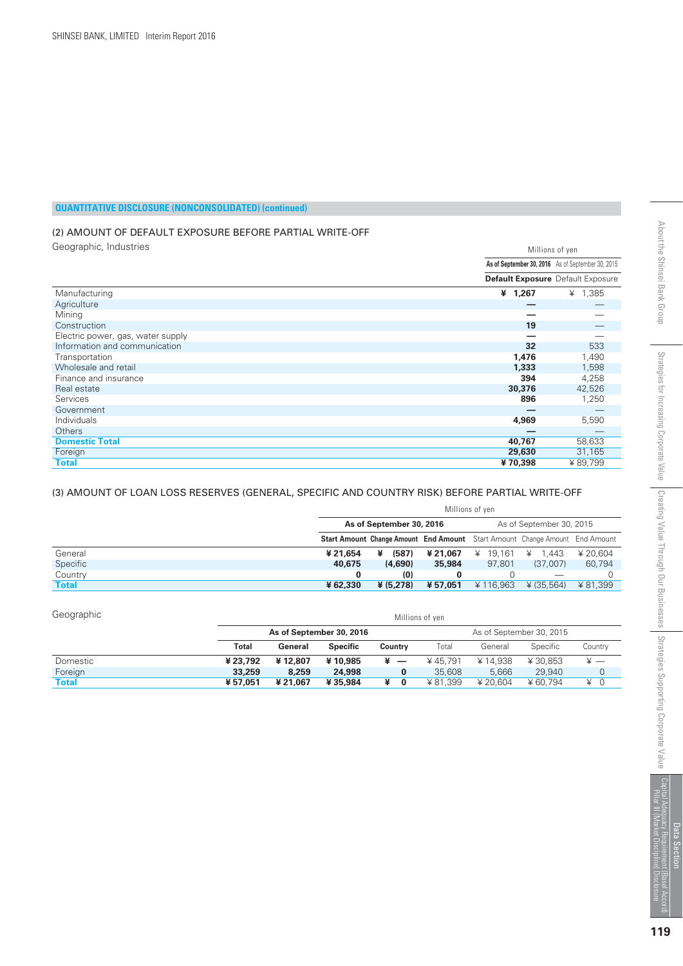#### (2) AMOUNT OF DEFAULT EXPOSURE BEFORE PARTIAL WRITE-OFF

Geographic, Industries

| Geographic, Industries<br>Millions of yen |                                                   |           |
|-------------------------------------------|---------------------------------------------------|-----------|
|                                           | As of September 30, 2016 As of September 30, 2015 |           |
|                                           | <b>Default Exposure</b> Default Exposure          |           |
| Manufacturing                             | ¥ 1,267                                           | ¥ $1,385$ |
| Agriculture                               |                                                   |           |
| Mining                                    |                                                   |           |
| Construction                              | 19                                                |           |
| Electric power, gas, water supply         |                                                   |           |
| Information and communication             | 32                                                | 533       |
| Transportation                            | 1,476                                             | 1,490     |
| Wholesale and retail                      | 1,333                                             | 1,598     |
| Finance and insurance                     | 394                                               | 4,258     |
| Real estate                               | 30,376                                            | 42,526    |
| Services                                  | 896                                               | 1,250     |
| Government                                |                                                   |           |
| Individuals                               | 4,969                                             | 5,590     |
| Others                                    |                                                   |           |
| <b>Domestic Total</b>                     | 40,767                                            | 58,633    |
| Foreign                                   | 29,630                                            | 31,165    |
| <b>Total</b>                              | ¥70,398                                           | ¥89,799   |

#### (3) AMOUNT OF LOAN LOSS RESERVES (GENERAL, SPECIFIC AND COUNTRY RISK) BEFORE PARTIAL WRITE-OFF

|              | Millions of yen |                          |          |                          |                                                                                    |          |  |  |  |
|--------------|-----------------|--------------------------|----------|--------------------------|------------------------------------------------------------------------------------|----------|--|--|--|
|              |                 | As of September 30, 2016 |          | As of September 30, 2015 |                                                                                    |          |  |  |  |
|              |                 |                          |          |                          | <b>Start Amount Change Amount End Amount</b> Start Amount Change Amount End Amount |          |  |  |  |
| General      | ¥ 21.654        | (587)<br>¥               | ¥ 21.067 | $¥$ 19.161               | 1.443<br>¥                                                                         | ¥ 20.604 |  |  |  |
| Specific     | 40,675          | (4,690)                  | 35,984   | 97.801                   | (37,007)                                                                           | 60.794   |  |  |  |
| Country      | 0               | (0)                      |          |                          |                                                                                    |          |  |  |  |
| <b>Total</b> | ¥62,330         | ¥ (5.278)                | ¥ 57.051 | ¥ 116.963                | ¥ (35.564)                                                                         | ¥81.399  |  |  |  |

| Geographic   |          | Millions of yen          |                 |                               |         |                          |          |             |  |  |  |
|--------------|----------|--------------------------|-----------------|-------------------------------|---------|--------------------------|----------|-------------|--|--|--|
|              |          | As of September 30, 2016 |                 |                               |         | As of September 30, 2015 |          |             |  |  |  |
|              | Total    | General                  | <b>Specific</b> | Country                       | Total   | General                  | Specific | Countrv     |  |  |  |
| Domestic     | ¥ 23,792 | ¥12,807                  | ¥10,985         | ¥<br>$\overline{\phantom{0}}$ | ¥45.791 | ¥14.938                  | ¥30.853  |             |  |  |  |
| Foreign      | 33,259   | 8,259                    | 24,998          | 0                             | 35,608  | 5.666                    | 29,940   | $\mathbf 0$ |  |  |  |
| <b>Total</b> | ¥57.051  | ¥21.067                  | ¥35,984         | ¥<br>$\bf{0}$                 | ¥81.399 | ¥ 20.604                 | ¥60.794  | 0<br>¥      |  |  |  |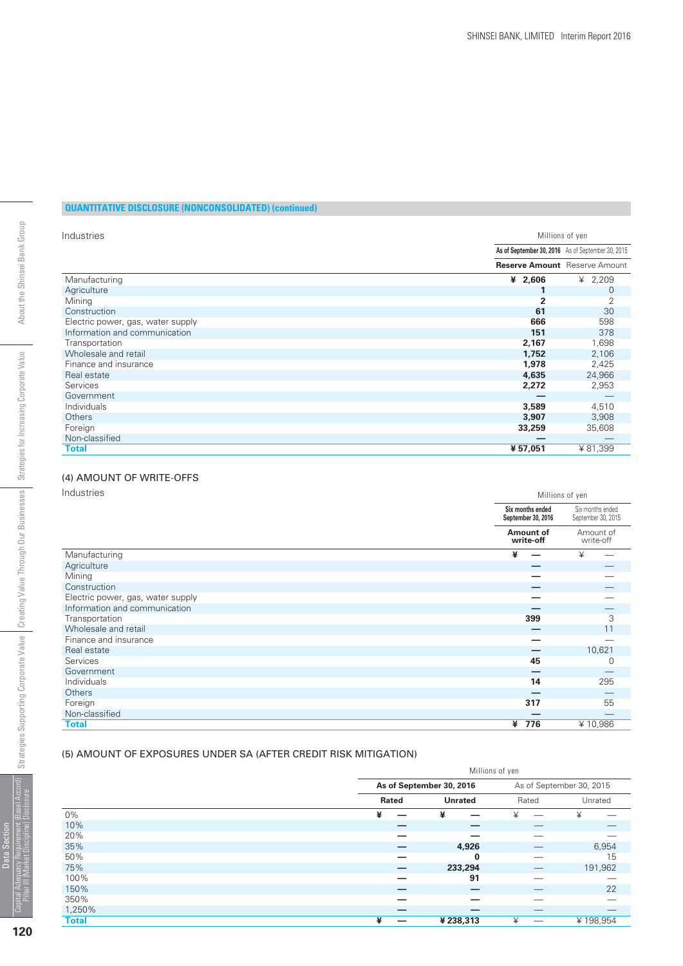| Industries                        | Millions of yen                                   |                |  |  |
|-----------------------------------|---------------------------------------------------|----------------|--|--|
|                                   | As of September 30, 2016 As of September 30, 2015 |                |  |  |
|                                   | <b>Reserve Amount</b> Reserve Amount              |                |  |  |
| Manufacturing                     | ¥ $2,606$                                         | ¥ 2,209        |  |  |
| Agriculture                       |                                                   | 0              |  |  |
| Mining                            | $\overline{2}$                                    | $\overline{2}$ |  |  |
| Construction                      | 61                                                | 30             |  |  |
| Electric power, gas, water supply | 666                                               | 598            |  |  |
| Information and communication     | 151                                               | 378            |  |  |
| Transportation                    | 2,167                                             | 1,698          |  |  |
| Wholesale and retail              | 1,752                                             | 2,106          |  |  |
| Finance and insurance             | 1,978                                             | 2,425          |  |  |
| Real estate                       | 4,635                                             | 24,966         |  |  |
| <b>Services</b>                   | 2,272                                             | 2,953          |  |  |
| Government                        |                                                   |                |  |  |
| <b>Individuals</b>                | 3,589                                             | 4,510          |  |  |
| <b>Others</b>                     | 3,907                                             | 3,908          |  |  |
| Foreign                           | 33,259                                            | 35,608         |  |  |
| Non-classified                    |                                                   |                |  |  |
| Total                             | ¥57,051                                           | ¥81,399        |  |  |

#### (4) AMOUNT OF WRITE-OFFS

Industries

| Industries                        | Millions of yen |                                        |                                        |        |  |
|-----------------------------------|-----------------|----------------------------------------|----------------------------------------|--------|--|
|                                   |                 | Six months ended<br>September 30, 2016 | Six months ended<br>September 30, 2015 |        |  |
|                                   |                 | Amount of<br>write-off                 | Amount of<br>write-off                 |        |  |
| Manufacturing                     | ¥               |                                        | ¥                                      |        |  |
| Agriculture                       |                 |                                        |                                        |        |  |
| Mining                            |                 |                                        |                                        |        |  |
| Construction                      |                 |                                        |                                        |        |  |
| Electric power, gas, water supply |                 |                                        |                                        |        |  |
| Information and communication     |                 |                                        |                                        |        |  |
| Transportation                    |                 | 399                                    |                                        | 3      |  |
| Wholesale and retail              |                 |                                        |                                        | 11     |  |
| Finance and insurance             |                 |                                        |                                        |        |  |
| Real estate                       |                 |                                        |                                        | 10,621 |  |
| Services                          |                 | 45                                     |                                        | 0      |  |
| Government                        |                 |                                        |                                        |        |  |
| Individuals                       |                 | 14                                     |                                        | 295    |  |
| Others                            |                 |                                        |                                        |        |  |
| Foreign                           |                 | 317                                    |                                        | 55     |  |
| Non-classified                    |                 |                                        |                                        |        |  |
| <b>Total</b>                      | ¥               | 776                                    | ¥10,986                                |        |  |

#### (5) AMOUNT OF EXPOSURES UNDER SA (AFTER CREDIT RISK MITIGATION)

|              |       | Millions of yen          |       |                          |
|--------------|-------|--------------------------|-------|--------------------------|
|              |       | As of September 30, 2016 |       | As of September 30, 2015 |
|              | Rated | <b>Unrated</b>           | Rated | Unrated                  |
| 0%           | ¥     | ¥                        | ¥     | ¥                        |
| 10%          |       | _                        |       |                          |
| 20%          |       |                          |       |                          |
| 35%          |       | 4,926                    |       | 6,954                    |
| 50%          |       | $\bf{0}$                 |       | 15                       |
| 75%          |       | 233,294                  |       | 191,962                  |
| 100%         |       | 91                       |       |                          |
| 150%         |       | _                        |       | 22                       |
| 350%         | -     | _                        |       |                          |
| 1,250%       | _     | _                        |       | –                        |
| <b>Total</b> | ¥     | ¥238,313                 | ¥     | ¥198,954                 |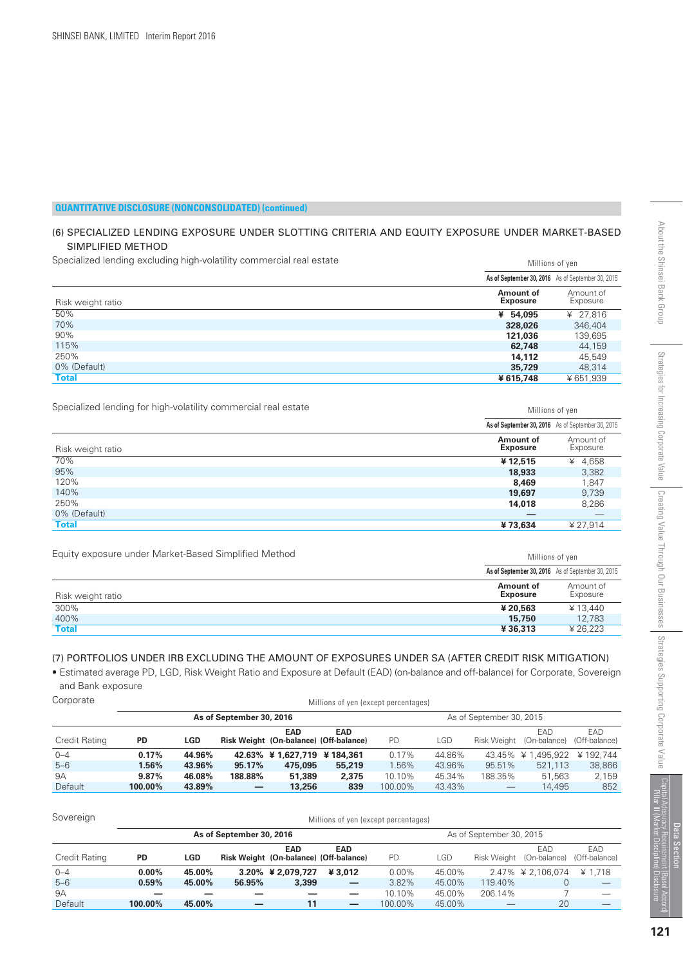#### (6) SPECIALIZED LENDING EXPOSURE UNDER SLOTTING CRITERIA AND EQUITY EXPOSURE UNDER MARKET-BASED SIMPLIFIED METHOD

Specialized lending excluding high-volatility commercial real estate

| Specialized lending excluding high-volatility commercial real estate | Millions of yen                                   |                       |  |  |  |
|----------------------------------------------------------------------|---------------------------------------------------|-----------------------|--|--|--|
|                                                                      | As of September 30, 2016 As of September 30, 2015 |                       |  |  |  |
| Risk weight ratio                                                    | Amount of<br><b>Exposure</b>                      | Amount of<br>Exposure |  |  |  |
| 50%                                                                  | ¥ 54.095                                          | ¥ 27.816              |  |  |  |
| 70%                                                                  | 328,026                                           | 346,404               |  |  |  |
| 90%                                                                  | 121,036                                           | 139,695               |  |  |  |
| 115%                                                                 | 62,748                                            | 44.159                |  |  |  |
| 250%                                                                 | 14.112                                            | 45.549                |  |  |  |
| 0% (Default)                                                         | 35,729                                            | 48.314                |  |  |  |
| Total                                                                | ¥615.748                                          | ¥651.939              |  |  |  |

Specialized lending for high-volatility commercial real estate

| Specialized lending for high-volatility commercial real estate | Millions of yen              |                                                   |  |  |  |
|----------------------------------------------------------------|------------------------------|---------------------------------------------------|--|--|--|
|                                                                |                              | As of September 30, 2016 As of September 30, 2015 |  |  |  |
| Risk weight ratio                                              | Amount of<br><b>Exposure</b> | Amount of<br>Exposure                             |  |  |  |
| 70%                                                            | ¥12.515                      | ¥ 4,658                                           |  |  |  |
| 95%                                                            | 18,933                       | 3,382                                             |  |  |  |
| 120%                                                           | 8,469                        | 1,847                                             |  |  |  |
| 140%                                                           | 19,697                       | 9,739                                             |  |  |  |
| 250%                                                           | 14,018                       | 8,286                                             |  |  |  |
| 0% (Default)                                                   |                              | $\overbrace{\hspace{25mm}}^{}$                    |  |  |  |
| Total                                                          | ¥73.634                      | ¥ 27.914                                          |  |  |  |

Equity exposure under Market-Based Simplified Method

| Equity exposure under Market-Based Simplified Method | Millions of yen                                   |                       |  |  |  |
|------------------------------------------------------|---------------------------------------------------|-----------------------|--|--|--|
|                                                      | As of September 30, 2016 As of September 30, 2015 |                       |  |  |  |
| Risk weight ratio                                    | Amount of<br><b>Exposure</b>                      | Amount of<br>Exposure |  |  |  |
| 300%                                                 | ¥ 20.563                                          | ¥13.440               |  |  |  |
| 400%                                                 | 15,750                                            | 12.783                |  |  |  |
| Total                                                | ¥36,313                                           | ¥ 26.223              |  |  |  |

#### (7) PORTFOLIOS UNDER IRB EXCLUDING THE AMOUNT OF EXPOSURES UNDER SA (AFTER CREDIT RISK MITIGATION)

• Estimated average PD, LGD, Risk Weight Ratio and Exposure at Default (EAD) (on-balance and off-balance) for Corporate, Sovereign and Bank exposure

| Corporate |
|-----------|
|-----------|

| Corporate      | Millions of yen (except percentages) |        |                          |                                                      |            |                          |        |         |                                 |                       |  |
|----------------|--------------------------------------|--------|--------------------------|------------------------------------------------------|------------|--------------------------|--------|---------|---------------------------------|-----------------------|--|
|                |                                      |        | As of September 30, 2016 |                                                      |            | As of September 30, 2015 |        |         |                                 |                       |  |
| Credit Rating  | <b>PD</b>                            | LGD    |                          | <b>EAD</b><br>Risk Weight (On-balance) (Off-balance) | <b>EAD</b> | <b>PD</b>                | LGD    |         | EAD<br>Risk Weight (On-balance) | EAD.<br>(Off-balance) |  |
| $0 - 4$        | 0.17%                                | 44.96% |                          | 42.63% ¥ 1.627.719 ¥ 184.361                         |            | 0.17%                    | 44.86% |         | 43.45% ¥ 1,495,922              | ¥ 192.744             |  |
| $5 - 6$        | 1.56%                                | 43.96% | 95.17%                   | 475,095                                              | 55,219     | 1.56%                    | 43.96% | 95.51%  | 521.113                         | 38,866                |  |
| <b>9A</b>      | 9.87%                                | 46.08% | 188.88%                  | 51,389                                               | 2,375      | 10.10%                   | 45.34% | 188.35% | 51.563                          | 2,159                 |  |
| <b>Default</b> | 100.00%                              | 43.89% |                          | 13,256                                               | 839        | 100.00%                  | 43.43% |         | 14.495                          | 852                   |  |

| Sovereign                | Millions of yen (except percentages) |            |        |                                                      |                          |                          |        |             |                     |                       |  |
|--------------------------|--------------------------------------|------------|--------|------------------------------------------------------|--------------------------|--------------------------|--------|-------------|---------------------|-----------------------|--|
| As of September 30, 2016 |                                      |            |        |                                                      |                          | As of September 30, 2015 |        |             |                     |                       |  |
| Credit Rating            | <b>PD</b>                            | <b>LGD</b> |        | <b>EAD</b><br>Risk Weight (On-balance) (Off-balance) | <b>EAD</b>               | <b>PD</b>                | LGD    | Risk Weight | EAD<br>(On-balance) | EAD.<br>(Off-balance) |  |
| $0 - 4$                  | $0.00\%$                             | 45.00%     |        | $3.20\% \div 2.079.727$                              | ¥ 3.012                  | $0.00\%$                 | 45.00% |             | 2.47% ¥ 2.106.074   | ¥ 1.718               |  |
| $5 - 6$                  | 0.59%                                | 45.00%     | 56.95% | 3,399                                                | $\qquad \qquad -$        | 3.82%                    | 45.00% | 119.40%     |                     |                       |  |
| <b>9A</b>                |                                      |            |        |                                                      |                          | 10.10%                   | 45.00% | 206.14%     |                     |                       |  |
| <b>Default</b>           | 100.00%                              | 45.00%     |        | 11                                                   | $\overline{\phantom{0}}$ | 100.00%                  | 45.00% |             | 20                  |                       |  |

Data Section Capital Adequacy Requirement (Basel Accord)

al Adequacy Hequirer<br>Ilar III (Market Discip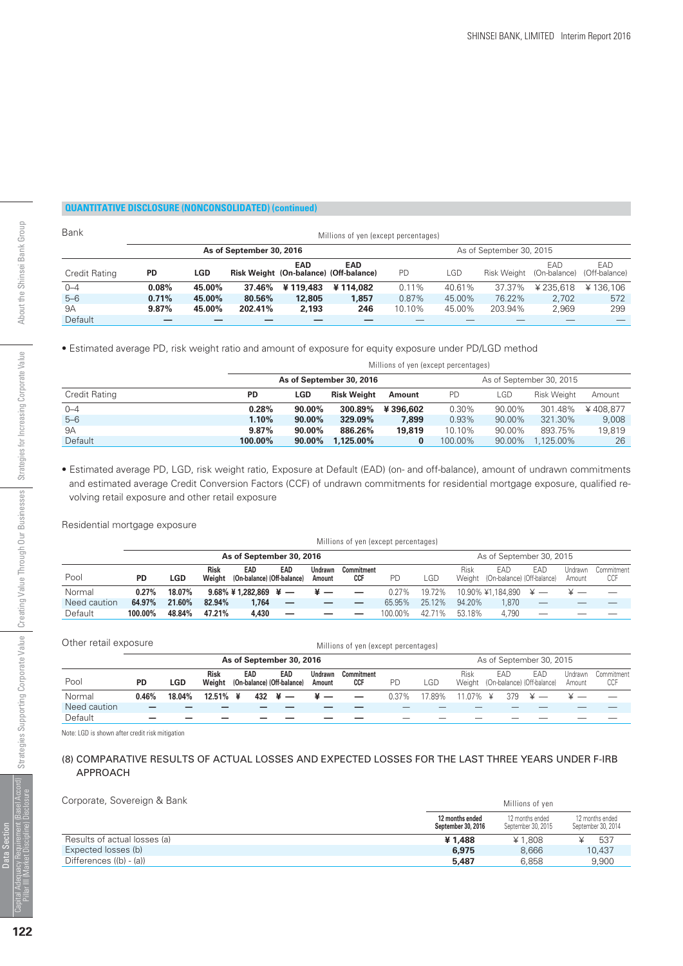| Bank          | Millions of yen (except percentages) |        |         |                                                      |            |                          |        |             |                     |                       |
|---------------|--------------------------------------|--------|---------|------------------------------------------------------|------------|--------------------------|--------|-------------|---------------------|-----------------------|
|               | As of September 30, 2016             |        |         |                                                      |            | As of September 30, 2015 |        |             |                     |                       |
| Credit Rating | <b>PD</b>                            | LGD    |         | <b>EAD</b><br>Risk Weight (On-balance) (Off-balance) | <b>EAD</b> | <b>PD</b>                | LGD    | Risk Weight | EAD<br>(On-balance) | EAD.<br>(Off-balance) |
| $0 - 4$       | 0.08%                                | 45.00% | 37.46%  | ¥119,483                                             | ¥114.082   | $0.11\%$                 | 40.61% | 37.37%      | ¥235,618            | ¥136.106              |
| $5 - 6$       | 0.71%                                | 45.00% | 80.56%  | 12,805                                               | 1,857      | 0.87%                    | 45.00% | 76.22%      | 2.702               | 572                   |
| <b>9A</b>     | 9.87%                                | 45.00% | 202.41% | 2.193                                                | 246        | 10.10%                   | 45.00% | 203.94%     | 2.969               | 299                   |
| Default       |                                      |        |         |                                                      |            |                          |        |             |                     |                       |

• Estimated average PD, risk weight ratio and amount of exposure for equity exposure under PD/LGD method

| Millions of yen (except percentages) |                          |                          |                    |          |         |            |                    |          |
|--------------------------------------|--------------------------|--------------------------|--------------------|----------|---------|------------|--------------------|----------|
|                                      | As of September 30, 2016 | As of September 30, 2015 |                    |          |         |            |                    |          |
| Credit Rating                        | <b>PD</b>                | <b>LGD</b>               | <b>Risk Weight</b> | Amount   | PD      | <b>LGD</b> | <b>Risk Weight</b> | Amount   |
| $0 - 4$                              | 0.28%                    | $90.00\%$                | 300.89%            | ¥396,602 | 0.30%   | 90.00%     | 301.48%            | ¥408.877 |
| $5 - 6$                              | 1.10%                    | 90.00%                   | 329.09%            | 7.899    | 0.93%   | 90.00%     | 321.30%            | 9.008    |
| <b>9A</b>                            | 9.87%                    | 90.00%                   | 886.26%            | 19,819   | 10.10%  | 90.00%     | 893.75%            | 19.819   |
| Default                              | 100.00%                  | $90.00\%$                | 1.125.00%          |          | 100.00% | 90.00%     | 1.125.00%          | 26       |

• Estimated average PD, LGD, risk weight ratio, Exposure at Default (EAD) (on- and off-balance), amount of undrawn commitments and estimated average Credit Conversion Factors (CCF) of undrawn commitments for residential mortgage exposure, qualified revolving retail exposure and other retail exposure

Residential mortgage exposure

|              |           | Millions of yen (except percentages) |                       |                                   |     |                   |                          |           |                          |        |                                          |     |                   |                   |
|--------------|-----------|--------------------------------------|-----------------------|-----------------------------------|-----|-------------------|--------------------------|-----------|--------------------------|--------|------------------------------------------|-----|-------------------|-------------------|
|              |           | As of September 30, 2016             |                       |                                   |     |                   |                          |           | As of September 30, 2015 |        |                                          |     |                   |                   |
| Pool         | <b>PD</b> | <b>LGD</b>                           | <b>Risk</b><br>Weight | EAD<br>(On-balance) (Off-balance) | EAD | Undrawn<br>Amount | <b>Commitment</b><br>CCF | <b>PD</b> | LGD                      | Risk   | EAD<br>Weight (On-balance) (Off-balance) | EAD | Undrawn<br>Amount | Commitment<br>CCF |
| Normal       | 0.27%     | 18.07%                               |                       | 9.68% ¥ 1,282,869 ¥ —             |     |                   |                          | $0.27\%$  | 19.72%                   |        | $10.90\%$ ¥1.184.890 ¥ —                 |     |                   |                   |
| Need caution | 64.97%    | 21.60%                               | 82.94%                | 1.764                             |     |                   |                          | 65.95%    | 25.12%                   | 94.20% | .870                                     |     |                   |                   |
| Default      | 100.00%   | 48.84%                               | 47.21%                | 4,430                             |     |                   |                          | 100.00%   | 42.71%                   | 53.18% | 4.790                                    |     |                   |                   |

| Other retail exposure<br>Millions of yen (except percentages) |           |        |                       |  |     |                                   |                   |                          |           |        |                |     |                                   |                          |                   |
|---------------------------------------------------------------|-----------|--------|-----------------------|--|-----|-----------------------------------|-------------------|--------------------------|-----------|--------|----------------|-----|-----------------------------------|--------------------------|-------------------|
|                                                               |           |        |                       |  |     | As of September 30, 2016          |                   |                          |           |        |                |     | As of September 30, 2015          |                          |                   |
| Pool                                                          | <b>PD</b> | LGD    | <b>Risk</b><br>Weight |  | EAD | EAD<br>(On-balance) (Off-balance) | Undrawn<br>Amount | Commitment<br><b>CCF</b> | <b>PD</b> | LGD    | Risk<br>Weight | EAD | EAD<br>(On-balance) (Off-balance) | <b>Undrawn</b><br>Amount | Commitment<br>CCF |
| Normal                                                        | 0.46%     | 18.04% | $12.51\%$ ¥           |  |     | $432 + -$                         |                   |                          | $0.37\%$  | 17 89% | 11 07% ¥       | 379 | ¥                                 |                          |                   |
| Need caution                                                  |           |        |                       |  |     |                                   |                   |                          |           |        |                |     |                                   |                          |                   |
| Default                                                       |           |        |                       |  |     |                                   |                   |                          |           |        |                |     |                                   |                          |                   |

Note: LGD is shown after credit risk mitigation

#### (8) COMPARATIVE RESULTS OF ACTUAL LOSSES AND EXPECTED LOSSES FOR THE LAST THREE YEARS UNDER F-IRB APPROACH

Corporate, Sovereign & Bank Millions of yen

|                              | 12 months ended<br>September 30, 2016 | 12 months ended<br>September 30, 2015 | 12 months ended<br>September 30, 2014 |
|------------------------------|---------------------------------------|---------------------------------------|---------------------------------------|
| Results of actual losses (a) | ¥1.488                                | ¥ 1.808                               | 537                                   |
| Expected losses (b)          | 6,975                                 | 8.666                                 | 10.437                                |
| Differences ((b) - (a))      | 5.487                                 | 6.858                                 | 9.900                                 |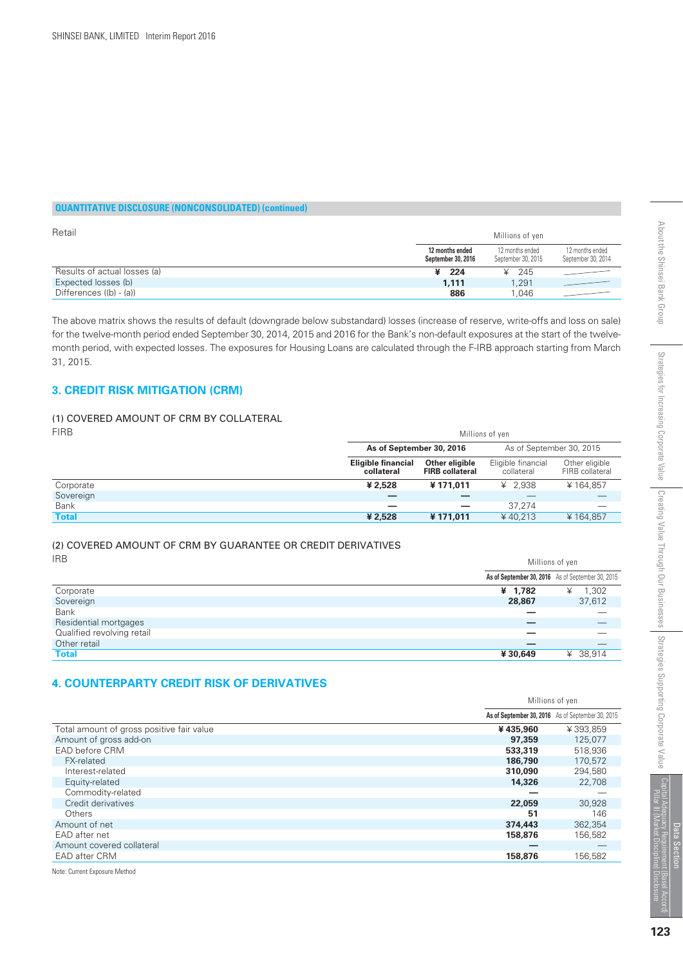| Retail                       |                                       | Millions of yen                       |                                       |
|------------------------------|---------------------------------------|---------------------------------------|---------------------------------------|
|                              | 12 months ended<br>September 30, 2016 | 12 months ended<br>September 30, 2015 | 12 months ended<br>September 30, 2014 |
| Results of actual losses (a) | ¥ 224                                 | $\angle 245$                          |                                       |
| Expected losses (b)          | 1.111                                 | 1.291                                 |                                       |
| Differences $((b) - (a))$    | 886                                   | 1.046                                 |                                       |

The above matrix shows the results of default (downgrade below substandard) losses (increase of reserve, write-offs and loss on sale) for the twelve-month period ended September 30, 2014, 2015 and 2016 for the Bank's non-default exposures at the start of the twelvemonth period, with expected losses. The exposures for Housing Loans are calculated through the F-IRB approach starting from March 31, 2015.

#### **3. CREDIT RISK MITIGATION (CRM)**

#### (1) COVERED AMOUNT OF CRM BY COLLATERAL

| <b>FIRB</b>  | Millions of yen                         |                                          |                                  |                                   |  |  |  |
|--------------|-----------------------------------------|------------------------------------------|----------------------------------|-----------------------------------|--|--|--|
|              | As of September 30, 2016                |                                          | As of September 30, 2015         |                                   |  |  |  |
|              | <b>Eligible financial</b><br>collateral | Other eligible<br><b>FIRB</b> collateral | Eligible financial<br>collateral | Other eligible<br>FIRB collateral |  |  |  |
| Corporate    | ¥ 2.528                                 | ¥171.011                                 | ¥ 2.938                          | ¥164,857                          |  |  |  |
| Sovereign    |                                         |                                          |                                  |                                   |  |  |  |
| <b>Bank</b>  | _                                       | $\overline{\phantom{0}}$                 | 37.274                           |                                   |  |  |  |
| <b>Total</b> | ¥ 2,528                                 | ¥171.011                                 | ¥40.213                          | ¥164,857                          |  |  |  |

#### (2) COVERED AMOUNT OF CRM BY GUARANTEE OR CREDIT DERIVATIVES IRB

| IRD                        | Millions of yen |                                                   |  |  |  |
|----------------------------|-----------------|---------------------------------------------------|--|--|--|
|                            |                 | As of September 30, 2016 As of September 30, 2015 |  |  |  |
| Corporate                  | ¥ 1,782         | 1,302<br>¥                                        |  |  |  |
| Sovereign                  | 28,867          | 37,612                                            |  |  |  |
| <b>Bank</b>                |                 |                                                   |  |  |  |
| Residential mortgages      |                 |                                                   |  |  |  |
| Qualified revolving retail |                 |                                                   |  |  |  |
| Other retail               | -               |                                                   |  |  |  |
| <b>Total</b>               | ¥30,649         | 38,914<br>¥                                       |  |  |  |

#### **4. COUNTERPARTY CREDIT RISK OF DERIVATIVES**

|                                           |          | Millions of yen                                   |
|-------------------------------------------|----------|---------------------------------------------------|
|                                           |          | As of September 30, 2016 As of September 30, 2015 |
| Total amount of gross positive fair value | ¥435,960 | ¥393.859                                          |
| Amount of gross add-on                    | 97,359   | 125,077                                           |
| EAD before CRM                            | 533,319  | 518,936                                           |
| <b>FX-related</b>                         | 186,790  | 170.572                                           |
| Interest-related                          | 310,090  | 294,580                                           |
| Equity-related                            | 14,326   | 22,708                                            |
| Commodity-related                         |          |                                                   |
| Credit derivatives                        | 22,059   | 30,928                                            |
| Others                                    | 51       | 146                                               |
| Amount of net                             | 374,443  | 362,354                                           |
| EAD after net                             | 158,876  | 156,582                                           |
| Amount covered collateral                 |          |                                                   |
| <b>EAD after CRM</b>                      | 158,876  | 156.582                                           |

Note: Current Exposure Method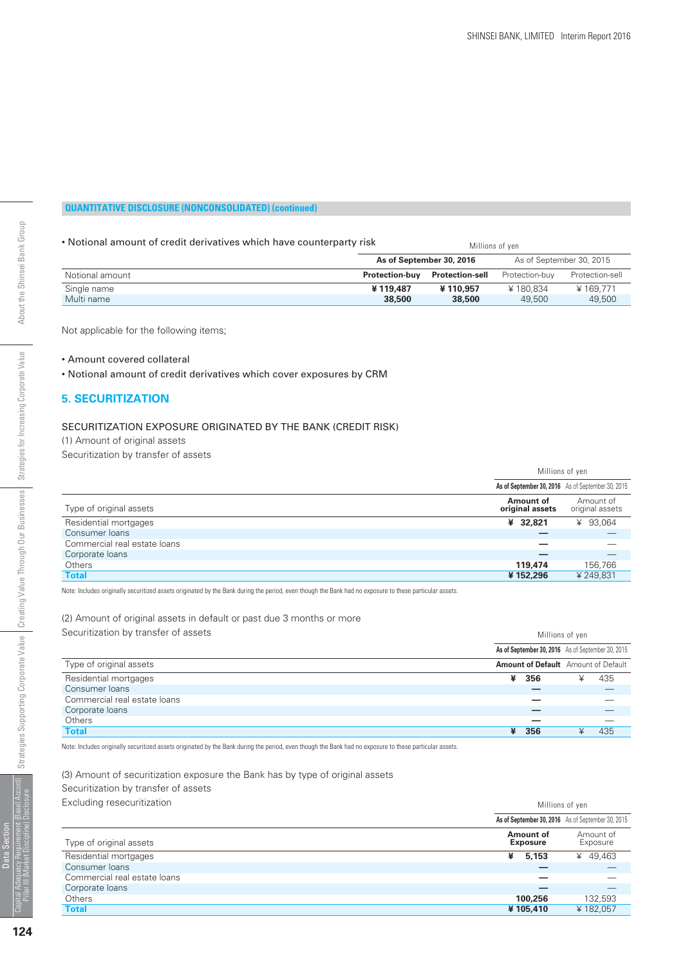#### • Notional amount of credit derivatives which have counterparty risk

| • Notional amount of credit derivatives which have counterparty risk |                       | Millions of yen          |                          |                 |  |
|----------------------------------------------------------------------|-----------------------|--------------------------|--------------------------|-----------------|--|
|                                                                      |                       | As of September 30, 2016 | As of September 30, 2015 |                 |  |
| Notional amount                                                      | <b>Protection-buv</b> | <b>Protection-sell</b>   | Protection-buv           | Protection-sell |  |
| Single name                                                          | ¥119,487              | ¥110.957                 | ¥180.834                 | ¥169.771        |  |
| Multi name                                                           | 38,500                | 38,500                   | 49,500                   | 49,500          |  |

Not applicable for the following items;

• Amount covered collateral

• Notional amount of credit derivatives which cover exposures by CRM

#### **5. SECURITIZATION**

#### SECURITIZATION EXPOSURE ORIGINATED BY THE BANK (CREDIT RISK)

(1) Amount of original assets

Securitization by transfer of assets

|                              |                                                   | Millions of yen              |
|------------------------------|---------------------------------------------------|------------------------------|
|                              | As of September 30, 2016 As of September 30, 2015 |                              |
| Type of original assets      | Amount of<br>original assets                      | Amount of<br>original assets |
| Residential mortgages        | ¥ 32,821                                          | ¥ 93,064                     |
| Consumer loans               |                                                   |                              |
| Commercial real estate loans |                                                   |                              |
| Corporate loans              |                                                   |                              |
| Others                       | 119,474                                           | 156,766                      |
| <b>Total</b>                 | ¥152,296                                          | ¥249,831                     |

Note: Includes originally securitized assets originated by the Bank during the period, even though the Bank had no exposure to these particular assets.

#### (2) Amount of original assets in default or past due 3 months or more Securitization by transfer of assets **Millions** of yen

| As of September 30, 2016 As of September 30, 2015<br>Type of original assets<br>Amount of Default Amount of Default<br>Residential mortgages<br>435<br>¥ 356<br>Consumer loans<br>Commercial real estate loans<br>Corporate loans<br>Others<br><b>Total</b><br>435<br>356 | <b>IVIIIIIUIIS UI VEII</b> |
|---------------------------------------------------------------------------------------------------------------------------------------------------------------------------------------------------------------------------------------------------------------------------|----------------------------|
|                                                                                                                                                                                                                                                                           |                            |
|                                                                                                                                                                                                                                                                           |                            |
|                                                                                                                                                                                                                                                                           |                            |
|                                                                                                                                                                                                                                                                           |                            |
|                                                                                                                                                                                                                                                                           |                            |
|                                                                                                                                                                                                                                                                           |                            |
|                                                                                                                                                                                                                                                                           |                            |
|                                                                                                                                                                                                                                                                           |                            |

Note: Includes originally securitized assets originated by the Bank during the period, even though the Bank had no exposure to these particular assets.

(3) Amount of securitization exposure the Bank has by type of original assets

Securitization by transfer of assets

| Excluding resecuritization   | Millions of yen              |                                                   |  |  |  |
|------------------------------|------------------------------|---------------------------------------------------|--|--|--|
|                              |                              | As of September 30, 2016 As of September 30, 2015 |  |  |  |
| Type of original assets      | Amount of<br><b>Exposure</b> | Amount of<br>Exposure                             |  |  |  |
| Residential mortgages        | 5.153<br>¥                   | ¥ 49.463                                          |  |  |  |
| Consumer loans               |                              |                                                   |  |  |  |
| Commercial real estate loans |                              |                                                   |  |  |  |
| Corporate loans              |                              |                                                   |  |  |  |
| Others                       | 100,256                      | 132,593                                           |  |  |  |
| <b>Total</b>                 | ¥105.410                     | ¥182.057                                          |  |  |  |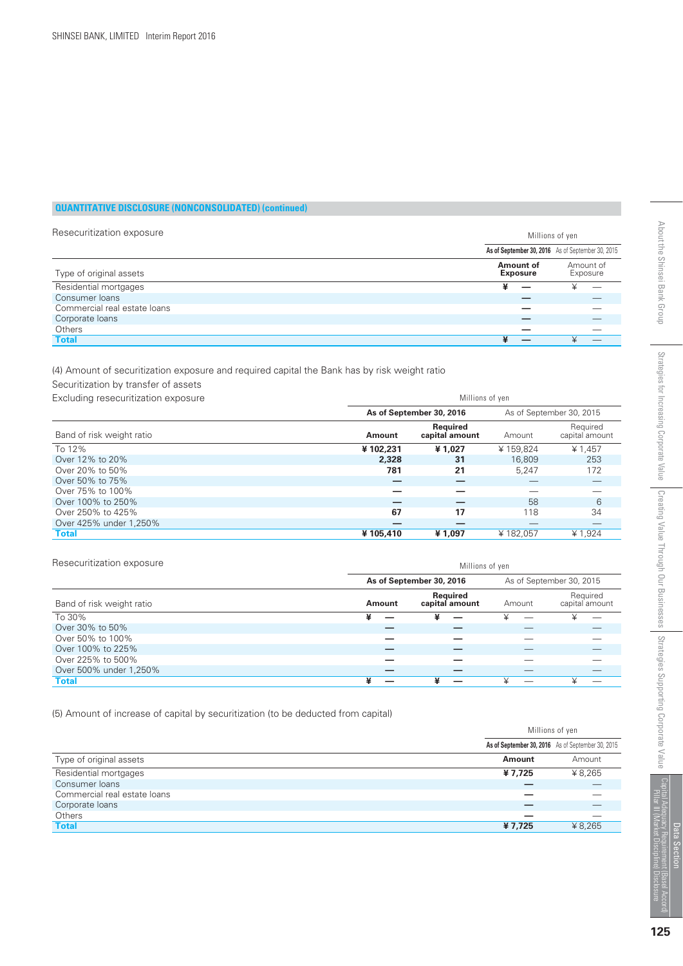| Resecuritization exposure    | Millions of yen                                       |  |
|------------------------------|-------------------------------------------------------|--|
|                              | As of September 30, 2016 As of September 30, 2015     |  |
| Type of original assets      | Amount of<br>Amount of<br><b>Exposure</b><br>Exposure |  |
| Residential mortgages        | ¥<br>¥                                                |  |
| Consumer loans               |                                                       |  |
| Commercial real estate loans |                                                       |  |
| Corporate loans              |                                                       |  |
| Others                       |                                                       |  |
| <b>Total</b>                 |                                                       |  |

(4) Amount of securitization exposure and required capital the Bank has by risk weight ratio

Securitization by transfer of assets

| Excluding resecuritization exposure | Millions of yen |                                   |          |                            |
|-------------------------------------|-----------------|-----------------------------------|----------|----------------------------|
|                                     |                 | As of September 30, 2016          |          | As of September 30, 2015   |
| Band of risk weight ratio           | Amount          | <b>Required</b><br>capital amount | Amount   | Required<br>capital amount |
| To 12%                              | ¥102,231        | ¥1.027                            | ¥159.824 | ¥ 1,457                    |
| Over 12% to 20%                     | 2,328           | 31                                | 16,809   | 253                        |
| Over 20% to 50%                     | 781             | 21                                | 5.247    | 172                        |
| Over 50% to 75%                     |                 |                                   |          |                            |
| Over 75% to 100%                    |                 |                                   |          |                            |
| Over 100% to 250%                   |                 |                                   | 58       | 6                          |
| Over 250% to 425%                   | 67              | 17                                | 118      | 34                         |
| Over 425% under 1,250%              |                 |                                   |          |                            |
| <b>Total</b>                        | ¥105,410        | ¥1,097                            | ¥182,057 | ¥ 1,924                    |

| Resecuritization exposure | Millions of yen |                            |        |                            |
|---------------------------|-----------------|----------------------------|--------|----------------------------|
|                           |                 | As of September 30, 2016   |        | As of September 30, 2015   |
| Band of risk weight ratio | Amount          | Required<br>capital amount | Amount | Required<br>capital amount |
| To 30%                    | ¥               | ¥                          |        | ¥                          |
| Over 30% to 50%           |                 |                            |        |                            |
| Over 50% to 100%          |                 |                            |        |                            |
| Over 100% to 225%         |                 |                            |        |                            |
| Over 225% to 500%         |                 |                            |        |                            |
| Over 500% under 1,250%    |                 |                            |        |                            |
| <b>Total</b>              |                 | ¥                          |        |                            |

(5) Amount of increase of capital by securitization (to be deducted from capital)

|                              | Millions of yen                                   |         |
|------------------------------|---------------------------------------------------|---------|
|                              | As of September 30, 2016 As of September 30, 2015 |         |
| Type of original assets      | Amount                                            | Amount  |
| Residential mortgages        | ¥7,725                                            | ¥ 8,265 |
| Consumer loans               |                                                   |         |
| Commercial real estate loans |                                                   |         |
| Corporate loans              |                                                   |         |
| Others                       |                                                   |         |
| <b>Total</b>                 | ¥7,725                                            | ¥ 8,265 |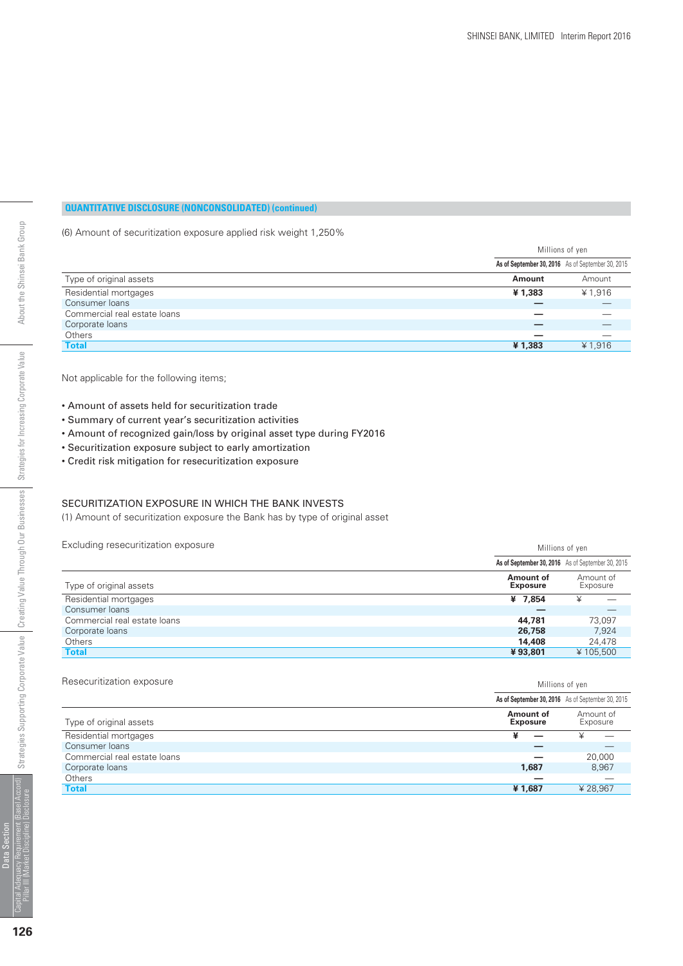(6) Amount of securitization exposure applied risk weight 1,250%

| As of September 30, 2016 As of September 30, 2015<br>Type of original assets<br>Amount<br><b>Amount</b><br>Residential mortgages<br>¥ 1,916<br>¥1.383<br>Consumer loans<br>Commercial real estate loans<br>Corporate loans<br>Others<br><b>Total</b><br>¥ 1,916<br>¥1,383 | Millions of yen |  |
|---------------------------------------------------------------------------------------------------------------------------------------------------------------------------------------------------------------------------------------------------------------------------|-----------------|--|
|                                                                                                                                                                                                                                                                           |                 |  |
|                                                                                                                                                                                                                                                                           |                 |  |
|                                                                                                                                                                                                                                                                           |                 |  |
|                                                                                                                                                                                                                                                                           |                 |  |
|                                                                                                                                                                                                                                                                           |                 |  |
|                                                                                                                                                                                                                                                                           |                 |  |
|                                                                                                                                                                                                                                                                           |                 |  |
|                                                                                                                                                                                                                                                                           |                 |  |

Not applicable for the following items;

- Amount of assets held for securitization trade
- Summary of current year's securitization activities
- Amount of recognized gain/loss by original asset type during FY2016
- Securitization exposure subject to early amortization
- Credit risk mitigation for resecuritization exposure

#### SECURITIZATION EXPOSURE IN WHICH THE BANK INVESTS

(1) Amount of securitization exposure the Bank has by type of original asset

Excluding resecuritization exposure Millions of yen

|                              |                              | As of September 30, 2016 As of September 30, 2015 |
|------------------------------|------------------------------|---------------------------------------------------|
| Type of original assets      | Amount of<br><b>Exposure</b> | Amount of<br>Exposure                             |
| Residential mortgages        | ¥ 7.854                      | ¥                                                 |
| Consumer loans               |                              |                                                   |
| Commercial real estate loans | 44,781                       | 73.097                                            |
| Corporate loans              | 26,758                       | 7.924                                             |
| Others                       | 14,408                       | 24,478                                            |
| <b>Total</b>                 | ¥93.801                      | ¥105,500                                          |

#### Resecuritization exposure exposure and the second state of the second state of the Millions of yen

|                              |                              | As of September 30, 2016 As of September 30, 2015 |
|------------------------------|------------------------------|---------------------------------------------------|
| Type of original assets      | Amount of<br><b>Exposure</b> | Amount of<br>Exposure                             |
| Residential mortgages        | ¥                            |                                                   |
| Consumer loans               |                              |                                                   |
| Commercial real estate loans |                              | 20,000                                            |
| Corporate loans              | 1.687                        | 8,967                                             |
| <b>Others</b>                | _                            |                                                   |
| <b>Total</b>                 | ¥1,687                       | ¥28,967                                           |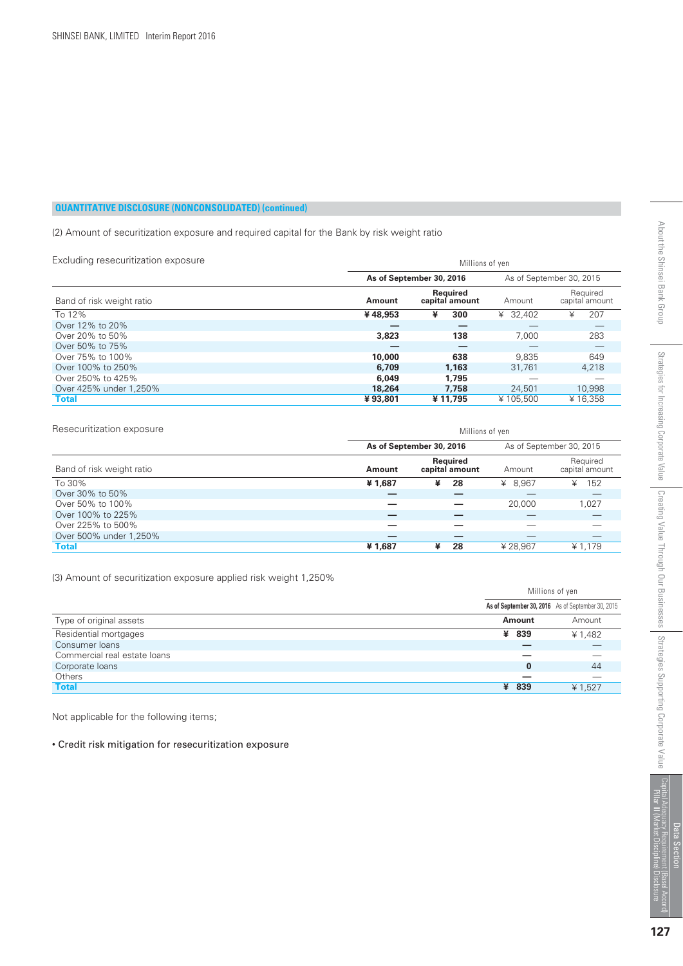(2) Amount of securitization exposure and required capital for the Bank by risk weight ratio

| Excluding resecuritization exposure | Millions of yen |                            |          |                            |
|-------------------------------------|-----------------|----------------------------|----------|----------------------------|
|                                     |                 | As of September 30, 2016   |          | As of September 30, 2015   |
| Band of risk weight ratio           | Amount          | Reauired<br>capital amount | Amount   | Required<br>capital amount |
| To 12%                              | ¥48,953         | 300<br>¥                   | ¥ 32,402 | 207<br>¥                   |
| Over 12% to 20%                     |                 |                            |          |                            |
| Over 20% to 50%                     | 3,823           | 138                        | 7.000    | 283                        |
| Over 50% to 75%                     |                 | –                          |          |                            |
| Over 75% to 100%                    | 10,000          | 638                        | 9.835    | 649                        |
| Over 100% to 250%                   | 6,709           | 1.163                      | 31.761   | 4,218                      |
| Over 250% to 425%                   | 6,049           | 1.795                      |          |                            |
| Over 425% under 1.250%              | 18,264          | 7.758                      | 24,501   | 10,998                     |
| <b>Total</b>                        | ¥93,801         | ¥11,795                    | ¥105.500 | ¥16.358                    |

| Resecuritization exposure |        | Millions of yen            |         |                            |  |
|---------------------------|--------|----------------------------|---------|----------------------------|--|
|                           |        | As of September 30, 2016   |         | As of September 30, 2015   |  |
| Band of risk weight ratio | Amount | Required<br>capital amount | Amount  | Required<br>capital amount |  |
| To 30%                    | ¥1,687 | ¥<br>28                    | ¥ 8.967 | 152<br>¥                   |  |
| Over 30% to 50%           |        |                            |         |                            |  |
| Over 50% to 100%          |        |                            | 20,000  | 1,027                      |  |
| Over 100% to 225%         | _      |                            |         |                            |  |
| Over 225% to 500%         |        |                            |         |                            |  |
| Over 500% under 1,250%    |        |                            |         |                            |  |
| <b>Total</b>              | ¥1,687 | ¥<br>28                    | ¥28.967 | ¥ 1,179                    |  |

(3) Amount of securitization exposure applied risk weight 1,250%

|                              | Millions of yen                                   |         |
|------------------------------|---------------------------------------------------|---------|
|                              | As of September 30, 2016 As of September 30, 2015 |         |
| Type of original assets      | Amount                                            | Amount  |
| Residential mortgages        | ¥ 839                                             | ¥ 1,482 |
| Consumer loans               |                                                   |         |
| Commercial real estate loans |                                                   |         |
| Corporate loans              | $\bf{0}$                                          | 44      |
| Others                       |                                                   |         |
| <b>Total</b>                 | ¥ 839                                             | ¥ 1,527 |

Not applicable for the following items;

• Credit risk mitigation for resecuritization exposure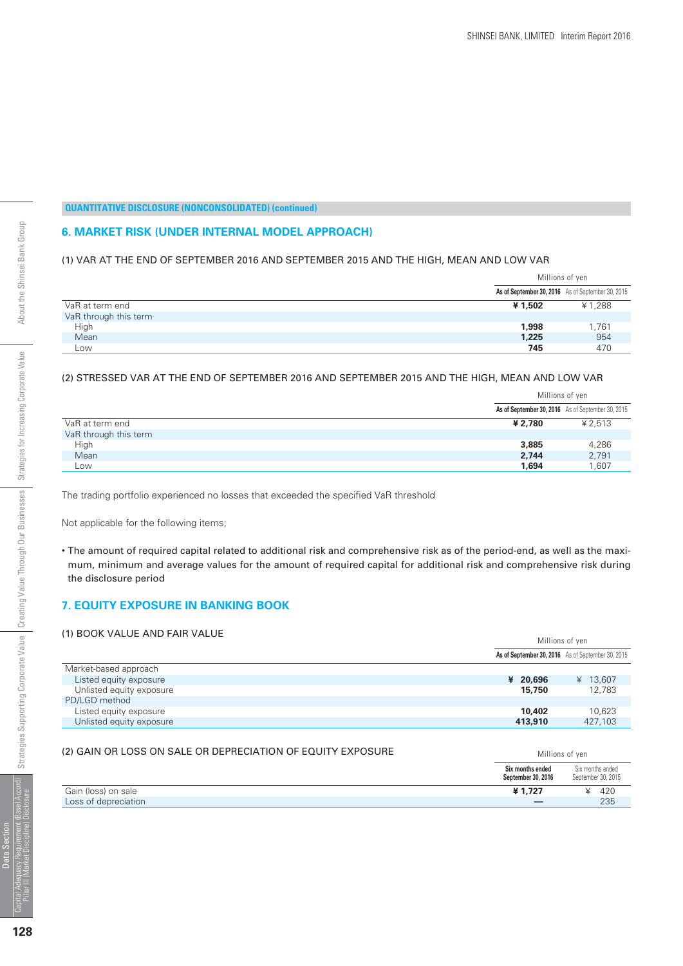#### **6. MARKET RISK (UNDER INTERNAL MODEL APPROACH)**

#### (1) VAR AT THE END OF SEPTEMBER 2016 AND SEPTEMBER 2015 AND THE HIGH, MEAN AND LOW VAR

|                       | Millions of yen |                                                   |
|-----------------------|-----------------|---------------------------------------------------|
|                       |                 | As of September 30, 2016 As of September 30, 2015 |
| VaR at term end       | ¥ 1,502         | ¥1,288                                            |
| VaR through this term |                 |                                                   |
| High                  | 1,998           | 1,761                                             |
| Mean                  | 1,225           | 954                                               |
| Low                   | 745             | 470                                               |

#### (2) STRESSED VAR AT THE END OF SEPTEMBER 2016 AND SEPTEMBER 2015 AND THE HIGH, MEAN AND LOW VAR

|                       | Millions of yen                                   |         |
|-----------------------|---------------------------------------------------|---------|
|                       | As of September 30, 2016 As of September 30, 2015 |         |
| VaR at term end       | ¥ 2.780                                           | ¥ 2,513 |
| VaR through this term |                                                   |         |
| High                  | 3,885                                             | 4,286   |
| Mean                  | 2,744                                             | 2,791   |
| Low                   | 1,694                                             | 1.607   |

The trading portfolio experienced no losses that exceeded the specified VaR threshold

Not applicable for the following items;

• The amount of required capital related to additional risk and comprehensive risk as of the period-end, as well as the maximum, minimum and average values for the amount of required capital for additional risk and comprehensive risk during the disclosure period

#### **7. EQUITY EXPOSURE IN BANKING BOOK**

| (1) BOOK VALUE AND FAIR VALUE |          | Millions of yen                                   |  |
|-------------------------------|----------|---------------------------------------------------|--|
|                               |          | As of September 30, 2016 As of September 30, 2015 |  |
| Market-based approach         |          |                                                   |  |
| Listed equity exposure        | ¥ 20,696 | ¥ $13,607$                                        |  |
| Unlisted equity exposure      | 15,750   | 12.783                                            |  |
| PD/LGD method                 |          |                                                   |  |
| Listed equity exposure        | 10,402   | 10.623                                            |  |
| Unlisted equity exposure      | 413,910  | 427,103                                           |  |
|                               |          |                                                   |  |

#### (2) GAIN OR LOSS ON SALE OR DEPRECIATION OF EQUITY EXPOSURE Millions of ven

|                      | Six months ended<br>September 30, 2016 | Six months ended<br>September 30, 2015 |
|----------------------|----------------------------------------|----------------------------------------|
| Gain (loss) on sale  | ¥1.727                                 | 420                                    |
| Loss of depreciation | _                                      | 235                                    |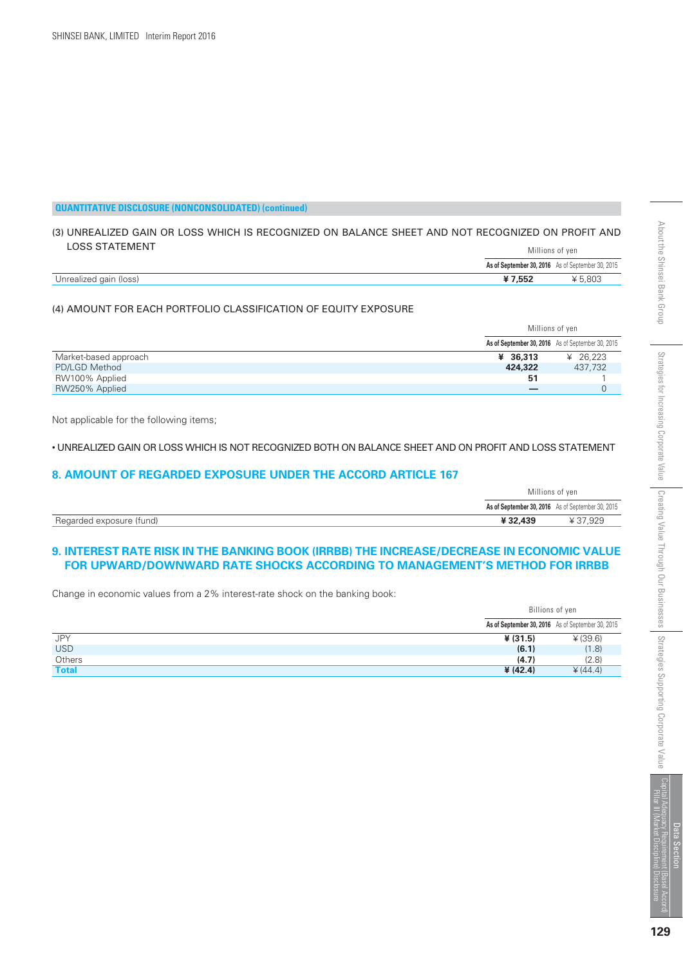#### (3) UNREALIZED GAIN OR LOSS WHICH IS RECOGNIZED ON BALANCE SHEET AND NOT RECOGNIZED ON PROFIT AND LOSS STATEMENT Millions of yen

|                        |                                                   | IVIIIIUII JUL VUIL |  |
|------------------------|---------------------------------------------------|--------------------|--|
|                        | As of September 30, 2016 As of September 30, 2015 |                    |  |
| Unrealized gain (loss) | ¥7.552                                            | ¥ 5,803            |  |

#### (4) AMOUNT FOR EACH PORTFOLIO CLASSIFICATION OF EQUITY EXPOSURE

|                       | Millions of yen |                                                   |
|-----------------------|-----------------|---------------------------------------------------|
|                       |                 | As of September 30, 2016 As of September 30, 2015 |
| Market-based approach | 436.313         | ¥ 26.223                                          |
| PD/LGD Method         | 424,322         | 437,732                                           |
| RW100% Applied        | -51             |                                                   |
| RW250% Applied        |                 |                                                   |

Not applicable for the following items;

• UNREALIZED GAIN OR LOSS WHICH IS NOT RECOGNIZED BOTH ON BALANCE SHEET AND ON PROFIT AND LOSS STATEMENT

#### **8. AMOUNT OF REGARDED EXPOSURE UNDER THE ACCORD ARTICLE 167**

|                          | Millions of yen |                                                   |
|--------------------------|-----------------|---------------------------------------------------|
|                          |                 | As of September 30, 2016 As of September 30, 2015 |
| Regarded exposure (fund) | ¥32,439         | ¥ 37.929                                          |

#### **9. INTEREST RATE RISK IN THE BANKING BOOK (IRRBB) THE INCREASE/DECREASE IN ECONOMIC VALUE FOR UPWARD/DOWNWARD RATE SHOCKS ACCORDING TO MANAGEMENT'S METHOD FOR IRRBB**

Change in economic values from a 2% interest-rate shock on the banking book:

|              | Billions of yen |                                                   |
|--------------|-----------------|---------------------------------------------------|
|              |                 | As of September 30, 2016 As of September 30, 2015 |
| JPY          | ¥ (31.5)        | ¥ (39.6)                                          |
| <b>USD</b>   | (6.1)           | (1.8)                                             |
| Others       | (4.7)           | (2.8)                                             |
| <b>Total</b> | ¥ (42.4)        | $*(44.4)$                                         |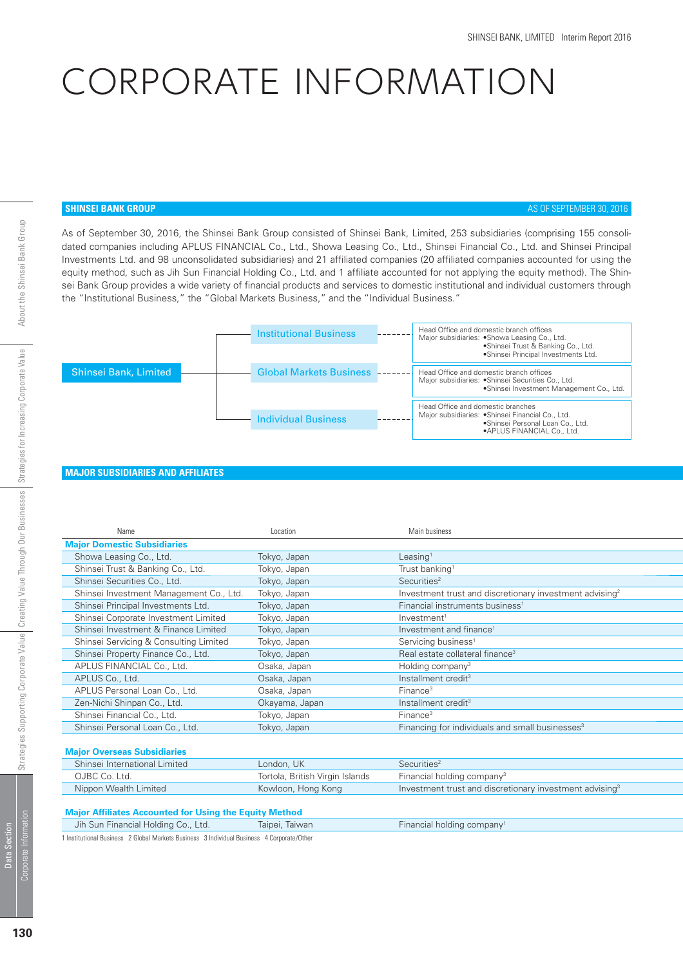# CORPORATE INFORMATION

#### **SHINSEI BANK GROUP AS OF SEPTEMBER 30, 2016**

As of September 30, 2016, the Shinsei Bank Group consisted of Shinsei Bank, Limited, 253 subsidiaries (comprising 155 consolidated companies including APLUS FINANCIAL Co., Ltd., Showa Leasing Co., Ltd., Shinsei Financial Co., Ltd. and Shinsei Principal Investments Ltd. and 98 unconsolidated subsidiaries) and 21 affiliated companies (20 affiliated companies accounted for using the equity method, such as Jih Sun Financial Holding Co., Ltd. and 1 affiliate accounted for not applying the equity method). The Shinsei Bank Group provides a wide variety of financial products and services to domestic institutional and individual customers through the "Institutional Business," the "Global Markets Business," and the "Individual Business."

|                       | <b>Institutional Business</b>  | Head Office and domestic branch offices<br>Major subsidiaries: . Showa Leasing Co., Ltd.<br>.Shinsei Trust & Banking Co., Ltd.<br>·Shinsei Principal Investments Ltd. |
|-----------------------|--------------------------------|-----------------------------------------------------------------------------------------------------------------------------------------------------------------------|
| Shinsei Bank, Limited | <b>Global Markets Business</b> | Head Office and domestic branch offices<br>Major subsidiaries: • Shinsei Securities Co., Ltd.<br>•Shinsei Investment Management Co., Ltd.                             |
|                       | <b>Individual Business</b>     | Head Office and domestic branches<br>Major subsidiaries: . Shinsei Financial Co., Ltd.<br>•Shinsei Personal Loan Co., Ltd.<br>• APLUS FINANCIAL Co., Ltd.             |

#### **MAJOR SUBSIDIARIES AND AFFILIATES**

| Name                                    | Location       | Main business                                                       |
|-----------------------------------------|----------------|---------------------------------------------------------------------|
| <b>Major Domestic Subsidiaries</b>      |                |                                                                     |
| Showa Leasing Co., Ltd.                 | Tokyo, Japan   | Leasing $1$                                                         |
| Shinsei Trust & Banking Co., Ltd.       | Tokyo, Japan   | Trust banking <sup>1</sup>                                          |
| Shinsei Securities Co., Ltd.            | Tokyo, Japan   | Securities <sup>2</sup>                                             |
| Shinsei Investment Management Co., Ltd. | Tokyo, Japan   | Investment trust and discretionary investment advising <sup>2</sup> |
| Shinsei Principal Investments Ltd.      | Tokyo, Japan   | Financial instruments business <sup>1</sup>                         |
| Shinsei Corporate Investment Limited    | Tokyo, Japan   | Investment <sup>1</sup>                                             |
| Shinsei Investment & Finance Limited    | Tokyo, Japan   | Investment and finance <sup>1</sup>                                 |
| Shinsei Servicing & Consulting Limited  | Tokyo, Japan   | Servicing business <sup>1</sup>                                     |
| Shinsei Property Finance Co., Ltd.      | Tokyo, Japan   | Real estate collateral finance <sup>3</sup>                         |
| APLUS FINANCIAL Co., Ltd.               | Osaka, Japan   | Holding company <sup>3</sup>                                        |
| APLUS Co., Ltd.                         | Osaka, Japan   | Installment credit <sup>3</sup>                                     |
| APLUS Personal Loan Co., Ltd.           | Osaka, Japan   | Finance <sup>3</sup>                                                |
| Zen-Nichi Shinpan Co., Ltd.             | Okayama, Japan | Installment credit <sup>3</sup>                                     |
| Shinsei Financial Co., Ltd.             | Tokyo, Japan   | Finance <sup>3</sup>                                                |
| Shinsei Personal Loan Co., Ltd.         | Tokyo, Japan   | Financing for individuals and small businesses <sup>3</sup>         |
|                                         |                |                                                                     |

#### **Major Overseas Subsidiaries**

| Shinsei International Limited | London, UK                      | Securities <sup>2</sup>                                             |
|-------------------------------|---------------------------------|---------------------------------------------------------------------|
| OJBC Co. Ltd.                 | Tortola, British Virgin Islands | Financial holding company <sup>3</sup>                              |
| Nippon Wealth Limited         | Kowloon, Hong Kong              | Investment trust and discretionary investment advising <sup>3</sup> |

#### **Major Affiliates Accounted for Using the Equity Method**

| Jih Sun Financial Holding Co., Ltd.                                                        | Taipei, Taiwan | Financial holding company <sup>1</sup> |  |
|--------------------------------------------------------------------------------------------|----------------|----------------------------------------|--|
| 1 Institutional Business 2 Global Markets Business 3 Individual Business 4 Corporate/Other |                |                                        |  |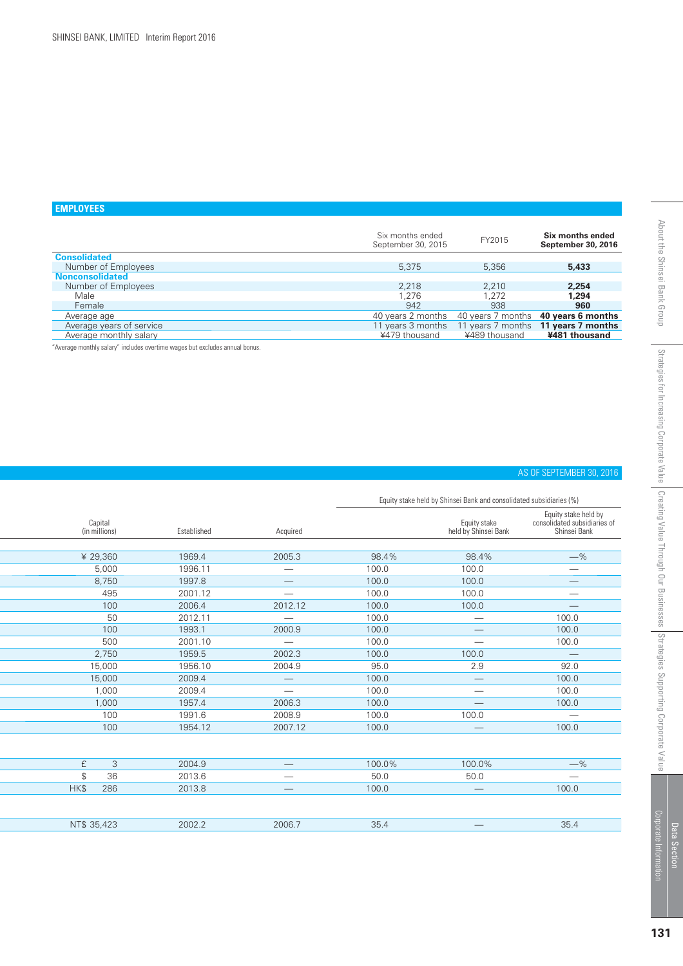# **EMPLOYEES**

|                          | Six months ended<br>September 30, 2015 | FY2015            | Six months ended<br>September 30, 2016 |
|--------------------------|----------------------------------------|-------------------|----------------------------------------|
| <b>Consolidated</b>      |                                        |                   |                                        |
| Number of Employees      | 5,375                                  | 5,356             | 5,433                                  |
| <b>Nonconsolidated</b>   |                                        |                   |                                        |
| Number of Employees      | 2.218                                  | 2.210             | 2,254                                  |
| Male                     | 1.276                                  | 1.272             | 1.294                                  |
| Female                   | 942                                    | 938               | 960                                    |
| Average age              | 40 years 2 months                      | 40 years 7 months | 40 years 6 months                      |
| Average years of service | 11 years 3 months                      | years 7 months    | 11 years 7 months                      |
| Average monthly salary   | ¥479 thousand                          | ¥489 thousand     | ¥481 thousand                          |

"Average monthly salary" includes overtime wages but excludes annual bonus.

#### AS OF SEPTEMBER 30, 2016

Equity stake held by Shinsei Bank and consolidated subsidiaries (%)

|             | Capital<br>(in millions) | Established | Acquired                 |        | Equity stake<br>held by Shinsei Bank | Equity stake held by<br>consolidated subsidiaries of<br>Shinsei Bank |
|-------------|--------------------------|-------------|--------------------------|--------|--------------------------------------|----------------------------------------------------------------------|
|             |                          |             |                          |        |                                      |                                                                      |
|             | ¥ 29,360                 | 1969.4      | 2005.3                   | 98.4%  | 98.4%                                | $-$ %                                                                |
|             | 5,000                    | 1996.11     |                          | 100.0  | 100.0                                | $\overbrace{\phantom{123221111}}$                                    |
|             | 8,750                    | 1997.8      |                          | 100.0  | 100.0                                |                                                                      |
|             | 495                      | 2001.12     |                          | 100.0  | 100.0                                |                                                                      |
|             | 100                      | 2006.4      | 2012.12                  | 100.0  | 100.0                                |                                                                      |
|             | 50                       | 2012.11     |                          | 100.0  |                                      | 100.0                                                                |
|             | 100                      | 1993.1      | 2000.9                   | 100.0  |                                      | 100.0                                                                |
|             | 500                      | 2001.10     |                          | 100.0  |                                      | 100.0                                                                |
|             | 2,750                    | 1959.5      | 2002.3                   | 100.0  | 100.0                                |                                                                      |
|             | 15,000                   | 1956.10     | 2004.9                   | 95.0   | 2.9                                  | 92.0                                                                 |
|             | 15,000                   | 2009.4      |                          | 100.0  |                                      | 100.0                                                                |
|             | 1,000                    | 2009.4      | $\overline{\phantom{0}}$ | 100.0  |                                      | 100.0                                                                |
|             | 1,000                    | 1957.4      | 2006.3                   | 100.0  |                                      | 100.0                                                                |
|             | 100                      | 1991.6      | 2008.9                   | 100.0  | 100.0                                |                                                                      |
|             | 100                      | 1954.12     | 2007.12                  | 100.0  |                                      | 100.0                                                                |
|             |                          |             |                          |        |                                      |                                                                      |
| £           | 3                        | 2004.9      |                          | 100.0% | 100.0%                               | $-$ %                                                                |
| \$          | 36                       | 2013.6      |                          | 50.0   | 50.0                                 | $\hspace{0.1mm}-\hspace{0.1mm}$                                      |
| HK\$        | 286                      | 2013.8      |                          | 100.0  |                                      | 100.0                                                                |
|             |                          |             |                          |        |                                      |                                                                      |
| NT\$ 35,423 |                          | 2002.2      | 2006.7                   | 35.4   |                                      | 35.4                                                                 |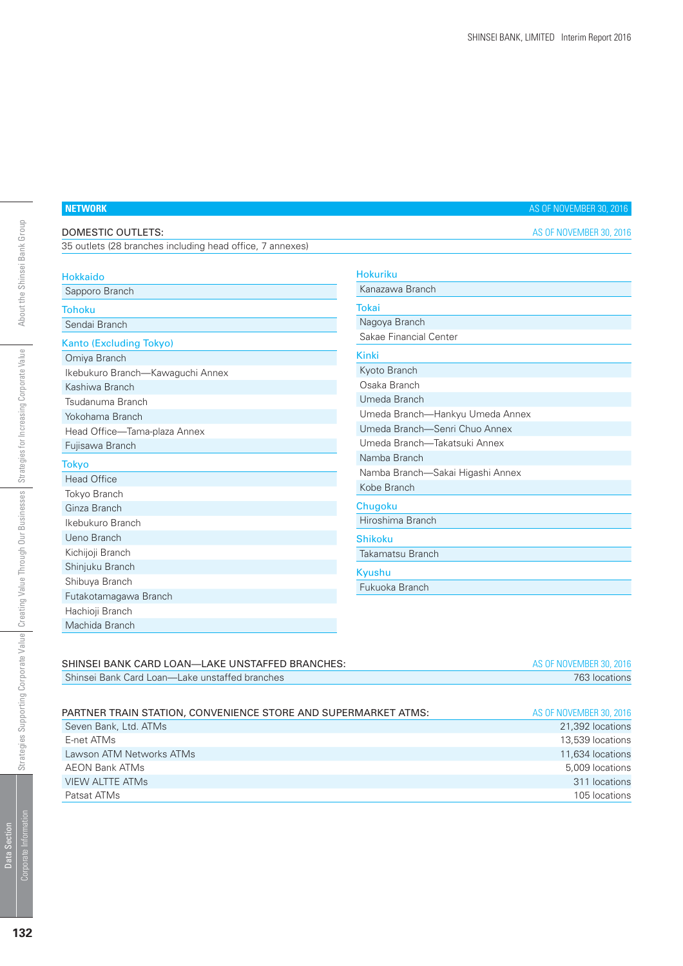# **NETWORK AS OF NOVEMBER 30, 2016**

| DOMESTIC OUTLETS:                                         | AS OF NOVEMBER 30, 2016          |
|-----------------------------------------------------------|----------------------------------|
| 35 outlets (28 branches including head office, 7 annexes) |                                  |
| <b>Hokkaido</b>                                           | <b>Hokuriku</b>                  |
| Sapporo Branch                                            | Kanazawa Branch                  |
| <b>Tohoku</b>                                             | Tokai                            |
| Sendai Branch                                             | Nagoya Branch                    |
| <b>Kanto (Excluding Tokyo)</b>                            | Sakae Financial Center           |
| Omiya Branch                                              | <b>Kinki</b>                     |
| Ikebukuro Branch-Kawaguchi Annex                          | Kyoto Branch                     |
| Kashiwa Branch                                            | Osaka Branch                     |
| Tsudanuma Branch                                          | Umeda Branch                     |
| Yokohama Branch                                           | Umeda Branch-Hankyu Umeda Annex  |
| Head Office-Tama-plaza Annex                              | Umeda Branch-Senri Chuo Annex    |
| Fujisawa Branch                                           | Umeda Branch-Takatsuki Annex     |
| <b>Tokyo</b>                                              | Namba Branch                     |
| <b>Head Office</b>                                        | Namba Branch-Sakai Higashi Annex |
| Tokyo Branch                                              | Kobe Branch                      |
| Ginza Branch                                              | Chugoku                          |
| Ikebukuro Branch                                          | Hiroshima Branch                 |
| Ueno Branch                                               | <b>Shikoku</b>                   |
| Kichijoji Branch                                          | Takamatsu Branch                 |
| Shinjuku Branch                                           | Kyushu                           |
| Shibuya Branch                                            | Fukuoka Branch                   |
| Futakotamagawa Branch                                     |                                  |
| Hachioji Branch                                           |                                  |

| SHINSEI BANK CARD LOAN-LAKE UNSTAFFED BRANCHES:                | AS OF NOVEMBER 30, 2016 |
|----------------------------------------------------------------|-------------------------|
| Shinsei Bank Card Loan—Lake unstaffed branches                 | 763 locations           |
|                                                                |                         |
| PARTNER TRAIN STATION, CONVENIENCE STORE AND SUPERMARKET ATMS: | AS OF NOVEMBER 30, 2016 |
| Seven Bank, Ltd. ATMs                                          | 21,392 locations        |
| E-net ATMs                                                     | 13,539 locations        |
| Lawson ATM Networks ATMs                                       | 11,634 locations        |
| <b>AEON Bank ATMs</b>                                          | 5,009 locations         |
| <b>VIEW ALTTE ATMS</b>                                         | 311 locations           |

Patsat ATMs 105 locations

Machida Branch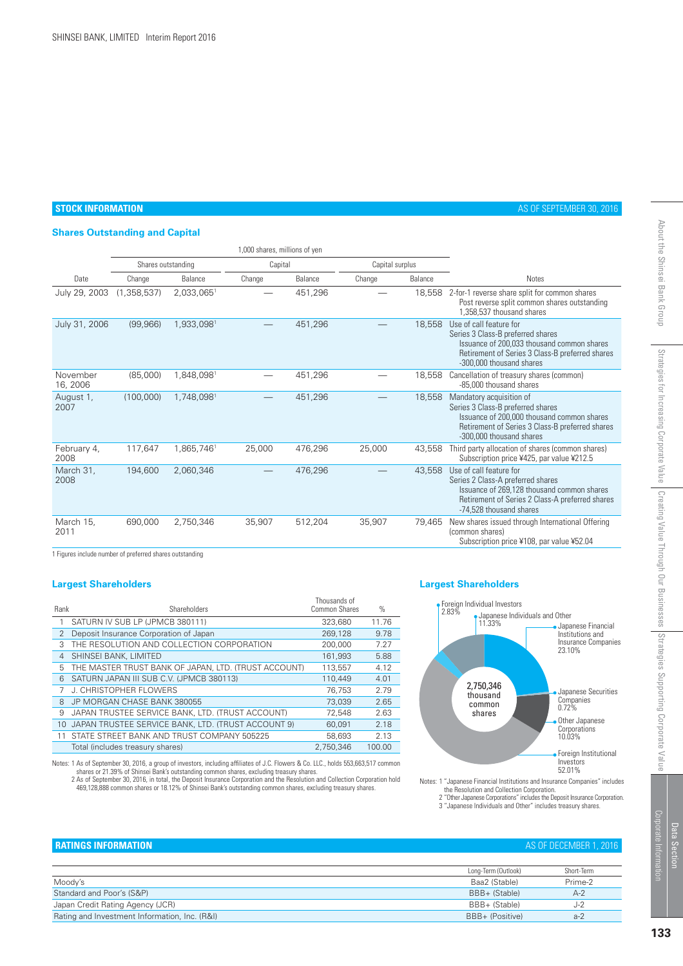#### **STOCK INFORMATION** AS OF SEPTEMBER 30, 2016

## **Shares Outstanding and Capital**

|                      | 1,000 shares, millions of yen |            |         |         |                 |         |                                                                                                                                                                                            |
|----------------------|-------------------------------|------------|---------|---------|-----------------|---------|--------------------------------------------------------------------------------------------------------------------------------------------------------------------------------------------|
|                      | Shares outstanding            |            | Capital |         | Capital surplus |         |                                                                                                                                                                                            |
| Date                 | Change                        | Balance    | Change  | Balance | Change          | Balance | <b>Notes</b>                                                                                                                                                                               |
| July 29, 2003        | (1,358,537)                   | 2,033,0651 |         | 451,296 |                 | 18,558  | 2-for-1 reverse share split for common shares<br>Post reverse split common shares outstanding<br>1.358.537 thousand shares                                                                 |
| July 31, 2006        | (99, 966)                     | 1,933,0981 |         | 451,296 |                 | 18,558  | Use of call feature for<br>Series 3 Class-B preferred shares<br>Issuance of 200.033 thousand common shares<br>Retirement of Series 3 Class-B preferred shares<br>-300,000 thousand shares  |
| November<br>16, 2006 | (85,000)                      | 1,848,0981 |         | 451,296 |                 | 18,558  | Cancellation of treasury shares (common)<br>-85,000 thousand shares                                                                                                                        |
| August 1,<br>2007    | (100,000)                     | 1,748,0981 |         | 451,296 |                 | 18.558  | Mandatory acquisition of<br>Series 3 Class-B preferred shares<br>Issuance of 200,000 thousand common shares<br>Retirement of Series 3 Class-B preferred shares<br>-300,000 thousand shares |
| February 4,<br>2008  | 117.647                       | 1.865.746  | 25,000  | 476,296 | 25,000          | 43.558  | Third party allocation of shares (common shares)<br>Subscription price ¥425, par value ¥212.5                                                                                              |
| March 31,<br>2008    | 194,600                       | 2,060,346  |         | 476,296 |                 | 43,558  | Use of call feature for<br>Series 2 Class-A preferred shares<br>Issuance of 269,128 thousand common shares<br>Retirement of Series 2 Class-A preferred shares<br>-74,528 thousand shares   |
| March 15,<br>2011    | 690,000                       | 2,750,346  | 35,907  | 512,204 | 35,907          | 79.465  | New shares issued through International Offering<br>(common shares)<br>Subscription price ¥108, par value ¥52.04                                                                           |

1 Figures include number of preferred shares outstanding

| Rank            | Shareholders                                         | Thousands of<br>Common Shares | $\%$   |
|-----------------|------------------------------------------------------|-------------------------------|--------|
| 1               | SATURN IV SUB LP (JPMCB 380111)                      | 323,680                       | 11.76  |
| $\overline{2}$  | Deposit Insurance Corporation of Japan               | 269.128                       | 9.78   |
| 3               | THE RESOLUTION AND COLLECTION CORPORATION            | 200,000                       | 7.27   |
| 4               | SHINSEI BANK, LIMITED                                | 161,993                       | 5.88   |
| 5               | THE MASTER TRUST BANK OF JAPAN, LTD. (TRUST ACCOUNT) | 113,557                       | 4.12   |
| 6               | SATURN JAPAN III SUB C.V. (JPMCB 380113)             | 110,449                       | 4.01   |
|                 | J. CHRISTOPHER FLOWERS                               | 76.753                        | 2.79   |
| 8               | JP MORGAN CHASE BANK 380055                          | 73.039                        | 2.65   |
| 9               | JAPAN TRUSTEE SERVICE BANK, LTD. (TRUST ACCOUNT)     | 72,548                        | 2.63   |
| 10 <sup>1</sup> | JAPAN TRUSTEE SERVICE BANK, LTD. (TRUST ACCOUNT 9)   | 60.091                        | 2.18   |
| 11              | STATE STREET BANK AND TRUST COMPANY 505225           | 58,693                        | 2.13   |
|                 | Total (includes treasury shares)                     | 2.750.346                     | 100.00 |
|                 |                                                      |                               |        |

Notes: 1 As of September 30, 2016, a group of investors, including affiliates of J.C. Flowers & Co. LLC., holds 553,663,517 common<br>Shares or 21.39% of Shinsei Bank's outstanding common shares, excluding treasury shares.<br>2

#### **Largest Shareholders Largest Shareholders**



Notes: 1 "Japanese Financial Institutions and Insurance Companies" includes the Resolution and Collection Corporation.

2 "Other Japanese Corporations" includes the Deposit Insurance Corporation. 3 "Japanese Individuals and Other" includes treasury shares.

Strategies for Increasing Corporate Value

Strategies for Increasing Corporate Value | Creating Value Through Our Businesses | Strategies Supporting Corporate Value

About the Shinsei Bank Group

| AS OF DECEMBER 1, 201 |  |
|-----------------------|--|
|-----------------------|--|

| <b>ERATINGS INFORMATION</b>                   |                     | AS OF DECEMBER 1, 2016 |
|-----------------------------------------------|---------------------|------------------------|
|                                               |                     |                        |
|                                               | Long-Term (Outlook) | Short-Term             |
| Moody's                                       | Baa2 (Stable)       | Prime-2                |
| Standard and Poor's (S&P)                     | BBB+ (Stable)       | $A-2$                  |
| Japan Credit Rating Agency (JCR)              | BBB+ (Stable)       | $J-2$                  |
| Rating and Investment Information, Inc. (R&I) | BBB+ (Positive)     | $a-2$                  |